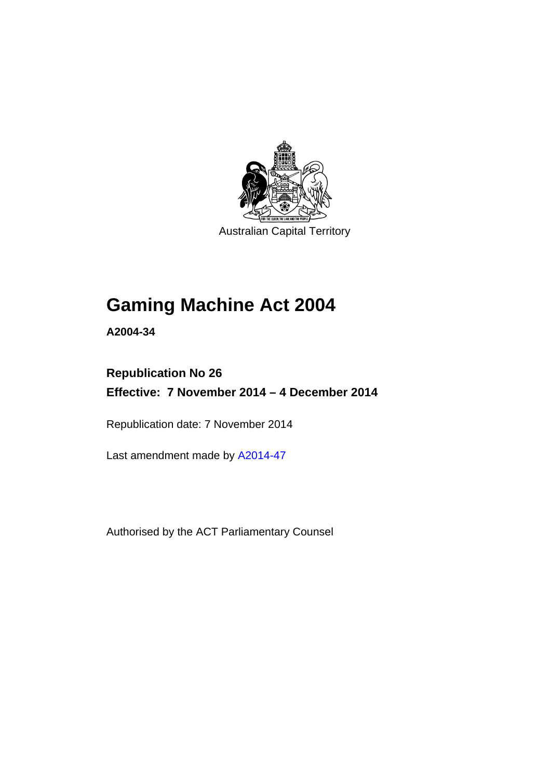

Australian Capital Territory

# **Gaming Machine Act 2004**

**A2004-34** 

# **Republication No 26 Effective: 7 November 2014 – 4 December 2014**

Republication date: 7 November 2014

Last amendment made by [A2014-47](http://www.legislation.act.gov.au/a/2014-47)

Authorised by the ACT Parliamentary Counsel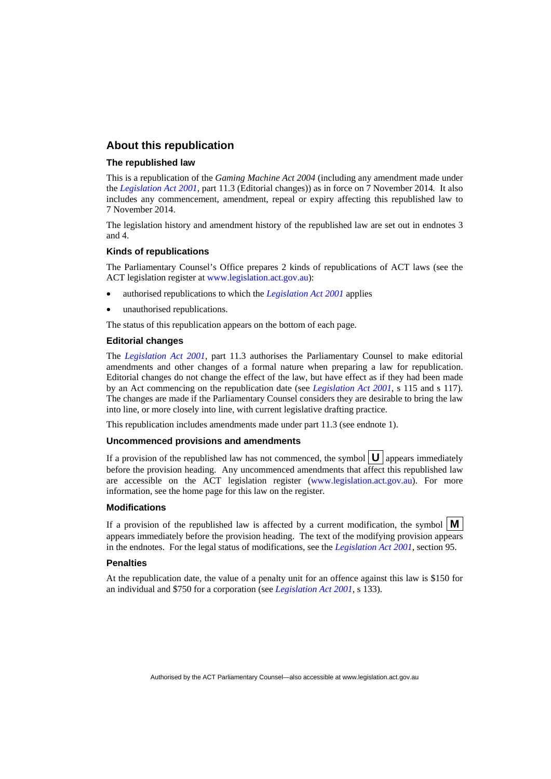### **About this republication**

#### **The republished law**

This is a republication of the *Gaming Machine Act 2004* (including any amendment made under the *[Legislation Act 2001](http://www.legislation.act.gov.au/a/2001-14)*, part 11.3 (Editorial changes)) as in force on 7 November 2014*.* It also includes any commencement, amendment, repeal or expiry affecting this republished law to 7 November 2014.

The legislation history and amendment history of the republished law are set out in endnotes 3 and 4.

#### **Kinds of republications**

The Parliamentary Counsel's Office prepares 2 kinds of republications of ACT laws (see the ACT legislation register at [www.legislation.act.gov.au](http://www.legislation.act.gov.au/)):

- authorised republications to which the *[Legislation Act 2001](http://www.legislation.act.gov.au/a/2001-14)* applies
- unauthorised republications.

The status of this republication appears on the bottom of each page.

#### **Editorial changes**

The *[Legislation Act 2001](http://www.legislation.act.gov.au/a/2001-14)*, part 11.3 authorises the Parliamentary Counsel to make editorial amendments and other changes of a formal nature when preparing a law for republication. Editorial changes do not change the effect of the law, but have effect as if they had been made by an Act commencing on the republication date (see *[Legislation Act 2001](http://www.legislation.act.gov.au/a/2001-14)*, s 115 and s 117). The changes are made if the Parliamentary Counsel considers they are desirable to bring the law into line, or more closely into line, with current legislative drafting practice.

This republication includes amendments made under part 11.3 (see endnote 1).

#### **Uncommenced provisions and amendments**

If a provision of the republished law has not commenced, the symbol  $\mathbf{U}$  appears immediately before the provision heading. Any uncommenced amendments that affect this republished law are accessible on the ACT legislation register [\(www.legislation.act.gov.au\)](http://www.legislation.act.gov.au/). For more information, see the home page for this law on the register.

#### **Modifications**

If a provision of the republished law is affected by a current modification, the symbol  $\mathbf{M}$ appears immediately before the provision heading. The text of the modifying provision appears in the endnotes. For the legal status of modifications, see the *[Legislation Act 2001](http://www.legislation.act.gov.au/a/2001-14)*, section 95.

#### **Penalties**

At the republication date, the value of a penalty unit for an offence against this law is \$150 for an individual and \$750 for a corporation (see *[Legislation Act 2001](http://www.legislation.act.gov.au/a/2001-14)*, s 133).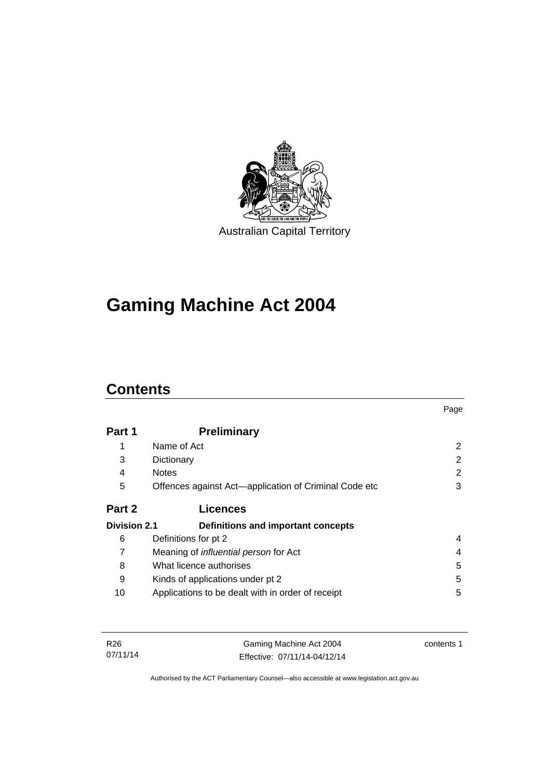

# **Gaming Machine Act 2004**

# **Contents**

|                     |                                                       | Page |
|---------------------|-------------------------------------------------------|------|
| Part 1              | <b>Preliminary</b>                                    |      |
|                     | Name of Act                                           | 2    |
| 3                   | Dictionary                                            | 2    |
| 4                   | <b>Notes</b>                                          | 2    |
| 5                   | Offences against Act—application of Criminal Code etc | 3    |
| Part 2              | <b>Licences</b>                                       |      |
| <b>Division 2.1</b> | Definitions and important concepts                    |      |
| 6                   | Definitions for pt 2                                  | 4    |
| 7                   | Meaning of <i>influential person</i> for Act          | 4    |
| 8                   | What licence authorises                               | 5    |
| 9                   | Kinds of applications under pt 2                      | 5    |
| 10                  | Applications to be dealt with in order of receipt     | 5    |

| R26      | Gaming Machine Act 2004      | contents 1 |
|----------|------------------------------|------------|
| 07/11/14 | Effective: 07/11/14-04/12/14 |            |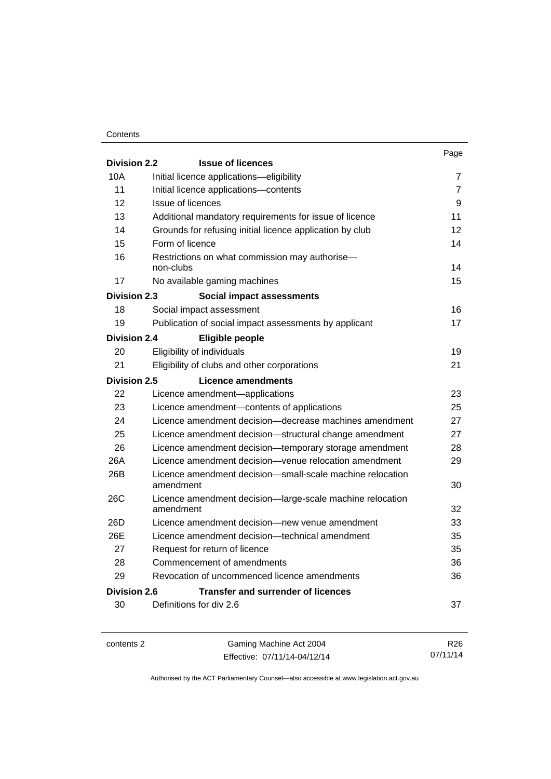### **Contents**

|                     |                                                                        | Page           |
|---------------------|------------------------------------------------------------------------|----------------|
| <b>Division 2.2</b> | <b>Issue of licences</b>                                               |                |
| 10A                 | Initial licence applications-eligibility                               | 7              |
| 11                  | Initial licence applications-contents                                  | $\overline{7}$ |
| 12                  | Issue of licences                                                      | 9              |
| 13                  | Additional mandatory requirements for issue of licence                 | 11             |
| 14                  | Grounds for refusing initial licence application by club               | 12             |
| 15                  | Form of licence                                                        | 14             |
| 16                  | Restrictions on what commission may authorise-                         |                |
|                     | non-clubs                                                              | 14             |
| 17                  | No available gaming machines                                           | 15             |
| <b>Division 2.3</b> | Social impact assessments                                              |                |
| 18                  | Social impact assessment                                               | 16             |
| 19                  | Publication of social impact assessments by applicant                  | 17             |
| <b>Division 2.4</b> | Eligible people                                                        |                |
| 20                  | Eligibility of individuals                                             | 19             |
| 21                  | Eligibility of clubs and other corporations                            | 21             |
| Division 2.5        | Licence amendments                                                     |                |
| 22                  | Licence amendment-applications                                         | 23             |
| 23                  | Licence amendment-contents of applications                             | 25             |
| 24                  | Licence amendment decision-decrease machines amendment                 | 27             |
| 25                  | Licence amendment decision-structural change amendment                 | 27             |
| 26                  | Licence amendment decision-temporary storage amendment                 | 28             |
| 26A                 | Licence amendment decision—venue relocation amendment                  | 29             |
| 26B                 | Licence amendment decision-small-scale machine relocation<br>amendment | 30             |
| <b>26C</b>          | Licence amendment decision-large-scale machine relocation              |                |
|                     | amendment                                                              | 32             |
| 26D                 | Licence amendment decision—new venue amendment                         | 33             |
| 26E                 | Licence amendment decision—technical amendment                         | 35             |
| 27                  | Request for return of licence                                          | 35             |
| 28                  | Commencement of amendments                                             | 36             |
| 29                  | Revocation of uncommenced licence amendments                           | 36             |
| Division 2.6        | <b>Transfer and surrender of licences</b>                              |                |
| 30                  | Definitions for div 2.6                                                | 37             |
|                     |                                                                        |                |
|                     |                                                                        |                |

contents 2 Gaming Machine Act 2004 Effective: 07/11/14-04/12/14

R26 07/11/14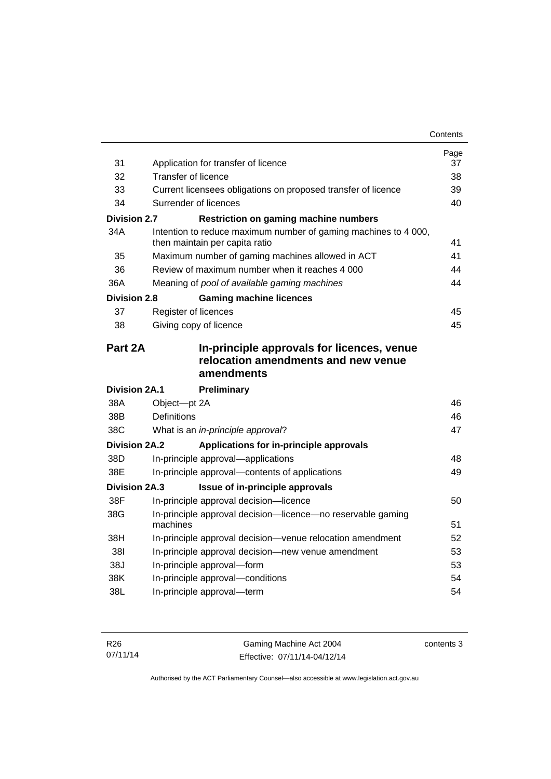| 31                   | Application for transfer of licence                                                             | Page<br>37 |
|----------------------|-------------------------------------------------------------------------------------------------|------------|
| 32                   | <b>Transfer of licence</b>                                                                      | 38         |
| 33                   | Current licensees obligations on proposed transfer of licence                                   | 39         |
| 34                   | Surrender of licences                                                                           | 40         |
| <b>Division 2.7</b>  | <b>Restriction on gaming machine numbers</b>                                                    |            |
| 34A                  | Intention to reduce maximum number of gaming machines to 4 000,                                 |            |
|                      | then maintain per capita ratio                                                                  | 41         |
| 35                   | Maximum number of gaming machines allowed in ACT                                                | 41         |
| 36                   | Review of maximum number when it reaches 4 000                                                  | 44         |
| 36A                  | Meaning of pool of available gaming machines                                                    | 44         |
| <b>Division 2.8</b>  | <b>Gaming machine licences</b>                                                                  |            |
| 37                   | Register of licences                                                                            | 45         |
| 38                   | Giving copy of licence                                                                          | 45         |
|                      |                                                                                                 |            |
| Part 2A              | In-principle approvals for licences, venue<br>relocation amendments and new venue<br>amendments |            |
| Division 2A.1        | Preliminary                                                                                     |            |
| 38A                  | Object-pt 2A                                                                                    | 46         |
| 38B                  | <b>Definitions</b>                                                                              | 46         |
| 38C                  | What is an in-principle approval?                                                               | 47         |
| <b>Division 2A.2</b> | Applications for in-principle approvals                                                         |            |
| 38D                  | In-principle approval-applications                                                              | 48         |
| 38E                  | In-principle approval-contents of applications                                                  | 49         |
| <b>Division 2A.3</b> | Issue of in-principle approvals                                                                 |            |
| 38F                  | In-principle approval decision-licence                                                          | 50         |
| 38G                  | In-principle approval decision-licence-no reservable gaming<br>machines                         | 51         |
| 38H                  | In-principle approval decision-venue relocation amendment                                       | 52         |
| 381                  | In-principle approval decision-new venue amendment                                              | 53         |
| 38J                  | In-principle approval-form                                                                      | 53         |
| 38K                  | In-principle approval-conditions                                                                | 54         |
| 38L                  | In-principle approval-term                                                                      | 54         |

| R <sub>26</sub> | Gaming Machine Act 2004      | contents 3 |
|-----------------|------------------------------|------------|
| 07/11/14        | Effective: 07/11/14-04/12/14 |            |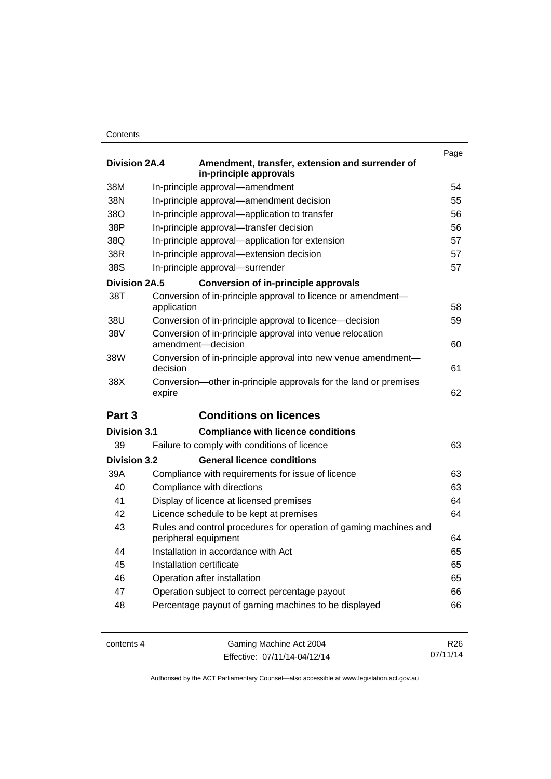### **Contents**

|                      |                                                                                 | Page |
|----------------------|---------------------------------------------------------------------------------|------|
| Division 2A.4        | Amendment, transfer, extension and surrender of<br>in-principle approvals       |      |
| 38M                  | In-principle approval-amendment                                                 | 54   |
| 38N                  | In-principle approval-amendment decision                                        | 55   |
| 38O                  | In-principle approval-application to transfer                                   | 56   |
| 38P                  | In-principle approval-transfer decision                                         | 56   |
| 38Q                  | In-principle approval-application for extension                                 | 57   |
| 38R                  | In-principle approval-extension decision                                        | 57   |
| 38S                  | In-principle approval-surrender                                                 | 57   |
| <b>Division 2A.5</b> | <b>Conversion of in-principle approvals</b>                                     |      |
| 38T                  | Conversion of in-principle approval to licence or amendment-                    |      |
|                      | application                                                                     | 58   |
| 38U                  | Conversion of in-principle approval to licence—decision                         | 59   |
| 38V                  | Conversion of in-principle approval into venue relocation<br>amendment-decision | 60   |
| 38W                  | Conversion of in-principle approval into new venue amendment-                   |      |
|                      | decision                                                                        | 61   |
| 38X                  | Conversion-other in-principle approvals for the land or premises                |      |
|                      |                                                                                 |      |
|                      | expire                                                                          | 62   |
| Part 3               | <b>Conditions on licences</b>                                                   |      |
| <b>Division 3.1</b>  | <b>Compliance with licence conditions</b>                                       |      |
| 39                   | Failure to comply with conditions of licence                                    | 63   |
| <b>Division 3.2</b>  | <b>General licence conditions</b>                                               |      |
| 39A                  | Compliance with requirements for issue of licence                               | 63   |
| 40                   | Compliance with directions                                                      | 63   |
| 41                   | Display of licence at licensed premises                                         | 64   |
| 42                   | Licence schedule to be kept at premises                                         | 64   |
| 43                   | Rules and control procedures for operation of gaming machines and               |      |
|                      | peripheral equipment                                                            | 64   |
| 44                   | Installation in accordance with Act                                             | 65   |
| 45                   | Installation certificate                                                        | 65   |
| 46                   | Operation after installation                                                    | 65   |
| 47                   | Operation subject to correct percentage payout                                  | 66   |
| 48                   | Percentage payout of gaming machines to be displayed                            | 66   |
|                      |                                                                                 |      |

contents 4 Gaming Machine Act 2004 Effective: 07/11/14-04/12/14

R26 07/11/14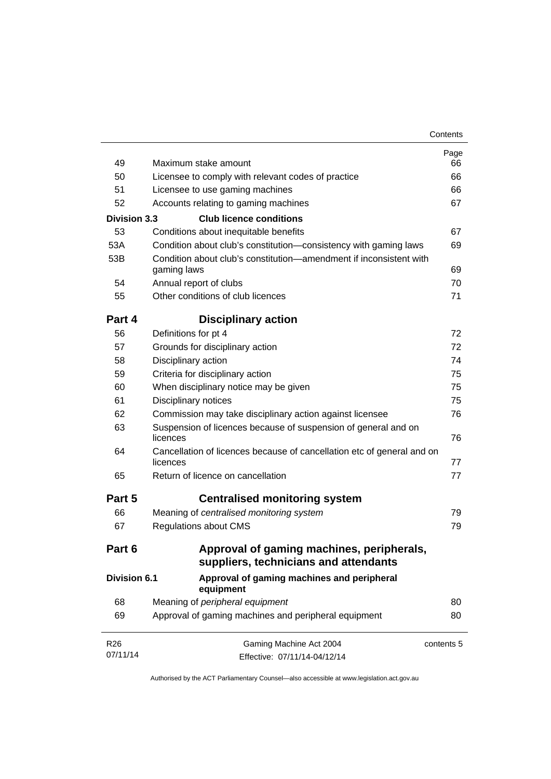| Contents |
|----------|
|----------|

| 49                  | Maximum stake amount                                                               | Page<br>66 |
|---------------------|------------------------------------------------------------------------------------|------------|
| 50                  | Licensee to comply with relevant codes of practice                                 | 66         |
| 51                  | Licensee to use gaming machines                                                    | 66         |
| 52                  | Accounts relating to gaming machines                                               | 67         |
| <b>Division 3.3</b> | <b>Club licence conditions</b>                                                     |            |
| 53                  | Conditions about inequitable benefits                                              | 67         |
| 53A                 | Condition about club's constitution-consistency with gaming laws                   | 69         |
| 53B                 | Condition about club's constitution—amendment if inconsistent with<br>gaming laws  | 69         |
| 54                  | Annual report of clubs                                                             | 70         |
| 55                  | Other conditions of club licences                                                  | 71         |
| Part 4              | <b>Disciplinary action</b>                                                         |            |
| 56                  | Definitions for pt 4                                                               | 72         |
| 57                  | Grounds for disciplinary action                                                    | 72         |
| 58                  | Disciplinary action                                                                | 74         |
| 59                  | Criteria for disciplinary action                                                   | 75         |
| 60                  | When disciplinary notice may be given                                              | 75         |
| 61                  | Disciplinary notices                                                               | 75         |
| 62                  | Commission may take disciplinary action against licensee                           | 76         |
| 63                  | Suspension of licences because of suspension of general and on<br>licences         | 76         |
| 64                  | Cancellation of licences because of cancellation etc of general and on<br>licences | 77         |
| 65                  | Return of licence on cancellation                                                  | 77         |
| Part 5              | <b>Centralised monitoring system</b>                                               |            |
| 66                  | Meaning of centralised monitoring system                                           | 79         |
| 67                  | <b>Regulations about CMS</b>                                                       | 79         |
| Part 6              | Approval of gaming machines, peripherals,<br>suppliers, technicians and attendants |            |
| <b>Division 6.1</b> | Approval of gaming machines and peripheral<br>equipment                            |            |
| 68                  | Meaning of peripheral equipment                                                    | 80         |
| 69                  | Approval of gaming machines and peripheral equipment                               | 80         |
| R <sub>26</sub>     | Gaming Machine Act 2004                                                            | contents 5 |
| 07/11/14            | Effective: 07/11/14-04/12/14                                                       |            |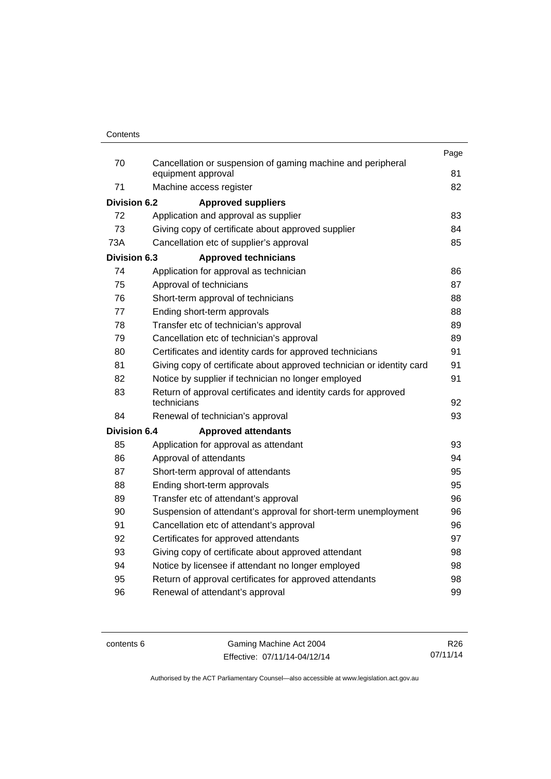|                     |                                                                                   | Page |
|---------------------|-----------------------------------------------------------------------------------|------|
| 70                  | Cancellation or suspension of gaming machine and peripheral<br>equipment approval | 81   |
| 71                  | Machine access register                                                           | 82   |
|                     |                                                                                   |      |
| <b>Division 6.2</b> | <b>Approved suppliers</b>                                                         |      |
| 72                  | Application and approval as supplier                                              | 83   |
| 73                  | Giving copy of certificate about approved supplier                                | 84   |
| 73A                 | Cancellation etc of supplier's approval                                           | 85   |
| Division 6.3        | <b>Approved technicians</b>                                                       |      |
| 74                  | Application for approval as technician                                            | 86   |
| 75                  | Approval of technicians                                                           | 87   |
| 76                  | Short-term approval of technicians                                                | 88   |
| 77                  | Ending short-term approvals                                                       | 88   |
| 78                  | Transfer etc of technician's approval                                             | 89   |
| 79                  | Cancellation etc of technician's approval                                         | 89   |
| 80                  | Certificates and identity cards for approved technicians                          | 91   |
| 81                  | Giving copy of certificate about approved technician or identity card             | 91   |
| 82                  | Notice by supplier if technician no longer employed                               | 91   |
| 83                  | Return of approval certificates and identity cards for approved<br>technicians    | 92   |
| 84                  | Renewal of technician's approval                                                  | 93   |
| <b>Division 6.4</b> | <b>Approved attendants</b>                                                        |      |
| 85                  | Application for approval as attendant                                             | 93   |
| 86                  | Approval of attendants                                                            | 94   |
| 87                  | Short-term approval of attendants                                                 | 95   |
| 88                  | Ending short-term approvals                                                       | 95   |
| 89                  | Transfer etc of attendant's approval                                              | 96   |
| 90                  | Suspension of attendant's approval for short-term unemployment                    | 96   |
| 91                  | Cancellation etc of attendant's approval                                          | 96   |
| 92                  | Certificates for approved attendants                                              | 97   |
| 93                  | Giving copy of certificate about approved attendant                               | 98   |
| 94                  | Notice by licensee if attendant no longer employed                                | 98   |
| 95                  | Return of approval certificates for approved attendants                           | 98   |
| 96                  | Renewal of attendant's approval                                                   | 99   |
|                     |                                                                                   |      |

contents 6 Gaming Machine Act 2004 Effective: 07/11/14-04/12/14

R26 07/11/14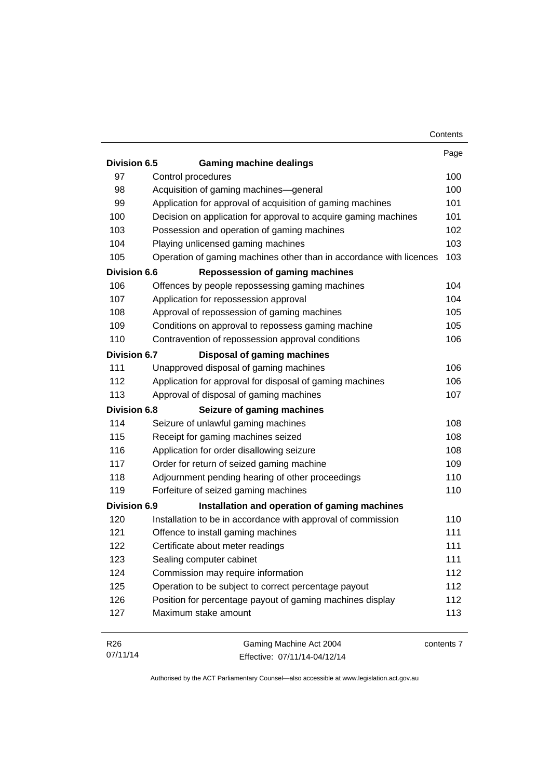|                     |                                                                     | Contents   |
|---------------------|---------------------------------------------------------------------|------------|
|                     |                                                                     | Page       |
| <b>Division 6.5</b> | <b>Gaming machine dealings</b>                                      |            |
| 97                  | Control procedures                                                  | 100        |
| 98                  | Acquisition of gaming machines-general                              | 100        |
| 99                  | Application for approval of acquisition of gaming machines          | 101        |
| 100                 | Decision on application for approval to acquire gaming machines     | 101        |
| 103                 | Possession and operation of gaming machines                         | 102        |
| 104                 | Playing unlicensed gaming machines                                  | 103        |
| 105                 | Operation of gaming machines other than in accordance with licences | 103        |
| <b>Division 6.6</b> | <b>Repossession of gaming machines</b>                              |            |
| 106                 | Offences by people repossessing gaming machines                     | 104        |
| 107                 | Application for repossession approval                               | 104        |
| 108                 | Approval of repossession of gaming machines                         | 105        |
| 109                 | Conditions on approval to repossess gaming machine                  | 105        |
| 110                 | Contravention of repossession approval conditions                   | 106        |
| <b>Division 6.7</b> | Disposal of gaming machines                                         |            |
| 111                 | Unapproved disposal of gaming machines                              | 106        |
| 112                 | Application for approval for disposal of gaming machines            | 106        |
| 113                 | Approval of disposal of gaming machines                             | 107        |
| <b>Division 6.8</b> | Seizure of gaming machines                                          |            |
| 114                 | Seizure of unlawful gaming machines                                 | 108        |
| 115                 | Receipt for gaming machines seized                                  | 108        |
| 116                 | Application for order disallowing seizure                           | 108        |
| 117                 | Order for return of seized gaming machine                           | 109        |
| 118                 | Adjournment pending hearing of other proceedings                    | 110        |
| 119                 | Forfeiture of seized gaming machines                                | 110        |
| <b>Division 6.9</b> | Installation and operation of gaming machines                       |            |
| 120                 | Installation to be in accordance with approval of commission        | 110        |
| 121                 | Offence to install gaming machines                                  | 111        |
| 122                 | Certificate about meter readings                                    | 111        |
| 123                 | Sealing computer cabinet                                            | 111        |
| 124                 | Commission may require information                                  | 112        |
| 125                 | Operation to be subject to correct percentage payout                | 112        |
| 126                 | Position for percentage payout of gaming machines display           | 112        |
| 127                 | Maximum stake amount                                                | 113        |
| R <sub>26</sub>     | Gaming Machine Act 2004                                             | contents 7 |

| 07/11/14 | Effective: 07/11/14-04/12/14 |
|----------|------------------------------|
|          |                              |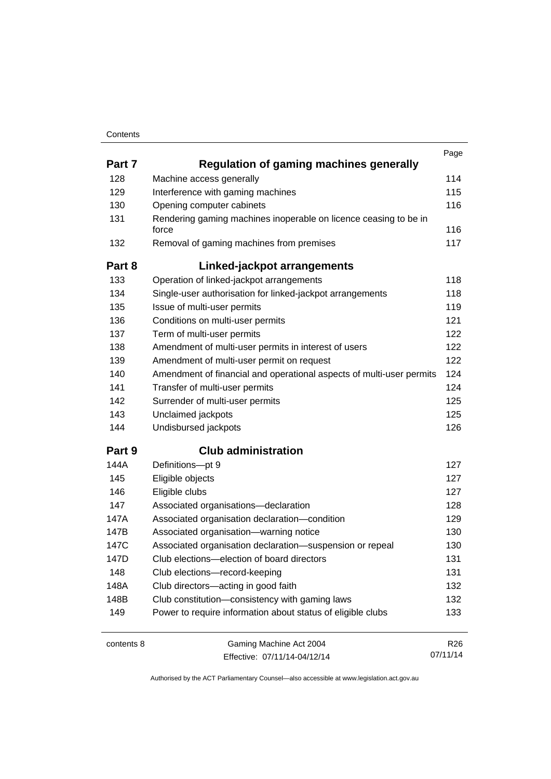### **Contents**

|            |                                                                           | Page            |
|------------|---------------------------------------------------------------------------|-----------------|
| Part 7     | <b>Regulation of gaming machines generally</b>                            |                 |
| 128        | Machine access generally                                                  | 114             |
| 129        | Interference with gaming machines                                         | 115             |
| 130        | Opening computer cabinets                                                 | 116             |
| 131        | Rendering gaming machines inoperable on licence ceasing to be in<br>force | 116             |
| 132        | Removal of gaming machines from premises                                  | 117             |
| Part 8     | Linked-jackpot arrangements                                               |                 |
| 133        | Operation of linked-jackpot arrangements                                  | 118             |
| 134        | Single-user authorisation for linked-jackpot arrangements                 | 118             |
| 135        | Issue of multi-user permits                                               | 119             |
| 136        | Conditions on multi-user permits                                          | 121             |
| 137        | Term of multi-user permits                                                | 122             |
| 138        | Amendment of multi-user permits in interest of users                      | 122             |
| 139        | Amendment of multi-user permit on request                                 | 122             |
| 140        | Amendment of financial and operational aspects of multi-user permits      | 124             |
| 141        | Transfer of multi-user permits                                            | 124             |
| 142        | Surrender of multi-user permits                                           | 125             |
| 143        | Unclaimed jackpots                                                        | 125             |
| 144        | Undisbursed jackpots                                                      | 126             |
| Part 9     | <b>Club administration</b>                                                |                 |
| 144A       | Definitions-pt 9                                                          | 127             |
| 145        | Eligible objects                                                          | 127             |
| 146        | Eligible clubs                                                            | 127             |
| 147        | Associated organisations-declaration                                      | 128             |
| 147A       | Associated organisation declaration-condition                             | 129             |
| 147B       | Associated organisation-warning notice                                    | 130             |
| 147C       | Associated organisation declaration-suspension or repeal                  | 130             |
| 147D       | Club elections-election of board directors                                | 131             |
| 148        | Club elections-record-keeping                                             | 131             |
| 148A       | Club directors-acting in good faith                                       | 132             |
| 148B       | Club constitution-consistency with gaming laws                            | 132             |
| 149        | Power to require information about status of eligible clubs               | 133             |
| contents 8 | Gaming Machine Act 2004                                                   | R <sub>26</sub> |

Effective: 07/11/14-04/12/14

07/11/14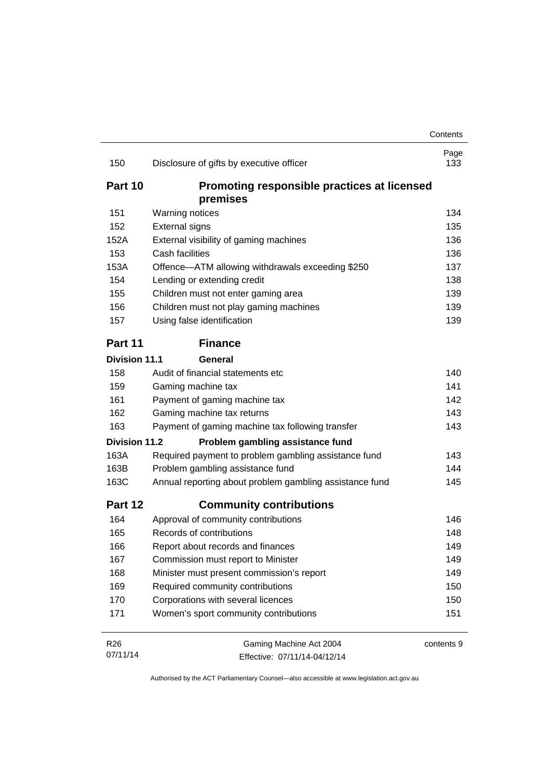|                                             | Contents                                                                                                                                                                                                                                                                                                                                                                                                                                                                                                                                                                                                                                                                                                                                                                                                                                                                                                                                                                                                                                      |
|---------------------------------------------|-----------------------------------------------------------------------------------------------------------------------------------------------------------------------------------------------------------------------------------------------------------------------------------------------------------------------------------------------------------------------------------------------------------------------------------------------------------------------------------------------------------------------------------------------------------------------------------------------------------------------------------------------------------------------------------------------------------------------------------------------------------------------------------------------------------------------------------------------------------------------------------------------------------------------------------------------------------------------------------------------------------------------------------------------|
|                                             | Page<br>133                                                                                                                                                                                                                                                                                                                                                                                                                                                                                                                                                                                                                                                                                                                                                                                                                                                                                                                                                                                                                                   |
| Promoting responsible practices at licensed |                                                                                                                                                                                                                                                                                                                                                                                                                                                                                                                                                                                                                                                                                                                                                                                                                                                                                                                                                                                                                                               |
|                                             |                                                                                                                                                                                                                                                                                                                                                                                                                                                                                                                                                                                                                                                                                                                                                                                                                                                                                                                                                                                                                                               |
|                                             | 134                                                                                                                                                                                                                                                                                                                                                                                                                                                                                                                                                                                                                                                                                                                                                                                                                                                                                                                                                                                                                                           |
|                                             | 135                                                                                                                                                                                                                                                                                                                                                                                                                                                                                                                                                                                                                                                                                                                                                                                                                                                                                                                                                                                                                                           |
|                                             | 136                                                                                                                                                                                                                                                                                                                                                                                                                                                                                                                                                                                                                                                                                                                                                                                                                                                                                                                                                                                                                                           |
|                                             | 136                                                                                                                                                                                                                                                                                                                                                                                                                                                                                                                                                                                                                                                                                                                                                                                                                                                                                                                                                                                                                                           |
|                                             | 137                                                                                                                                                                                                                                                                                                                                                                                                                                                                                                                                                                                                                                                                                                                                                                                                                                                                                                                                                                                                                                           |
|                                             | 138                                                                                                                                                                                                                                                                                                                                                                                                                                                                                                                                                                                                                                                                                                                                                                                                                                                                                                                                                                                                                                           |
|                                             | 139                                                                                                                                                                                                                                                                                                                                                                                                                                                                                                                                                                                                                                                                                                                                                                                                                                                                                                                                                                                                                                           |
|                                             | 139                                                                                                                                                                                                                                                                                                                                                                                                                                                                                                                                                                                                                                                                                                                                                                                                                                                                                                                                                                                                                                           |
|                                             | 139                                                                                                                                                                                                                                                                                                                                                                                                                                                                                                                                                                                                                                                                                                                                                                                                                                                                                                                                                                                                                                           |
| <b>Finance</b>                              |                                                                                                                                                                                                                                                                                                                                                                                                                                                                                                                                                                                                                                                                                                                                                                                                                                                                                                                                                                                                                                               |
| General                                     |                                                                                                                                                                                                                                                                                                                                                                                                                                                                                                                                                                                                                                                                                                                                                                                                                                                                                                                                                                                                                                               |
|                                             | 140                                                                                                                                                                                                                                                                                                                                                                                                                                                                                                                                                                                                                                                                                                                                                                                                                                                                                                                                                                                                                                           |
|                                             | 141                                                                                                                                                                                                                                                                                                                                                                                                                                                                                                                                                                                                                                                                                                                                                                                                                                                                                                                                                                                                                                           |
|                                             | 142                                                                                                                                                                                                                                                                                                                                                                                                                                                                                                                                                                                                                                                                                                                                                                                                                                                                                                                                                                                                                                           |
|                                             | 143                                                                                                                                                                                                                                                                                                                                                                                                                                                                                                                                                                                                                                                                                                                                                                                                                                                                                                                                                                                                                                           |
|                                             | 143                                                                                                                                                                                                                                                                                                                                                                                                                                                                                                                                                                                                                                                                                                                                                                                                                                                                                                                                                                                                                                           |
| Problem gambling assistance fund            |                                                                                                                                                                                                                                                                                                                                                                                                                                                                                                                                                                                                                                                                                                                                                                                                                                                                                                                                                                                                                                               |
|                                             | 143                                                                                                                                                                                                                                                                                                                                                                                                                                                                                                                                                                                                                                                                                                                                                                                                                                                                                                                                                                                                                                           |
|                                             | 144                                                                                                                                                                                                                                                                                                                                                                                                                                                                                                                                                                                                                                                                                                                                                                                                                                                                                                                                                                                                                                           |
|                                             | 145                                                                                                                                                                                                                                                                                                                                                                                                                                                                                                                                                                                                                                                                                                                                                                                                                                                                                                                                                                                                                                           |
| <b>Community contributions</b>              |                                                                                                                                                                                                                                                                                                                                                                                                                                                                                                                                                                                                                                                                                                                                                                                                                                                                                                                                                                                                                                               |
|                                             | 146                                                                                                                                                                                                                                                                                                                                                                                                                                                                                                                                                                                                                                                                                                                                                                                                                                                                                                                                                                                                                                           |
|                                             | 148                                                                                                                                                                                                                                                                                                                                                                                                                                                                                                                                                                                                                                                                                                                                                                                                                                                                                                                                                                                                                                           |
|                                             | 149                                                                                                                                                                                                                                                                                                                                                                                                                                                                                                                                                                                                                                                                                                                                                                                                                                                                                                                                                                                                                                           |
|                                             | 149                                                                                                                                                                                                                                                                                                                                                                                                                                                                                                                                                                                                                                                                                                                                                                                                                                                                                                                                                                                                                                           |
|                                             | 149                                                                                                                                                                                                                                                                                                                                                                                                                                                                                                                                                                                                                                                                                                                                                                                                                                                                                                                                                                                                                                           |
|                                             | 150                                                                                                                                                                                                                                                                                                                                                                                                                                                                                                                                                                                                                                                                                                                                                                                                                                                                                                                                                                                                                                           |
|                                             | 150                                                                                                                                                                                                                                                                                                                                                                                                                                                                                                                                                                                                                                                                                                                                                                                                                                                                                                                                                                                                                                           |
|                                             | 151                                                                                                                                                                                                                                                                                                                                                                                                                                                                                                                                                                                                                                                                                                                                                                                                                                                                                                                                                                                                                                           |
|                                             | contents 9                                                                                                                                                                                                                                                                                                                                                                                                                                                                                                                                                                                                                                                                                                                                                                                                                                                                                                                                                                                                                                    |
| Effective: 07/11/14-04/12/14                |                                                                                                                                                                                                                                                                                                                                                                                                                                                                                                                                                                                                                                                                                                                                                                                                                                                                                                                                                                                                                                               |
|                                             | Disclosure of gifts by executive officer<br>premises<br>Warning notices<br><b>External signs</b><br>External visibility of gaming machines<br>Cash facilities<br>Offence-ATM allowing withdrawals exceeding \$250<br>Lending or extending credit<br>Children must not enter gaming area<br>Children must not play gaming machines<br>Using false identification<br>Audit of financial statements etc<br>Gaming machine tax<br>Payment of gaming machine tax<br>Gaming machine tax returns<br>Payment of gaming machine tax following transfer<br>Required payment to problem gambling assistance fund<br>Problem gambling assistance fund<br>Annual reporting about problem gambling assistance fund<br>Approval of community contributions<br>Records of contributions<br>Report about records and finances<br>Commission must report to Minister<br>Minister must present commission's report<br>Required community contributions<br>Corporations with several licences<br>Women's sport community contributions<br>Gaming Machine Act 2004 |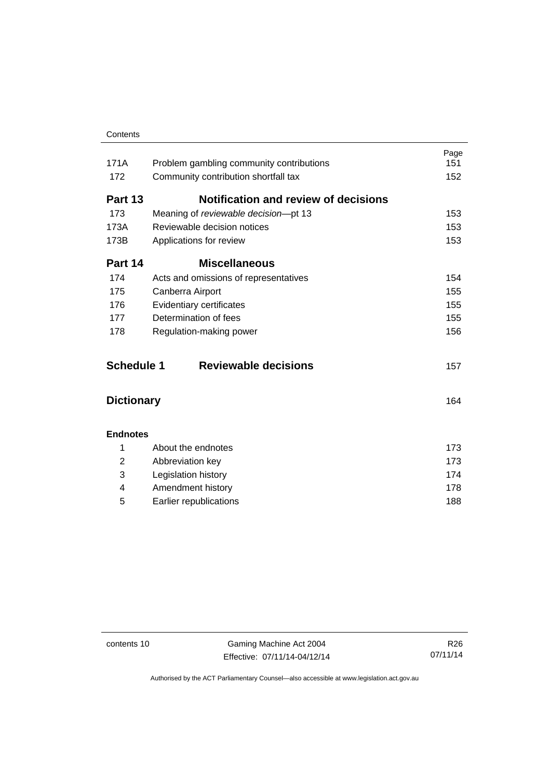| 171A              | Problem gambling community contributions | Page<br>151 |
|-------------------|------------------------------------------|-------------|
| 172               | Community contribution shortfall tax     | 152         |
| Part 13           | Notification and review of decisions     |             |
| 173               | Meaning of reviewable decision-pt 13     | 153         |
| 173A              | Reviewable decision notices              | 153         |
| 173B              | Applications for review                  | 153         |
| Part 14           | <b>Miscellaneous</b>                     |             |
| 174               | Acts and omissions of representatives    | 154         |
| 175               | Canberra Airport                         | 155         |
| 176               | Evidentiary certificates                 | 155         |
| 177               | Determination of fees                    | 155         |
| 178               | Regulation-making power                  | 156         |
| <b>Schedule 1</b> | <b>Reviewable decisions</b>              | 157         |
| <b>Dictionary</b> |                                          | 164         |
| <b>Endnotes</b>   |                                          |             |
| 1                 | About the endnotes                       | 173         |
| $\overline{2}$    | Abbreviation key                         | 173         |
| 3                 | Legislation history                      | 174         |
| 4                 | Amendment history                        | 178         |
| 5                 | Earlier republications                   | 188         |

contents 10 Gaming Machine Act 2004 Effective: 07/11/14-04/12/14

R26 07/11/14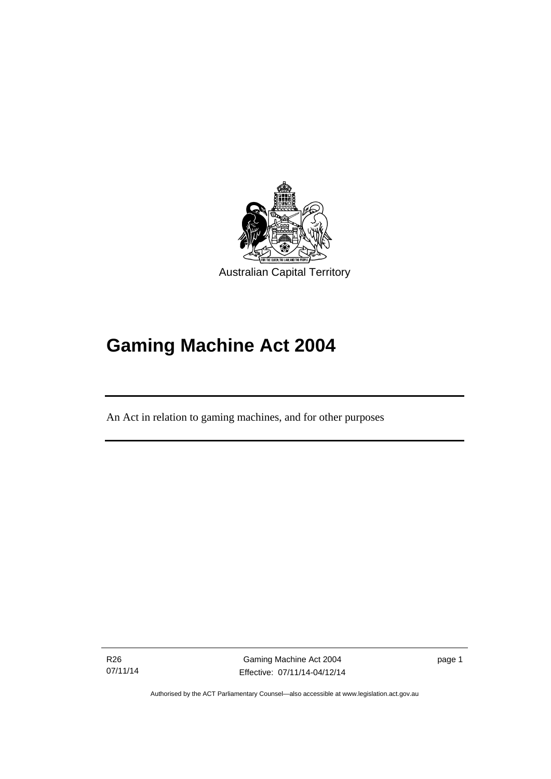

# **Gaming Machine Act 2004**

An Act in relation to gaming machines, and for other purposes

R26 07/11/14

l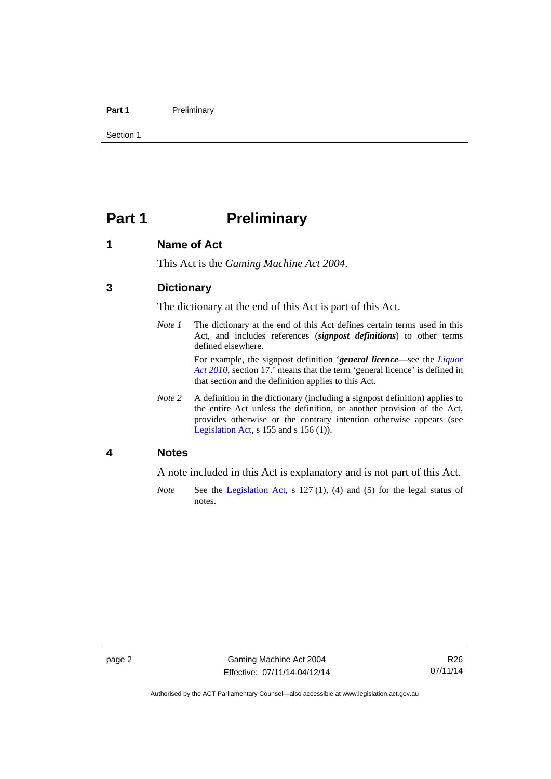### Part 1 **Preliminary**

Section 1

# <span id="page-13-0"></span>**Part 1** Preliminary

### <span id="page-13-1"></span>**1 Name of Act**

This Act is the *Gaming Machine Act 2004*.

### <span id="page-13-2"></span>**3 Dictionary**

The dictionary at the end of this Act is part of this Act.

*Note 1* The dictionary at the end of this Act defines certain terms used in this Act, and includes references (*signpost definitions*) to other terms defined elsewhere.

> For example, the signpost definition '*general licence*—see the *[Liquor](http://www.legislation.act.gov.au/a/2010-35)  [Act 2010](http://www.legislation.act.gov.au/a/2010-35)*, section 17.' means that the term 'general licence' is defined in that section and the definition applies to this Act.

*Note 2* A definition in the dictionary (including a signpost definition) applies to the entire Act unless the definition, or another provision of the Act, provides otherwise or the contrary intention otherwise appears (see [Legislation Act,](http://www.legislation.act.gov.au/a/2001-14)  $s$  155 and  $s$  156 (1)).

### <span id="page-13-3"></span>**4 Notes**

A note included in this Act is explanatory and is not part of this Act.

*Note* See the [Legislation Act,](http://www.legislation.act.gov.au/a/2001-14) s 127 (1), (4) and (5) for the legal status of notes.

Authorised by the ACT Parliamentary Counsel—also accessible at www.legislation.act.gov.au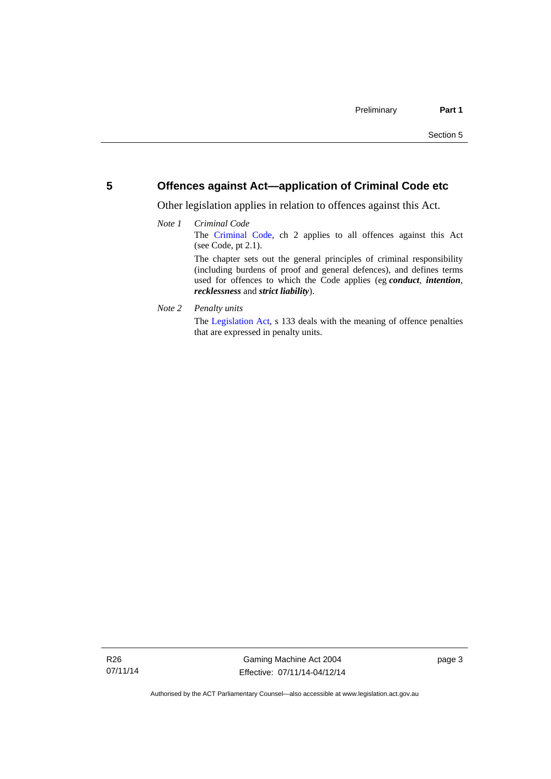### <span id="page-14-0"></span>**5 Offences against Act—application of Criminal Code etc**

Other legislation applies in relation to offences against this Act.

### *Note 1 Criminal Code* The [Criminal Code,](http://www.legislation.act.gov.au/a/2002-51) ch 2 applies to all offences against this Act (see Code, pt 2.1). The chapter sets out the general principles of criminal responsibility (including burdens of proof and general defences), and defines terms used for offences to which the Code applies (eg *conduct*, *intention*, *recklessness* and *strict liability*).

*Note 2 Penalty units* 

The [Legislation Act](http://www.legislation.act.gov.au/a/2001-14), s 133 deals with the meaning of offence penalties that are expressed in penalty units.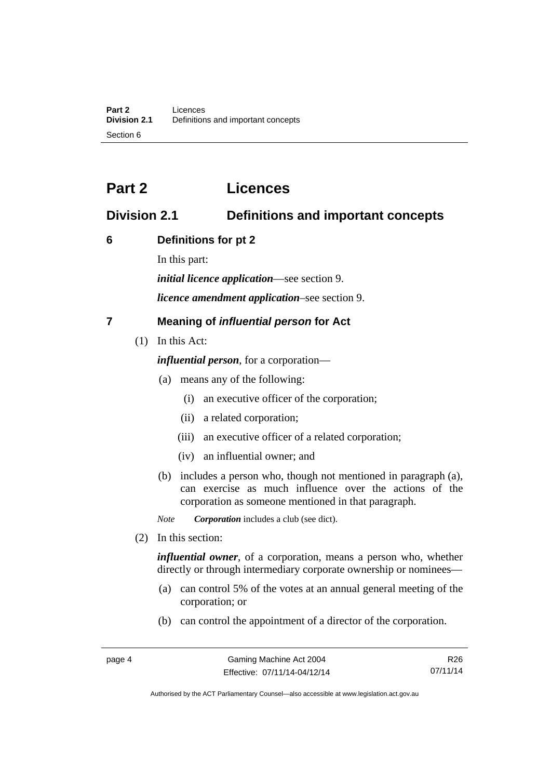# <span id="page-15-0"></span>**Part 2 Licences**

# <span id="page-15-1"></span>**Division 2.1 Definitions and important concepts**

## <span id="page-15-2"></span>**6 Definitions for pt 2**

In this part:

*initial licence application*—see section 9.

*licence amendment application*–see section 9.

# <span id="page-15-3"></span>**7 Meaning of** *influential person* **for Act**

(1) In this Act:

*influential person*, for a corporation—

- (a) means any of the following:
	- (i) an executive officer of the corporation;
	- (ii) a related corporation;
	- (iii) an executive officer of a related corporation;
	- (iv) an influential owner; and
- (b) includes a person who, though not mentioned in paragraph (a), can exercise as much influence over the actions of the corporation as someone mentioned in that paragraph.

*Note Corporation* includes a club (see dict).

(2) In this section:

*influential owner*, of a corporation, means a person who, whether directly or through intermediary corporate ownership or nominees—

- (a) can control 5% of the votes at an annual general meeting of the corporation; or
- (b) can control the appointment of a director of the corporation.

R26 07/11/14

Authorised by the ACT Parliamentary Counsel—also accessible at www.legislation.act.gov.au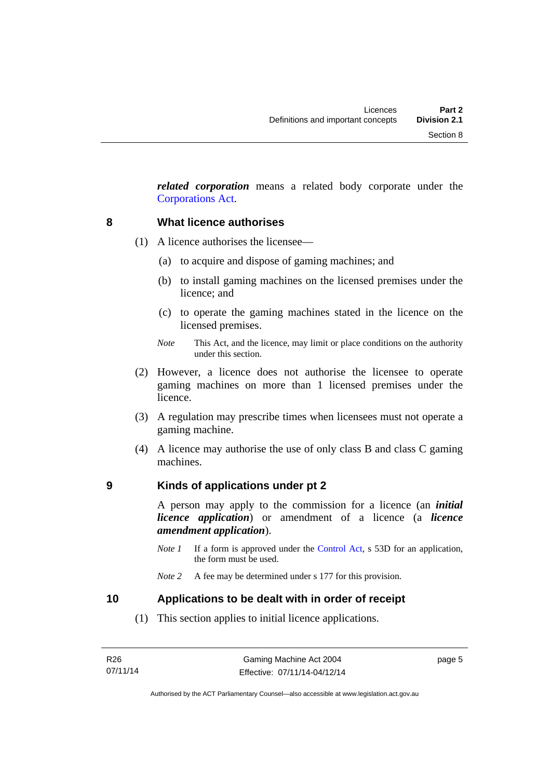*related corporation* means a related body corporate under the [Corporations Act](http://www.comlaw.gov.au/Series/C2004A00818).

### <span id="page-16-0"></span>**8 What licence authorises**

- (1) A licence authorises the licensee—
	- (a) to acquire and dispose of gaming machines; and
	- (b) to install gaming machines on the licensed premises under the licence; and
	- (c) to operate the gaming machines stated in the licence on the licensed premises.
	- *Note* This Act, and the licence, may limit or place conditions on the authority under this section.
- (2) However, a licence does not authorise the licensee to operate gaming machines on more than 1 licensed premises under the licence.
- (3) A regulation may prescribe times when licensees must not operate a gaming machine.
- (4) A licence may authorise the use of only class B and class C gaming machines.

### <span id="page-16-1"></span>**9 Kinds of applications under pt 2**

A person may apply to the commission for a licence (an *initial licence application*) or amendment of a licence (a *licence amendment application*).

*Note 1* If a form is approved under the [Control Act,](http://www.legislation.act.gov.au/a/1999-46) s 53D for an application, the form must be used.

### <span id="page-16-2"></span>**10 Applications to be dealt with in order of receipt**

(1) This section applies to initial licence applications.

page 5

*Note 2* A fee may be determined under s 177 for this provision.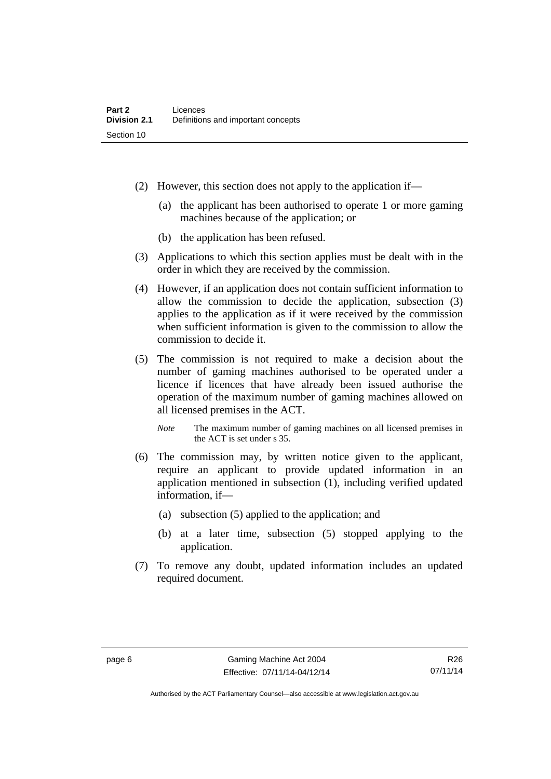- (2) However, this section does not apply to the application if—
	- (a) the applicant has been authorised to operate 1 or more gaming machines because of the application; or
	- (b) the application has been refused.
- (3) Applications to which this section applies must be dealt with in the order in which they are received by the commission.
- (4) However, if an application does not contain sufficient information to allow the commission to decide the application, subsection (3) applies to the application as if it were received by the commission when sufficient information is given to the commission to allow the commission to decide it.
- (5) The commission is not required to make a decision about the number of gaming machines authorised to be operated under a licence if licences that have already been issued authorise the operation of the maximum number of gaming machines allowed on all licensed premises in the ACT.
	- *Note* The maximum number of gaming machines on all licensed premises in the ACT is set under s 35.
- (6) The commission may, by written notice given to the applicant, require an applicant to provide updated information in an application mentioned in subsection (1), including verified updated information, if—
	- (a) subsection (5) applied to the application; and
	- (b) at a later time, subsection (5) stopped applying to the application.
- (7) To remove any doubt, updated information includes an updated required document.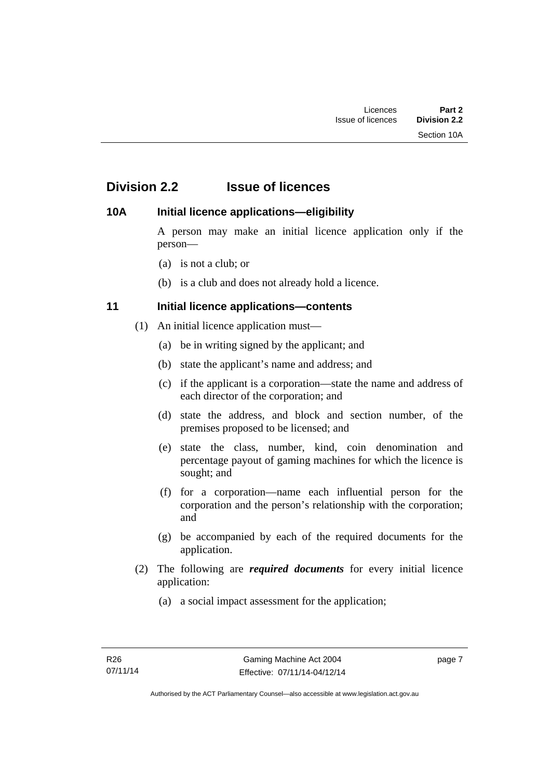# <span id="page-18-0"></span>**Division 2.2 Issue of licences**

## <span id="page-18-1"></span>**10A Initial licence applications—eligibility**

A person may make an initial licence application only if the person—

- (a) is not a club; or
- (b) is a club and does not already hold a licence.

# <span id="page-18-2"></span>**11 Initial licence applications—contents**

- (1) An initial licence application must—
	- (a) be in writing signed by the applicant; and
	- (b) state the applicant's name and address; and
	- (c) if the applicant is a corporation—state the name and address of each director of the corporation; and
	- (d) state the address, and block and section number, of the premises proposed to be licensed; and
	- (e) state the class, number, kind, coin denomination and percentage payout of gaming machines for which the licence is sought; and
	- (f) for a corporation—name each influential person for the corporation and the person's relationship with the corporation; and
	- (g) be accompanied by each of the required documents for the application.
- (2) The following are *required documents* for every initial licence application:
	- (a) a social impact assessment for the application;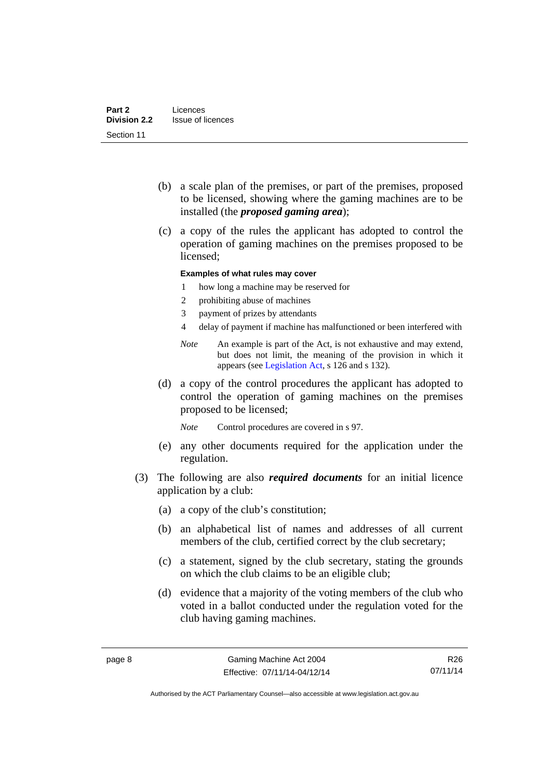- (b) a scale plan of the premises, or part of the premises, proposed to be licensed, showing where the gaming machines are to be installed (the *proposed gaming area*);
- (c) a copy of the rules the applicant has adopted to control the operation of gaming machines on the premises proposed to be licensed;

#### **Examples of what rules may cover**

- 1 how long a machine may be reserved for
- 2 prohibiting abuse of machines
- 3 payment of prizes by attendants
- 4 delay of payment if machine has malfunctioned or been interfered with
- *Note* An example is part of the Act, is not exhaustive and may extend, but does not limit, the meaning of the provision in which it appears (see [Legislation Act,](http://www.legislation.act.gov.au/a/2001-14) s 126 and s 132).
- (d) a copy of the control procedures the applicant has adopted to control the operation of gaming machines on the premises proposed to be licensed;

*Note* Control procedures are covered in s 97.

- (e) any other documents required for the application under the regulation.
- (3) The following are also *required documents* for an initial licence application by a club:
	- (a) a copy of the club's constitution;
	- (b) an alphabetical list of names and addresses of all current members of the club, certified correct by the club secretary;
	- (c) a statement, signed by the club secretary, stating the grounds on which the club claims to be an eligible club;
	- (d) evidence that a majority of the voting members of the club who voted in a ballot conducted under the regulation voted for the club having gaming machines.

R26 07/11/14

Authorised by the ACT Parliamentary Counsel—also accessible at www.legislation.act.gov.au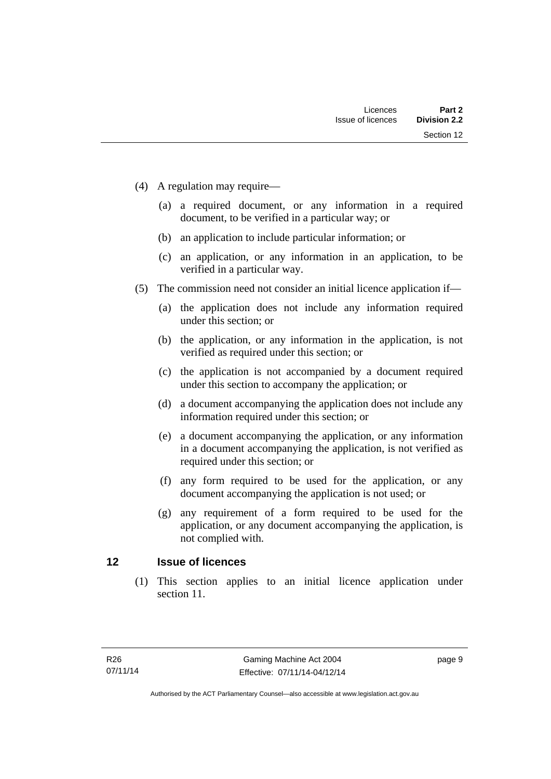- (4) A regulation may require—
	- (a) a required document, or any information in a required document, to be verified in a particular way; or
	- (b) an application to include particular information; or
	- (c) an application, or any information in an application, to be verified in a particular way.
- (5) The commission need not consider an initial licence application if—
	- (a) the application does not include any information required under this section; or
	- (b) the application, or any information in the application, is not verified as required under this section; or
	- (c) the application is not accompanied by a document required under this section to accompany the application; or
	- (d) a document accompanying the application does not include any information required under this section; or
	- (e) a document accompanying the application, or any information in a document accompanying the application, is not verified as required under this section; or
	- (f) any form required to be used for the application, or any document accompanying the application is not used; or
	- (g) any requirement of a form required to be used for the application, or any document accompanying the application, is not complied with.

### <span id="page-20-0"></span>**12 Issue of licences**

(1) This section applies to an initial licence application under section 11.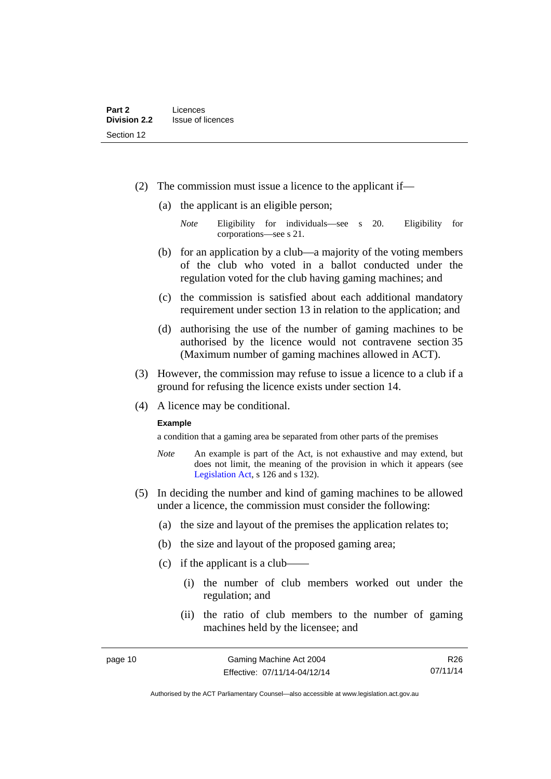- (2) The commission must issue a licence to the applicant if—
	- (a) the applicant is an eligible person;
		- *Note* Eligibility for individuals—see s 20. Eligibility for corporations—see s 21.
	- (b) for an application by a club—a majority of the voting members of the club who voted in a ballot conducted under the regulation voted for the club having gaming machines; and
	- (c) the commission is satisfied about each additional mandatory requirement under section 13 in relation to the application; and
	- (d) authorising the use of the number of gaming machines to be authorised by the licence would not contravene section 35 (Maximum number of gaming machines allowed in ACT).
- (3) However, the commission may refuse to issue a licence to a club if a ground for refusing the licence exists under section 14.
- (4) A licence may be conditional.

### **Example**

a condition that a gaming area be separated from other parts of the premises

- *Note* An example is part of the Act, is not exhaustive and may extend, but does not limit, the meaning of the provision in which it appears (see [Legislation Act,](http://www.legislation.act.gov.au/a/2001-14) s 126 and s 132).
- (5) In deciding the number and kind of gaming machines to be allowed under a licence, the commission must consider the following:
	- (a) the size and layout of the premises the application relates to;
	- (b) the size and layout of the proposed gaming area;
	- $(c)$  if the applicant is a club-
		- (i) the number of club members worked out under the regulation; and
		- (ii) the ratio of club members to the number of gaming machines held by the licensee; and

R26 07/11/14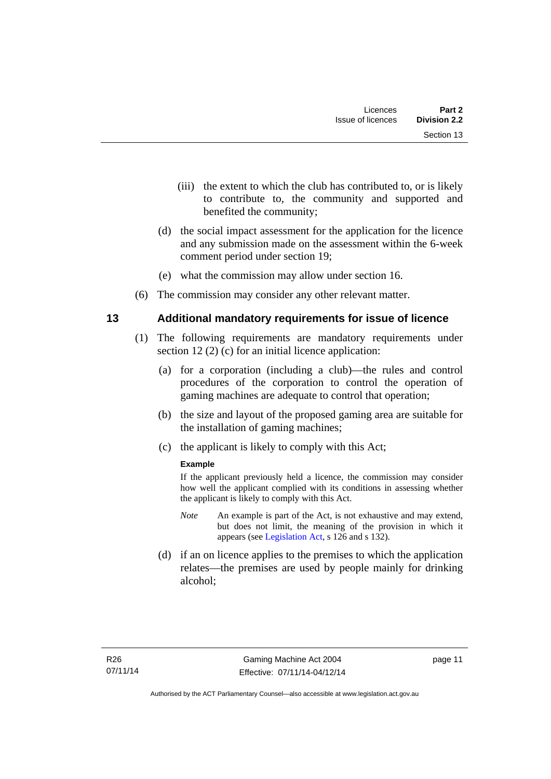- (iii) the extent to which the club has contributed to, or is likely to contribute to, the community and supported and benefited the community;
- (d) the social impact assessment for the application for the licence and any submission made on the assessment within the 6-week comment period under section 19;
- (e) what the commission may allow under section 16.
- (6) The commission may consider any other relevant matter.

### <span id="page-22-0"></span>**13 Additional mandatory requirements for issue of licence**

- (1) The following requirements are mandatory requirements under section 12 (2) (c) for an initial licence application:
	- (a) for a corporation (including a club)—the rules and control procedures of the corporation to control the operation of gaming machines are adequate to control that operation;
	- (b) the size and layout of the proposed gaming area are suitable for the installation of gaming machines;
	- (c) the applicant is likely to comply with this Act;

### **Example**

If the applicant previously held a licence, the commission may consider how well the applicant complied with its conditions in assessing whether the applicant is likely to comply with this Act.

- *Note* An example is part of the Act, is not exhaustive and may extend, but does not limit, the meaning of the provision in which it appears (see [Legislation Act,](http://www.legislation.act.gov.au/a/2001-14) s 126 and s 132).
- (d) if an on licence applies to the premises to which the application relates—the premises are used by people mainly for drinking alcohol;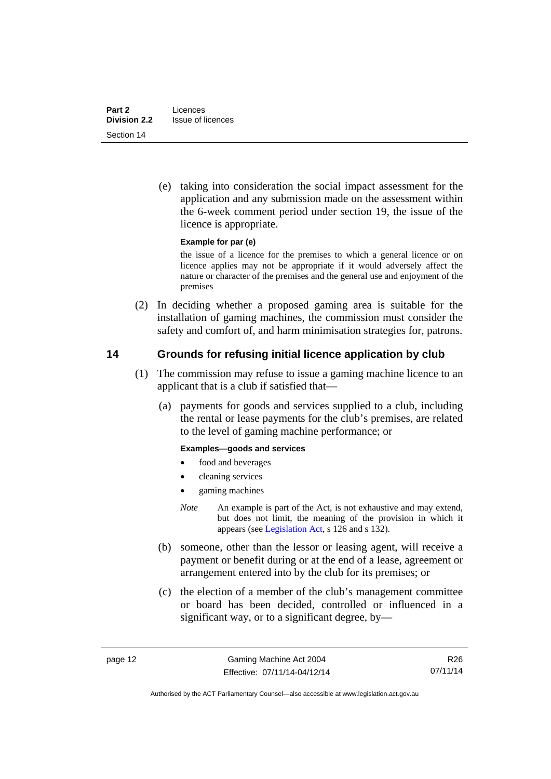(e) taking into consideration the social impact assessment for the application and any submission made on the assessment within the 6-week comment period under section 19, the issue of the licence is appropriate.

### **Example for par (e)**

the issue of a licence for the premises to which a general licence or on licence applies may not be appropriate if it would adversely affect the nature or character of the premises and the general use and enjoyment of the premises

 (2) In deciding whether a proposed gaming area is suitable for the installation of gaming machines, the commission must consider the safety and comfort of, and harm minimisation strategies for, patrons.

## <span id="page-23-0"></span>**14 Grounds for refusing initial licence application by club**

- (1) The commission may refuse to issue a gaming machine licence to an applicant that is a club if satisfied that—
	- (a) payments for goods and services supplied to a club, including the rental or lease payments for the club's premises, are related to the level of gaming machine performance; or

### **Examples—goods and services**

- food and beverages
- cleaning services
- gaming machines
- *Note* An example is part of the Act, is not exhaustive and may extend, but does not limit, the meaning of the provision in which it appears (see [Legislation Act,](http://www.legislation.act.gov.au/a/2001-14) s 126 and s 132).
- (b) someone, other than the lessor or leasing agent, will receive a payment or benefit during or at the end of a lease, agreement or arrangement entered into by the club for its premises; or
- (c) the election of a member of the club's management committee or board has been decided, controlled or influenced in a significant way, or to a significant degree, by—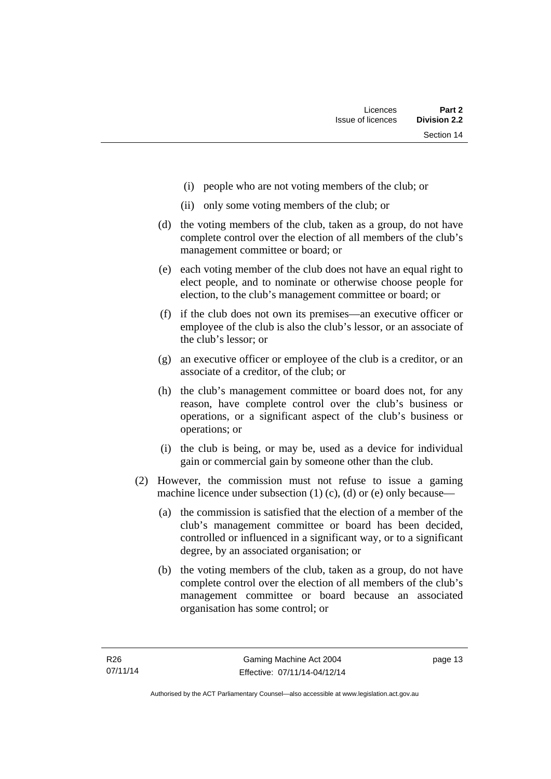- (i) people who are not voting members of the club; or
- (ii) only some voting members of the club; or
- (d) the voting members of the club, taken as a group, do not have complete control over the election of all members of the club's management committee or board; or
- (e) each voting member of the club does not have an equal right to elect people, and to nominate or otherwise choose people for election, to the club's management committee or board; or
- (f) if the club does not own its premises—an executive officer or employee of the club is also the club's lessor, or an associate of the club's lessor; or
- (g) an executive officer or employee of the club is a creditor, or an associate of a creditor, of the club; or
- (h) the club's management committee or board does not, for any reason, have complete control over the club's business or operations, or a significant aspect of the club's business or operations; or
- (i) the club is being, or may be, used as a device for individual gain or commercial gain by someone other than the club.
- (2) However, the commission must not refuse to issue a gaming machine licence under subsection (1) (c), (d) or (e) only because—
	- (a) the commission is satisfied that the election of a member of the club's management committee or board has been decided, controlled or influenced in a significant way, or to a significant degree, by an associated organisation; or
	- (b) the voting members of the club, taken as a group, do not have complete control over the election of all members of the club's management committee or board because an associated organisation has some control; or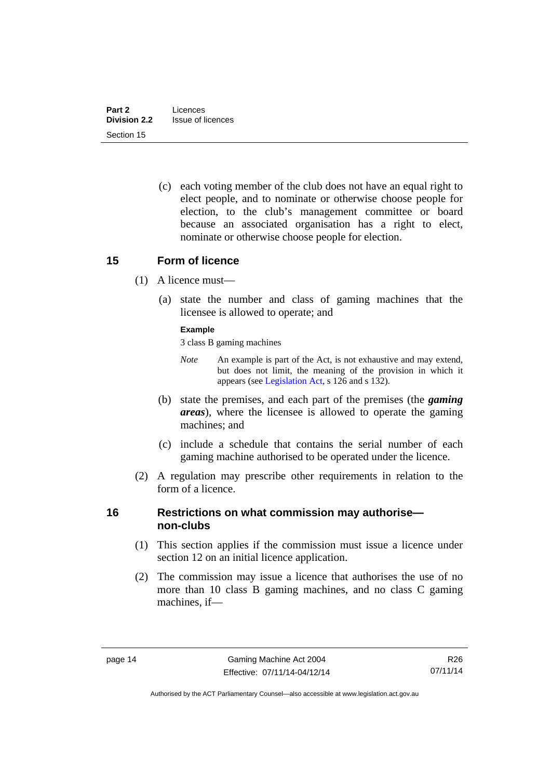(c) each voting member of the club does not have an equal right to elect people, and to nominate or otherwise choose people for election, to the club's management committee or board because an associated organisation has a right to elect, nominate or otherwise choose people for election.

### <span id="page-25-0"></span>**15 Form of licence**

- (1) A licence must—
	- (a) state the number and class of gaming machines that the licensee is allowed to operate; and

### **Example**

3 class B gaming machines

- *Note* An example is part of the Act, is not exhaustive and may extend, but does not limit, the meaning of the provision in which it appears (see [Legislation Act,](http://www.legislation.act.gov.au/a/2001-14) s 126 and s 132).
- (b) state the premises, and each part of the premises (the *gaming areas*), where the licensee is allowed to operate the gaming machines; and
- (c) include a schedule that contains the serial number of each gaming machine authorised to be operated under the licence.
- (2) A regulation may prescribe other requirements in relation to the form of a licence.

### <span id="page-25-1"></span>**16 Restrictions on what commission may authorise non-clubs**

- (1) This section applies if the commission must issue a licence under section 12 on an initial licence application.
- (2) The commission may issue a licence that authorises the use of no more than 10 class B gaming machines, and no class C gaming machines, if—

R26 07/11/14

Authorised by the ACT Parliamentary Counsel—also accessible at www.legislation.act.gov.au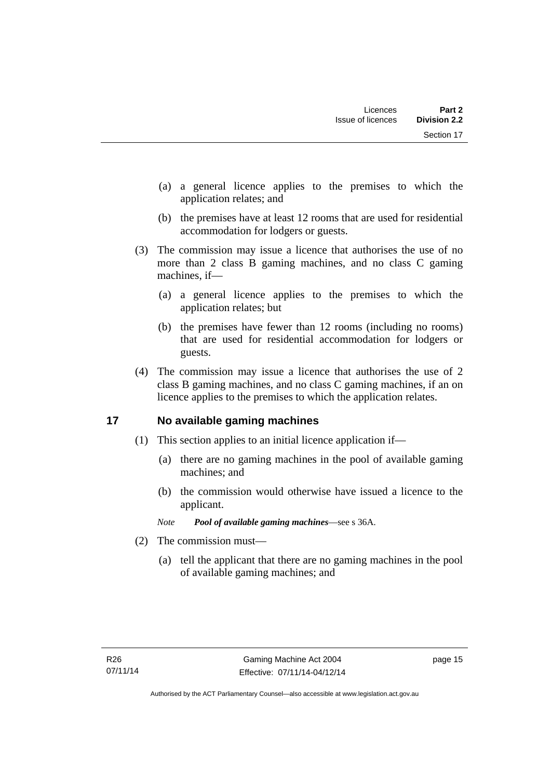- (a) a general licence applies to the premises to which the application relates; and
- (b) the premises have at least 12 rooms that are used for residential accommodation for lodgers or guests.
- (3) The commission may issue a licence that authorises the use of no more than 2 class B gaming machines, and no class C gaming machines, if—
	- (a) a general licence applies to the premises to which the application relates; but
	- (b) the premises have fewer than 12 rooms (including no rooms) that are used for residential accommodation for lodgers or guests.
- (4) The commission may issue a licence that authorises the use of 2 class B gaming machines, and no class C gaming machines, if an on licence applies to the premises to which the application relates.

# <span id="page-26-0"></span>**17 No available gaming machines**

- (1) This section applies to an initial licence application if—
	- (a) there are no gaming machines in the pool of available gaming machines; and
	- (b) the commission would otherwise have issued a licence to the applicant.
	- *Note Pool of available gaming machines*—see s 36A.
- (2) The commission must—
	- (a) tell the applicant that there are no gaming machines in the pool of available gaming machines; and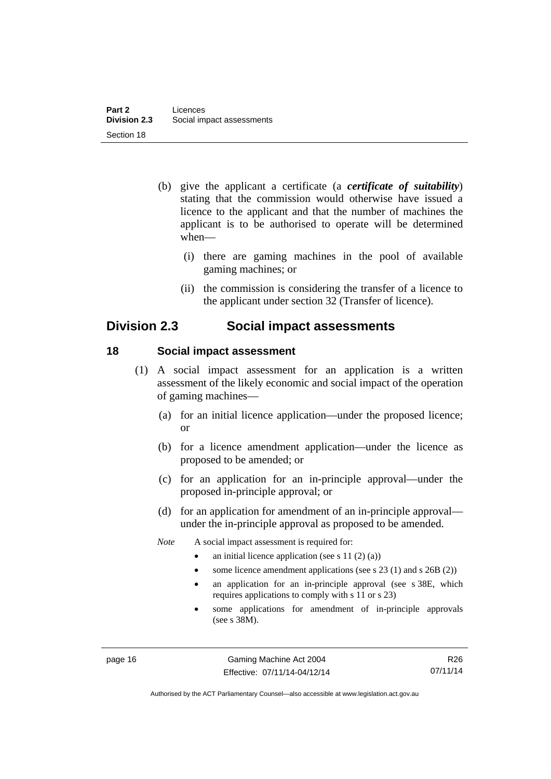- (b) give the applicant a certificate (a *certificate of suitability*) stating that the commission would otherwise have issued a licence to the applicant and that the number of machines the applicant is to be authorised to operate will be determined when—
	- (i) there are gaming machines in the pool of available gaming machines; or
	- (ii) the commission is considering the transfer of a licence to the applicant under section 32 (Transfer of licence).

# <span id="page-27-0"></span>**Division 2.3 Social impact assessments**

### <span id="page-27-1"></span>**18 Social impact assessment**

- (1) A social impact assessment for an application is a written assessment of the likely economic and social impact of the operation of gaming machines—
	- (a) for an initial licence application—under the proposed licence; or
	- (b) for a licence amendment application—under the licence as proposed to be amended; or
	- (c) for an application for an in-principle approval—under the proposed in-principle approval; or
	- (d) for an application for amendment of an in-principle approval under the in-principle approval as proposed to be amended.
	- *Note* A social impact assessment is required for:
		- an initial licence application (see s 11 (2) (a))
		- some licence amendment applications (see s 23 (1) and s 26B (2))
		- an application for an in-principle approval (see s 38E, which requires applications to comply with s 11 or s 23)
		- some applications for amendment of in-principle approvals (see s 38M).

R26 07/11/14

Authorised by the ACT Parliamentary Counsel—also accessible at www.legislation.act.gov.au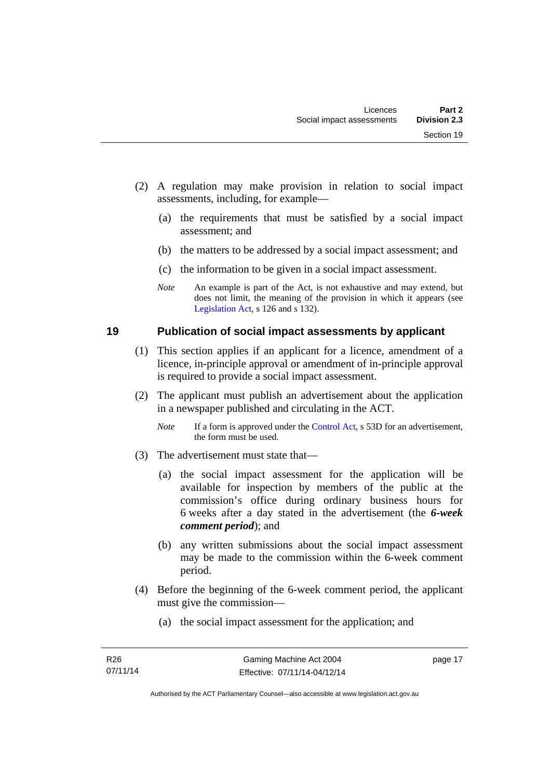- (2) A regulation may make provision in relation to social impact assessments, including, for example—
	- (a) the requirements that must be satisfied by a social impact assessment; and
	- (b) the matters to be addressed by a social impact assessment; and
	- (c) the information to be given in a social impact assessment.
	- *Note* An example is part of the Act, is not exhaustive and may extend, but does not limit, the meaning of the provision in which it appears (see [Legislation Act,](http://www.legislation.act.gov.au/a/2001-14) s 126 and s 132).

### <span id="page-28-0"></span>**19 Publication of social impact assessments by applicant**

- (1) This section applies if an applicant for a licence, amendment of a licence, in-principle approval or amendment of in-principle approval is required to provide a social impact assessment.
- (2) The applicant must publish an advertisement about the application in a newspaper published and circulating in the ACT.
	- *Note* If a form is approved under the [Control Act,](http://www.legislation.act.gov.au/a/1999-46) s 53D for an advertisement, the form must be used.
- (3) The advertisement must state that—
	- (a) the social impact assessment for the application will be available for inspection by members of the public at the commission's office during ordinary business hours for 6 weeks after a day stated in the advertisement (the *6-week comment period*); and
	- (b) any written submissions about the social impact assessment may be made to the commission within the 6-week comment period.
- (4) Before the beginning of the 6-week comment period, the applicant must give the commission—
	- (a) the social impact assessment for the application; and

page 17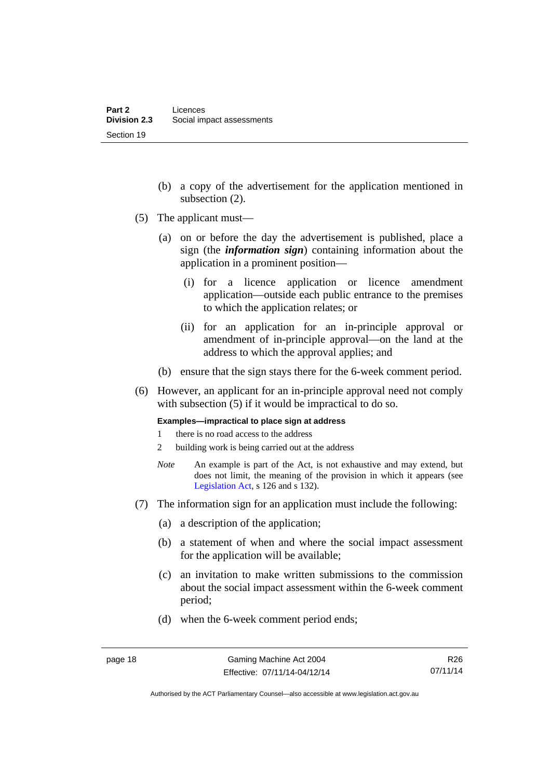- (b) a copy of the advertisement for the application mentioned in subsection (2).
- (5) The applicant must—
	- (a) on or before the day the advertisement is published, place a sign (the *information sign*) containing information about the application in a prominent position—
		- (i) for a licence application or licence amendment application—outside each public entrance to the premises to which the application relates; or
		- (ii) for an application for an in-principle approval or amendment of in-principle approval—on the land at the address to which the approval applies; and
	- (b) ensure that the sign stays there for the 6-week comment period.
- (6) However, an applicant for an in-principle approval need not comply with subsection (5) if it would be impractical to do so.

**Examples—impractical to place sign at address** 

- 1 there is no road access to the address
- 2 building work is being carried out at the address
- *Note* An example is part of the Act, is not exhaustive and may extend, but does not limit, the meaning of the provision in which it appears (see [Legislation Act,](http://www.legislation.act.gov.au/a/2001-14) s 126 and s 132).
- (7) The information sign for an application must include the following:
	- (a) a description of the application;
	- (b) a statement of when and where the social impact assessment for the application will be available;
	- (c) an invitation to make written submissions to the commission about the social impact assessment within the 6-week comment period;
	- (d) when the 6-week comment period ends;

Authorised by the ACT Parliamentary Counsel—also accessible at www.legislation.act.gov.au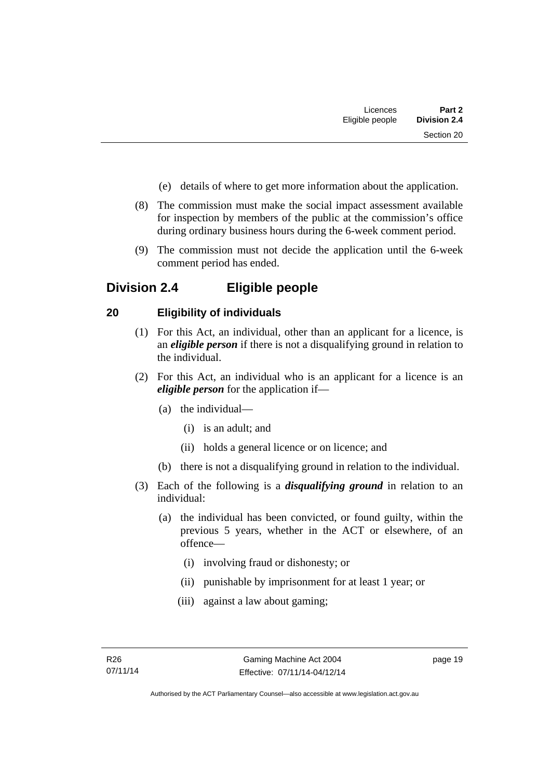- (e) details of where to get more information about the application.
- (8) The commission must make the social impact assessment available for inspection by members of the public at the commission's office during ordinary business hours during the 6-week comment period.
- (9) The commission must not decide the application until the 6-week comment period has ended.

# <span id="page-30-0"></span>**Division 2.4 Eligible people**

# <span id="page-30-1"></span>**20 Eligibility of individuals**

- (1) For this Act, an individual, other than an applicant for a licence, is an *eligible person* if there is not a disqualifying ground in relation to the individual.
- (2) For this Act, an individual who is an applicant for a licence is an *eligible person* for the application if—
	- (a) the individual—
		- (i) is an adult; and
		- (ii) holds a general licence or on licence; and
	- (b) there is not a disqualifying ground in relation to the individual.
- (3) Each of the following is a *disqualifying ground* in relation to an individual:
	- (a) the individual has been convicted, or found guilty, within the previous 5 years, whether in the ACT or elsewhere, of an offence—
		- (i) involving fraud or dishonesty; or
		- (ii) punishable by imprisonment for at least 1 year; or
		- (iii) against a law about gaming;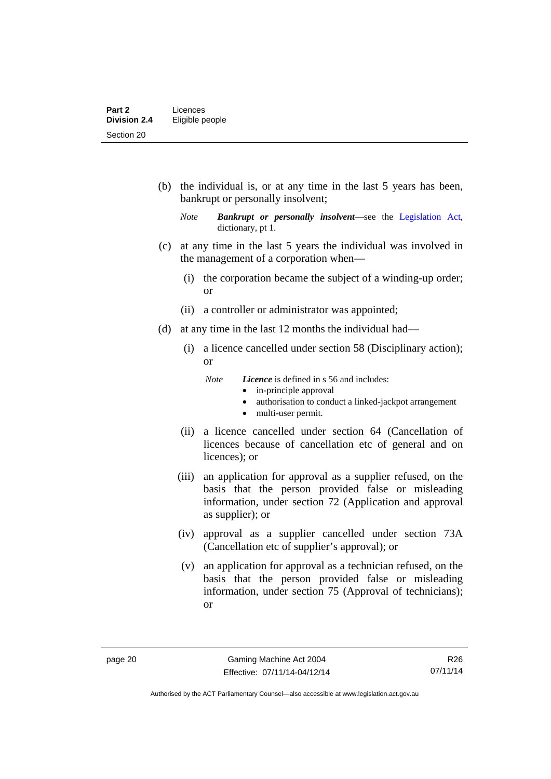(b) the individual is, or at any time in the last 5 years has been, bankrupt or personally insolvent;

- (c) at any time in the last 5 years the individual was involved in the management of a corporation when—
	- (i) the corporation became the subject of a winding-up order; or
	- (ii) a controller or administrator was appointed;
- (d) at any time in the last 12 months the individual had—
	- (i) a licence cancelled under section 58 (Disciplinary action); or
		- *Note Licence* is defined in s 56 and includes:
			- in-principle approval
			- authorisation to conduct a linked-jackpot arrangement
			- multi-user permit.
	- (ii) a licence cancelled under section 64 (Cancellation of licences because of cancellation etc of general and on licences); or
	- (iii) an application for approval as a supplier refused, on the basis that the person provided false or misleading information, under section 72 (Application and approval as supplier); or
	- (iv) approval as a supplier cancelled under section 73A (Cancellation etc of supplier's approval); or
	- (v) an application for approval as a technician refused, on the basis that the person provided false or misleading information, under section 75 (Approval of technicians); or

*Note Bankrupt or personally insolvent*—see the [Legislation Act,](http://www.legislation.act.gov.au/a/2001-14) dictionary, pt 1.

Authorised by the ACT Parliamentary Counsel—also accessible at www.legislation.act.gov.au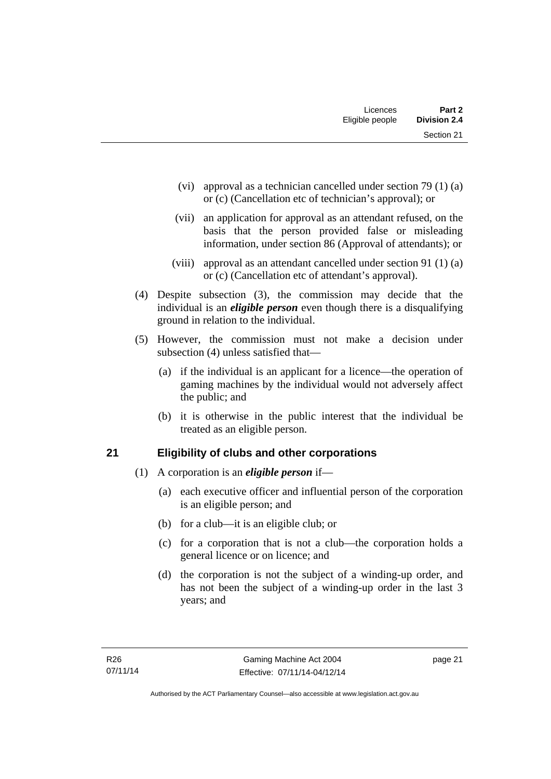| Licences        | Part 2              |
|-----------------|---------------------|
| Eligible people | <b>Division 2.4</b> |
|                 | Section 21          |

- (vi) approval as a technician cancelled under section 79 (1) (a) or (c) (Cancellation etc of technician's approval); or
- (vii) an application for approval as an attendant refused, on the basis that the person provided false or misleading information, under section 86 (Approval of attendants); or
- (viii) approval as an attendant cancelled under section 91 (1) (a) or (c) (Cancellation etc of attendant's approval).
- (4) Despite subsection (3), the commission may decide that the individual is an *eligible person* even though there is a disqualifying ground in relation to the individual.
- (5) However, the commission must not make a decision under subsection (4) unless satisfied that—
	- (a) if the individual is an applicant for a licence—the operation of gaming machines by the individual would not adversely affect the public; and
	- (b) it is otherwise in the public interest that the individual be treated as an eligible person.

## <span id="page-32-0"></span>**21 Eligibility of clubs and other corporations**

- (1) A corporation is an *eligible person* if—
	- (a) each executive officer and influential person of the corporation is an eligible person; and
	- (b) for a club—it is an eligible club; or
	- (c) for a corporation that is not a club—the corporation holds a general licence or on licence; and
	- (d) the corporation is not the subject of a winding-up order, and has not been the subject of a winding-up order in the last 3 years; and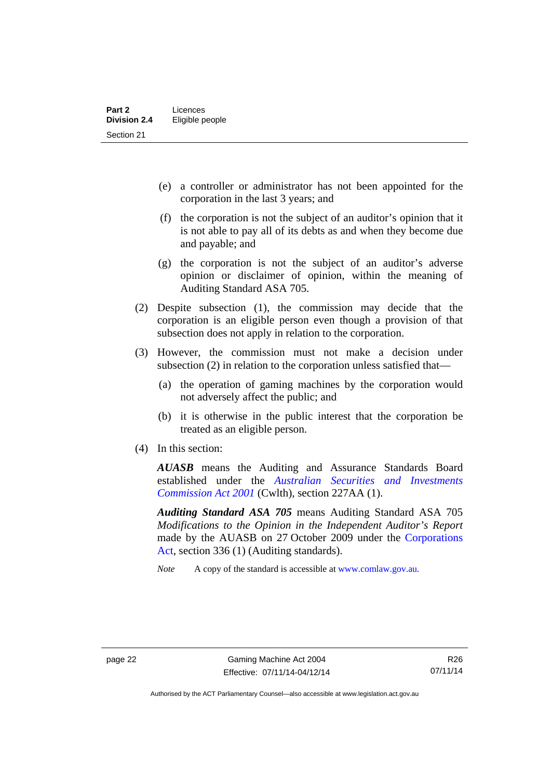- (e) a controller or administrator has not been appointed for the corporation in the last 3 years; and
- (f) the corporation is not the subject of an auditor's opinion that it is not able to pay all of its debts as and when they become due and payable; and
- (g) the corporation is not the subject of an auditor's adverse opinion or disclaimer of opinion, within the meaning of Auditing Standard ASA 705.
- (2) Despite subsection (1), the commission may decide that the corporation is an eligible person even though a provision of that subsection does not apply in relation to the corporation.
- (3) However, the commission must not make a decision under subsection (2) in relation to the corporation unless satisfied that—
	- (a) the operation of gaming machines by the corporation would not adversely affect the public; and
	- (b) it is otherwise in the public interest that the corporation be treated as an eligible person.
- (4) In this section:

*AUASB* means the Auditing and Assurance Standards Board established under the *[Australian Securities and Investments](http://www.comlaw.gov.au/Series/C2004A00819)  [Commission Act 2001](http://www.comlaw.gov.au/Series/C2004A00819)* (Cwlth), section 227AA (1).

*Auditing Standard ASA 705* means Auditing Standard ASA 705 *Modifications to the Opinion in the Independent Auditor's Report* made by the AUASB on 27 October 2009 under the [Corporations](http://www.comlaw.gov.au/Series/C2004A00818)  [Act](http://www.comlaw.gov.au/Series/C2004A00818), section 336 (1) (Auditing standards).

*Note* A copy of the standard is accessible at [www.comlaw.gov.au.](http://www.comlaw.gov.au/) 

Authorised by the ACT Parliamentary Counsel—also accessible at www.legislation.act.gov.au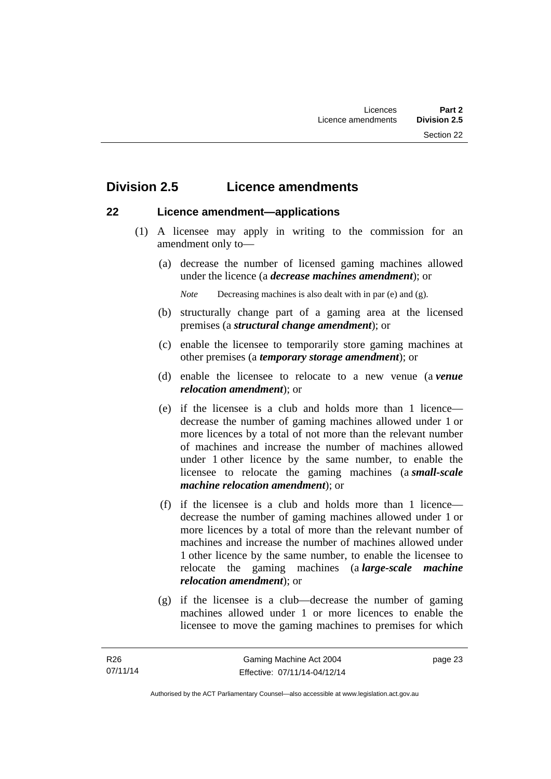# <span id="page-34-0"></span>**Division 2.5 Licence amendments**

### <span id="page-34-1"></span>**22 Licence amendment—applications**

- (1) A licensee may apply in writing to the commission for an amendment only to—
	- (a) decrease the number of licensed gaming machines allowed under the licence (a *decrease machines amendment*); or

*Note* Decreasing machines is also dealt with in par (e) and (g).

- (b) structurally change part of a gaming area at the licensed premises (a *structural change amendment*); or
- (c) enable the licensee to temporarily store gaming machines at other premises (a *temporary storage amendment*); or
- (d) enable the licensee to relocate to a new venue (a *venue relocation amendment*); or
- (e) if the licensee is a club and holds more than 1 licence decrease the number of gaming machines allowed under 1 or more licences by a total of not more than the relevant number of machines and increase the number of machines allowed under 1 other licence by the same number, to enable the licensee to relocate the gaming machines (a *small-scale machine relocation amendment*); or
- (f) if the licensee is a club and holds more than 1 licence decrease the number of gaming machines allowed under 1 or more licences by a total of more than the relevant number of machines and increase the number of machines allowed under 1 other licence by the same number, to enable the licensee to relocate the gaming machines (a *large-scale machine relocation amendment*); or
- (g) if the licensee is a club—decrease the number of gaming machines allowed under 1 or more licences to enable the licensee to move the gaming machines to premises for which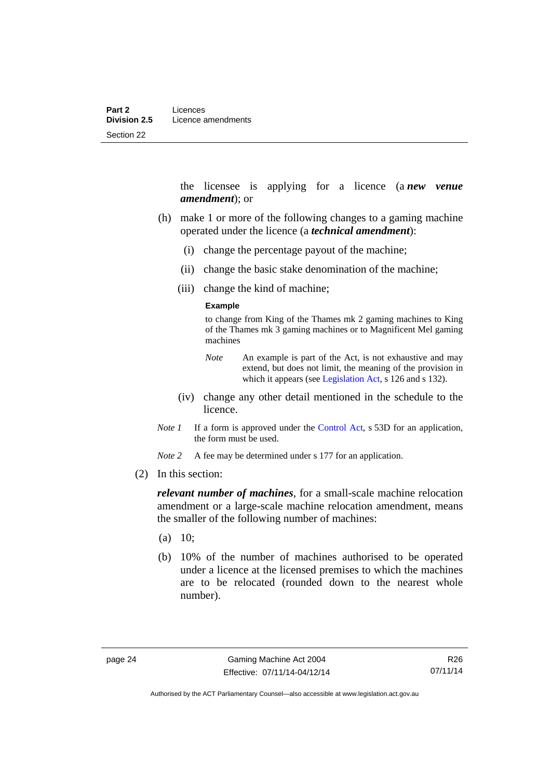the licensee is applying for a licence (a *new venue amendment*); or

- (h) make 1 or more of the following changes to a gaming machine operated under the licence (a *technical amendment*):
	- (i) change the percentage payout of the machine;
	- (ii) change the basic stake denomination of the machine;
	- (iii) change the kind of machine;

#### **Example**

to change from King of the Thames mk 2 gaming machines to King of the Thames mk 3 gaming machines or to Magnificent Mel gaming machines

- *Note* An example is part of the Act, is not exhaustive and may extend, but does not limit, the meaning of the provision in which it appears (see [Legislation Act,](http://www.legislation.act.gov.au/a/2001-14) s 126 and s 132).
- (iv) change any other detail mentioned in the schedule to the licence.
- *Note 1* If a form is approved under the [Control Act](http://www.legislation.act.gov.au/a/1999-46), s 53D for an application, the form must be used.

*Note* 2 A fee may be determined under s 177 for an application.

(2) In this section:

*relevant number of machines*, for a small-scale machine relocation amendment or a large-scale machine relocation amendment, means the smaller of the following number of machines:

- $(a)$  10;
- (b) 10% of the number of machines authorised to be operated under a licence at the licensed premises to which the machines are to be relocated (rounded down to the nearest whole number).

Authorised by the ACT Parliamentary Counsel—also accessible at www.legislation.act.gov.au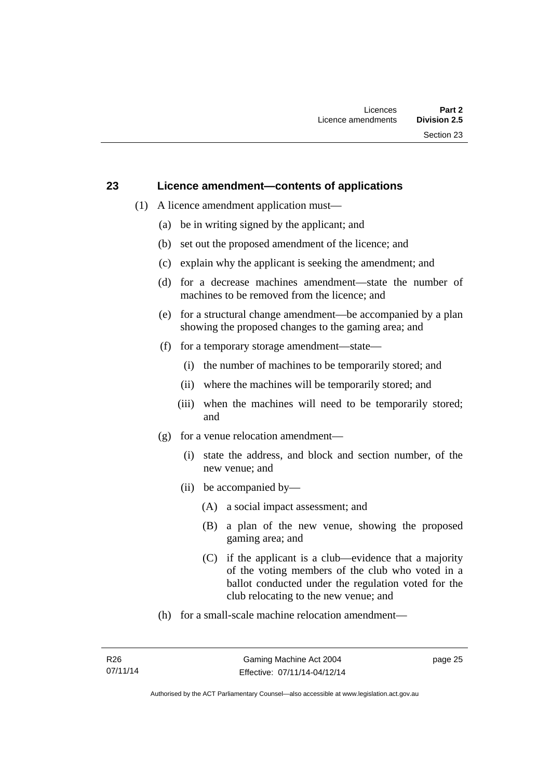#### **23 Licence amendment—contents of applications**

- (1) A licence amendment application must—
	- (a) be in writing signed by the applicant; and
	- (b) set out the proposed amendment of the licence; and
	- (c) explain why the applicant is seeking the amendment; and
	- (d) for a decrease machines amendment—state the number of machines to be removed from the licence; and
	- (e) for a structural change amendment—be accompanied by a plan showing the proposed changes to the gaming area; and
	- (f) for a temporary storage amendment—state—
		- (i) the number of machines to be temporarily stored; and
		- (ii) where the machines will be temporarily stored; and
		- (iii) when the machines will need to be temporarily stored; and
	- (g) for a venue relocation amendment—
		- (i) state the address, and block and section number, of the new venue; and
		- (ii) be accompanied by—
			- (A) a social impact assessment; and
			- (B) a plan of the new venue, showing the proposed gaming area; and
			- (C) if the applicant is a club—evidence that a majority of the voting members of the club who voted in a ballot conducted under the regulation voted for the club relocating to the new venue; and
	- (h) for a small-scale machine relocation amendment—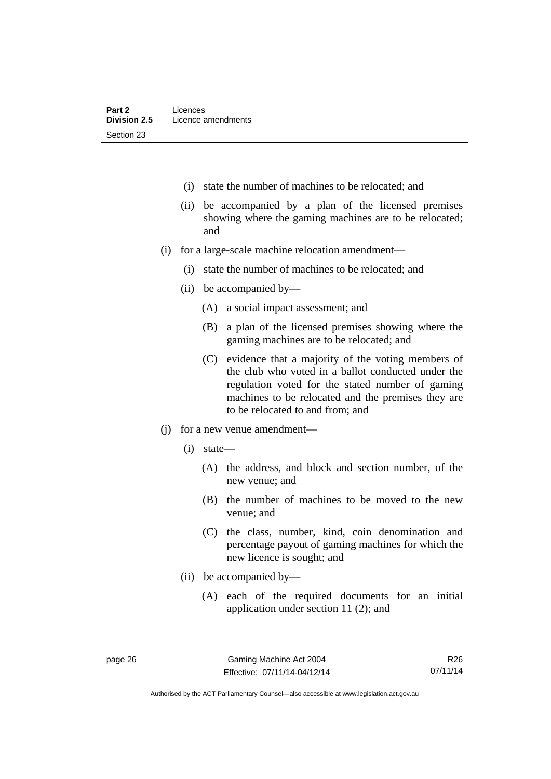- (i) state the number of machines to be relocated; and
- (ii) be accompanied by a plan of the licensed premises showing where the gaming machines are to be relocated; and
- (i) for a large-scale machine relocation amendment—
	- (i) state the number of machines to be relocated; and
	- (ii) be accompanied by—
		- (A) a social impact assessment; and
		- (B) a plan of the licensed premises showing where the gaming machines are to be relocated; and
		- (C) evidence that a majority of the voting members of the club who voted in a ballot conducted under the regulation voted for the stated number of gaming machines to be relocated and the premises they are to be relocated to and from; and
- (j) for a new venue amendment—
	- (i) state—
		- (A) the address, and block and section number, of the new venue; and
		- (B) the number of machines to be moved to the new venue; and
		- (C) the class, number, kind, coin denomination and percentage payout of gaming machines for which the new licence is sought; and
	- (ii) be accompanied by—
		- (A) each of the required documents for an initial application under section 11 (2); and

Authorised by the ACT Parliamentary Counsel—also accessible at www.legislation.act.gov.au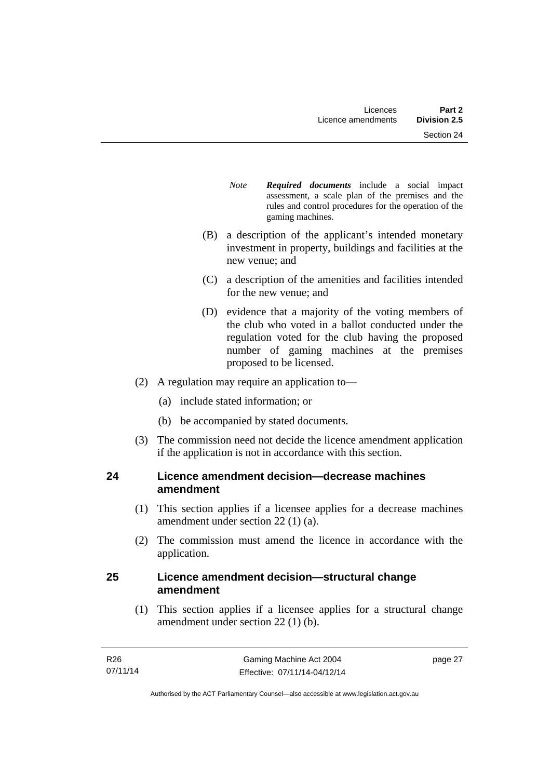- *Note Required documents* include a social impact assessment, a scale plan of the premises and the rules and control procedures for the operation of the gaming machines.
- (B) a description of the applicant's intended monetary investment in property, buildings and facilities at the new venue; and
- (C) a description of the amenities and facilities intended for the new venue; and
- (D) evidence that a majority of the voting members of the club who voted in a ballot conducted under the regulation voted for the club having the proposed number of gaming machines at the premises proposed to be licensed.
- (2) A regulation may require an application to—
	- (a) include stated information; or
	- (b) be accompanied by stated documents.
- (3) The commission need not decide the licence amendment application if the application is not in accordance with this section.

# **24 Licence amendment decision—decrease machines amendment**

- (1) This section applies if a licensee applies for a decrease machines amendment under section 22 (1) (a).
- (2) The commission must amend the licence in accordance with the application.

### **25 Licence amendment decision—structural change amendment**

(1) This section applies if a licensee applies for a structural change amendment under section 22 (1) (b).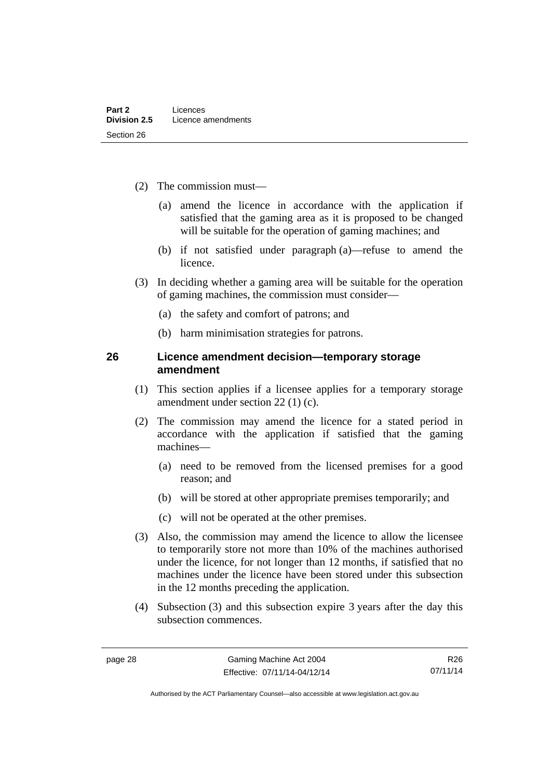- (2) The commission must—
	- (a) amend the licence in accordance with the application if satisfied that the gaming area as it is proposed to be changed will be suitable for the operation of gaming machines; and
	- (b) if not satisfied under paragraph (a)—refuse to amend the licence.
- (3) In deciding whether a gaming area will be suitable for the operation of gaming machines, the commission must consider—
	- (a) the safety and comfort of patrons; and
	- (b) harm minimisation strategies for patrons.

#### **26 Licence amendment decision—temporary storage amendment**

- (1) This section applies if a licensee applies for a temporary storage amendment under section 22 (1) (c).
- (2) The commission may amend the licence for a stated period in accordance with the application if satisfied that the gaming machines—
	- (a) need to be removed from the licensed premises for a good reason; and
	- (b) will be stored at other appropriate premises temporarily; and
	- (c) will not be operated at the other premises.
- (3) Also, the commission may amend the licence to allow the licensee to temporarily store not more than 10% of the machines authorised under the licence, for not longer than 12 months, if satisfied that no machines under the licence have been stored under this subsection in the 12 months preceding the application.
- (4) Subsection (3) and this subsection expire 3 years after the day this subsection commences.

R26 07/11/14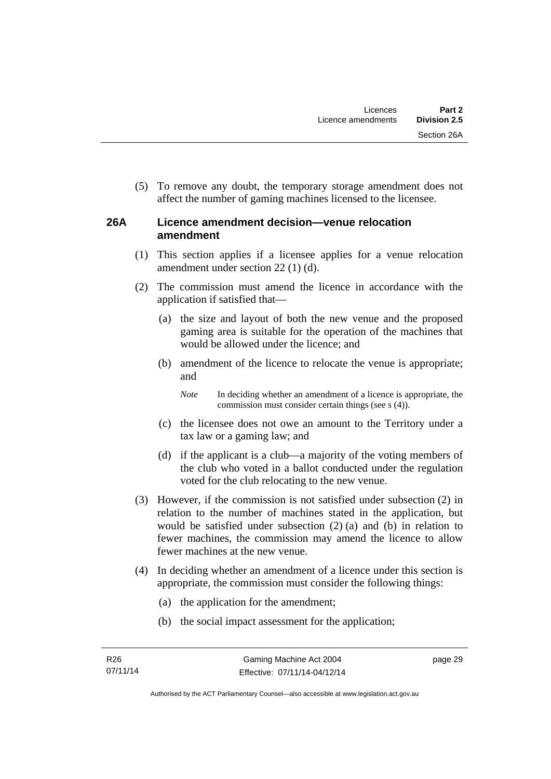(5) To remove any doubt, the temporary storage amendment does not affect the number of gaming machines licensed to the licensee.

## **26A Licence amendment decision—venue relocation amendment**

- (1) This section applies if a licensee applies for a venue relocation amendment under section 22 (1) (d).
- (2) The commission must amend the licence in accordance with the application if satisfied that—
	- (a) the size and layout of both the new venue and the proposed gaming area is suitable for the operation of the machines that would be allowed under the licence; and
	- (b) amendment of the licence to relocate the venue is appropriate; and

*Note* In deciding whether an amendment of a licence is appropriate, the commission must consider certain things (see s (4)).

- (c) the licensee does not owe an amount to the Territory under a tax law or a gaming law; and
- (d) if the applicant is a club—a majority of the voting members of the club who voted in a ballot conducted under the regulation voted for the club relocating to the new venue.
- (3) However, if the commission is not satisfied under subsection (2) in relation to the number of machines stated in the application, but would be satisfied under subsection (2) (a) and (b) in relation to fewer machines, the commission may amend the licence to allow fewer machines at the new venue.
- (4) In deciding whether an amendment of a licence under this section is appropriate, the commission must consider the following things:
	- (a) the application for the amendment;
	- (b) the social impact assessment for the application;

page 29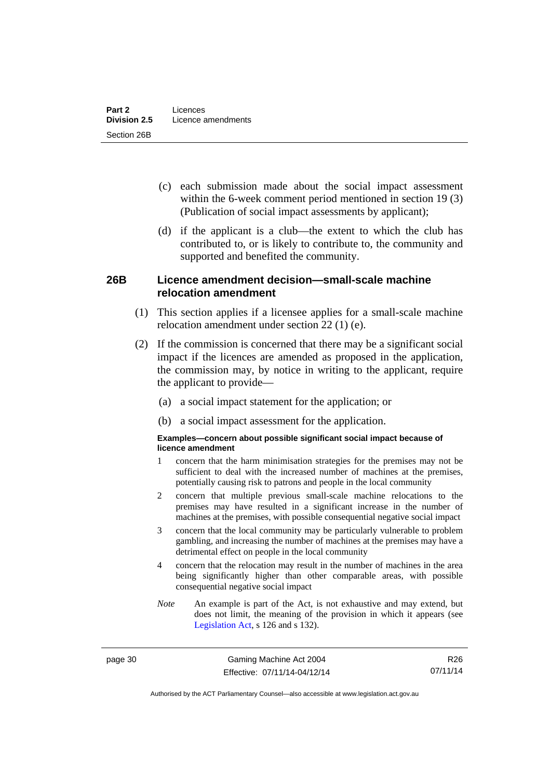- (c) each submission made about the social impact assessment within the 6-week comment period mentioned in section 19 (3) (Publication of social impact assessments by applicant);
- (d) if the applicant is a club—the extent to which the club has contributed to, or is likely to contribute to, the community and supported and benefited the community.

### **26B Licence amendment decision—small-scale machine relocation amendment**

- (1) This section applies if a licensee applies for a small-scale machine relocation amendment under section 22 (1) (e).
- (2) If the commission is concerned that there may be a significant social impact if the licences are amended as proposed in the application, the commission may, by notice in writing to the applicant, require the applicant to provide—
	- (a) a social impact statement for the application; or
	- (b) a social impact assessment for the application.

#### **Examples—concern about possible significant social impact because of licence amendment**

- 1 concern that the harm minimisation strategies for the premises may not be sufficient to deal with the increased number of machines at the premises, potentially causing risk to patrons and people in the local community
- 2 concern that multiple previous small-scale machine relocations to the premises may have resulted in a significant increase in the number of machines at the premises, with possible consequential negative social impact
- 3 concern that the local community may be particularly vulnerable to problem gambling, and increasing the number of machines at the premises may have a detrimental effect on people in the local community
- 4 concern that the relocation may result in the number of machines in the area being significantly higher than other comparable areas, with possible consequential negative social impact
- *Note* An example is part of the Act, is not exhaustive and may extend, but does not limit, the meaning of the provision in which it appears (see [Legislation Act,](http://www.legislation.act.gov.au/a/2001-14) s 126 and s 132).

page 30 Gaming Machine Act 2004 Effective: 07/11/14-04/12/14

R26 07/11/14

Authorised by the ACT Parliamentary Counsel—also accessible at www.legislation.act.gov.au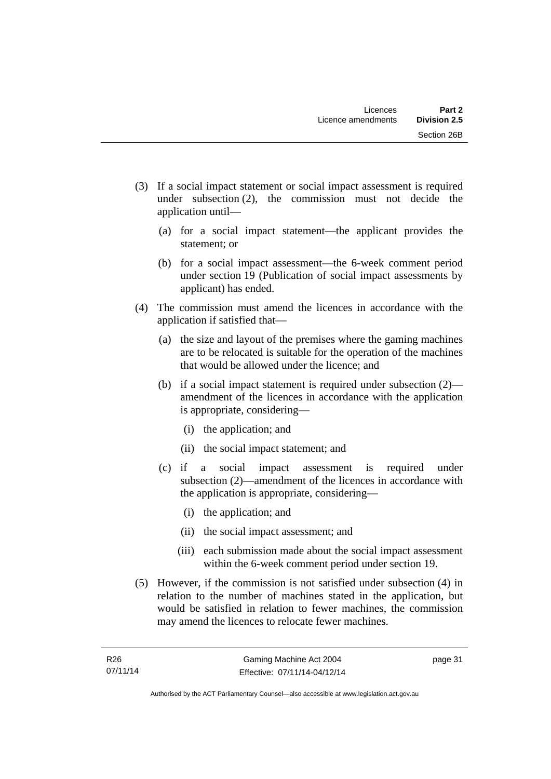- (3) If a social impact statement or social impact assessment is required under subsection (2), the commission must not decide the application until—
	- (a) for a social impact statement—the applicant provides the statement; or
	- (b) for a social impact assessment—the 6-week comment period under section 19 (Publication of social impact assessments by applicant) has ended.
- (4) The commission must amend the licences in accordance with the application if satisfied that—
	- (a) the size and layout of the premises where the gaming machines are to be relocated is suitable for the operation of the machines that would be allowed under the licence; and
	- (b) if a social impact statement is required under subsection (2) amendment of the licences in accordance with the application is appropriate, considering—
		- (i) the application; and
		- (ii) the social impact statement; and
	- (c) if a social impact assessment is required under subsection (2)—amendment of the licences in accordance with the application is appropriate, considering—
		- (i) the application; and
		- (ii) the social impact assessment; and
		- (iii) each submission made about the social impact assessment within the 6-week comment period under section 19.
- (5) However, if the commission is not satisfied under subsection (4) in relation to the number of machines stated in the application, but would be satisfied in relation to fewer machines, the commission may amend the licences to relocate fewer machines.

page 31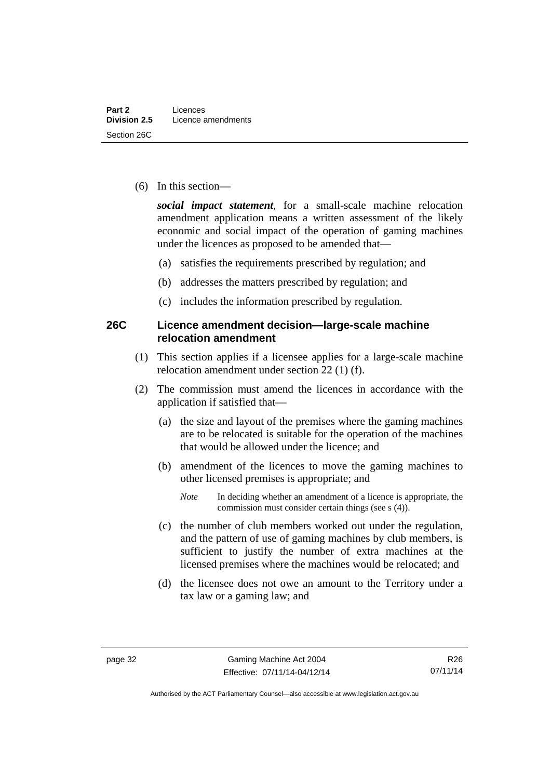(6) In this section—

*social impact statement*, for a small-scale machine relocation amendment application means a written assessment of the likely economic and social impact of the operation of gaming machines under the licences as proposed to be amended that—

- (a) satisfies the requirements prescribed by regulation; and
- (b) addresses the matters prescribed by regulation; and
- (c) includes the information prescribed by regulation.

#### **26C Licence amendment decision—large-scale machine relocation amendment**

- (1) This section applies if a licensee applies for a large-scale machine relocation amendment under section 22 (1) (f).
- (2) The commission must amend the licences in accordance with the application if satisfied that—
	- (a) the size and layout of the premises where the gaming machines are to be relocated is suitable for the operation of the machines that would be allowed under the licence; and
	- (b) amendment of the licences to move the gaming machines to other licensed premises is appropriate; and
		- *Note* In deciding whether an amendment of a licence is appropriate, the commission must consider certain things (see s (4)).
	- (c) the number of club members worked out under the regulation, and the pattern of use of gaming machines by club members, is sufficient to justify the number of extra machines at the licensed premises where the machines would be relocated; and
	- (d) the licensee does not owe an amount to the Territory under a tax law or a gaming law; and

R26 07/11/14

Authorised by the ACT Parliamentary Counsel—also accessible at www.legislation.act.gov.au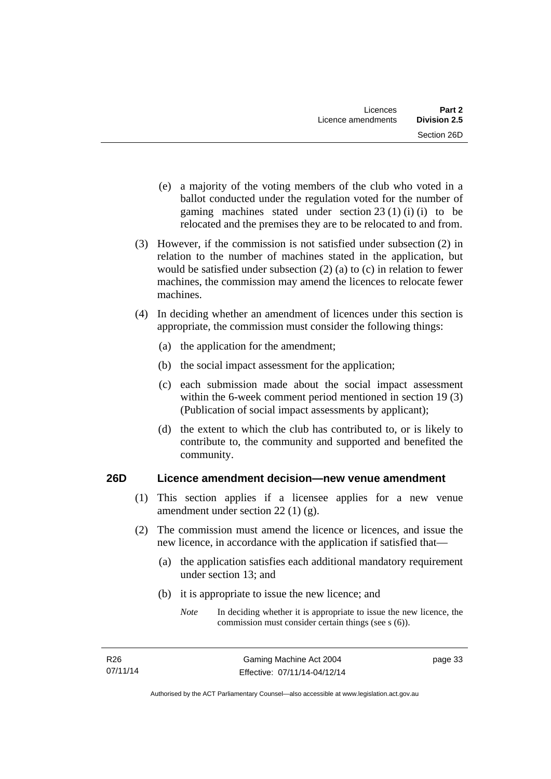- (e) a majority of the voting members of the club who voted in a ballot conducted under the regulation voted for the number of gaming machines stated under section  $23(1)(i)$  (i) to be relocated and the premises they are to be relocated to and from.
- (3) However, if the commission is not satisfied under subsection (2) in relation to the number of machines stated in the application, but would be satisfied under subsection (2) (a) to (c) in relation to fewer machines, the commission may amend the licences to relocate fewer machines.
- (4) In deciding whether an amendment of licences under this section is appropriate, the commission must consider the following things:
	- (a) the application for the amendment;
	- (b) the social impact assessment for the application;
	- (c) each submission made about the social impact assessment within the 6-week comment period mentioned in section 19 (3) (Publication of social impact assessments by applicant);
	- (d) the extent to which the club has contributed to, or is likely to contribute to, the community and supported and benefited the community.

#### **26D Licence amendment decision—new venue amendment**

- (1) This section applies if a licensee applies for a new venue amendment under section 22 (1) (g).
- (2) The commission must amend the licence or licences, and issue the new licence, in accordance with the application if satisfied that—
	- (a) the application satisfies each additional mandatory requirement under section 13; and
	- (b) it is appropriate to issue the new licence; and
		- *Note* In deciding whether it is appropriate to issue the new licence, the commission must consider certain things (see s (6)).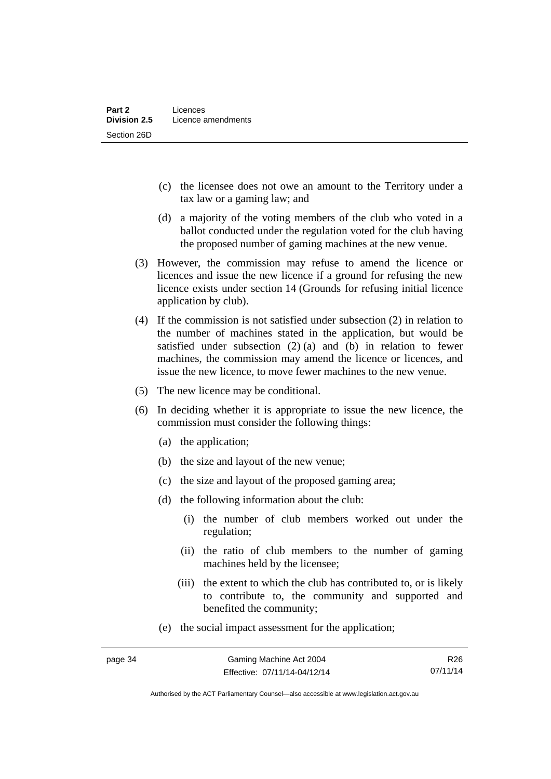- (c) the licensee does not owe an amount to the Territory under a tax law or a gaming law; and
- (d) a majority of the voting members of the club who voted in a ballot conducted under the regulation voted for the club having the proposed number of gaming machines at the new venue.
- (3) However, the commission may refuse to amend the licence or licences and issue the new licence if a ground for refusing the new licence exists under section 14 (Grounds for refusing initial licence application by club).
- (4) If the commission is not satisfied under subsection (2) in relation to the number of machines stated in the application, but would be satisfied under subsection (2) (a) and (b) in relation to fewer machines, the commission may amend the licence or licences, and issue the new licence, to move fewer machines to the new venue.
- (5) The new licence may be conditional.
- (6) In deciding whether it is appropriate to issue the new licence, the commission must consider the following things:
	- (a) the application;
	- (b) the size and layout of the new venue;
	- (c) the size and layout of the proposed gaming area;
	- (d) the following information about the club:
		- (i) the number of club members worked out under the regulation;
		- (ii) the ratio of club members to the number of gaming machines held by the licensee;
		- (iii) the extent to which the club has contributed to, or is likely to contribute to, the community and supported and benefited the community;
	- (e) the social impact assessment for the application;

R26 07/11/14

Authorised by the ACT Parliamentary Counsel—also accessible at www.legislation.act.gov.au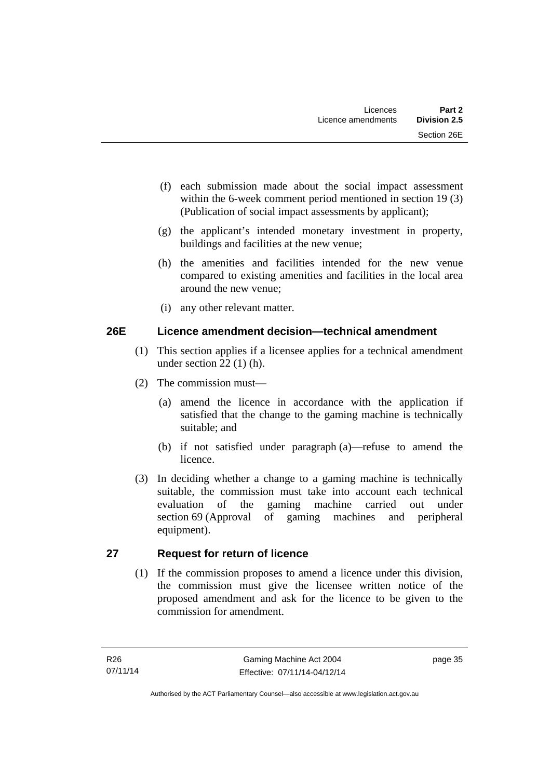- (f) each submission made about the social impact assessment within the 6-week comment period mentioned in section 19 (3) (Publication of social impact assessments by applicant);
- (g) the applicant's intended monetary investment in property, buildings and facilities at the new venue;
- (h) the amenities and facilities intended for the new venue compared to existing amenities and facilities in the local area around the new venue;
- (i) any other relevant matter.

# **26E Licence amendment decision—technical amendment**

- (1) This section applies if a licensee applies for a technical amendment under section 22 (1) (h).
- (2) The commission must—
	- (a) amend the licence in accordance with the application if satisfied that the change to the gaming machine is technically suitable; and
	- (b) if not satisfied under paragraph (a)—refuse to amend the licence.
- (3) In deciding whether a change to a gaming machine is technically suitable, the commission must take into account each technical evaluation of the gaming machine carried out under section 69 (Approval of gaming machines and peripheral equipment).

# **27 Request for return of licence**

(1) If the commission proposes to amend a licence under this division, the commission must give the licensee written notice of the proposed amendment and ask for the licence to be given to the commission for amendment.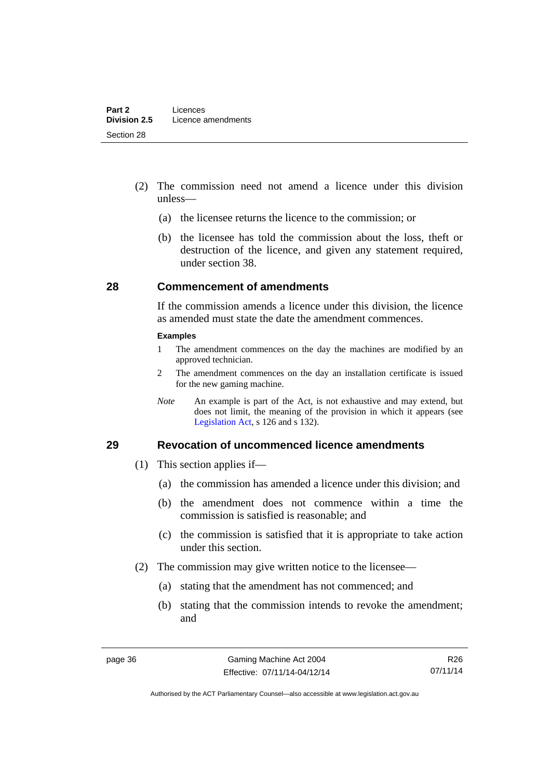- (2) The commission need not amend a licence under this division unless—
	- (a) the licensee returns the licence to the commission; or
	- (b) the licensee has told the commission about the loss, theft or destruction of the licence, and given any statement required, under section 38.

#### **28 Commencement of amendments**

If the commission amends a licence under this division, the licence as amended must state the date the amendment commences.

#### **Examples**

- 1 The amendment commences on the day the machines are modified by an approved technician.
- 2 The amendment commences on the day an installation certificate is issued for the new gaming machine.
- *Note* An example is part of the Act, is not exhaustive and may extend, but does not limit, the meaning of the provision in which it appears (see [Legislation Act,](http://www.legislation.act.gov.au/a/2001-14) s 126 and s 132).

#### **29 Revocation of uncommenced licence amendments**

- (1) This section applies if—
	- (a) the commission has amended a licence under this division; and
	- (b) the amendment does not commence within a time the commission is satisfied is reasonable; and
	- (c) the commission is satisfied that it is appropriate to take action under this section.
- (2) The commission may give written notice to the licensee—
	- (a) stating that the amendment has not commenced; and
	- (b) stating that the commission intends to revoke the amendment; and

Authorised by the ACT Parliamentary Counsel—also accessible at www.legislation.act.gov.au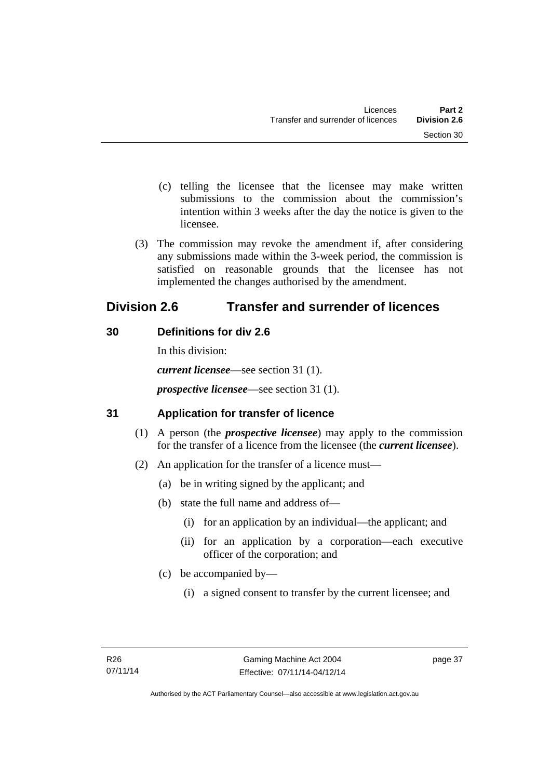- (c) telling the licensee that the licensee may make written submissions to the commission about the commission's intention within 3 weeks after the day the notice is given to the licensee.
- (3) The commission may revoke the amendment if, after considering any submissions made within the 3-week period, the commission is satisfied on reasonable grounds that the licensee has not implemented the changes authorised by the amendment.

# **Division 2.6 Transfer and surrender of licences**

# **30 Definitions for div 2.6**

In this division: *current licensee*—see section 31 (1). *prospective licensee*—see section 31 (1).

# **31 Application for transfer of licence**

- (1) A person (the *prospective licensee*) may apply to the commission for the transfer of a licence from the licensee (the *current licensee*).
- (2) An application for the transfer of a licence must—
	- (a) be in writing signed by the applicant; and
	- (b) state the full name and address of—
		- (i) for an application by an individual—the applicant; and
		- (ii) for an application by a corporation—each executive officer of the corporation; and
	- (c) be accompanied by—
		- (i) a signed consent to transfer by the current licensee; and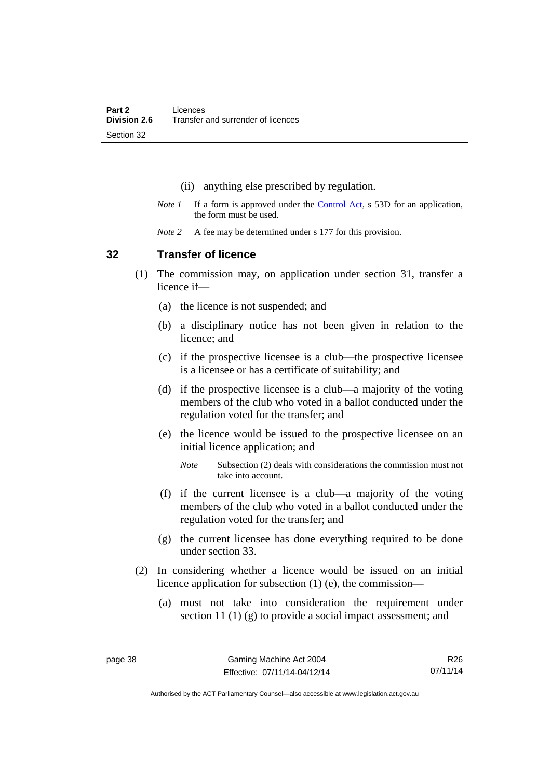- (ii) anything else prescribed by regulation.
- *Note 1* If a form is approved under the [Control Act,](http://www.legislation.act.gov.au/a/1999-46) s 53D for an application, the form must be used.
- *Note* 2 A fee may be determined under s 177 for this provision.

#### **32 Transfer of licence**

- (1) The commission may, on application under section 31, transfer a licence if—
	- (a) the licence is not suspended; and
	- (b) a disciplinary notice has not been given in relation to the licence; and
	- (c) if the prospective licensee is a club—the prospective licensee is a licensee or has a certificate of suitability; and
	- (d) if the prospective licensee is a club—a majority of the voting members of the club who voted in a ballot conducted under the regulation voted for the transfer; and
	- (e) the licence would be issued to the prospective licensee on an initial licence application; and
		- *Note* Subsection (2) deals with considerations the commission must not take into account.
	- (f) if the current licensee is a club—a majority of the voting members of the club who voted in a ballot conducted under the regulation voted for the transfer; and
	- (g) the current licensee has done everything required to be done under section 33.
- (2) In considering whether a licence would be issued on an initial licence application for subsection (1) (e), the commission—
	- (a) must not take into consideration the requirement under section 11 (1) (g) to provide a social impact assessment; and

R26 07/11/14

Authorised by the ACT Parliamentary Counsel—also accessible at www.legislation.act.gov.au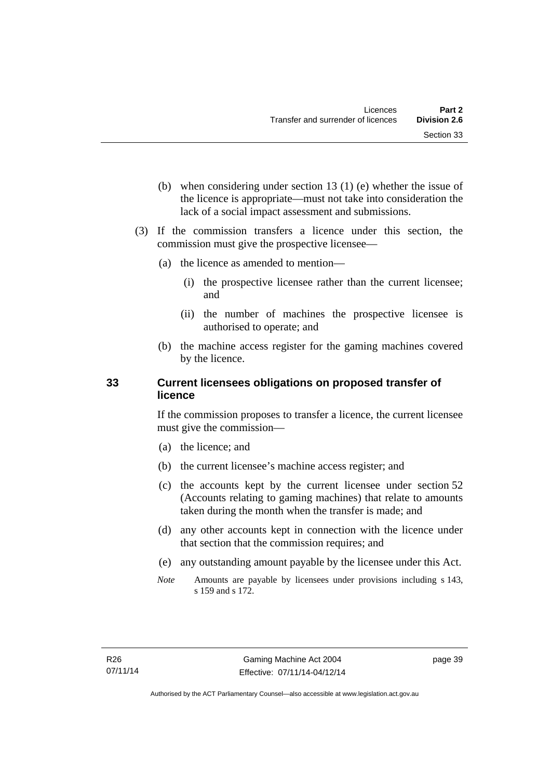- (b) when considering under section 13 (1) (e) whether the issue of the licence is appropriate—must not take into consideration the lack of a social impact assessment and submissions.
- (3) If the commission transfers a licence under this section, the commission must give the prospective licensee—
	- (a) the licence as amended to mention—
		- (i) the prospective licensee rather than the current licensee; and
		- (ii) the number of machines the prospective licensee is authorised to operate; and
	- (b) the machine access register for the gaming machines covered by the licence.

## **33 Current licensees obligations on proposed transfer of licence**

If the commission proposes to transfer a licence, the current licensee must give the commission—

- (a) the licence; and
- (b) the current licensee's machine access register; and
- (c) the accounts kept by the current licensee under section 52 (Accounts relating to gaming machines) that relate to amounts taken during the month when the transfer is made; and
- (d) any other accounts kept in connection with the licence under that section that the commission requires; and
- (e) any outstanding amount payable by the licensee under this Act.
- *Note* Amounts are payable by licensees under provisions including s 143, s 159 and s 172.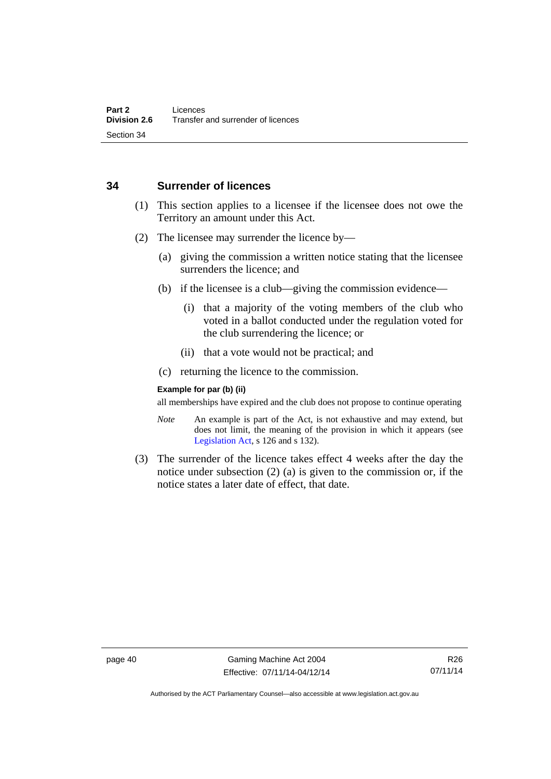#### **34 Surrender of licences**

- (1) This section applies to a licensee if the licensee does not owe the Territory an amount under this Act.
- (2) The licensee may surrender the licence by—
	- (a) giving the commission a written notice stating that the licensee surrenders the licence; and
	- (b) if the licensee is a club—giving the commission evidence—
		- (i) that a majority of the voting members of the club who voted in a ballot conducted under the regulation voted for the club surrendering the licence; or
		- (ii) that a vote would not be practical; and
	- (c) returning the licence to the commission.

#### **Example for par (b) (ii)**

all memberships have expired and the club does not propose to continue operating

- *Note* An example is part of the Act, is not exhaustive and may extend, but does not limit, the meaning of the provision in which it appears (see [Legislation Act,](http://www.legislation.act.gov.au/a/2001-14) s 126 and s 132).
- (3) The surrender of the licence takes effect 4 weeks after the day the notice under subsection (2) (a) is given to the commission or, if the notice states a later date of effect, that date.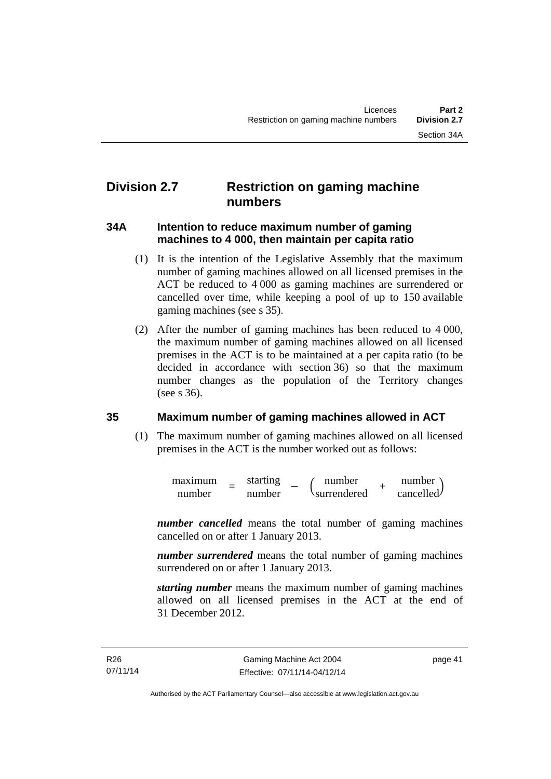# **Division 2.7 Restriction on gaming machine numbers**

#### **34A Intention to reduce maximum number of gaming machines to 4 000, then maintain per capita ratio**

- (1) It is the intention of the Legislative Assembly that the maximum number of gaming machines allowed on all licensed premises in the ACT be reduced to 4 000 as gaming machines are surrendered or cancelled over time, while keeping a pool of up to 150 available gaming machines (see s 35).
- (2) After the number of gaming machines has been reduced to 4 000, the maximum number of gaming machines allowed on all licensed premises in the ACT is to be maintained at a per capita ratio (to be decided in accordance with section 36) so that the maximum number changes as the population of the Territory changes (see s 36).

# **35 Maximum number of gaming machines allowed in ACT**

 (1) The maximum number of gaming machines allowed on all licensed premises in the ACT is the number worked out as follows:

> maximum = starting<br>
> number = number starting – (number + number + surrendered + number cancelled.

*number cancelled* means the total number of gaming machines cancelled on or after 1 January 2013.

*number surrendered* means the total number of gaming machines surrendered on or after 1 January 2013.

*starting number* means the maximum number of gaming machines allowed on all licensed premises in the ACT at the end of 31 December 2012.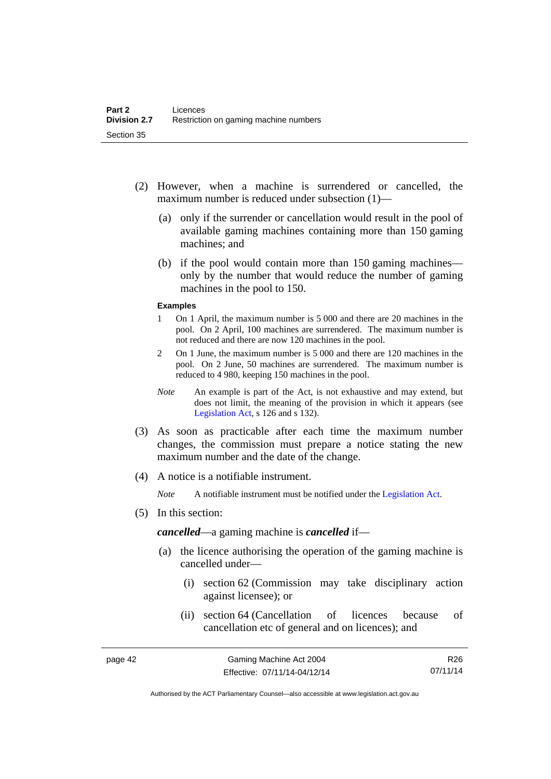- (2) However, when a machine is surrendered or cancelled, the maximum number is reduced under subsection (1)—
	- (a) only if the surrender or cancellation would result in the pool of available gaming machines containing more than 150 gaming machines; and
	- (b) if the pool would contain more than 150 gaming machines only by the number that would reduce the number of gaming machines in the pool to 150.

#### **Examples**

- 1 On 1 April, the maximum number is 5 000 and there are 20 machines in the pool. On 2 April, 100 machines are surrendered. The maximum number is not reduced and there are now 120 machines in the pool.
- 2 On 1 June, the maximum number is 5 000 and there are 120 machines in the pool. On 2 June, 50 machines are surrendered. The maximum number is reduced to 4 980, keeping 150 machines in the pool.
- *Note* An example is part of the Act, is not exhaustive and may extend, but does not limit, the meaning of the provision in which it appears (see [Legislation Act,](http://www.legislation.act.gov.au/a/2001-14) s 126 and s 132).
- (3) As soon as practicable after each time the maximum number changes, the commission must prepare a notice stating the new maximum number and the date of the change.
- (4) A notice is a notifiable instrument.

*Note* A notifiable instrument must be notified under the [Legislation Act](http://www.legislation.act.gov.au/a/2001-14).

(5) In this section:

*cancelled*—a gaming machine is *cancelled* if—

- (a) the licence authorising the operation of the gaming machine is cancelled under—
	- (i) section 62 (Commission may take disciplinary action against licensee); or
	- (ii) section 64 (Cancellation of licences because of cancellation etc of general and on licences); and

Authorised by the ACT Parliamentary Counsel—also accessible at www.legislation.act.gov.au

R26 07/11/14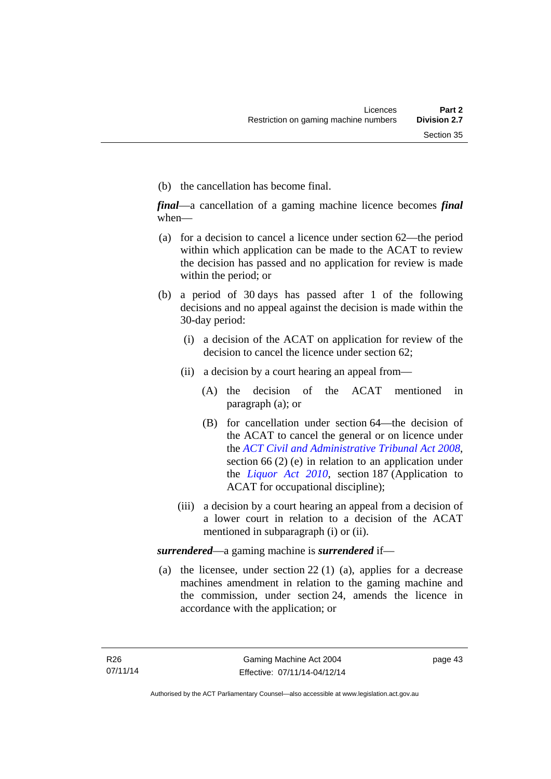(b) the cancellation has become final.

*final*—a cancellation of a gaming machine licence becomes *final* when—

- (a) for a decision to cancel a licence under section 62—the period within which application can be made to the ACAT to review the decision has passed and no application for review is made within the period; or
- (b) a period of 30 days has passed after 1 of the following decisions and no appeal against the decision is made within the 30-day period:
	- (i) a decision of the ACAT on application for review of the decision to cancel the licence under section 62;
	- (ii) a decision by a court hearing an appeal from—
		- (A) the decision of the ACAT mentioned in paragraph (a); or
		- (B) for cancellation under section 64—the decision of the ACAT to cancel the general or on licence under the *[ACT Civil and Administrative Tribunal Act 2008](http://www.legislation.act.gov.au/a/2008-35)*, section 66 (2) (e) in relation to an application under the *[Liquor Act 2010](http://www.legislation.act.gov.au/a/2010-35)*, section 187 (Application to ACAT for occupational discipline);
	- (iii) a decision by a court hearing an appeal from a decision of a lower court in relation to a decision of the ACAT mentioned in subparagraph (i) or (ii).

*surrendered*—a gaming machine is *surrendered* if—

 (a) the licensee, under section 22 (1) (a), applies for a decrease machines amendment in relation to the gaming machine and the commission, under section 24, amends the licence in accordance with the application; or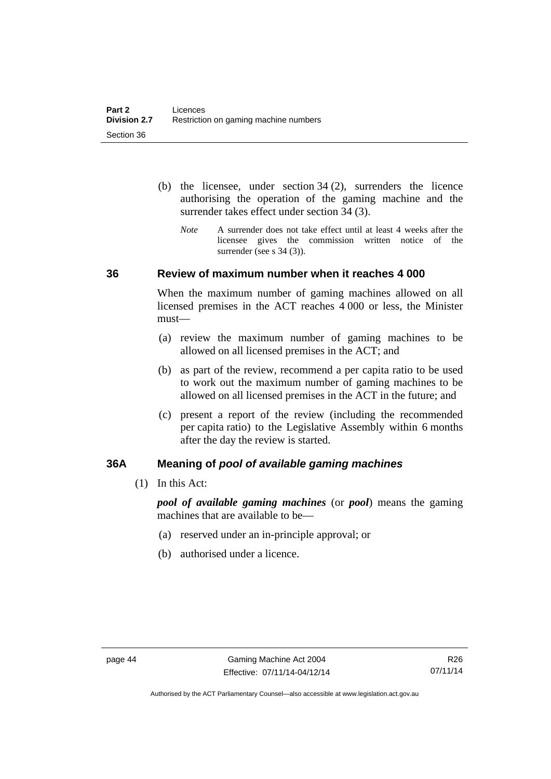- (b) the licensee, under section 34 (2), surrenders the licence authorising the operation of the gaming machine and the surrender takes effect under section 34 (3).
	- *Note* A surrender does not take effect until at least 4 weeks after the licensee gives the commission written notice of the surrender (see s 34 (3)).

#### **36 Review of maximum number when it reaches 4 000**

When the maximum number of gaming machines allowed on all licensed premises in the ACT reaches 4 000 or less, the Minister must—

- (a) review the maximum number of gaming machines to be allowed on all licensed premises in the ACT; and
- (b) as part of the review, recommend a per capita ratio to be used to work out the maximum number of gaming machines to be allowed on all licensed premises in the ACT in the future; and
- (c) present a report of the review (including the recommended per capita ratio) to the Legislative Assembly within 6 months after the day the review is started.

#### **36A Meaning of** *pool of available gaming machines*

(1) In this Act:

*pool of available gaming machines* (or *pool*) means the gaming machines that are available to be—

- (a) reserved under an in-principle approval; or
- (b) authorised under a licence.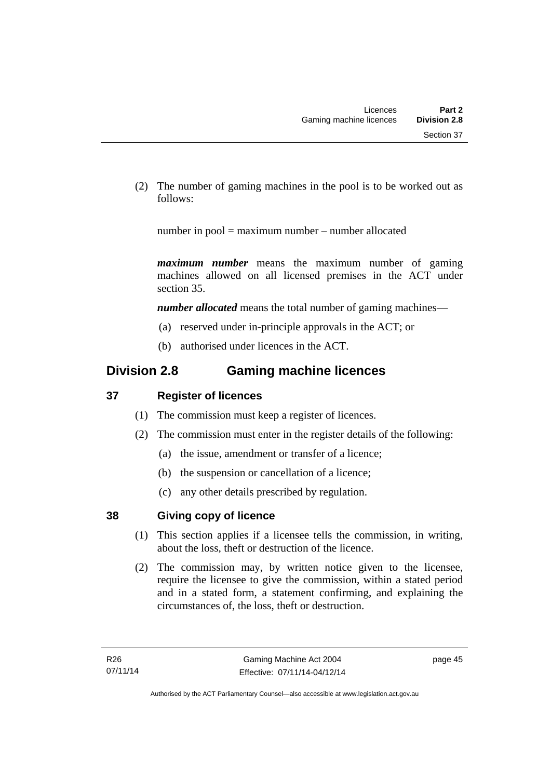(2) The number of gaming machines in the pool is to be worked out as follows:

number in pool = maximum number – number allocated

*maximum number* means the maximum number of gaming machines allowed on all licensed premises in the ACT under section 35.

*number allocated* means the total number of gaming machines—

- (a) reserved under in-principle approvals in the ACT; or
- (b) authorised under licences in the ACT.

# **Division 2.8 Gaming machine licences**

# **37 Register of licences**

- (1) The commission must keep a register of licences.
- (2) The commission must enter in the register details of the following:
	- (a) the issue, amendment or transfer of a licence;
	- (b) the suspension or cancellation of a licence;
	- (c) any other details prescribed by regulation.

# **38 Giving copy of licence**

- (1) This section applies if a licensee tells the commission, in writing, about the loss, theft or destruction of the licence.
- (2) The commission may, by written notice given to the licensee, require the licensee to give the commission, within a stated period and in a stated form, a statement confirming, and explaining the circumstances of, the loss, theft or destruction.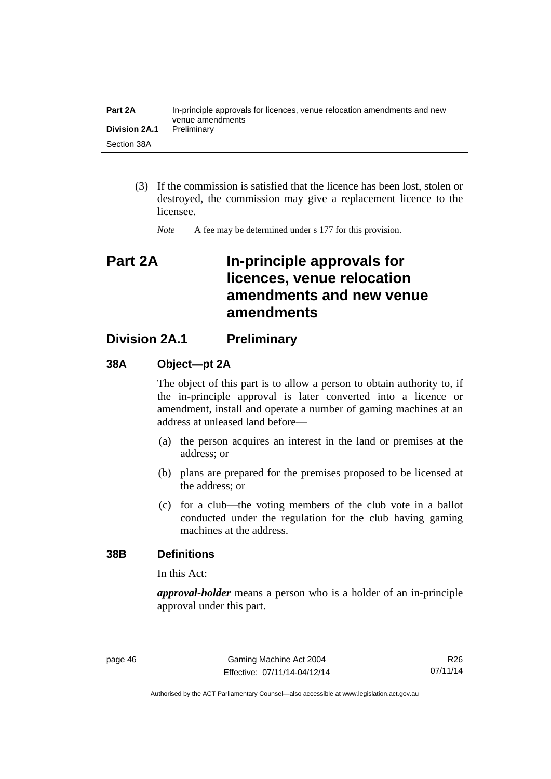| Part 2A              | In-principle approvals for licences, venue relocation amendments and new<br>venue amendments |
|----------------------|----------------------------------------------------------------------------------------------|
| <b>Division 2A.1</b> | Preliminary                                                                                  |
| Section 38A          |                                                                                              |

 (3) If the commission is satisfied that the licence has been lost, stolen or destroyed, the commission may give a replacement licence to the licensee.

*Note* A fee may be determined under s 177 for this provision.

# **Part 2A In-principle approvals for licences, venue relocation amendments and new venue amendments**

# **Division 2A.1 Preliminary**

#### **38A Object—pt 2A**

The object of this part is to allow a person to obtain authority to, if the in-principle approval is later converted into a licence or amendment, install and operate a number of gaming machines at an address at unleased land before—

- (a) the person acquires an interest in the land or premises at the address; or
- (b) plans are prepared for the premises proposed to be licensed at the address; or
- (c) for a club—the voting members of the club vote in a ballot conducted under the regulation for the club having gaming machines at the address.

#### **38B Definitions**

In this Act:

*approval-holder* means a person who is a holder of an in-principle approval under this part.

Authorised by the ACT Parliamentary Counsel—also accessible at www.legislation.act.gov.au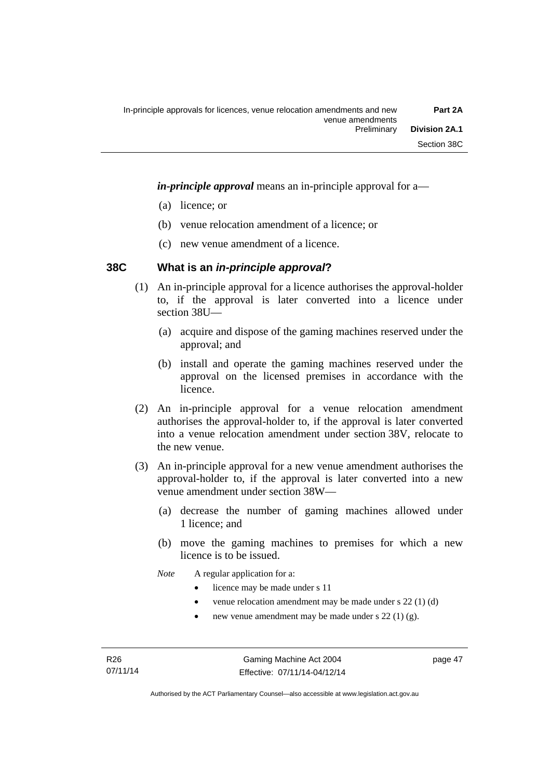*in-principle approval* means an in-principle approval for a—

- (a) licence; or
- (b) venue relocation amendment of a licence; or
- (c) new venue amendment of a licence.

#### **38C What is an** *in-principle approval***?**

- (1) An in-principle approval for a licence authorises the approval-holder to, if the approval is later converted into a licence under section 38U—
	- (a) acquire and dispose of the gaming machines reserved under the approval; and
	- (b) install and operate the gaming machines reserved under the approval on the licensed premises in accordance with the licence.
- (2) An in-principle approval for a venue relocation amendment authorises the approval-holder to, if the approval is later converted into a venue relocation amendment under section 38V, relocate to the new venue.
- (3) An in-principle approval for a new venue amendment authorises the approval-holder to, if the approval is later converted into a new venue amendment under section 38W—
	- (a) decrease the number of gaming machines allowed under 1 licence; and
	- (b) move the gaming machines to premises for which a new licence is to be issued.
	- *Note* A regular application for a:
		- licence may be made under s 11
		- venue relocation amendment may be made under s 22 (1) (d)
		- new venue amendment may be made under s 22 (1) (g).

page 47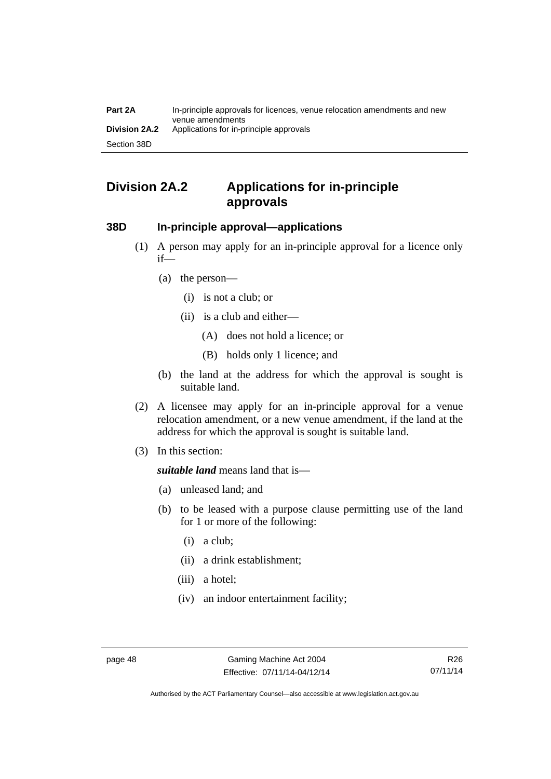# **Division 2A.2 Applications for in-principle approvals**

### **38D In-principle approval—applications**

- (1) A person may apply for an in-principle approval for a licence only if—
	- (a) the person—
		- (i) is not a club; or
		- (ii) is a club and either—
			- (A) does not hold a licence; or
			- (B) holds only 1 licence; and
	- (b) the land at the address for which the approval is sought is suitable land.
- (2) A licensee may apply for an in-principle approval for a venue relocation amendment, or a new venue amendment, if the land at the address for which the approval is sought is suitable land.
- (3) In this section:

*suitable land* means land that is—

- (a) unleased land; and
- (b) to be leased with a purpose clause permitting use of the land for 1 or more of the following:
	- (i) a club;
	- (ii) a drink establishment;
	- (iii) a hotel;
	- (iv) an indoor entertainment facility;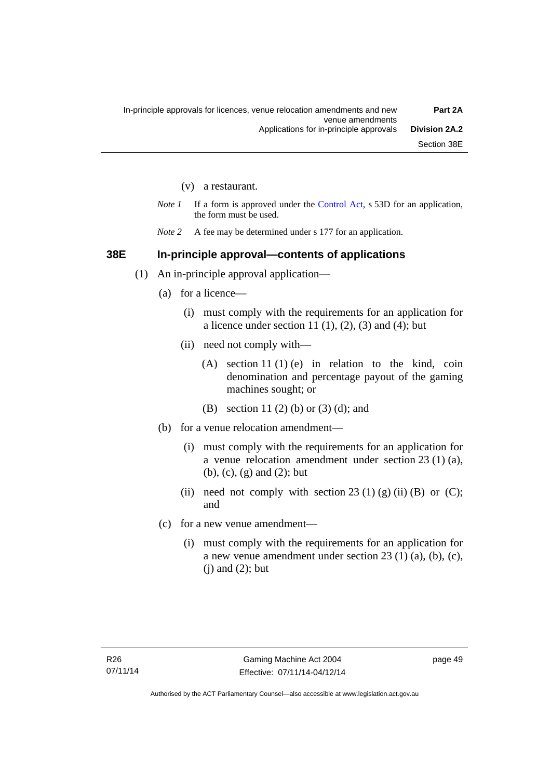- (v) a restaurant.
- *Note 1* If a form is approved under the [Control Act](http://www.legislation.act.gov.au/a/1999-46), s 53D for an application, the form must be used.
- *Note* 2 A fee may be determined under s 177 for an application.

#### **38E In-principle approval—contents of applications**

- (1) An in-principle approval application—
	- (a) for a licence—
		- (i) must comply with the requirements for an application for a licence under section 11 $(1)$ ,  $(2)$ ,  $(3)$  and  $(4)$ ; but
		- (ii) need not comply with—
			- (A) section 11 (1) (e) in relation to the kind, coin denomination and percentage payout of the gaming machines sought; or
			- (B) section 11 (2) (b) or (3) (d); and
	- (b) for a venue relocation amendment—
		- (i) must comply with the requirements for an application for a venue relocation amendment under section 23 (1) (a), (b), (c), (g) and (2); but
		- (ii) need not comply with section 23 (1) (g) (ii) (B) or (C); and
	- (c) for a new venue amendment—
		- (i) must comply with the requirements for an application for a new venue amendment under section 23 (1) (a), (b), (c),  $(i)$  and  $(2)$ ; but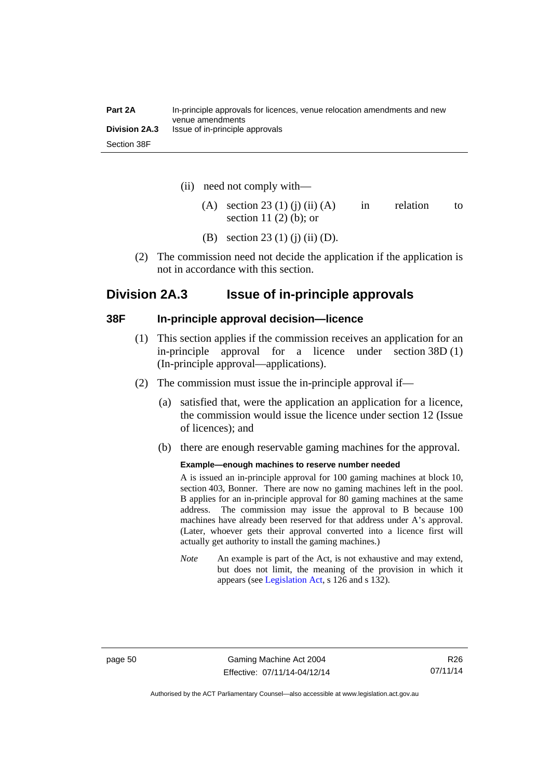| Part 2A              | In-principle approvals for licences, venue relocation amendments and new<br>venue amendments |
|----------------------|----------------------------------------------------------------------------------------------|
| <b>Division 2A.3</b> | Issue of in-principle approvals                                                              |
| Section 38F          |                                                                                              |

- (ii) need not comply with—
	- (A) section 23 (1) (i) (ii) (A) in relation to section 11 $(2)$  $(b)$ ; or
	- (B) section 23 (1) (j) (ii) (D).
- (2) The commission need not decide the application if the application is not in accordance with this section.

# **Division 2A.3 Issue of in-principle approvals**

#### **38F In-principle approval decision—licence**

- (1) This section applies if the commission receives an application for an in-principle approval for a licence under section 38D (1) (In-principle approval—applications).
- (2) The commission must issue the in-principle approval if—
	- (a) satisfied that, were the application an application for a licence, the commission would issue the licence under section 12 (Issue of licences); and
	- (b) there are enough reservable gaming machines for the approval.

#### **Example—enough machines to reserve number needed**

A is issued an in-principle approval for 100 gaming machines at block 10, section 403, Bonner. There are now no gaming machines left in the pool. B applies for an in-principle approval for 80 gaming machines at the same address. The commission may issue the approval to B because 100 machines have already been reserved for that address under A's approval. (Later, whoever gets their approval converted into a licence first will actually get authority to install the gaming machines.)

*Note* An example is part of the Act, is not exhaustive and may extend, but does not limit, the meaning of the provision in which it appears (see [Legislation Act,](http://www.legislation.act.gov.au/a/2001-14) s 126 and s 132).

Authorised by the ACT Parliamentary Counsel—also accessible at www.legislation.act.gov.au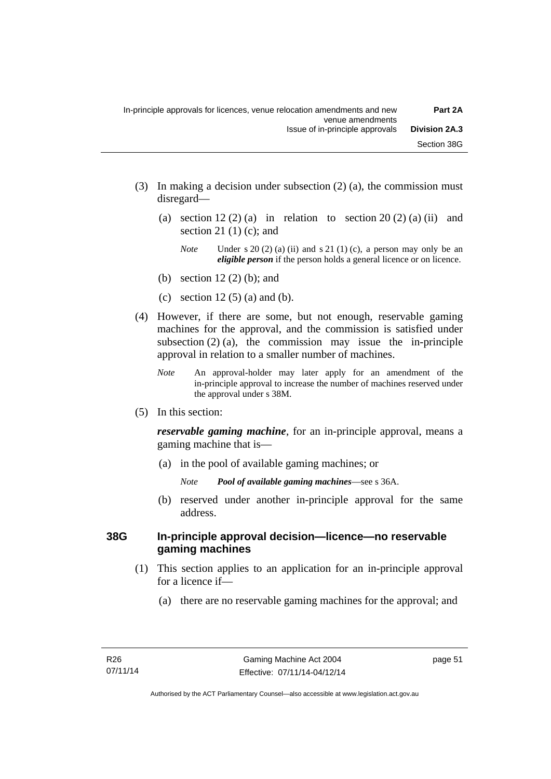- (3) In making a decision under subsection (2) (a), the commission must disregard—
	- (a) section  $12(2)$  (a) in relation to section  $20(2)$  (a) (ii) and section 21 $(1)$  $(c)$ ; and
		- *Note* Under s 20 (2) (a) (ii) and s 21 (1) (c), a person may only be an *eligible person* if the person holds a general licence or on licence.
	- (b) section 12 (2) (b); and
	- (c) section 12  $(5)$  (a) and (b).
- (4) However, if there are some, but not enough, reservable gaming machines for the approval, and the commission is satisfied under subsection  $(2)$  (a), the commission may issue the in-principle approval in relation to a smaller number of machines.
	- *Note* An approval-holder may later apply for an amendment of the in-principle approval to increase the number of machines reserved under the approval under s 38M.
- (5) In this section:

*reservable gaming machine*, for an in-principle approval, means a gaming machine that is—

- (a) in the pool of available gaming machines; or
	- *Note Pool of available gaming machines*—see s 36A.
- (b) reserved under another in-principle approval for the same address.

#### **38G In-principle approval decision—licence—no reservable gaming machines**

- (1) This section applies to an application for an in-principle approval for a licence if—
	- (a) there are no reservable gaming machines for the approval; and

page 51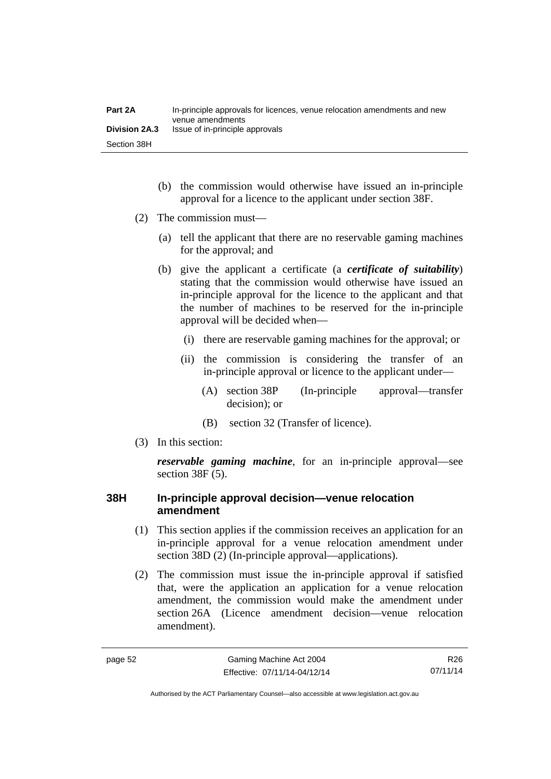| Part 2A              | In-principle approvals for licences, venue relocation amendments and new<br>venue amendments |
|----------------------|----------------------------------------------------------------------------------------------|
| <b>Division 2A.3</b> | Issue of in-principle approvals                                                              |
| Section 38H          |                                                                                              |

- (b) the commission would otherwise have issued an in-principle approval for a licence to the applicant under section 38F.
- (2) The commission must—
	- (a) tell the applicant that there are no reservable gaming machines for the approval; and
	- (b) give the applicant a certificate (a *certificate of suitability*) stating that the commission would otherwise have issued an in-principle approval for the licence to the applicant and that the number of machines to be reserved for the in-principle approval will be decided when—
		- (i) there are reservable gaming machines for the approval; or
		- (ii) the commission is considering the transfer of an in-principle approval or licence to the applicant under—
			- (A) section 38P (In-principle approval—transfer decision); or
			- (B) section 32 (Transfer of licence).
- (3) In this section:

*reservable gaming machine*, for an in-principle approval—see section 38F (5).

## **38H In-principle approval decision—venue relocation amendment**

- (1) This section applies if the commission receives an application for an in-principle approval for a venue relocation amendment under section 38D (2) (In-principle approval—applications).
- (2) The commission must issue the in-principle approval if satisfied that, were the application an application for a venue relocation amendment, the commission would make the amendment under section 26A (Licence amendment decision—venue relocation amendment).

R26 07/11/14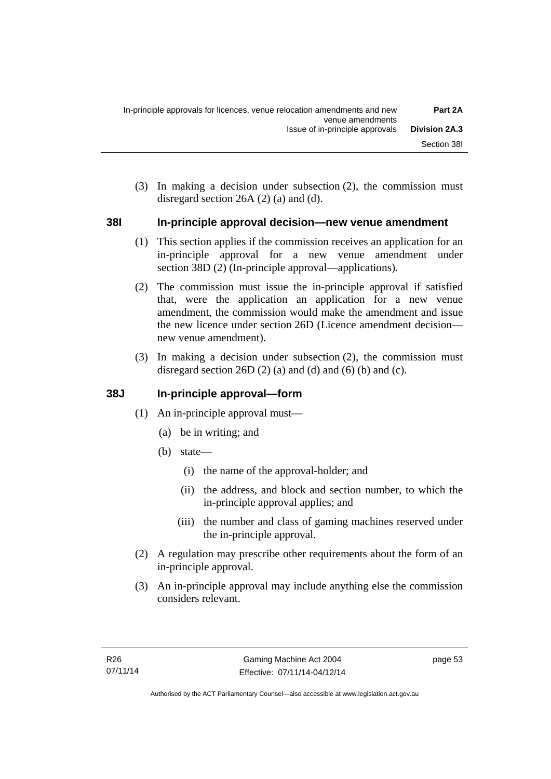(3) In making a decision under subsection (2), the commission must disregard section 26A (2) (a) and (d).

# **38I In-principle approval decision—new venue amendment**

- (1) This section applies if the commission receives an application for an in-principle approval for a new venue amendment under section 38D (2) (In-principle approval—applications).
- (2) The commission must issue the in-principle approval if satisfied that, were the application an application for a new venue amendment, the commission would make the amendment and issue the new licence under section 26D (Licence amendment decision new venue amendment).
- (3) In making a decision under subsection (2), the commission must disregard section 26D  $(2)$  (a) and  $(d)$  and  $(6)$  (b) and  $(c)$ .

# **38J In-principle approval—form**

- (1) An in-principle approval must—
	- (a) be in writing; and
	- (b) state—
		- (i) the name of the approval-holder; and
		- (ii) the address, and block and section number, to which the in-principle approval applies; and
		- (iii) the number and class of gaming machines reserved under the in-principle approval.
- (2) A regulation may prescribe other requirements about the form of an in-principle approval.
- (3) An in-principle approval may include anything else the commission considers relevant.

page 53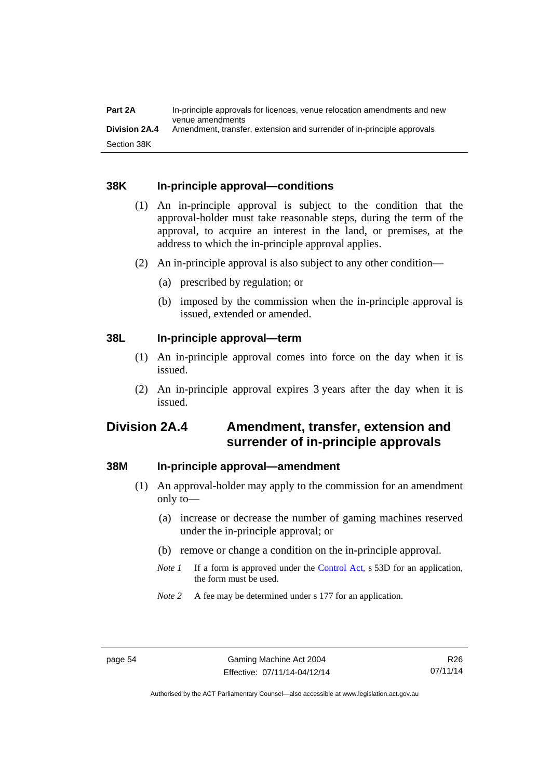### **38K In-principle approval—conditions**

- (1) An in-principle approval is subject to the condition that the approval-holder must take reasonable steps, during the term of the approval, to acquire an interest in the land, or premises, at the address to which the in-principle approval applies.
- (2) An in-principle approval is also subject to any other condition—
	- (a) prescribed by regulation; or
	- (b) imposed by the commission when the in-principle approval is issued, extended or amended.

# **38L In-principle approval—term**

- (1) An in-principle approval comes into force on the day when it is issued.
- (2) An in-principle approval expires 3 years after the day when it is issued.

# **Division 2A.4 Amendment, transfer, extension and surrender of in-principle approvals**

#### **38M In-principle approval—amendment**

- (1) An approval-holder may apply to the commission for an amendment only to—
	- (a) increase or decrease the number of gaming machines reserved under the in-principle approval; or
	- (b) remove or change a condition on the in-principle approval.
	- *Note 1* If a form is approved under the [Control Act](http://www.legislation.act.gov.au/a/1999-46), s 53D for an application, the form must be used.
	- *Note* 2 A fee may be determined under s 177 for an application.

Authorised by the ACT Parliamentary Counsel—also accessible at www.legislation.act.gov.au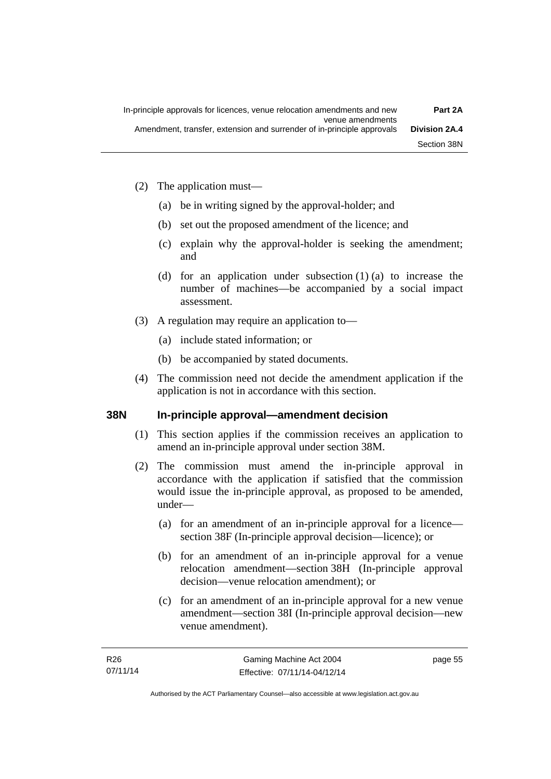- (2) The application must—
	- (a) be in writing signed by the approval-holder; and
	- (b) set out the proposed amendment of the licence; and
	- (c) explain why the approval-holder is seeking the amendment; and
	- (d) for an application under subsection (1) (a) to increase the number of machines—be accompanied by a social impact assessment.
- (3) A regulation may require an application to—
	- (a) include stated information; or
	- (b) be accompanied by stated documents.
- (4) The commission need not decide the amendment application if the application is not in accordance with this section.

#### **38N In-principle approval—amendment decision**

- (1) This section applies if the commission receives an application to amend an in-principle approval under section 38M.
- (2) The commission must amend the in-principle approval in accordance with the application if satisfied that the commission would issue the in-principle approval, as proposed to be amended, under—
	- (a) for an amendment of an in-principle approval for a licence section 38F (In-principle approval decision—licence); or
	- (b) for an amendment of an in-principle approval for a venue relocation amendment—section 38H (In-principle approval decision—venue relocation amendment); or
	- (c) for an amendment of an in-principle approval for a new venue amendment—section 38I (In-principle approval decision—new venue amendment).

page 55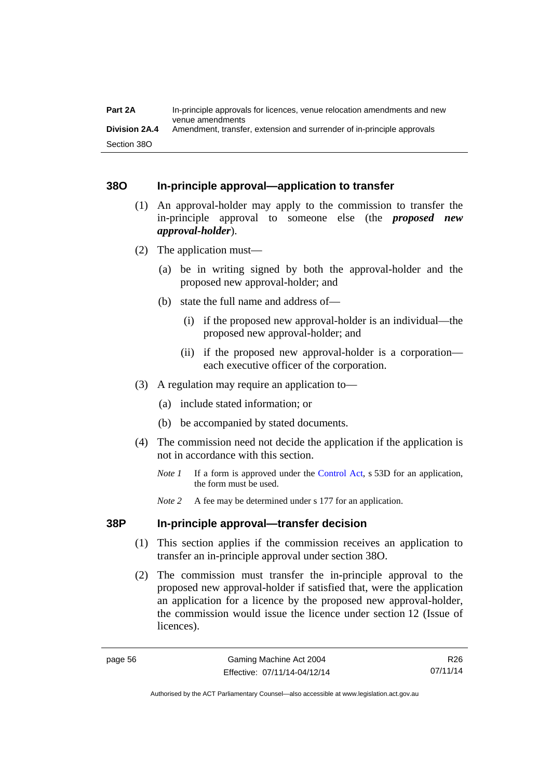## **38O In-principle approval—application to transfer**

- (1) An approval-holder may apply to the commission to transfer the in-principle approval to someone else (the *proposed new approval-holder*).
- (2) The application must—
	- (a) be in writing signed by both the approval-holder and the proposed new approval-holder; and
	- (b) state the full name and address of—
		- (i) if the proposed new approval-holder is an individual—the proposed new approval-holder; and
		- (ii) if the proposed new approval-holder is a corporation each executive officer of the corporation.
- (3) A regulation may require an application to—
	- (a) include stated information; or
	- (b) be accompanied by stated documents.
- (4) The commission need not decide the application if the application is not in accordance with this section.
	- *Note 1* If a form is approved under the [Control Act](http://www.legislation.act.gov.au/a/1999-46), s 53D for an application, the form must be used.
	- *Note* 2 A fee may be determined under s 177 for an application.

#### **38P In-principle approval—transfer decision**

- (1) This section applies if the commission receives an application to transfer an in-principle approval under section 38O.
- (2) The commission must transfer the in-principle approval to the proposed new approval-holder if satisfied that, were the application an application for a licence by the proposed new approval-holder, the commission would issue the licence under section 12 (Issue of licences).

R26 07/11/14

Authorised by the ACT Parliamentary Counsel—also accessible at www.legislation.act.gov.au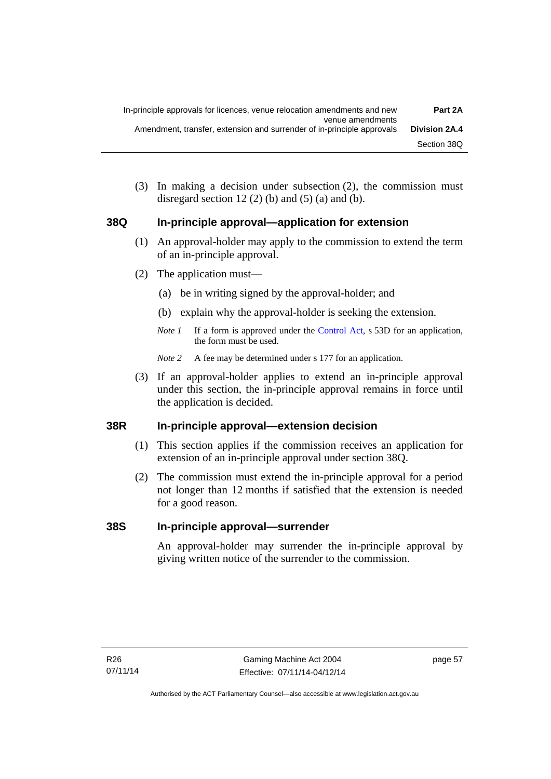(3) In making a decision under subsection (2), the commission must disregard section 12 (2) (b) and (5) (a) and (b).

### **38Q In-principle approval—application for extension**

- (1) An approval-holder may apply to the commission to extend the term of an in-principle approval.
- (2) The application must—
	- (a) be in writing signed by the approval-holder; and
	- (b) explain why the approval-holder is seeking the extension.
	- *Note 1* If a form is approved under the [Control Act](http://www.legislation.act.gov.au/a/1999-46), s 53D for an application, the form must be used.
	- *Note* 2 A fee may be determined under s 177 for an application.
- (3) If an approval-holder applies to extend an in-principle approval under this section, the in-principle approval remains in force until the application is decided.

# **38R In-principle approval—extension decision**

- (1) This section applies if the commission receives an application for extension of an in-principle approval under section 38Q.
- (2) The commission must extend the in-principle approval for a period not longer than 12 months if satisfied that the extension is needed for a good reason.

# **38S In-principle approval—surrender**

An approval-holder may surrender the in-principle approval by giving written notice of the surrender to the commission.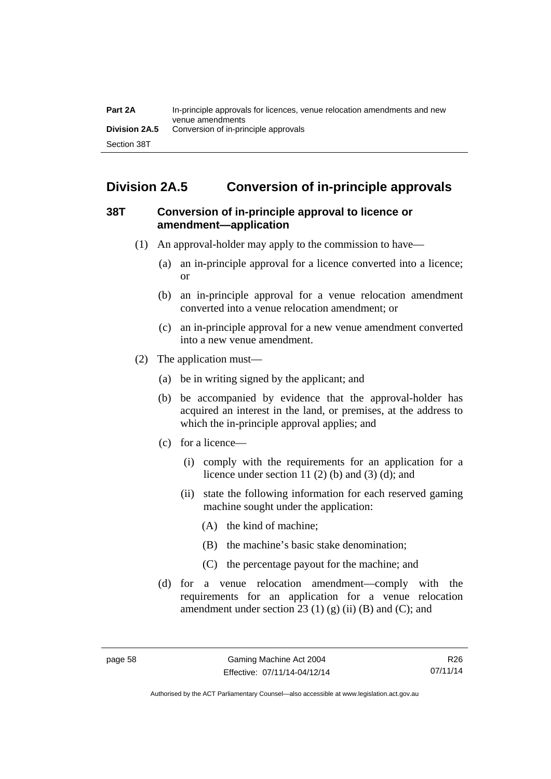| Part 2A              | In-principle approvals for licences, venue relocation amendments and new<br>venue amendments |
|----------------------|----------------------------------------------------------------------------------------------|
| <b>Division 2A.5</b> | Conversion of in-principle approvals                                                         |
| Section 38T          |                                                                                              |

# **Division 2A.5 Conversion of in-principle approvals**

### **38T Conversion of in-principle approval to licence or amendment—application**

- (1) An approval-holder may apply to the commission to have—
	- (a) an in-principle approval for a licence converted into a licence; or
	- (b) an in-principle approval for a venue relocation amendment converted into a venue relocation amendment; or
	- (c) an in-principle approval for a new venue amendment converted into a new venue amendment.
- (2) The application must—
	- (a) be in writing signed by the applicant; and
	- (b) be accompanied by evidence that the approval-holder has acquired an interest in the land, or premises, at the address to which the in-principle approval applies; and
	- (c) for a licence—
		- (i) comply with the requirements for an application for a licence under section 11 $(2)$  $(b)$  and  $(3)$  $(d)$ ; and
		- (ii) state the following information for each reserved gaming machine sought under the application:
			- (A) the kind of machine;
			- (B) the machine's basic stake denomination;
			- (C) the percentage payout for the machine; and
	- (d) for a venue relocation amendment—comply with the requirements for an application for a venue relocation amendment under section 23 (1) (g) (ii) (B) and (C); and

R26 07/11/14

Authorised by the ACT Parliamentary Counsel—also accessible at www.legislation.act.gov.au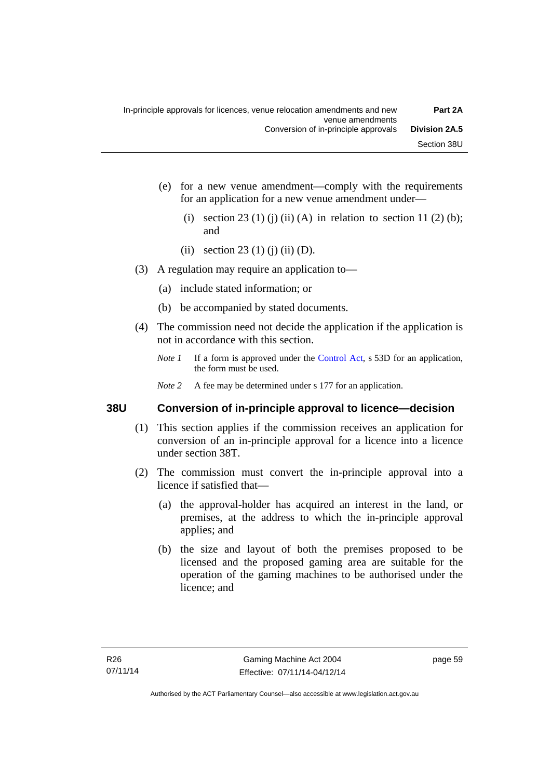- (e) for a new venue amendment—comply with the requirements for an application for a new venue amendment under—
	- (i) section 23 (1) (j) (ii) (A) in relation to section 11 (2) (b); and
	- (ii) section 23 (1) (j) (ii) (D).
- (3) A regulation may require an application to—
	- (a) include stated information; or
	- (b) be accompanied by stated documents.
- (4) The commission need not decide the application if the application is not in accordance with this section.
	- *Note 1* If a form is approved under the [Control Act](http://www.legislation.act.gov.au/a/1999-46), s 53D for an application, the form must be used.
	- *Note* 2 A fee may be determined under s 177 for an application.

#### **38U Conversion of in-principle approval to licence—decision**

- (1) This section applies if the commission receives an application for conversion of an in-principle approval for a licence into a licence under section 38T.
- (2) The commission must convert the in-principle approval into a licence if satisfied that—
	- (a) the approval-holder has acquired an interest in the land, or premises, at the address to which the in-principle approval applies; and
	- (b) the size and layout of both the premises proposed to be licensed and the proposed gaming area are suitable for the operation of the gaming machines to be authorised under the licence; and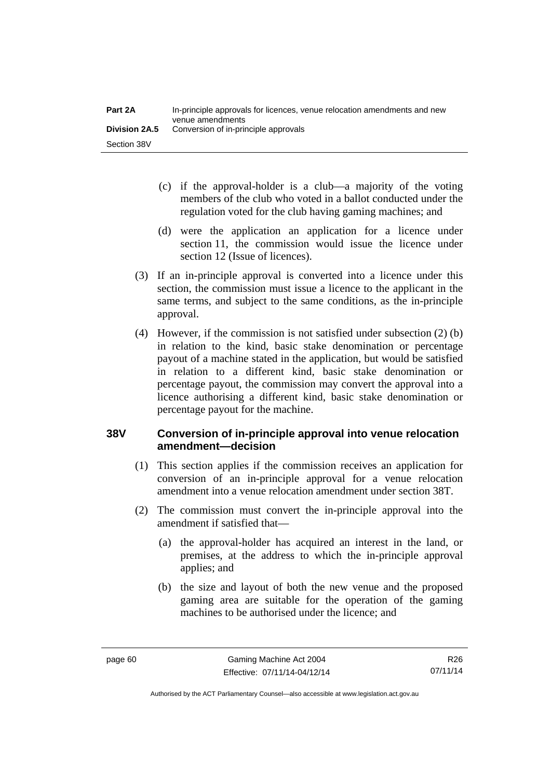- (c) if the approval-holder is a club—a majority of the voting members of the club who voted in a ballot conducted under the regulation voted for the club having gaming machines; and
- (d) were the application an application for a licence under section 11, the commission would issue the licence under section 12 (Issue of licences).
- (3) If an in-principle approval is converted into a licence under this section, the commission must issue a licence to the applicant in the same terms, and subject to the same conditions, as the in-principle approval.
- (4) However, if the commission is not satisfied under subsection (2) (b) in relation to the kind, basic stake denomination or percentage payout of a machine stated in the application, but would be satisfied in relation to a different kind, basic stake denomination or percentage payout, the commission may convert the approval into a licence authorising a different kind, basic stake denomination or percentage payout for the machine.

# **38V Conversion of in-principle approval into venue relocation amendment—decision**

- (1) This section applies if the commission receives an application for conversion of an in-principle approval for a venue relocation amendment into a venue relocation amendment under section 38T.
- (2) The commission must convert the in-principle approval into the amendment if satisfied that—
	- (a) the approval-holder has acquired an interest in the land, or premises, at the address to which the in-principle approval applies; and
	- (b) the size and layout of both the new venue and the proposed gaming area are suitable for the operation of the gaming machines to be authorised under the licence; and

R26 07/11/14

Authorised by the ACT Parliamentary Counsel—also accessible at www.legislation.act.gov.au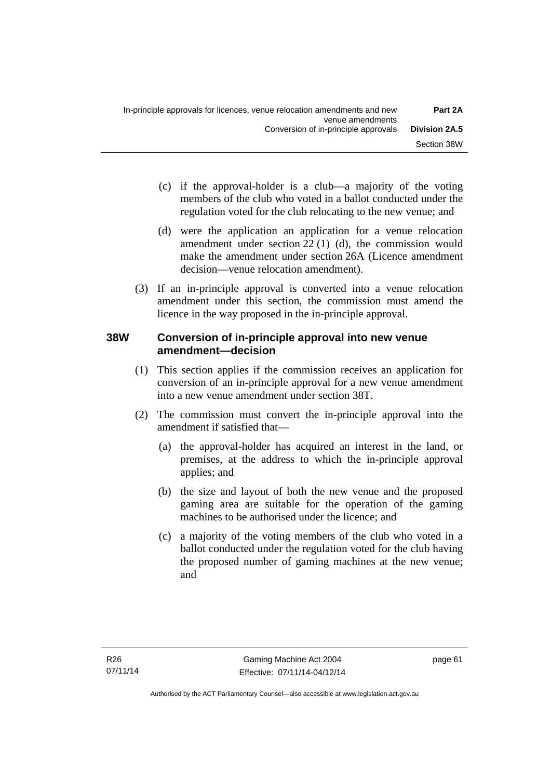- (c) if the approval-holder is a club—a majority of the voting members of the club who voted in a ballot conducted under the regulation voted for the club relocating to the new venue; and
- (d) were the application an application for a venue relocation amendment under section 22 (1) (d), the commission would make the amendment under section 26A (Licence amendment decision—venue relocation amendment).
- (3) If an in-principle approval is converted into a venue relocation amendment under this section, the commission must amend the licence in the way proposed in the in-principle approval.

## **38W Conversion of in-principle approval into new venue amendment—decision**

- (1) This section applies if the commission receives an application for conversion of an in-principle approval for a new venue amendment into a new venue amendment under section 38T.
- (2) The commission must convert the in-principle approval into the amendment if satisfied that—
	- (a) the approval-holder has acquired an interest in the land, or premises, at the address to which the in-principle approval applies; and
	- (b) the size and layout of both the new venue and the proposed gaming area are suitable for the operation of the gaming machines to be authorised under the licence; and
	- (c) a majority of the voting members of the club who voted in a ballot conducted under the regulation voted for the club having the proposed number of gaming machines at the new venue; and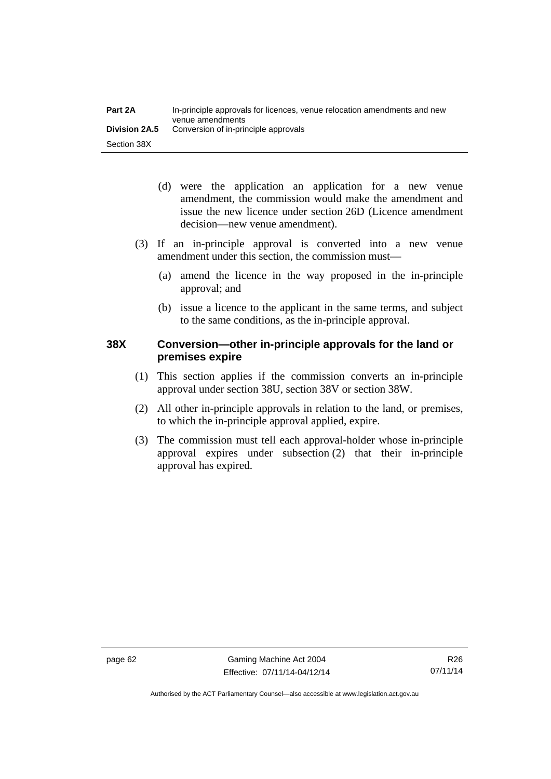| Part 2A              | In-principle approvals for licences, venue relocation amendments and new<br>venue amendments |
|----------------------|----------------------------------------------------------------------------------------------|
| <b>Division 2A.5</b> | Conversion of in-principle approvals                                                         |
| Section 38X          |                                                                                              |

- (d) were the application an application for a new venue amendment, the commission would make the amendment and issue the new licence under section 26D (Licence amendment decision—new venue amendment).
- (3) If an in-principle approval is converted into a new venue amendment under this section, the commission must—
	- (a) amend the licence in the way proposed in the in-principle approval; and
	- (b) issue a licence to the applicant in the same terms, and subject to the same conditions, as the in-principle approval.

## **38X Conversion—other in-principle approvals for the land or premises expire**

- (1) This section applies if the commission converts an in-principle approval under section 38U, section 38V or section 38W.
- (2) All other in-principle approvals in relation to the land, or premises, to which the in-principle approval applied, expire.
- (3) The commission must tell each approval-holder whose in-principle approval expires under subsection (2) that their in-principle approval has expired.

Authorised by the ACT Parliamentary Counsel—also accessible at www.legislation.act.gov.au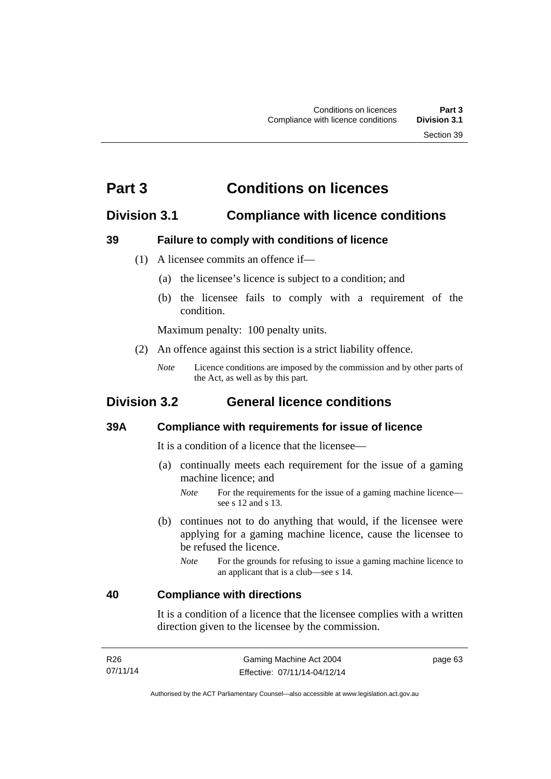## **Part 3 Conditions on licences**

## **Division 3.1 Compliance with licence conditions**

## **39 Failure to comply with conditions of licence**

- (1) A licensee commits an offence if—
	- (a) the licensee's licence is subject to a condition; and
	- (b) the licensee fails to comply with a requirement of the condition.

Maximum penalty: 100 penalty units.

- (2) An offence against this section is a strict liability offence.
	- *Note* Licence conditions are imposed by the commission and by other parts of the Act, as well as by this part.

## **Division 3.2 General licence conditions**

## **39A Compliance with requirements for issue of licence**

It is a condition of a licence that the licensee—

- (a) continually meets each requirement for the issue of a gaming machine licence; and
	- *Note* For the requirements for the issue of a gaming machine licence see s 12 and s 13.
- (b) continues not to do anything that would, if the licensee were applying for a gaming machine licence, cause the licensee to be refused the licence.
	- *Note* For the grounds for refusing to issue a gaming machine licence to an applicant that is a club—see s 14.

## **40 Compliance with directions**

It is a condition of a licence that the licensee complies with a written direction given to the licensee by the commission.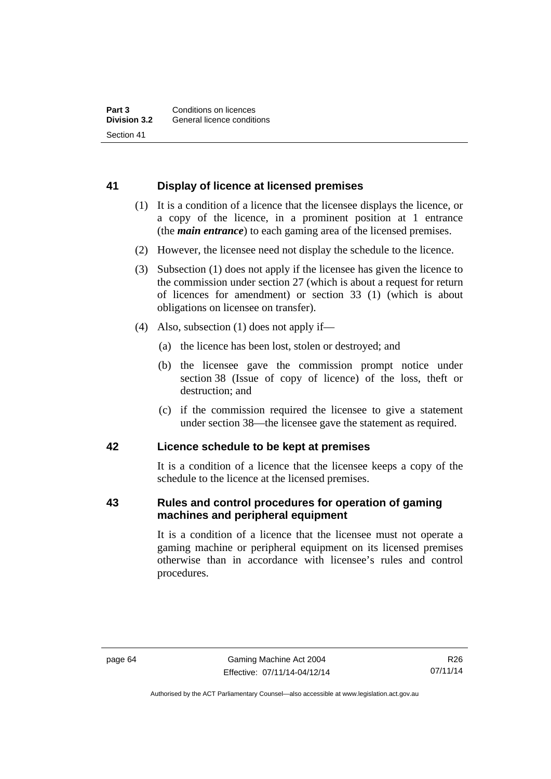## **41 Display of licence at licensed premises**

- (1) It is a condition of a licence that the licensee displays the licence, or a copy of the licence, in a prominent position at 1 entrance (the *main entrance*) to each gaming area of the licensed premises.
- (2) However, the licensee need not display the schedule to the licence.
- (3) Subsection (1) does not apply if the licensee has given the licence to the commission under section 27 (which is about a request for return of licences for amendment) or section 33 (1) (which is about obligations on licensee on transfer).
- (4) Also, subsection (1) does not apply if—
	- (a) the licence has been lost, stolen or destroyed; and
	- (b) the licensee gave the commission prompt notice under section 38 (Issue of copy of licence) of the loss, theft or destruction; and
	- (c) if the commission required the licensee to give a statement under section 38—the licensee gave the statement as required.

## **42 Licence schedule to be kept at premises**

It is a condition of a licence that the licensee keeps a copy of the schedule to the licence at the licensed premises.

## **43 Rules and control procedures for operation of gaming machines and peripheral equipment**

It is a condition of a licence that the licensee must not operate a gaming machine or peripheral equipment on its licensed premises otherwise than in accordance with licensee's rules and control procedures.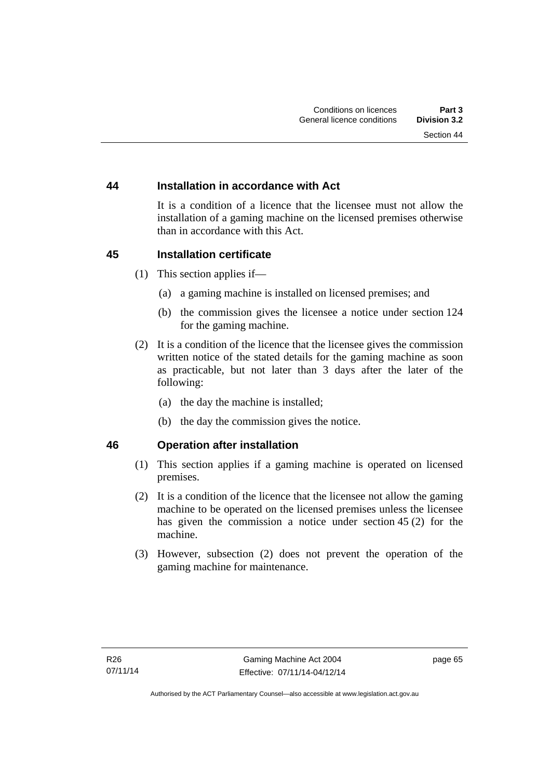## **44 Installation in accordance with Act**

It is a condition of a licence that the licensee must not allow the installation of a gaming machine on the licensed premises otherwise than in accordance with this Act.

## **45 Installation certificate**

- (1) This section applies if—
	- (a) a gaming machine is installed on licensed premises; and
	- (b) the commission gives the licensee a notice under section 124 for the gaming machine.
- (2) It is a condition of the licence that the licensee gives the commission written notice of the stated details for the gaming machine as soon as practicable, but not later than 3 days after the later of the following:
	- (a) the day the machine is installed;
	- (b) the day the commission gives the notice.

## **46 Operation after installation**

- (1) This section applies if a gaming machine is operated on licensed premises.
- (2) It is a condition of the licence that the licensee not allow the gaming machine to be operated on the licensed premises unless the licensee has given the commission a notice under section 45 (2) for the machine.
- (3) However, subsection (2) does not prevent the operation of the gaming machine for maintenance.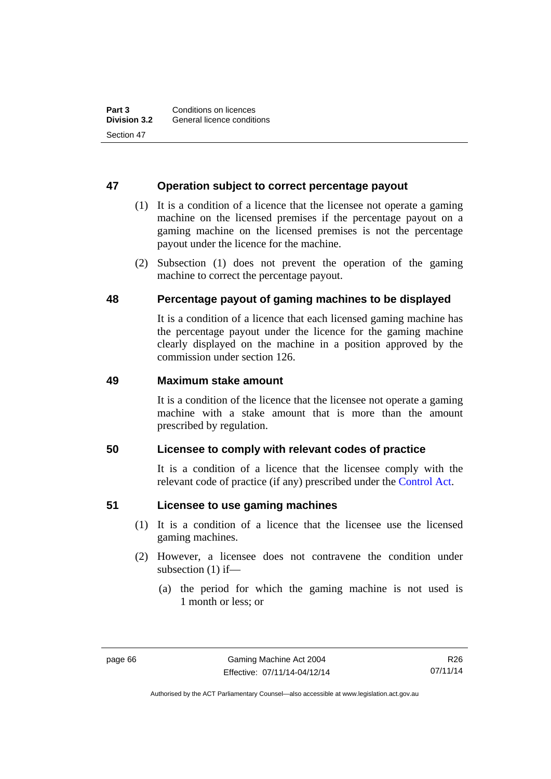## **47 Operation subject to correct percentage payout**

- (1) It is a condition of a licence that the licensee not operate a gaming machine on the licensed premises if the percentage payout on a gaming machine on the licensed premises is not the percentage payout under the licence for the machine.
- (2) Subsection (1) does not prevent the operation of the gaming machine to correct the percentage payout.

## **48 Percentage payout of gaming machines to be displayed**

It is a condition of a licence that each licensed gaming machine has the percentage payout under the licence for the gaming machine clearly displayed on the machine in a position approved by the commission under section 126.

## **49 Maximum stake amount**

It is a condition of the licence that the licensee not operate a gaming machine with a stake amount that is more than the amount prescribed by regulation.

## **50 Licensee to comply with relevant codes of practice**

It is a condition of a licence that the licensee comply with the relevant code of practice (if any) prescribed under the [Control Act.](http://www.legislation.act.gov.au/a/1999-46)

## **51 Licensee to use gaming machines**

- (1) It is a condition of a licence that the licensee use the licensed gaming machines.
- (2) However, a licensee does not contravene the condition under subsection (1) if—
	- (a) the period for which the gaming machine is not used is 1 month or less; or

R26 07/11/14

Authorised by the ACT Parliamentary Counsel—also accessible at www.legislation.act.gov.au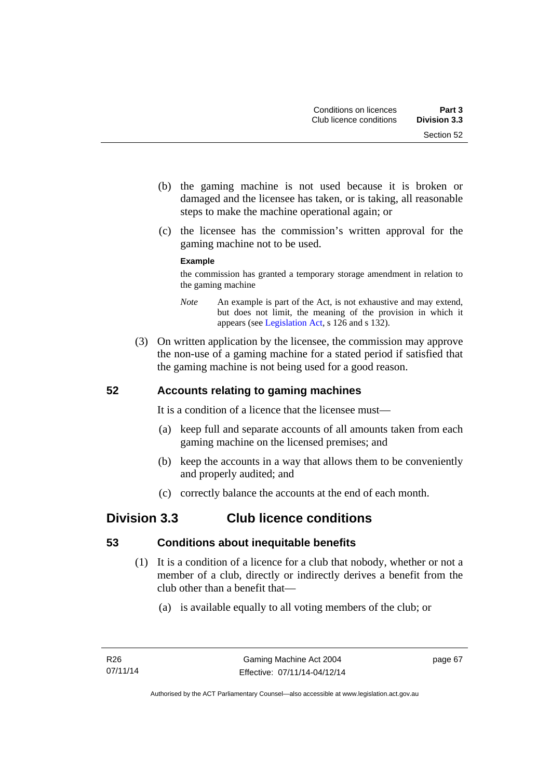- (b) the gaming machine is not used because it is broken or damaged and the licensee has taken, or is taking, all reasonable steps to make the machine operational again; or
- (c) the licensee has the commission's written approval for the gaming machine not to be used.

### **Example**

the commission has granted a temporary storage amendment in relation to the gaming machine

- *Note* An example is part of the Act, is not exhaustive and may extend, but does not limit, the meaning of the provision in which it appears (see [Legislation Act,](http://www.legislation.act.gov.au/a/2001-14) s 126 and s 132).
- (3) On written application by the licensee, the commission may approve the non-use of a gaming machine for a stated period if satisfied that the gaming machine is not being used for a good reason.

## **52 Accounts relating to gaming machines**

It is a condition of a licence that the licensee must—

- (a) keep full and separate accounts of all amounts taken from each gaming machine on the licensed premises; and
- (b) keep the accounts in a way that allows them to be conveniently and properly audited; and
- (c) correctly balance the accounts at the end of each month.

## **Division 3.3 Club licence conditions**

## **53 Conditions about inequitable benefits**

- (1) It is a condition of a licence for a club that nobody, whether or not a member of a club, directly or indirectly derives a benefit from the club other than a benefit that—
	- (a) is available equally to all voting members of the club; or

page 67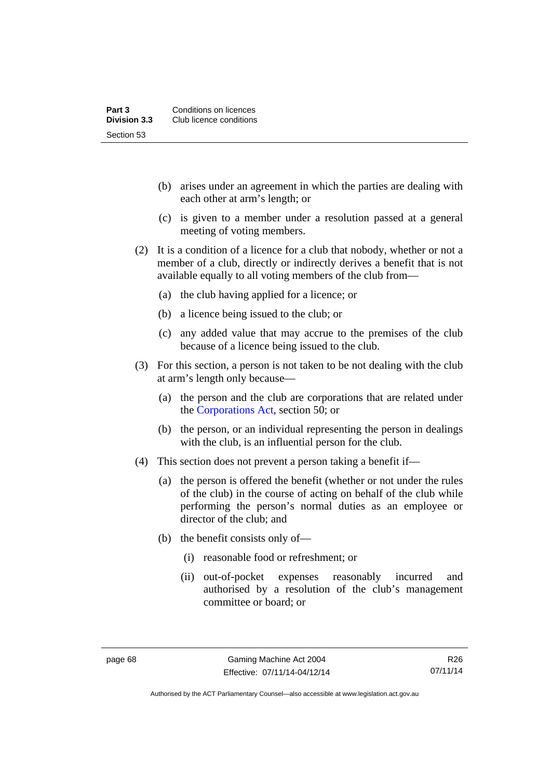- (b) arises under an agreement in which the parties are dealing with each other at arm's length; or
- (c) is given to a member under a resolution passed at a general meeting of voting members.
- (2) It is a condition of a licence for a club that nobody, whether or not a member of a club, directly or indirectly derives a benefit that is not available equally to all voting members of the club from—
	- (a) the club having applied for a licence; or
	- (b) a licence being issued to the club; or
	- (c) any added value that may accrue to the premises of the club because of a licence being issued to the club.
- (3) For this section, a person is not taken to be not dealing with the club at arm's length only because—
	- (a) the person and the club are corporations that are related under the [Corporations Act,](http://www.comlaw.gov.au/Series/C2004A00818) section 50; or
	- (b) the person, or an individual representing the person in dealings with the club, is an influential person for the club.
- (4) This section does not prevent a person taking a benefit if—
	- (a) the person is offered the benefit (whether or not under the rules of the club) in the course of acting on behalf of the club while performing the person's normal duties as an employee or director of the club; and
	- (b) the benefit consists only of—
		- (i) reasonable food or refreshment; or
		- (ii) out-of-pocket expenses reasonably incurred and authorised by a resolution of the club's management committee or board; or

Authorised by the ACT Parliamentary Counsel—also accessible at www.legislation.act.gov.au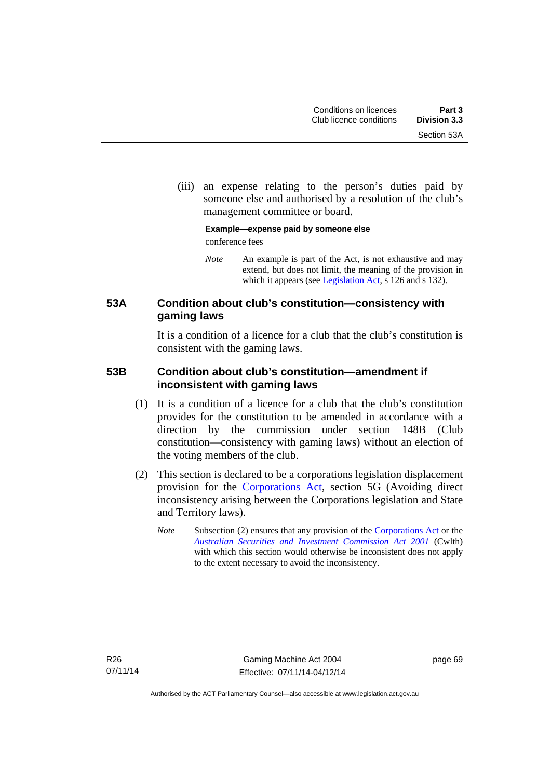(iii) an expense relating to the person's duties paid by someone else and authorised by a resolution of the club's management committee or board.

### **Example—expense paid by someone else**  conference fees

*Note* An example is part of the Act, is not exhaustive and may extend, but does not limit, the meaning of the provision in which it appears (see [Legislation Act,](http://www.legislation.act.gov.au/a/2001-14) s 126 and s 132).

## **53A Condition about club's constitution—consistency with gaming laws**

It is a condition of a licence for a club that the club's constitution is consistent with the gaming laws.

## **53B Condition about club's constitution—amendment if inconsistent with gaming laws**

- (1) It is a condition of a licence for a club that the club's constitution provides for the constitution to be amended in accordance with a direction by the commission under section 148B (Club constitution—consistency with gaming laws) without an election of the voting members of the club.
- (2) This section is declared to be a corporations legislation displacement provision for the [Corporations Act](http://www.comlaw.gov.au/Series/C2004A00818), section 5G (Avoiding direct inconsistency arising between the Corporations legislation and State and Territory laws).
	- *Note* Subsection (2) ensures that any provision of the [Corporations Act](http://www.comlaw.gov.au/Series/C2004A00818) or the *[Australian Securities and Investment Commission Act 2001](http://www.comlaw.gov.au/Series/C2004A00819)* (Cwlth) with which this section would otherwise be inconsistent does not apply to the extent necessary to avoid the inconsistency.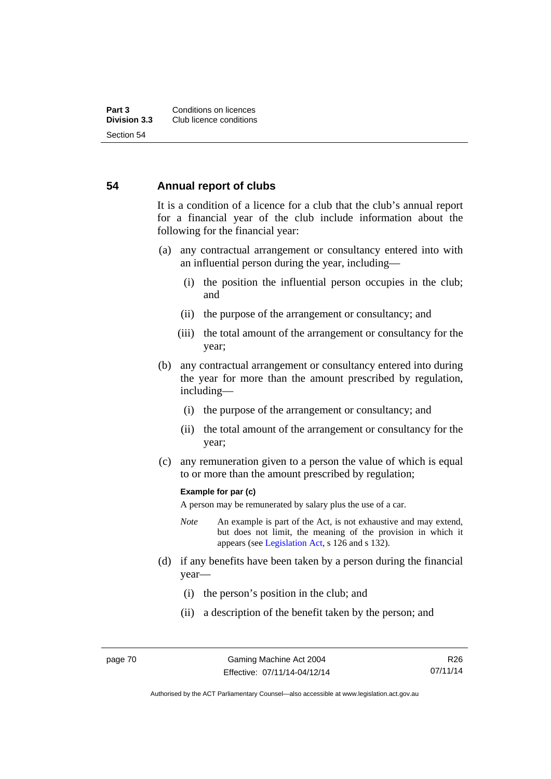## **54 Annual report of clubs**

It is a condition of a licence for a club that the club's annual report for a financial year of the club include information about the following for the financial year:

- (a) any contractual arrangement or consultancy entered into with an influential person during the year, including—
	- (i) the position the influential person occupies in the club; and
	- (ii) the purpose of the arrangement or consultancy; and
	- (iii) the total amount of the arrangement or consultancy for the year;
- (b) any contractual arrangement or consultancy entered into during the year for more than the amount prescribed by regulation, including—
	- (i) the purpose of the arrangement or consultancy; and
	- (ii) the total amount of the arrangement or consultancy for the year;
- (c) any remuneration given to a person the value of which is equal to or more than the amount prescribed by regulation;

### **Example for par (c)**

A person may be remunerated by salary plus the use of a car.

- *Note* An example is part of the Act, is not exhaustive and may extend, but does not limit, the meaning of the provision in which it appears (see [Legislation Act,](http://www.legislation.act.gov.au/a/2001-14) s 126 and s 132).
- (d) if any benefits have been taken by a person during the financial year—
	- (i) the person's position in the club; and
	- (ii) a description of the benefit taken by the person; and

R26 07/11/14

Authorised by the ACT Parliamentary Counsel—also accessible at www.legislation.act.gov.au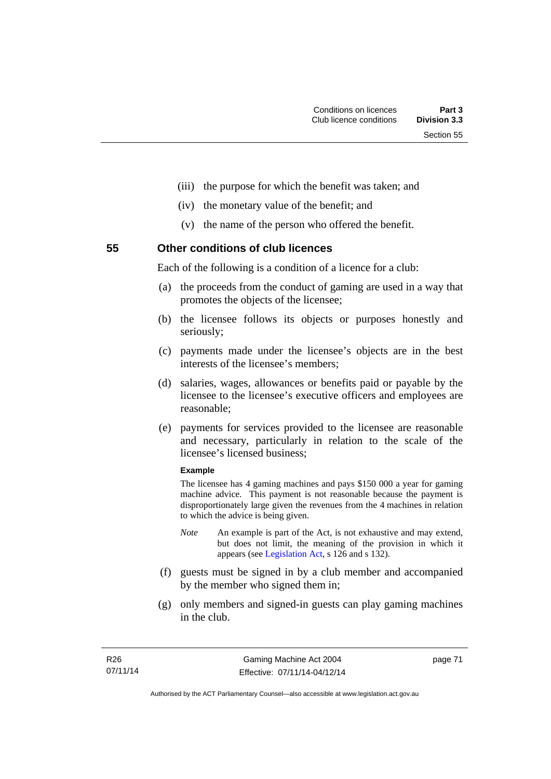- (iii) the purpose for which the benefit was taken; and
- (iv) the monetary value of the benefit; and
- (v) the name of the person who offered the benefit.

**55 Other conditions of club licences** 

Each of the following is a condition of a licence for a club:

- (a) the proceeds from the conduct of gaming are used in a way that promotes the objects of the licensee;
- (b) the licensee follows its objects or purposes honestly and seriously;
- (c) payments made under the licensee's objects are in the best interests of the licensee's members;
- (d) salaries, wages, allowances or benefits paid or payable by the licensee to the licensee's executive officers and employees are reasonable;
- (e) payments for services provided to the licensee are reasonable and necessary, particularly in relation to the scale of the licensee's licensed business;

#### **Example**

The licensee has 4 gaming machines and pays \$150 000 a year for gaming machine advice. This payment is not reasonable because the payment is disproportionately large given the revenues from the 4 machines in relation to which the advice is being given.

- *Note* An example is part of the Act, is not exhaustive and may extend, but does not limit, the meaning of the provision in which it appears (see [Legislation Act,](http://www.legislation.act.gov.au/a/2001-14) s 126 and s 132).
- (f) guests must be signed in by a club member and accompanied by the member who signed them in;
- (g) only members and signed-in guests can play gaming machines in the club.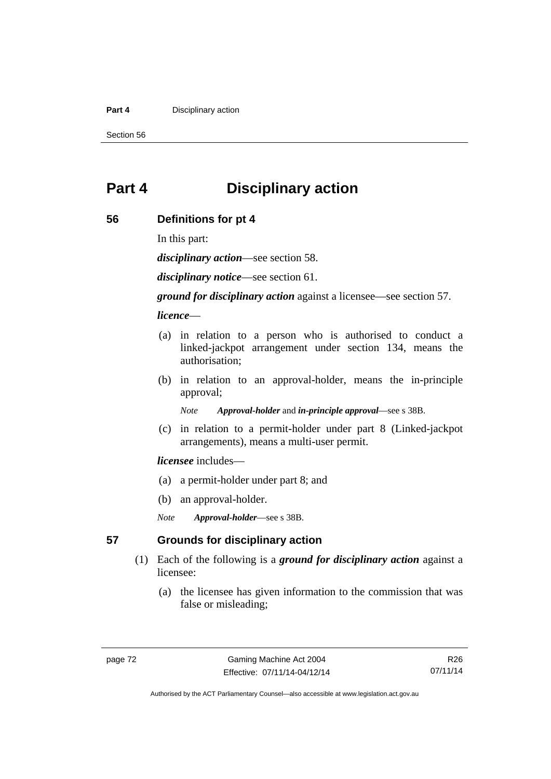#### **Part 4 Disciplinary action**

Section 56

# **Part 4 Disciplinary action**

## **56 Definitions for pt 4**

In this part:

*disciplinary action*—see section 58.

*disciplinary notice*—see section 61.

*ground for disciplinary action* against a licensee—see section 57.

*licence*—

- (a) in relation to a person who is authorised to conduct a linked-jackpot arrangement under section 134, means the authorisation;
- (b) in relation to an approval-holder, means the in-principle approval;

*Note Approval-holder* and *in-principle approval*—see s 38B.

 (c) in relation to a permit-holder under part 8 (Linked-jackpot arrangements), means a multi-user permit.

### *licensee* includes—

- (a) a permit-holder under part 8; and
- (b) an approval-holder.
- *Note Approval-holder*—see s 38B.

## **57 Grounds for disciplinary action**

- (1) Each of the following is a *ground for disciplinary action* against a licensee:
	- (a) the licensee has given information to the commission that was false or misleading;

Authorised by the ACT Parliamentary Counsel—also accessible at www.legislation.act.gov.au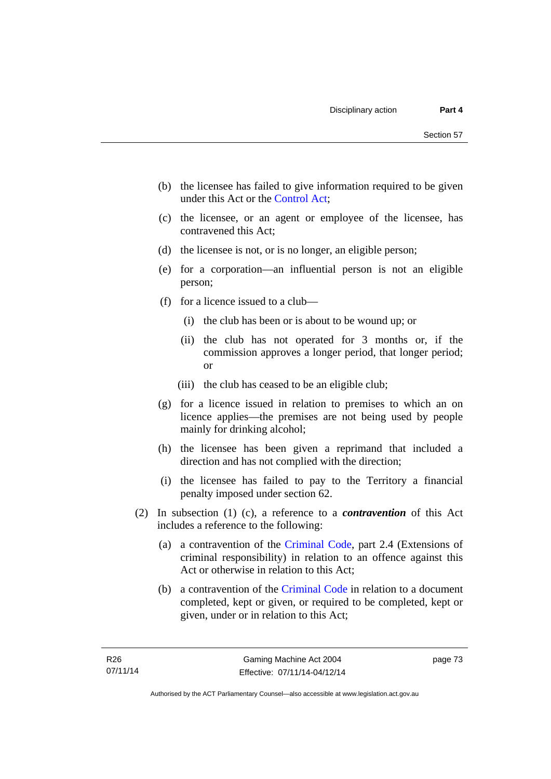- (b) the licensee has failed to give information required to be given under this Act or the [Control Act;](http://www.legislation.act.gov.au/a/1999-46)
- (c) the licensee, or an agent or employee of the licensee, has contravened this Act;
- (d) the licensee is not, or is no longer, an eligible person;
- (e) for a corporation—an influential person is not an eligible person;
- (f) for a licence issued to a club—
	- (i) the club has been or is about to be wound up; or
	- (ii) the club has not operated for 3 months or, if the commission approves a longer period, that longer period; or
	- (iii) the club has ceased to be an eligible club;
- (g) for a licence issued in relation to premises to which an on licence applies—the premises are not being used by people mainly for drinking alcohol;
- (h) the licensee has been given a reprimand that included a direction and has not complied with the direction;
- (i) the licensee has failed to pay to the Territory a financial penalty imposed under section 62.
- (2) In subsection (1) (c), a reference to a *contravention* of this Act includes a reference to the following:
	- (a) a contravention of the [Criminal Code](http://www.legislation.act.gov.au/a/2002-51), part 2.4 (Extensions of criminal responsibility) in relation to an offence against this Act or otherwise in relation to this Act;
	- (b) a contravention of the [Criminal Code](http://www.legislation.act.gov.au/a/2002-51) in relation to a document completed, kept or given, or required to be completed, kept or given, under or in relation to this Act;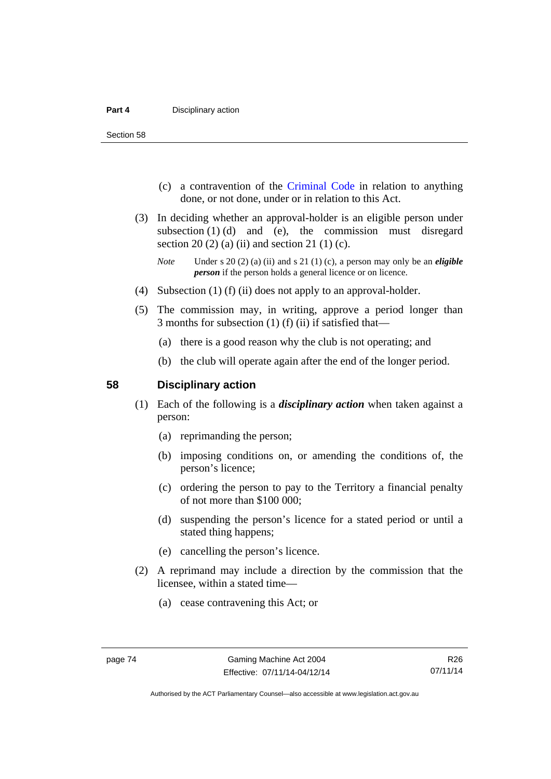Section 58

- (c) a contravention of the [Criminal Code](http://www.legislation.act.gov.au/a/2002-51) in relation to anything done, or not done, under or in relation to this Act.
- (3) In deciding whether an approval-holder is an eligible person under subsection  $(1)$   $(d)$  and  $(e)$ , the commission must disregard section 20 (2) (a) (ii) and section 21 (1) (c).

- (4) Subsection (1) (f) (ii) does not apply to an approval-holder.
- (5) The commission may, in writing, approve a period longer than 3 months for subsection (1) (f) (ii) if satisfied that—
	- (a) there is a good reason why the club is not operating; and
	- (b) the club will operate again after the end of the longer period.

### **58 Disciplinary action**

- (1) Each of the following is a *disciplinary action* when taken against a person:
	- (a) reprimanding the person;
	- (b) imposing conditions on, or amending the conditions of, the person's licence;
	- (c) ordering the person to pay to the Territory a financial penalty of not more than \$100 000;
	- (d) suspending the person's licence for a stated period or until a stated thing happens;
	- (e) cancelling the person's licence.
- (2) A reprimand may include a direction by the commission that the licensee, within a stated time—
	- (a) cease contravening this Act; or

*Note* Under s 20 (2) (a) (ii) and s 21 (1) (c), a person may only be an *eligible person* if the person holds a general licence or on licence.

Authorised by the ACT Parliamentary Counsel—also accessible at www.legislation.act.gov.au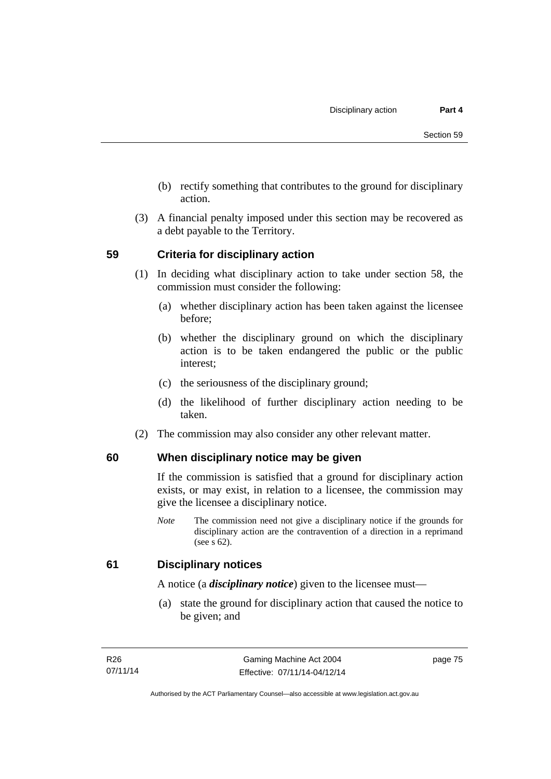- (b) rectify something that contributes to the ground for disciplinary action.
- (3) A financial penalty imposed under this section may be recovered as a debt payable to the Territory.

## **59 Criteria for disciplinary action**

- (1) In deciding what disciplinary action to take under section 58, the commission must consider the following:
	- (a) whether disciplinary action has been taken against the licensee before;
	- (b) whether the disciplinary ground on which the disciplinary action is to be taken endangered the public or the public interest;
	- (c) the seriousness of the disciplinary ground;
	- (d) the likelihood of further disciplinary action needing to be taken.
- (2) The commission may also consider any other relevant matter.

## **60 When disciplinary notice may be given**

If the commission is satisfied that a ground for disciplinary action exists, or may exist, in relation to a licensee, the commission may give the licensee a disciplinary notice.

*Note* The commission need not give a disciplinary notice if the grounds for disciplinary action are the contravention of a direction in a reprimand (see s 62).

## **61 Disciplinary notices**

A notice (a *disciplinary notice*) given to the licensee must—

 (a) state the ground for disciplinary action that caused the notice to be given; and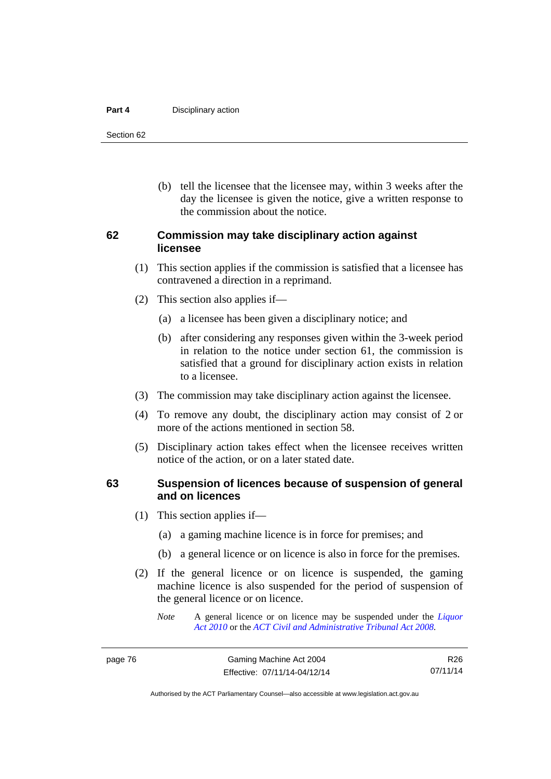#### **Part 4 Disciplinary action**

Section 62

 (b) tell the licensee that the licensee may, within 3 weeks after the day the licensee is given the notice, give a written response to the commission about the notice.

## **62 Commission may take disciplinary action against licensee**

- (1) This section applies if the commission is satisfied that a licensee has contravened a direction in a reprimand.
- (2) This section also applies if—
	- (a) a licensee has been given a disciplinary notice; and
	- (b) after considering any responses given within the 3-week period in relation to the notice under section 61, the commission is satisfied that a ground for disciplinary action exists in relation to a licensee.
- (3) The commission may take disciplinary action against the licensee.
- (4) To remove any doubt, the disciplinary action may consist of 2 or more of the actions mentioned in section 58.
- (5) Disciplinary action takes effect when the licensee receives written notice of the action, or on a later stated date.

## **63 Suspension of licences because of suspension of general and on licences**

- (1) This section applies if—
	- (a) a gaming machine licence is in force for premises; and
	- (b) a general licence or on licence is also in force for the premises.
- (2) If the general licence or on licence is suspended, the gaming machine licence is also suspended for the period of suspension of the general licence or on licence.
	- *Note* A general licence or on licence may be suspended under the *[Liquor](http://www.legislation.act.gov.au/a/2010-35)  [Act 2010](http://www.legislation.act.gov.au/a/2010-35)* or the *[ACT Civil and Administrative Tribunal Act 2008.](http://www.legislation.act.gov.au/a/2008-35)*

R26 07/11/14

Authorised by the ACT Parliamentary Counsel—also accessible at www.legislation.act.gov.au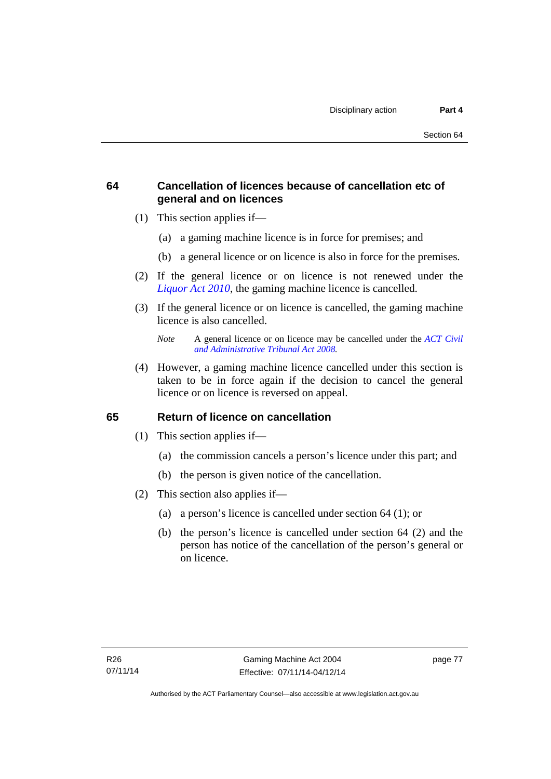## **64 Cancellation of licences because of cancellation etc of general and on licences**

- (1) This section applies if—
	- (a) a gaming machine licence is in force for premises; and
	- (b) a general licence or on licence is also in force for the premises.
- (2) If the general licence or on licence is not renewed under the *[Liquor Act 2010](http://www.legislation.act.gov.au/a/2010-35)*, the gaming machine licence is cancelled.
- (3) If the general licence or on licence is cancelled, the gaming machine licence is also cancelled.

 (4) However, a gaming machine licence cancelled under this section is taken to be in force again if the decision to cancel the general licence or on licence is reversed on appeal.

## **65 Return of licence on cancellation**

- (1) This section applies if—
	- (a) the commission cancels a person's licence under this part; and
	- (b) the person is given notice of the cancellation.
- (2) This section also applies if—
	- (a) a person's licence is cancelled under section 64 (1); or
	- (b) the person's licence is cancelled under section 64 (2) and the person has notice of the cancellation of the person's general or on licence.

*Note* A general licence or on licence may be cancelled under the *[ACT Civil](http://www.legislation.act.gov.au/a/2008-35)  [and Administrative Tribunal Act 2008](http://www.legislation.act.gov.au/a/2008-35).*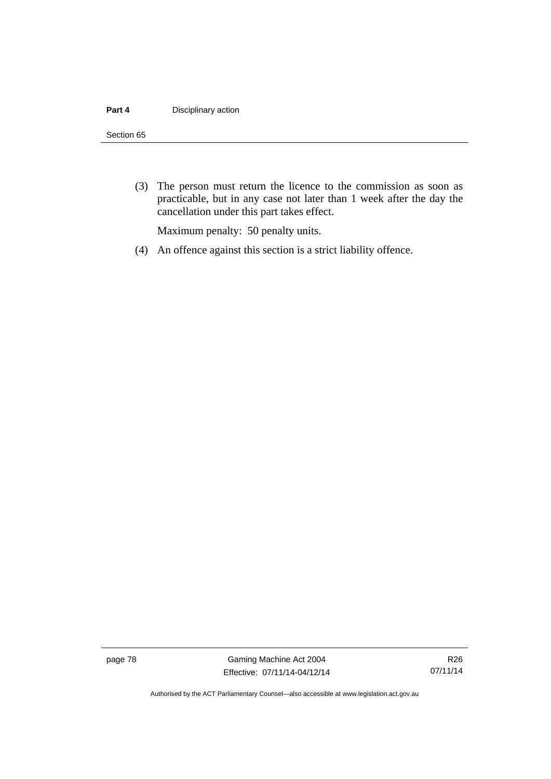### **Part 4 Disciplinary action**

#### Section 65

 (3) The person must return the licence to the commission as soon as practicable, but in any case not later than 1 week after the day the cancellation under this part takes effect.

Maximum penalty: 50 penalty units.

(4) An offence against this section is a strict liability offence.

page 78 Gaming Machine Act 2004 Effective: 07/11/14-04/12/14

Authorised by the ACT Parliamentary Counsel—also accessible at www.legislation.act.gov.au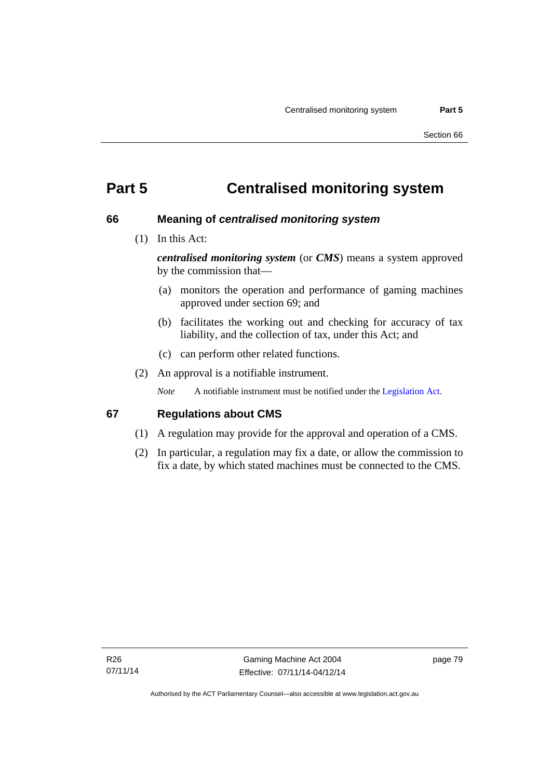# **Part 5 Centralised monitoring system**

## **66 Meaning of** *centralised monitoring system*

(1) In this Act:

*centralised monitoring system* (or *CMS*) means a system approved by the commission that—

- (a) monitors the operation and performance of gaming machines approved under section 69; and
- (b) facilitates the working out and checking for accuracy of tax liability, and the collection of tax, under this Act; and
- (c) can perform other related functions.
- (2) An approval is a notifiable instrument.

*Note* A notifiable instrument must be notified under the [Legislation Act](http://www.legislation.act.gov.au/a/2001-14).

## **67 Regulations about CMS**

- (1) A regulation may provide for the approval and operation of a CMS.
- (2) In particular, a regulation may fix a date, or allow the commission to fix a date, by which stated machines must be connected to the CMS.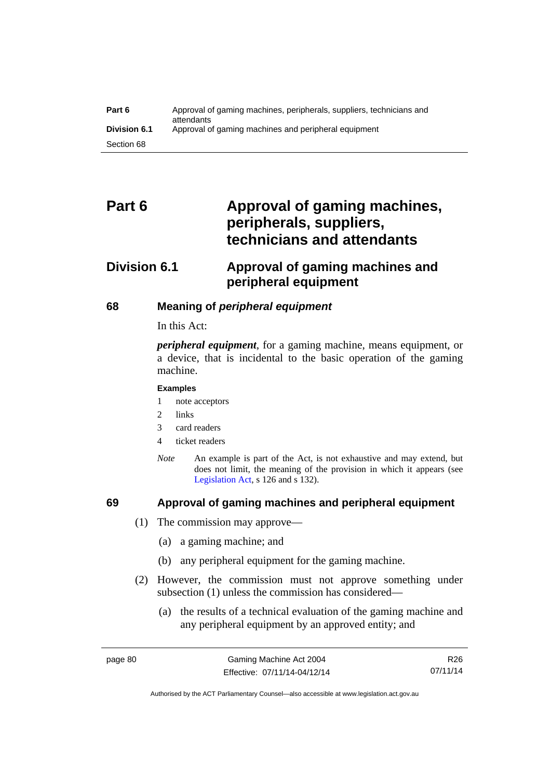| Part 6              | Approval of gaming machines, peripherals, suppliers, technicians and<br>attendants |
|---------------------|------------------------------------------------------------------------------------|
| <b>Division 6.1</b> | Approval of gaming machines and peripheral equipment                               |
| Section 68          |                                                                                    |

# Part 6 **Approval of gaming machines, peripherals, suppliers, technicians and attendants**

## **Division 6.1 Approval of gaming machines and peripheral equipment**

## **68 Meaning of** *peripheral equipment*

In this Act:

*peripheral equipment*, for a gaming machine, means equipment, or a device, that is incidental to the basic operation of the gaming machine.

### **Examples**

- 1 note acceptors
- 2 links
- 3 card readers
- 4 ticket readers
- *Note* An example is part of the Act, is not exhaustive and may extend, but does not limit, the meaning of the provision in which it appears (see [Legislation Act,](http://www.legislation.act.gov.au/a/2001-14) s 126 and s 132).

## **69 Approval of gaming machines and peripheral equipment**

- (1) The commission may approve—
	- (a) a gaming machine; and
	- (b) any peripheral equipment for the gaming machine.
- (2) However, the commission must not approve something under subsection (1) unless the commission has considered—
	- (a) the results of a technical evaluation of the gaming machine and any peripheral equipment by an approved entity; and

R26 07/11/14

Authorised by the ACT Parliamentary Counsel—also accessible at www.legislation.act.gov.au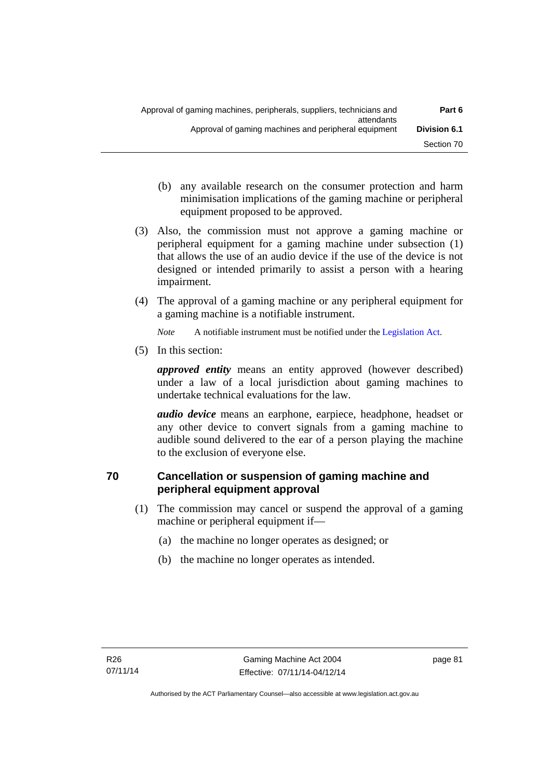- (b) any available research on the consumer protection and harm minimisation implications of the gaming machine or peripheral equipment proposed to be approved.
- (3) Also, the commission must not approve a gaming machine or peripheral equipment for a gaming machine under subsection (1) that allows the use of an audio device if the use of the device is not designed or intended primarily to assist a person with a hearing impairment.
- (4) The approval of a gaming machine or any peripheral equipment for a gaming machine is a notifiable instrument.

*Note* A notifiable instrument must be notified under the [Legislation Act](http://www.legislation.act.gov.au/a/2001-14).

(5) In this section:

*approved entity* means an entity approved (however described) under a law of a local jurisdiction about gaming machines to undertake technical evaluations for the law.

*audio device* means an earphone, earpiece, headphone, headset or any other device to convert signals from a gaming machine to audible sound delivered to the ear of a person playing the machine to the exclusion of everyone else.

## **70 Cancellation or suspension of gaming machine and peripheral equipment approval**

- (1) The commission may cancel or suspend the approval of a gaming machine or peripheral equipment if—
	- (a) the machine no longer operates as designed; or
	- (b) the machine no longer operates as intended.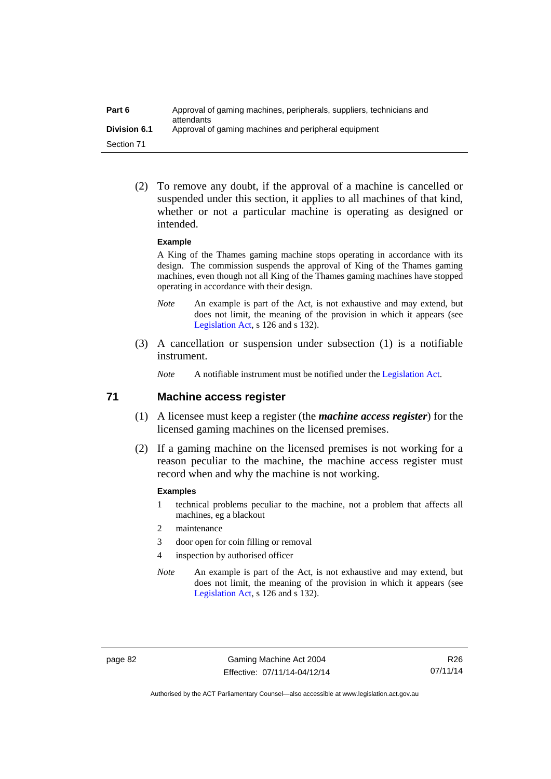| Part 6              | Approval of gaming machines, peripherals, suppliers, technicians and<br>attendants |
|---------------------|------------------------------------------------------------------------------------|
| <b>Division 6.1</b> | Approval of gaming machines and peripheral equipment                               |
| Section 71          |                                                                                    |

 (2) To remove any doubt, if the approval of a machine is cancelled or suspended under this section, it applies to all machines of that kind, whether or not a particular machine is operating as designed or intended.

#### **Example**

A King of the Thames gaming machine stops operating in accordance with its design. The commission suspends the approval of King of the Thames gaming machines, even though not all King of the Thames gaming machines have stopped operating in accordance with their design.

- *Note* An example is part of the Act, is not exhaustive and may extend, but does not limit, the meaning of the provision in which it appears (see [Legislation Act,](http://www.legislation.act.gov.au/a/2001-14) s 126 and s 132).
- (3) A cancellation or suspension under subsection (1) is a notifiable instrument.

*Note* A notifiable instrument must be notified under the [Legislation Act](http://www.legislation.act.gov.au/a/2001-14).

### **71 Machine access register**

- (1) A licensee must keep a register (the *machine access register*) for the licensed gaming machines on the licensed premises.
- (2) If a gaming machine on the licensed premises is not working for a reason peculiar to the machine, the machine access register must record when and why the machine is not working.

### **Examples**

- 1 technical problems peculiar to the machine, not a problem that affects all machines, eg a blackout
- 2 maintenance
- 3 door open for coin filling or removal
- 4 inspection by authorised officer
- *Note* An example is part of the Act, is not exhaustive and may extend, but does not limit, the meaning of the provision in which it appears (see [Legislation Act,](http://www.legislation.act.gov.au/a/2001-14) s 126 and s 132).

page 82 Gaming Machine Act 2004 Effective: 07/11/14-04/12/14

R26 07/11/14

Authorised by the ACT Parliamentary Counsel—also accessible at www.legislation.act.gov.au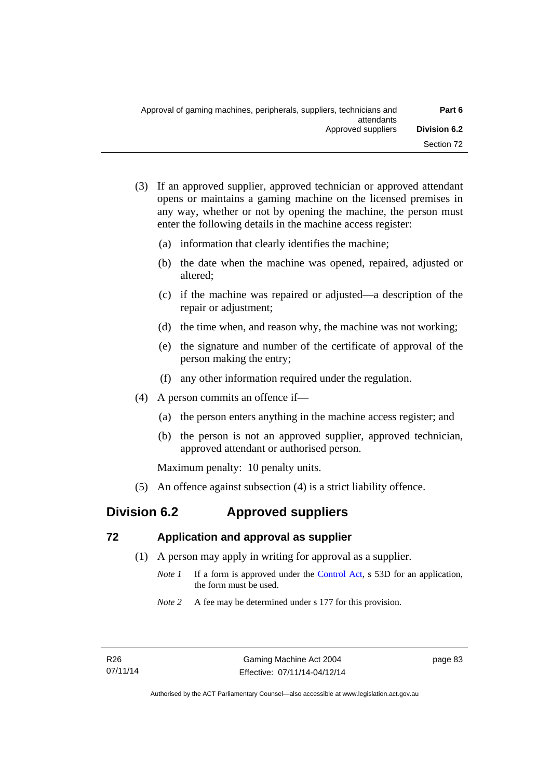- (3) If an approved supplier, approved technician or approved attendant opens or maintains a gaming machine on the licensed premises in any way, whether or not by opening the machine, the person must enter the following details in the machine access register:
	- (a) information that clearly identifies the machine;
	- (b) the date when the machine was opened, repaired, adjusted or altered;
	- (c) if the machine was repaired or adjusted—a description of the repair or adjustment;
	- (d) the time when, and reason why, the machine was not working;
	- (e) the signature and number of the certificate of approval of the person making the entry;
	- (f) any other information required under the regulation.
- (4) A person commits an offence if—
	- (a) the person enters anything in the machine access register; and
	- (b) the person is not an approved supplier, approved technician, approved attendant or authorised person.

Maximum penalty: 10 penalty units.

(5) An offence against subsection (4) is a strict liability offence.

## **Division 6.2 Approved suppliers**

## **72 Application and approval as supplier**

- (1) A person may apply in writing for approval as a supplier.
	- *Note 1* If a form is approved under the [Control Act,](http://www.legislation.act.gov.au/a/1999-46) s 53D for an application, the form must be used.
	- *Note* 2 A fee may be determined under s 177 for this provision.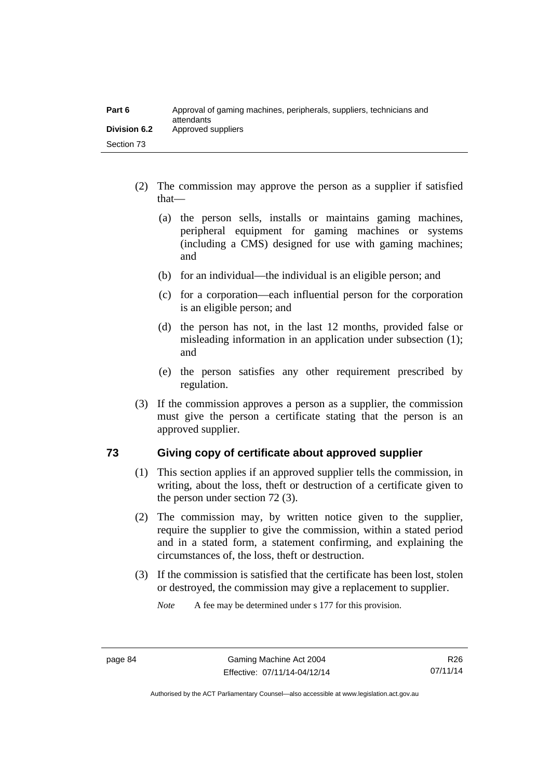- (2) The commission may approve the person as a supplier if satisfied that—
	- (a) the person sells, installs or maintains gaming machines, peripheral equipment for gaming machines or systems (including a CMS) designed for use with gaming machines; and
	- (b) for an individual—the individual is an eligible person; and
	- (c) for a corporation—each influential person for the corporation is an eligible person; and
	- (d) the person has not, in the last 12 months, provided false or misleading information in an application under subsection (1); and
	- (e) the person satisfies any other requirement prescribed by regulation.
- (3) If the commission approves a person as a supplier, the commission must give the person a certificate stating that the person is an approved supplier.

## **73 Giving copy of certificate about approved supplier**

- (1) This section applies if an approved supplier tells the commission, in writing, about the loss, theft or destruction of a certificate given to the person under section 72 (3).
- (2) The commission may, by written notice given to the supplier, require the supplier to give the commission, within a stated period and in a stated form, a statement confirming, and explaining the circumstances of, the loss, theft or destruction.
- (3) If the commission is satisfied that the certificate has been lost, stolen or destroyed, the commission may give a replacement to supplier.

*Note* A fee may be determined under s 177 for this provision.

Authorised by the ACT Parliamentary Counsel—also accessible at www.legislation.act.gov.au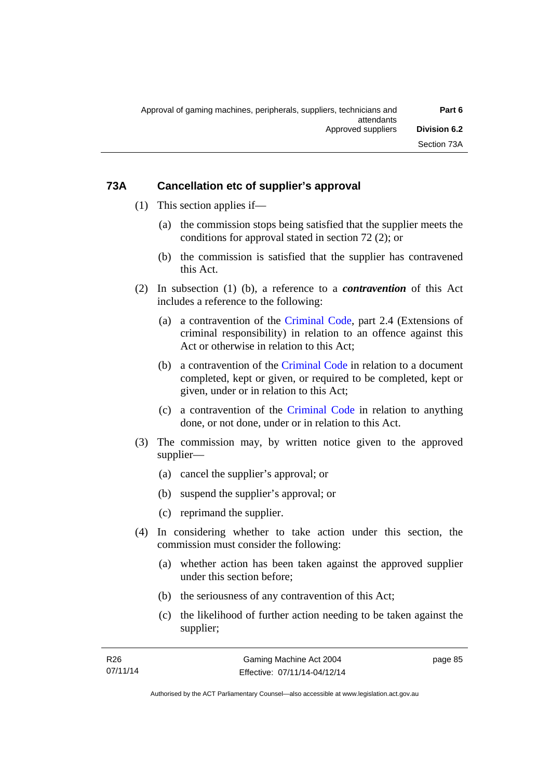## **73A Cancellation etc of supplier's approval**

- (1) This section applies if—
	- (a) the commission stops being satisfied that the supplier meets the conditions for approval stated in section 72 (2); or
	- (b) the commission is satisfied that the supplier has contravened this Act.
- (2) In subsection (1) (b), a reference to a *contravention* of this Act includes a reference to the following:
	- (a) a contravention of the [Criminal Code](http://www.legislation.act.gov.au/a/2002-51), part 2.4 (Extensions of criminal responsibility) in relation to an offence against this Act or otherwise in relation to this Act;
	- (b) a contravention of the [Criminal Code](http://www.legislation.act.gov.au/a/2002-51) in relation to a document completed, kept or given, or required to be completed, kept or given, under or in relation to this Act;
	- (c) a contravention of the [Criminal Code](http://www.legislation.act.gov.au/a/2002-51) in relation to anything done, or not done, under or in relation to this Act.
- (3) The commission may, by written notice given to the approved supplier—
	- (a) cancel the supplier's approval; or
	- (b) suspend the supplier's approval; or
	- (c) reprimand the supplier.
- (4) In considering whether to take action under this section, the commission must consider the following:
	- (a) whether action has been taken against the approved supplier under this section before;
	- (b) the seriousness of any contravention of this Act;
	- (c) the likelihood of further action needing to be taken against the supplier;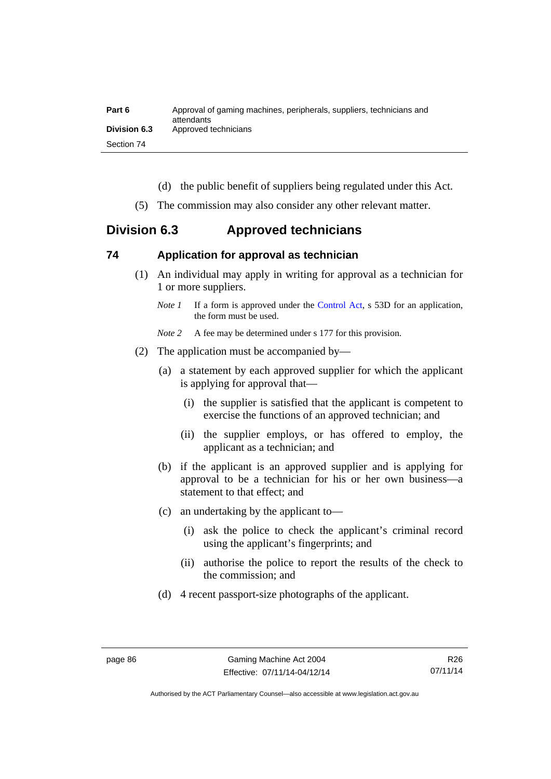| Part 6              | Approval of gaming machines, peripherals, suppliers, technicians and<br>attendants |
|---------------------|------------------------------------------------------------------------------------|
| <b>Division 6.3</b> | Approved technicians                                                               |
| Section 74          |                                                                                    |

- (d) the public benefit of suppliers being regulated under this Act.
- (5) The commission may also consider any other relevant matter.

## **Division 6.3 Approved technicians**

## **74 Application for approval as technician**

- (1) An individual may apply in writing for approval as a technician for 1 or more suppliers.
	- *Note 1* If a form is approved under the [Control Act,](http://www.legislation.act.gov.au/a/1999-46) s 53D for an application, the form must be used.
	- *Note* 2 A fee may be determined under s 177 for this provision.
- (2) The application must be accompanied by—
	- (a) a statement by each approved supplier for which the applicant is applying for approval that—
		- (i) the supplier is satisfied that the applicant is competent to exercise the functions of an approved technician; and
		- (ii) the supplier employs, or has offered to employ, the applicant as a technician; and
	- (b) if the applicant is an approved supplier and is applying for approval to be a technician for his or her own business—a statement to that effect; and
	- (c) an undertaking by the applicant to—
		- (i) ask the police to check the applicant's criminal record using the applicant's fingerprints; and
		- (ii) authorise the police to report the results of the check to the commission; and
	- (d) 4 recent passport-size photographs of the applicant.

Authorised by the ACT Parliamentary Counsel—also accessible at www.legislation.act.gov.au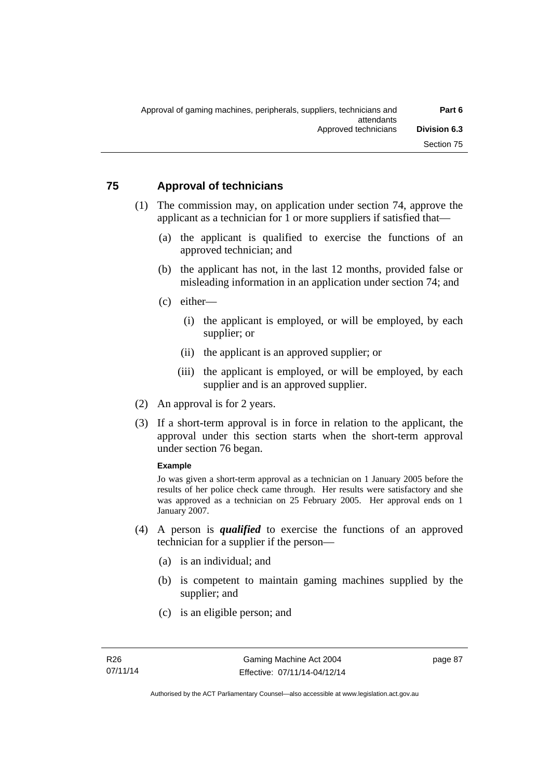## **75 Approval of technicians**

- (1) The commission may, on application under section 74, approve the applicant as a technician for 1 or more suppliers if satisfied that—
	- (a) the applicant is qualified to exercise the functions of an approved technician; and
	- (b) the applicant has not, in the last 12 months, provided false or misleading information in an application under section 74; and
	- (c) either—
		- (i) the applicant is employed, or will be employed, by each supplier; or
		- (ii) the applicant is an approved supplier; or
		- (iii) the applicant is employed, or will be employed, by each supplier and is an approved supplier.
- (2) An approval is for 2 years.
- (3) If a short-term approval is in force in relation to the applicant, the approval under this section starts when the short-term approval under section 76 began.

## **Example**

Jo was given a short-term approval as a technician on 1 January 2005 before the results of her police check came through. Her results were satisfactory and she was approved as a technician on 25 February 2005. Her approval ends on 1 January 2007.

- (4) A person is *qualified* to exercise the functions of an approved technician for a supplier if the person—
	- (a) is an individual; and
	- (b) is competent to maintain gaming machines supplied by the supplier; and
	- (c) is an eligible person; and

page 87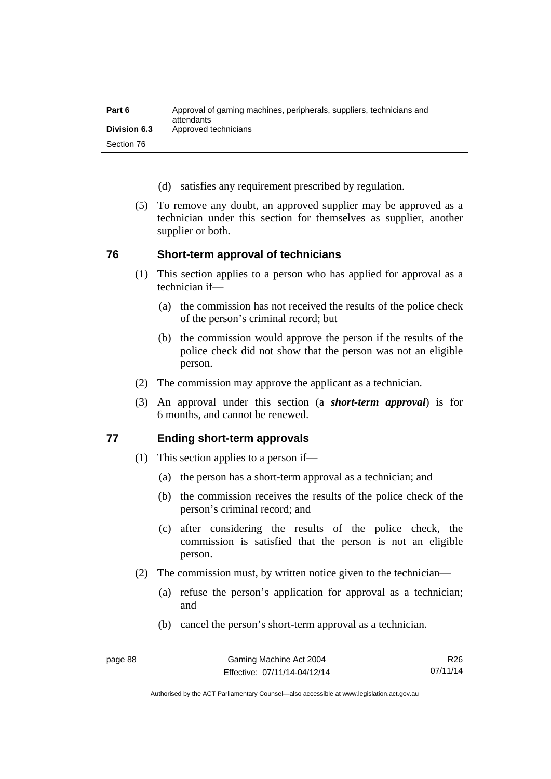| Part 6              | Approval of gaming machines, peripherals, suppliers, technicians and<br>attendants |
|---------------------|------------------------------------------------------------------------------------|
| <b>Division 6.3</b> | Approved technicians                                                               |
| Section 76          |                                                                                    |

- (d) satisfies any requirement prescribed by regulation.
- (5) To remove any doubt, an approved supplier may be approved as a technician under this section for themselves as supplier, another supplier or both.

## **76 Short-term approval of technicians**

- (1) This section applies to a person who has applied for approval as a technician if—
	- (a) the commission has not received the results of the police check of the person's criminal record; but
	- (b) the commission would approve the person if the results of the police check did not show that the person was not an eligible person.
- (2) The commission may approve the applicant as a technician.
- (3) An approval under this section (a *short-term approval*) is for 6 months, and cannot be renewed.

## **77 Ending short-term approvals**

- (1) This section applies to a person if—
	- (a) the person has a short-term approval as a technician; and
	- (b) the commission receives the results of the police check of the person's criminal record; and
	- (c) after considering the results of the police check, the commission is satisfied that the person is not an eligible person.
- (2) The commission must, by written notice given to the technician—
	- (a) refuse the person's application for approval as a technician; and
	- (b) cancel the person's short-term approval as a technician.

R26 07/11/14

Authorised by the ACT Parliamentary Counsel—also accessible at www.legislation.act.gov.au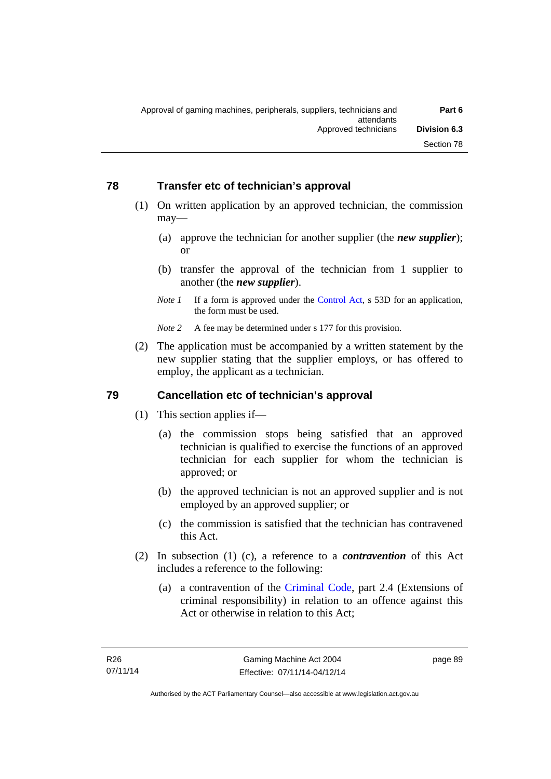## **78 Transfer etc of technician's approval**

- (1) On written application by an approved technician, the commission may—
	- (a) approve the technician for another supplier (the *new supplier*); or
	- (b) transfer the approval of the technician from 1 supplier to another (the *new supplier*).
	- *Note 1* If a form is approved under the [Control Act,](http://www.legislation.act.gov.au/a/1999-46) s 53D for an application, the form must be used.

*Note* 2 A fee may be determined under s 177 for this provision.

 (2) The application must be accompanied by a written statement by the new supplier stating that the supplier employs, or has offered to employ, the applicant as a technician.

## **79 Cancellation etc of technician's approval**

- (1) This section applies if—
	- (a) the commission stops being satisfied that an approved technician is qualified to exercise the functions of an approved technician for each supplier for whom the technician is approved; or
	- (b) the approved technician is not an approved supplier and is not employed by an approved supplier; or
	- (c) the commission is satisfied that the technician has contravened this Act.
- (2) In subsection (1) (c), a reference to a *contravention* of this Act includes a reference to the following:
	- (a) a contravention of the [Criminal Code](http://www.legislation.act.gov.au/a/2002-51), part 2.4 (Extensions of criminal responsibility) in relation to an offence against this Act or otherwise in relation to this Act;

page 89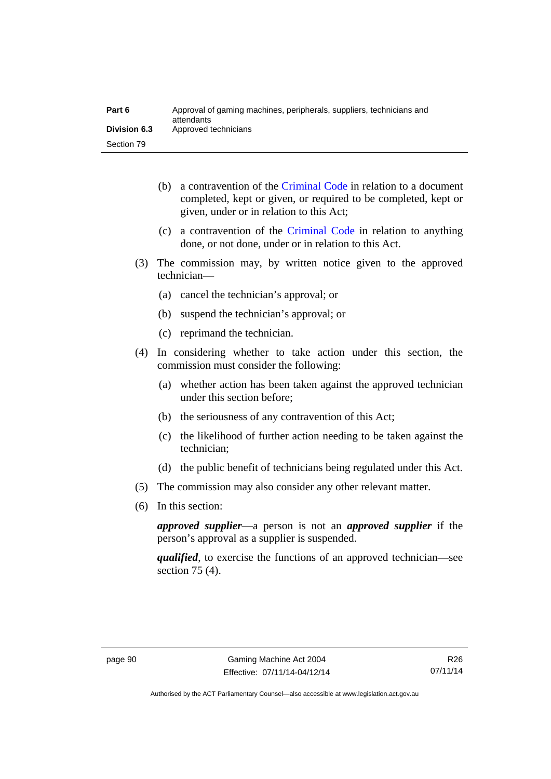| Part 6              | Approval of gaming machines, peripherals, suppliers, technicians and<br>attendants |
|---------------------|------------------------------------------------------------------------------------|
| <b>Division 6.3</b> | Approved technicians                                                               |
| Section 79          |                                                                                    |

- (b) a contravention of the [Criminal Code](http://www.legislation.act.gov.au/a/2002-51) in relation to a document completed, kept or given, or required to be completed, kept or given, under or in relation to this Act;
- (c) a contravention of the [Criminal Code](http://www.legislation.act.gov.au/a/2002-51) in relation to anything done, or not done, under or in relation to this Act.
- (3) The commission may, by written notice given to the approved technician—
	- (a) cancel the technician's approval; or
	- (b) suspend the technician's approval; or
	- (c) reprimand the technician.
- (4) In considering whether to take action under this section, the commission must consider the following:
	- (a) whether action has been taken against the approved technician under this section before;
	- (b) the seriousness of any contravention of this Act;
	- (c) the likelihood of further action needing to be taken against the technician;
	- (d) the public benefit of technicians being regulated under this Act.
- (5) The commission may also consider any other relevant matter.
- (6) In this section:

*approved supplier*—a person is not an *approved supplier* if the person's approval as a supplier is suspended.

*qualified*, to exercise the functions of an approved technician—see section 75 (4).

Authorised by the ACT Parliamentary Counsel—also accessible at www.legislation.act.gov.au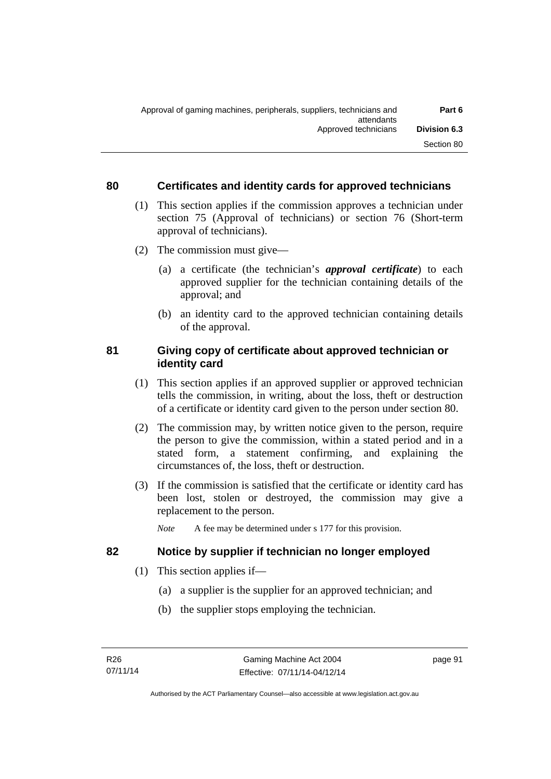## **80 Certificates and identity cards for approved technicians**

- (1) This section applies if the commission approves a technician under section 75 (Approval of technicians) or section 76 (Short-term approval of technicians).
- (2) The commission must give—
	- (a) a certificate (the technician's *approval certificate*) to each approved supplier for the technician containing details of the approval; and
	- (b) an identity card to the approved technician containing details of the approval.

## **81 Giving copy of certificate about approved technician or identity card**

- (1) This section applies if an approved supplier or approved technician tells the commission, in writing, about the loss, theft or destruction of a certificate or identity card given to the person under section 80.
- (2) The commission may, by written notice given to the person, require the person to give the commission, within a stated period and in a stated form, a statement confirming, and explaining the circumstances of, the loss, theft or destruction.
- (3) If the commission is satisfied that the certificate or identity card has been lost, stolen or destroyed, the commission may give a replacement to the person.

*Note* A fee may be determined under s 177 for this provision.

## **82 Notice by supplier if technician no longer employed**

- (1) This section applies if—
	- (a) a supplier is the supplier for an approved technician; and
	- (b) the supplier stops employing the technician.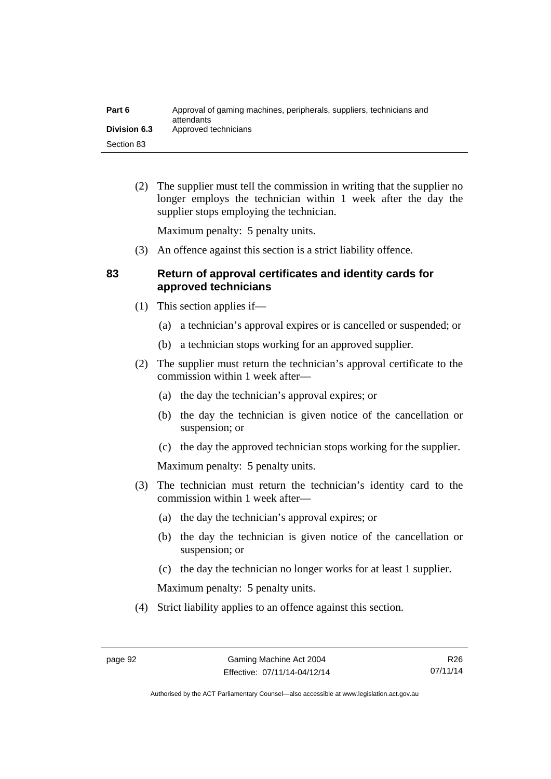| Part 6              | Approval of gaming machines, peripherals, suppliers, technicians and<br>attendants |
|---------------------|------------------------------------------------------------------------------------|
| <b>Division 6.3</b> | Approved technicians                                                               |
| Section 83          |                                                                                    |

 (2) The supplier must tell the commission in writing that the supplier no longer employs the technician within 1 week after the day the supplier stops employing the technician.

Maximum penalty: 5 penalty units.

(3) An offence against this section is a strict liability offence.

## **83 Return of approval certificates and identity cards for approved technicians**

- (1) This section applies if—
	- (a) a technician's approval expires or is cancelled or suspended; or
	- (b) a technician stops working for an approved supplier.
- (2) The supplier must return the technician's approval certificate to the commission within 1 week after—
	- (a) the day the technician's approval expires; or
	- (b) the day the technician is given notice of the cancellation or suspension; or
	- (c) the day the approved technician stops working for the supplier.

Maximum penalty: 5 penalty units.

- (3) The technician must return the technician's identity card to the commission within 1 week after—
	- (a) the day the technician's approval expires; or
	- (b) the day the technician is given notice of the cancellation or suspension; or
	- (c) the day the technician no longer works for at least 1 supplier.

Maximum penalty: 5 penalty units.

(4) Strict liability applies to an offence against this section.

Authorised by the ACT Parliamentary Counsel—also accessible at www.legislation.act.gov.au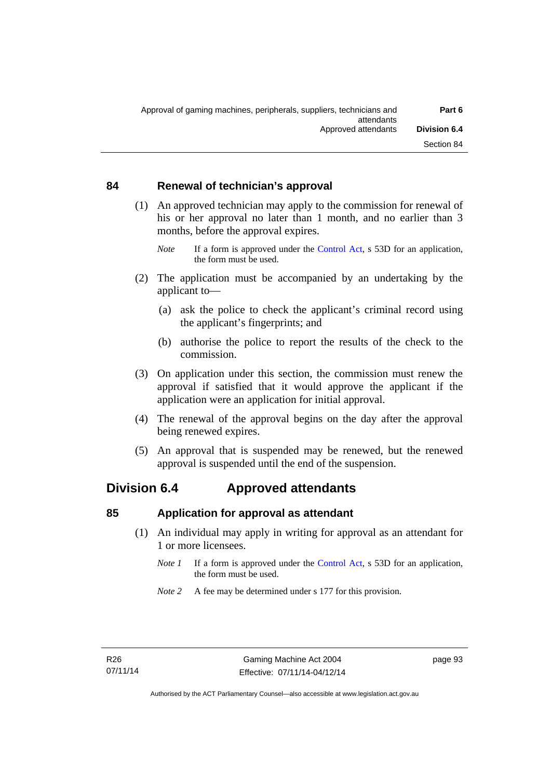## **84 Renewal of technician's approval**

- (1) An approved technician may apply to the commission for renewal of his or her approval no later than 1 month, and no earlier than 3 months, before the approval expires.
	- *Note* If a form is approved under the [Control Act,](http://www.legislation.act.gov.au/a/1999-46) s 53D for an application, the form must be used.
- (2) The application must be accompanied by an undertaking by the applicant to—
	- (a) ask the police to check the applicant's criminal record using the applicant's fingerprints; and
	- (b) authorise the police to report the results of the check to the commission.
- (3) On application under this section, the commission must renew the approval if satisfied that it would approve the applicant if the application were an application for initial approval.
- (4) The renewal of the approval begins on the day after the approval being renewed expires.
- (5) An approval that is suspended may be renewed, but the renewed approval is suspended until the end of the suspension.

## **Division 6.4 Approved attendants**

## **85 Application for approval as attendant**

- (1) An individual may apply in writing for approval as an attendant for 1 or more licensees.
	- *Note 1* If a form is approved under the [Control Act,](http://www.legislation.act.gov.au/a/1999-46) s 53D for an application, the form must be used.
	- *Note 2* A fee may be determined under s 177 for this provision.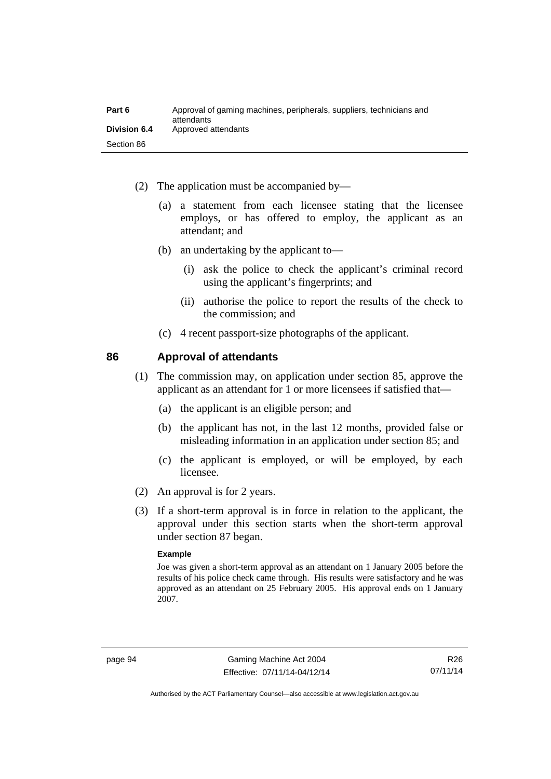| Part 6              | Approval of gaming machines, peripherals, suppliers, technicians and<br>attendants |
|---------------------|------------------------------------------------------------------------------------|
| <b>Division 6.4</b> | Approved attendants                                                                |
| Section 86          |                                                                                    |

- (2) The application must be accompanied by—
	- (a) a statement from each licensee stating that the licensee employs, or has offered to employ, the applicant as an attendant; and
	- (b) an undertaking by the applicant to—
		- (i) ask the police to check the applicant's criminal record using the applicant's fingerprints; and
		- (ii) authorise the police to report the results of the check to the commission; and
	- (c) 4 recent passport-size photographs of the applicant.

## **86 Approval of attendants**

- (1) The commission may, on application under section 85, approve the applicant as an attendant for 1 or more licensees if satisfied that—
	- (a) the applicant is an eligible person; and
	- (b) the applicant has not, in the last 12 months, provided false or misleading information in an application under section 85; and
	- (c) the applicant is employed, or will be employed, by each licensee.
- (2) An approval is for 2 years.
- (3) If a short-term approval is in force in relation to the applicant, the approval under this section starts when the short-term approval under section 87 began.

### **Example**

Joe was given a short-term approval as an attendant on 1 January 2005 before the results of his police check came through. His results were satisfactory and he was approved as an attendant on 25 February 2005. His approval ends on 1 January 2007.

Authorised by the ACT Parliamentary Counsel—also accessible at www.legislation.act.gov.au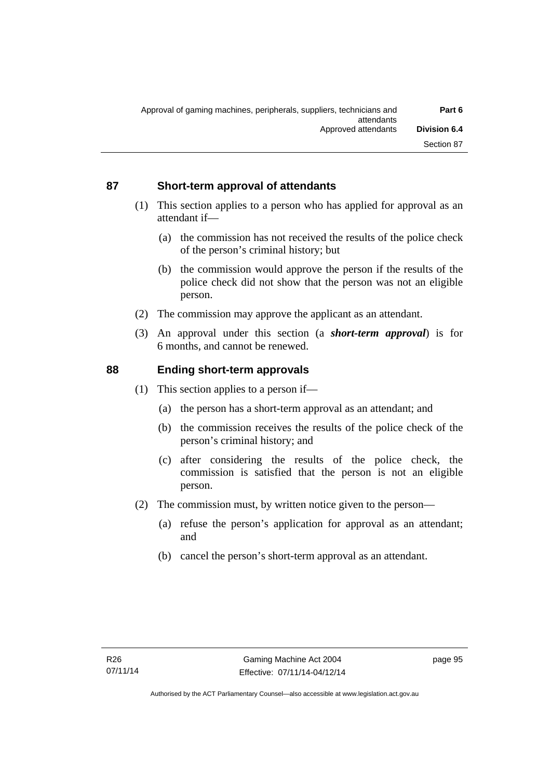## **87 Short-term approval of attendants**

- (1) This section applies to a person who has applied for approval as an attendant if—
	- (a) the commission has not received the results of the police check of the person's criminal history; but
	- (b) the commission would approve the person if the results of the police check did not show that the person was not an eligible person.
- (2) The commission may approve the applicant as an attendant.
- (3) An approval under this section (a *short-term approval*) is for 6 months, and cannot be renewed.

## **88 Ending short-term approvals**

- (1) This section applies to a person if—
	- (a) the person has a short-term approval as an attendant; and
	- (b) the commission receives the results of the police check of the person's criminal history; and
	- (c) after considering the results of the police check, the commission is satisfied that the person is not an eligible person.
- (2) The commission must, by written notice given to the person—
	- (a) refuse the person's application for approval as an attendant; and
	- (b) cancel the person's short-term approval as an attendant.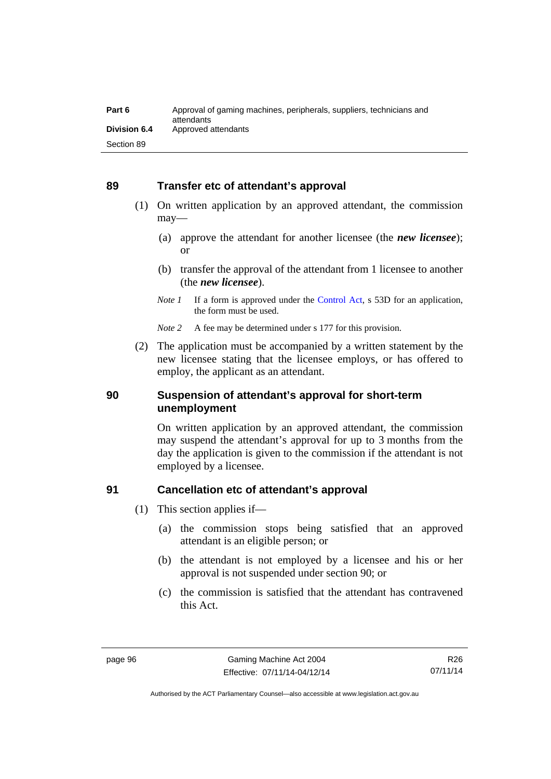## **89 Transfer etc of attendant's approval**

- (1) On written application by an approved attendant, the commission may—
	- (a) approve the attendant for another licensee (the *new licensee*); or
	- (b) transfer the approval of the attendant from 1 licensee to another (the *new licensee*).
	- *Note 1* If a form is approved under the [Control Act,](http://www.legislation.act.gov.au/a/1999-46) s 53D for an application, the form must be used.

*Note* 2 A fee may be determined under s 177 for this provision.

 (2) The application must be accompanied by a written statement by the new licensee stating that the licensee employs, or has offered to employ, the applicant as an attendant.

## **90 Suspension of attendant's approval for short-term unemployment**

On written application by an approved attendant, the commission may suspend the attendant's approval for up to 3 months from the day the application is given to the commission if the attendant is not employed by a licensee.

## **91 Cancellation etc of attendant's approval**

- (1) This section applies if—
	- (a) the commission stops being satisfied that an approved attendant is an eligible person; or
	- (b) the attendant is not employed by a licensee and his or her approval is not suspended under section 90; or
	- (c) the commission is satisfied that the attendant has contravened this Act.

Authorised by the ACT Parliamentary Counsel—also accessible at www.legislation.act.gov.au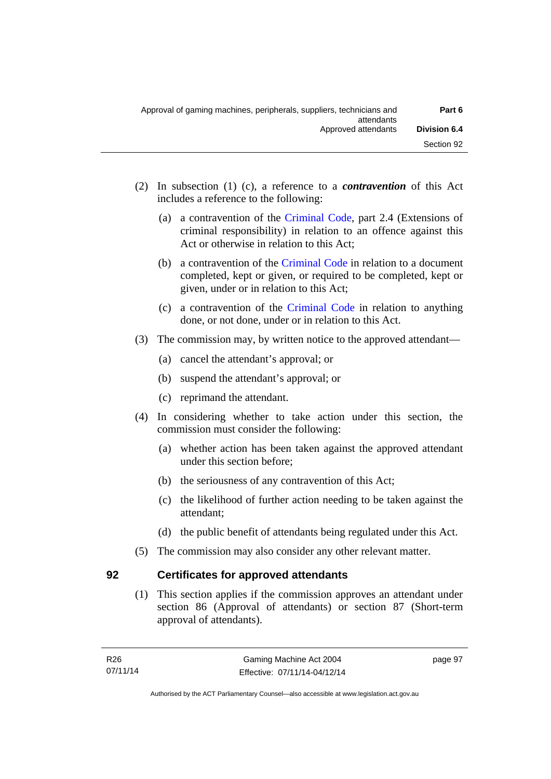- (2) In subsection (1) (c), a reference to a *contravention* of this Act includes a reference to the following:
	- (a) a contravention of the [Criminal Code](http://www.legislation.act.gov.au/a/2002-51), part 2.4 (Extensions of criminal responsibility) in relation to an offence against this Act or otherwise in relation to this Act;
	- (b) a contravention of the [Criminal Code](http://www.legislation.act.gov.au/a/2002-51) in relation to a document completed, kept or given, or required to be completed, kept or given, under or in relation to this Act;
	- (c) a contravention of the [Criminal Code](http://www.legislation.act.gov.au/a/2002-51) in relation to anything done, or not done, under or in relation to this Act.
- (3) The commission may, by written notice to the approved attendant—
	- (a) cancel the attendant's approval; or
	- (b) suspend the attendant's approval; or
	- (c) reprimand the attendant.
- (4) In considering whether to take action under this section, the commission must consider the following:
	- (a) whether action has been taken against the approved attendant under this section before;
	- (b) the seriousness of any contravention of this Act;
	- (c) the likelihood of further action needing to be taken against the attendant;
	- (d) the public benefit of attendants being regulated under this Act.
- (5) The commission may also consider any other relevant matter.

# **92 Certificates for approved attendants**

(1) This section applies if the commission approves an attendant under section 86 (Approval of attendants) or section 87 (Short-term approval of attendants).

page 97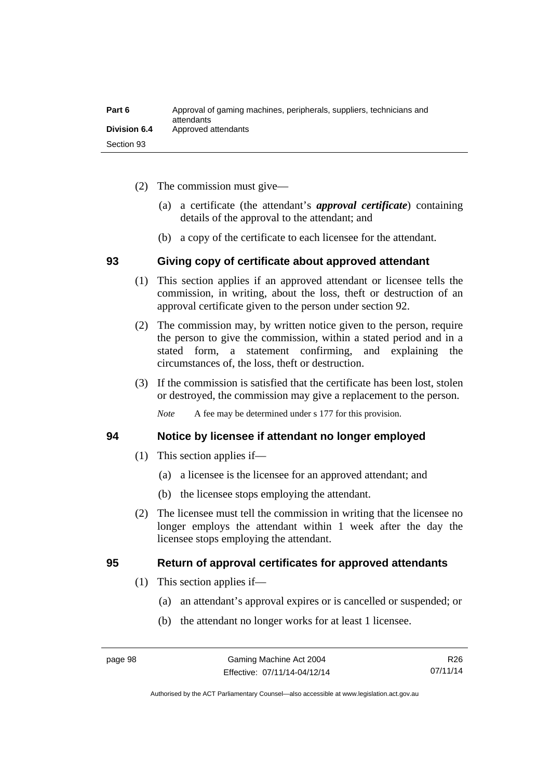| Part 6              | Approval of gaming machines, peripherals, suppliers, technicians and<br>attendants |
|---------------------|------------------------------------------------------------------------------------|
| <b>Division 6.4</b> | Approved attendants                                                                |
| Section 93          |                                                                                    |

- (2) The commission must give—
	- (a) a certificate (the attendant's *approval certificate*) containing details of the approval to the attendant; and
	- (b) a copy of the certificate to each licensee for the attendant.

### **93 Giving copy of certificate about approved attendant**

- (1) This section applies if an approved attendant or licensee tells the commission, in writing, about the loss, theft or destruction of an approval certificate given to the person under section 92.
- (2) The commission may, by written notice given to the person, require the person to give the commission, within a stated period and in a stated form, a statement confirming, and explaining the circumstances of, the loss, theft or destruction.
- (3) If the commission is satisfied that the certificate has been lost, stolen or destroyed, the commission may give a replacement to the person.

*Note* A fee may be determined under s 177 for this provision.

# **94 Notice by licensee if attendant no longer employed**

- (1) This section applies if—
	- (a) a licensee is the licensee for an approved attendant; and
	- (b) the licensee stops employing the attendant.
- (2) The licensee must tell the commission in writing that the licensee no longer employs the attendant within 1 week after the day the licensee stops employing the attendant.

# **95 Return of approval certificates for approved attendants**

- (1) This section applies if—
	- (a) an attendant's approval expires or is cancelled or suspended; or
	- (b) the attendant no longer works for at least 1 licensee.

R26 07/11/14

Authorised by the ACT Parliamentary Counsel—also accessible at www.legislation.act.gov.au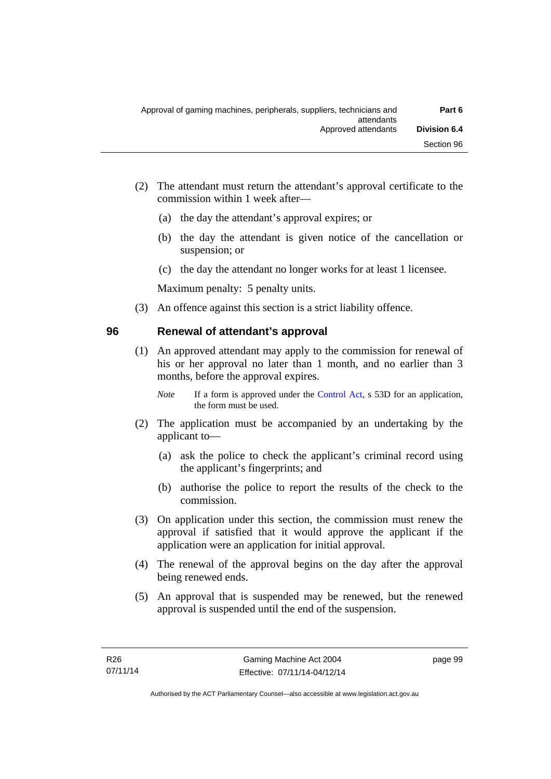- (2) The attendant must return the attendant's approval certificate to the commission within 1 week after—
	- (a) the day the attendant's approval expires; or
	- (b) the day the attendant is given notice of the cancellation or suspension; or
	- (c) the day the attendant no longer works for at least 1 licensee.

Maximum penalty: 5 penalty units.

(3) An offence against this section is a strict liability offence.

# **96 Renewal of attendant's approval**

(1) An approved attendant may apply to the commission for renewal of his or her approval no later than 1 month, and no earlier than 3 months, before the approval expires.

*Note* If a form is approved under the [Control Act,](http://www.legislation.act.gov.au/a/1999-46) s 53D for an application, the form must be used.

- (2) The application must be accompanied by an undertaking by the applicant to—
	- (a) ask the police to check the applicant's criminal record using the applicant's fingerprints; and
	- (b) authorise the police to report the results of the check to the commission.
- (3) On application under this section, the commission must renew the approval if satisfied that it would approve the applicant if the application were an application for initial approval.
- (4) The renewal of the approval begins on the day after the approval being renewed ends.
- (5) An approval that is suspended may be renewed, but the renewed approval is suspended until the end of the suspension.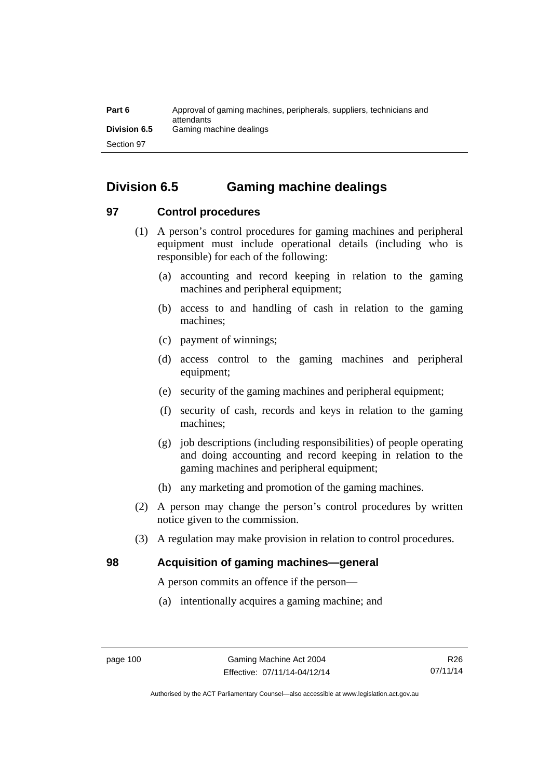| Part 6              | Approval of gaming machines, peripherals, suppliers, technicians and<br>attendants |
|---------------------|------------------------------------------------------------------------------------|
| <b>Division 6.5</b> | Gaming machine dealings                                                            |
| Section 97          |                                                                                    |

# **Division 6.5 Gaming machine dealings**

# **97 Control procedures**

- (1) A person's control procedures for gaming machines and peripheral equipment must include operational details (including who is responsible) for each of the following:
	- (a) accounting and record keeping in relation to the gaming machines and peripheral equipment;
	- (b) access to and handling of cash in relation to the gaming machines;
	- (c) payment of winnings;
	- (d) access control to the gaming machines and peripheral equipment;
	- (e) security of the gaming machines and peripheral equipment;
	- (f) security of cash, records and keys in relation to the gaming machines;
	- (g) job descriptions (including responsibilities) of people operating and doing accounting and record keeping in relation to the gaming machines and peripheral equipment;
	- (h) any marketing and promotion of the gaming machines.
- (2) A person may change the person's control procedures by written notice given to the commission.
- (3) A regulation may make provision in relation to control procedures.

### **98 Acquisition of gaming machines—general**

A person commits an offence if the person—

(a) intentionally acquires a gaming machine; and

Authorised by the ACT Parliamentary Counsel—also accessible at www.legislation.act.gov.au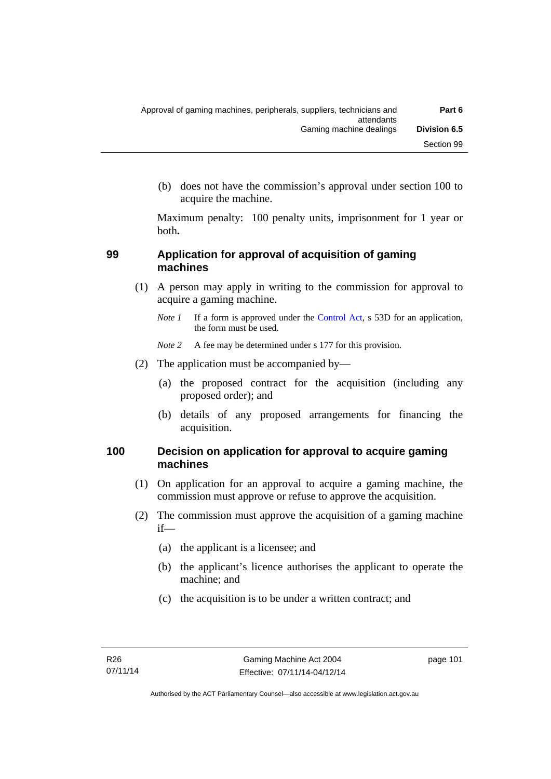(b) does not have the commission's approval under section 100 to acquire the machine.

Maximum penalty: 100 penalty units, imprisonment for 1 year or both**.**

# **99 Application for approval of acquisition of gaming machines**

- (1) A person may apply in writing to the commission for approval to acquire a gaming machine.
	- *Note 1* If a form is approved under the [Control Act,](http://www.legislation.act.gov.au/a/1999-46) s 53D for an application, the form must be used.

*Note 2* A fee may be determined under s 177 for this provision.

- (2) The application must be accompanied by—
	- (a) the proposed contract for the acquisition (including any proposed order); and
	- (b) details of any proposed arrangements for financing the acquisition.

# **100 Decision on application for approval to acquire gaming machines**

- (1) On application for an approval to acquire a gaming machine, the commission must approve or refuse to approve the acquisition.
- (2) The commission must approve the acquisition of a gaming machine if—
	- (a) the applicant is a licensee; and
	- (b) the applicant's licence authorises the applicant to operate the machine; and
	- (c) the acquisition is to be under a written contract; and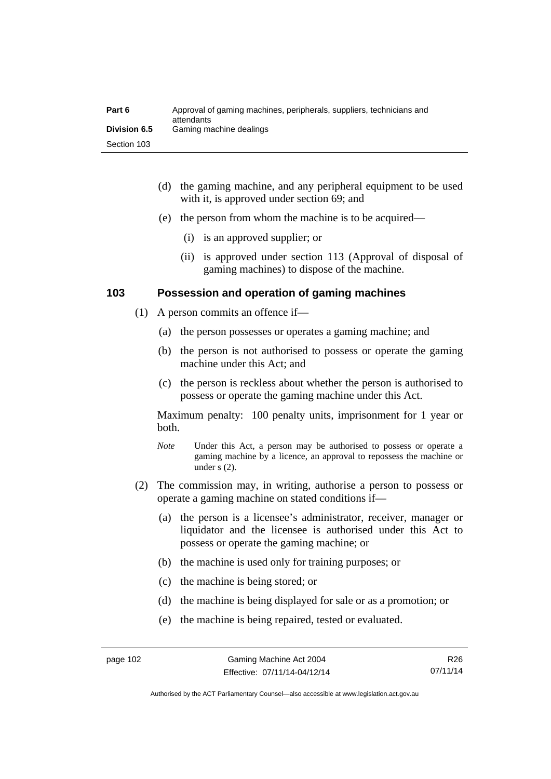| Part 6              | Approval of gaming machines, peripherals, suppliers, technicians and<br>attendants |
|---------------------|------------------------------------------------------------------------------------|
| <b>Division 6.5</b> | Gaming machine dealings                                                            |
| Section 103         |                                                                                    |

- (d) the gaming machine, and any peripheral equipment to be used with it, is approved under section 69; and
- (e) the person from whom the machine is to be acquired—
	- (i) is an approved supplier; or
	- (ii) is approved under section 113 (Approval of disposal of gaming machines) to dispose of the machine.

### **103 Possession and operation of gaming machines**

- (1) A person commits an offence if—
	- (a) the person possesses or operates a gaming machine; and
	- (b) the person is not authorised to possess or operate the gaming machine under this Act; and
	- (c) the person is reckless about whether the person is authorised to possess or operate the gaming machine under this Act.

Maximum penalty: 100 penalty units, imprisonment for 1 year or both.

- *Note* Under this Act, a person may be authorised to possess or operate a gaming machine by a licence, an approval to repossess the machine or under s (2).
- (2) The commission may, in writing, authorise a person to possess or operate a gaming machine on stated conditions if—
	- (a) the person is a licensee's administrator, receiver, manager or liquidator and the licensee is authorised under this Act to possess or operate the gaming machine; or
	- (b) the machine is used only for training purposes; or
	- (c) the machine is being stored; or
	- (d) the machine is being displayed for sale or as a promotion; or
	- (e) the machine is being repaired, tested or evaluated.

Authorised by the ACT Parliamentary Counsel—also accessible at www.legislation.act.gov.au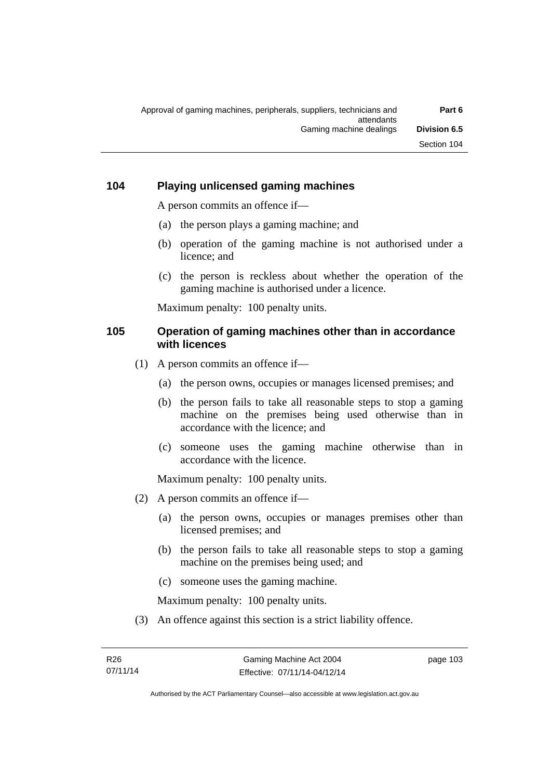# **104 Playing unlicensed gaming machines**

A person commits an offence if—

- (a) the person plays a gaming machine; and
- (b) operation of the gaming machine is not authorised under a licence; and
- (c) the person is reckless about whether the operation of the gaming machine is authorised under a licence.

Maximum penalty: 100 penalty units.

### **105 Operation of gaming machines other than in accordance with licences**

- (1) A person commits an offence if—
	- (a) the person owns, occupies or manages licensed premises; and
	- (b) the person fails to take all reasonable steps to stop a gaming machine on the premises being used otherwise than in accordance with the licence; and
	- (c) someone uses the gaming machine otherwise than in accordance with the licence.

Maximum penalty: 100 penalty units.

- (2) A person commits an offence if—
	- (a) the person owns, occupies or manages premises other than licensed premises; and
	- (b) the person fails to take all reasonable steps to stop a gaming machine on the premises being used; and
	- (c) someone uses the gaming machine.

Maximum penalty: 100 penalty units.

(3) An offence against this section is a strict liability offence.

page 103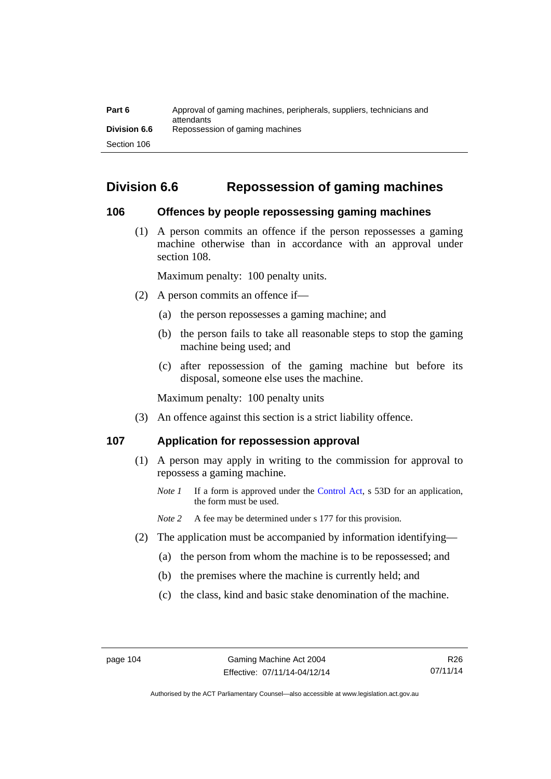| Part 6              | Approval of gaming machines, peripherals, suppliers, technicians and<br>attendants |
|---------------------|------------------------------------------------------------------------------------|
| <b>Division 6.6</b> | Repossession of gaming machines                                                    |
| Section 106         |                                                                                    |

# **Division 6.6 Repossession of gaming machines**

### **106 Offences by people repossessing gaming machines**

 (1) A person commits an offence if the person repossesses a gaming machine otherwise than in accordance with an approval under section 108.

Maximum penalty: 100 penalty units.

- (2) A person commits an offence if—
	- (a) the person repossesses a gaming machine; and
	- (b) the person fails to take all reasonable steps to stop the gaming machine being used; and
	- (c) after repossession of the gaming machine but before its disposal, someone else uses the machine.

Maximum penalty: 100 penalty units

(3) An offence against this section is a strict liability offence.

### **107 Application for repossession approval**

- (1) A person may apply in writing to the commission for approval to repossess a gaming machine.
	- *Note 1* If a form is approved under the [Control Act,](http://www.legislation.act.gov.au/a/1999-46) s 53D for an application, the form must be used.

*Note* 2 A fee may be determined under s 177 for this provision.

- (2) The application must be accompanied by information identifying—
	- (a) the person from whom the machine is to be repossessed; and
	- (b) the premises where the machine is currently held; and
	- (c) the class, kind and basic stake denomination of the machine.

Authorised by the ACT Parliamentary Counsel—also accessible at www.legislation.act.gov.au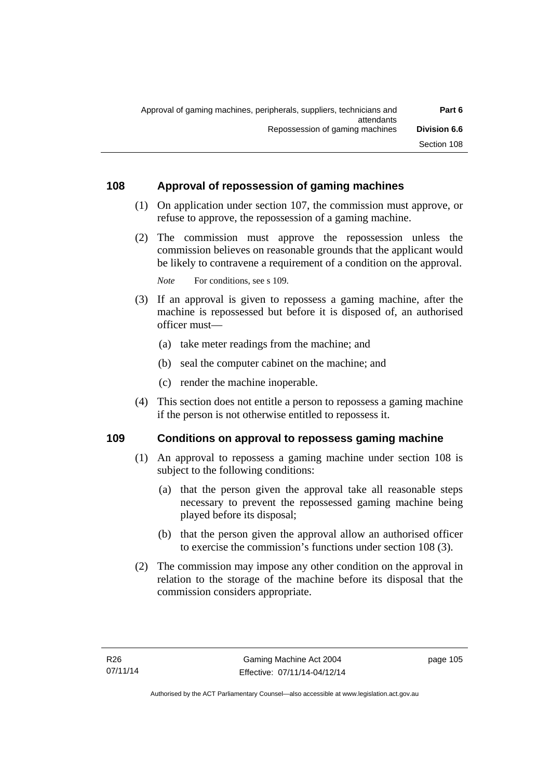# **108 Approval of repossession of gaming machines**

- (1) On application under section 107, the commission must approve, or refuse to approve, the repossession of a gaming machine.
- (2) The commission must approve the repossession unless the commission believes on reasonable grounds that the applicant would be likely to contravene a requirement of a condition on the approval.

*Note* For conditions, see s 109.

- (3) If an approval is given to repossess a gaming machine, after the machine is repossessed but before it is disposed of, an authorised officer must—
	- (a) take meter readings from the machine; and
	- (b) seal the computer cabinet on the machine; and
	- (c) render the machine inoperable.
- (4) This section does not entitle a person to repossess a gaming machine if the person is not otherwise entitled to repossess it.

### **109 Conditions on approval to repossess gaming machine**

- (1) An approval to repossess a gaming machine under section 108 is subject to the following conditions:
	- (a) that the person given the approval take all reasonable steps necessary to prevent the repossessed gaming machine being played before its disposal;
	- (b) that the person given the approval allow an authorised officer to exercise the commission's functions under section 108 (3).
- (2) The commission may impose any other condition on the approval in relation to the storage of the machine before its disposal that the commission considers appropriate.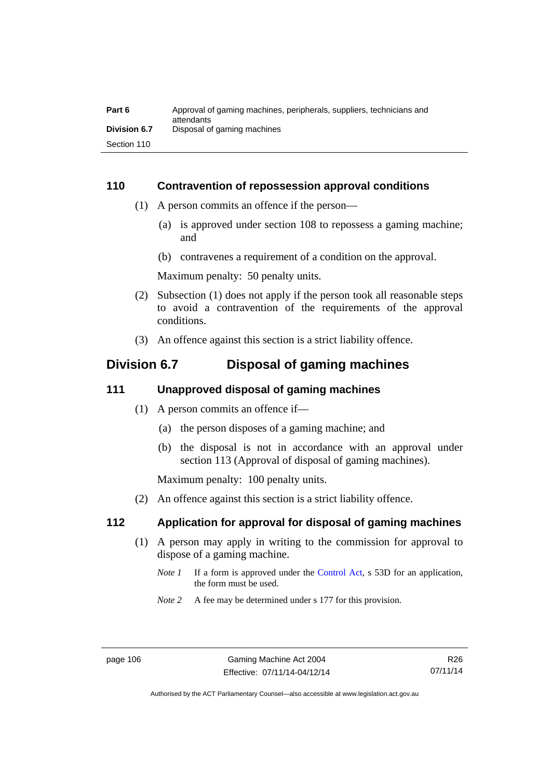| Part 6              | Approval of gaming machines, peripherals, suppliers, technicians and<br>attendants |
|---------------------|------------------------------------------------------------------------------------|
| <b>Division 6.7</b> | Disposal of gaming machines                                                        |
| Section 110         |                                                                                    |

# **110 Contravention of repossession approval conditions**

- (1) A person commits an offence if the person—
	- (a) is approved under section 108 to repossess a gaming machine; and
	- (b) contravenes a requirement of a condition on the approval.

Maximum penalty: 50 penalty units.

- (2) Subsection (1) does not apply if the person took all reasonable steps to avoid a contravention of the requirements of the approval conditions.
- (3) An offence against this section is a strict liability offence.

# **Division 6.7 Disposal of gaming machines**

# **111 Unapproved disposal of gaming machines**

- (1) A person commits an offence if—
	- (a) the person disposes of a gaming machine; and
	- (b) the disposal is not in accordance with an approval under section 113 (Approval of disposal of gaming machines).

Maximum penalty: 100 penalty units.

(2) An offence against this section is a strict liability offence.

### **112 Application for approval for disposal of gaming machines**

- (1) A person may apply in writing to the commission for approval to dispose of a gaming machine.
	- *Note 1* If a form is approved under the [Control Act,](http://www.legislation.act.gov.au/a/1999-46) s 53D for an application, the form must be used.
	- *Note* 2 A fee may be determined under s 177 for this provision.

Authorised by the ACT Parliamentary Counsel—also accessible at www.legislation.act.gov.au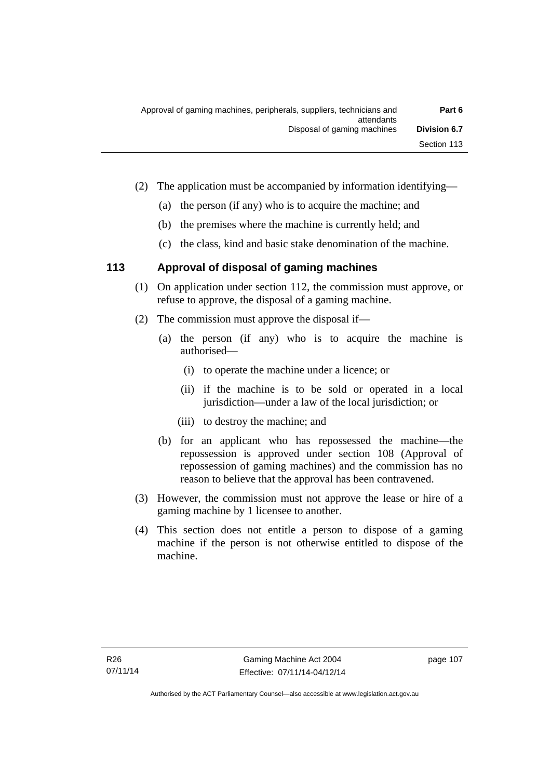- (2) The application must be accompanied by information identifying—
	- (a) the person (if any) who is to acquire the machine; and
	- (b) the premises where the machine is currently held; and
	- (c) the class, kind and basic stake denomination of the machine.

# **113 Approval of disposal of gaming machines**

- (1) On application under section 112, the commission must approve, or refuse to approve, the disposal of a gaming machine.
- (2) The commission must approve the disposal if—
	- (a) the person (if any) who is to acquire the machine is authorised—
		- (i) to operate the machine under a licence; or
		- (ii) if the machine is to be sold or operated in a local jurisdiction—under a law of the local jurisdiction; or
		- (iii) to destroy the machine; and
	- (b) for an applicant who has repossessed the machine—the repossession is approved under section 108 (Approval of repossession of gaming machines) and the commission has no reason to believe that the approval has been contravened.
- (3) However, the commission must not approve the lease or hire of a gaming machine by 1 licensee to another.
- (4) This section does not entitle a person to dispose of a gaming machine if the person is not otherwise entitled to dispose of the machine.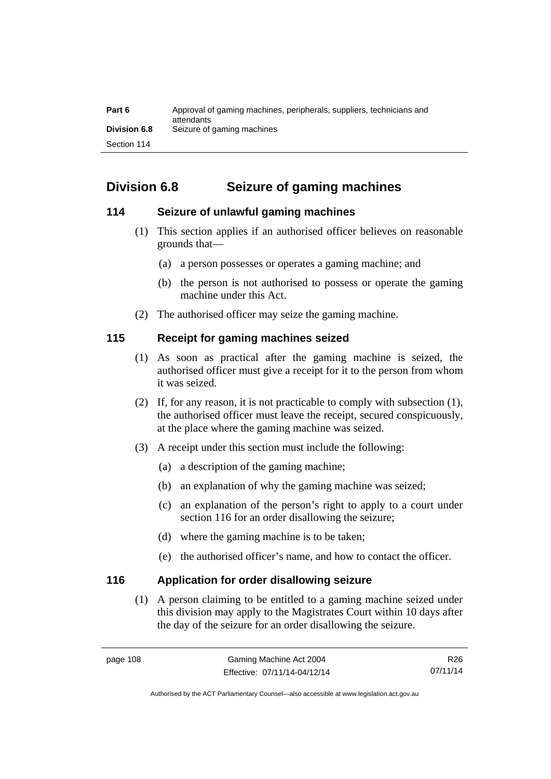| Part 6              | Approval of gaming machines, peripherals, suppliers, technicians and<br>attendants |
|---------------------|------------------------------------------------------------------------------------|
| <b>Division 6.8</b> | Seizure of gaming machines                                                         |
| Section 114         |                                                                                    |

# **Division 6.8 Seizure of gaming machines**

# **114 Seizure of unlawful gaming machines**

- (1) This section applies if an authorised officer believes on reasonable grounds that—
	- (a) a person possesses or operates a gaming machine; and
	- (b) the person is not authorised to possess or operate the gaming machine under this Act.
- (2) The authorised officer may seize the gaming machine.

# **115 Receipt for gaming machines seized**

- (1) As soon as practical after the gaming machine is seized, the authorised officer must give a receipt for it to the person from whom it was seized.
- (2) If, for any reason, it is not practicable to comply with subsection (1), the authorised officer must leave the receipt, secured conspicuously, at the place where the gaming machine was seized.
- (3) A receipt under this section must include the following:
	- (a) a description of the gaming machine;
	- (b) an explanation of why the gaming machine was seized;
	- (c) an explanation of the person's right to apply to a court under section 116 for an order disallowing the seizure;
	- (d) where the gaming machine is to be taken;
	- (e) the authorised officer's name, and how to contact the officer.

# **116 Application for order disallowing seizure**

(1) A person claiming to be entitled to a gaming machine seized under this division may apply to the Magistrates Court within 10 days after the day of the seizure for an order disallowing the seizure.

R26 07/11/14

Authorised by the ACT Parliamentary Counsel—also accessible at www.legislation.act.gov.au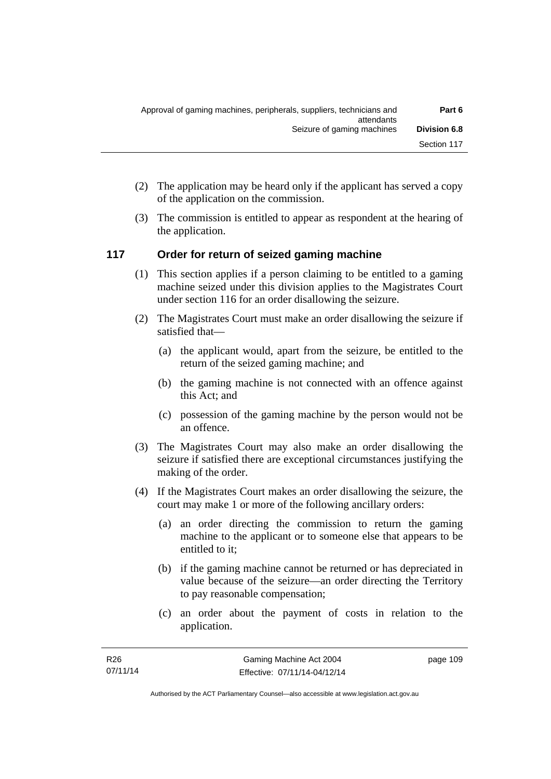- (2) The application may be heard only if the applicant has served a copy of the application on the commission.
- (3) The commission is entitled to appear as respondent at the hearing of the application.

# **117 Order for return of seized gaming machine**

- (1) This section applies if a person claiming to be entitled to a gaming machine seized under this division applies to the Magistrates Court under section 116 for an order disallowing the seizure.
- (2) The Magistrates Court must make an order disallowing the seizure if satisfied that—
	- (a) the applicant would, apart from the seizure, be entitled to the return of the seized gaming machine; and
	- (b) the gaming machine is not connected with an offence against this Act; and
	- (c) possession of the gaming machine by the person would not be an offence.
- (3) The Magistrates Court may also make an order disallowing the seizure if satisfied there are exceptional circumstances justifying the making of the order.
- (4) If the Magistrates Court makes an order disallowing the seizure, the court may make 1 or more of the following ancillary orders:
	- (a) an order directing the commission to return the gaming machine to the applicant or to someone else that appears to be entitled to it;
	- (b) if the gaming machine cannot be returned or has depreciated in value because of the seizure—an order directing the Territory to pay reasonable compensation;
	- (c) an order about the payment of costs in relation to the application.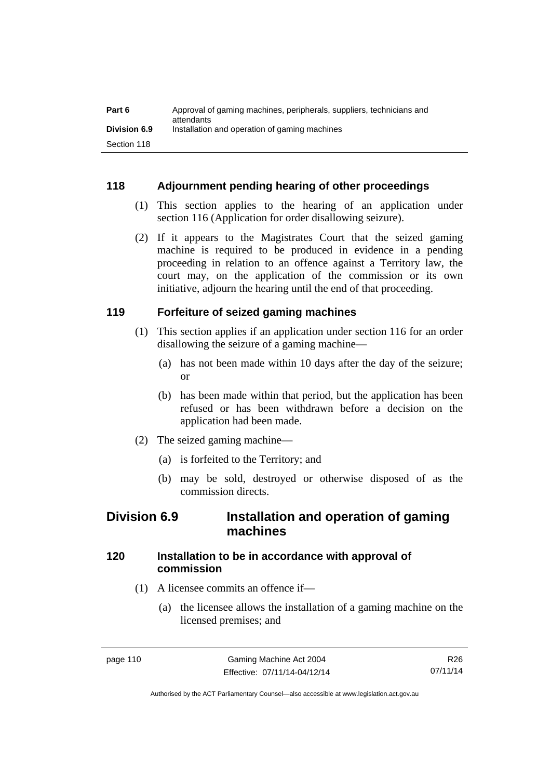| Part 6              | Approval of gaming machines, peripherals, suppliers, technicians and<br>attendants |
|---------------------|------------------------------------------------------------------------------------|
| <b>Division 6.9</b> | Installation and operation of gaming machines                                      |
| Section 118         |                                                                                    |

# **118 Adjournment pending hearing of other proceedings**

- (1) This section applies to the hearing of an application under section 116 (Application for order disallowing seizure).
- (2) If it appears to the Magistrates Court that the seized gaming machine is required to be produced in evidence in a pending proceeding in relation to an offence against a Territory law, the court may, on the application of the commission or its own initiative, adjourn the hearing until the end of that proceeding.

# **119 Forfeiture of seized gaming machines**

- (1) This section applies if an application under section 116 for an order disallowing the seizure of a gaming machine—
	- (a) has not been made within 10 days after the day of the seizure; or
	- (b) has been made within that period, but the application has been refused or has been withdrawn before a decision on the application had been made.
- (2) The seized gaming machine—
	- (a) is forfeited to the Territory; and
	- (b) may be sold, destroyed or otherwise disposed of as the commission directs.

# **Division 6.9 Installation and operation of gaming machines**

# **120 Installation to be in accordance with approval of commission**

- (1) A licensee commits an offence if—
	- (a) the licensee allows the installation of a gaming machine on the licensed premises; and

Authorised by the ACT Parliamentary Counsel—also accessible at www.legislation.act.gov.au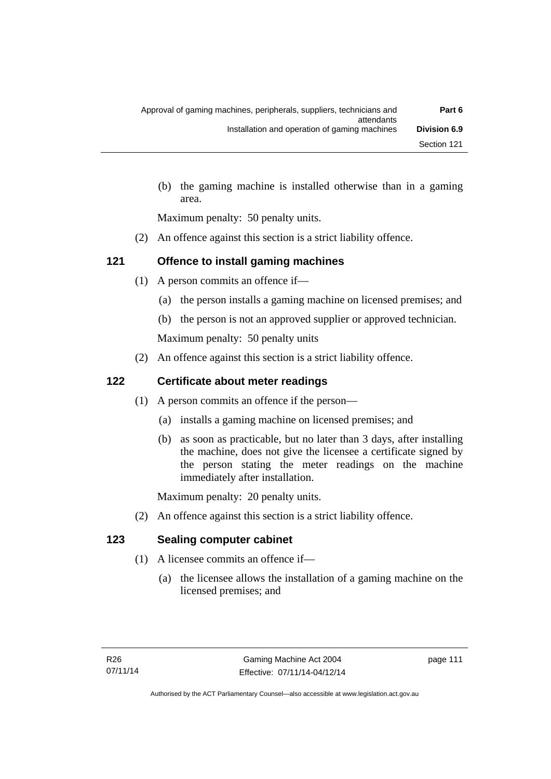(b) the gaming machine is installed otherwise than in a gaming area.

Maximum penalty: 50 penalty units.

(2) An offence against this section is a strict liability offence.

# **121 Offence to install gaming machines**

- (1) A person commits an offence if—
	- (a) the person installs a gaming machine on licensed premises; and
	- (b) the person is not an approved supplier or approved technician.

Maximum penalty: 50 penalty units

(2) An offence against this section is a strict liability offence.

# **122 Certificate about meter readings**

- (1) A person commits an offence if the person—
	- (a) installs a gaming machine on licensed premises; and
	- (b) as soon as practicable, but no later than 3 days, after installing the machine, does not give the licensee a certificate signed by the person stating the meter readings on the machine immediately after installation.

Maximum penalty: 20 penalty units.

(2) An offence against this section is a strict liability offence.

# **123 Sealing computer cabinet**

- (1) A licensee commits an offence if—
	- (a) the licensee allows the installation of a gaming machine on the licensed premises; and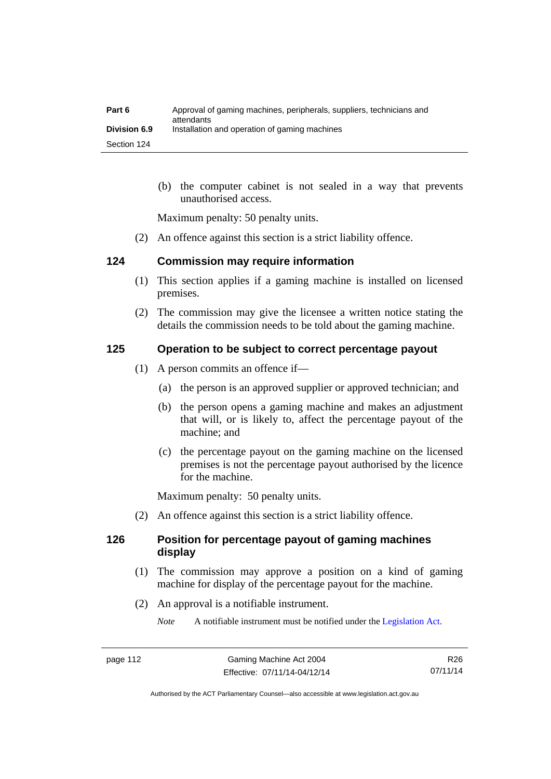| Part 6              | Approval of gaming machines, peripherals, suppliers, technicians and<br>attendants |
|---------------------|------------------------------------------------------------------------------------|
| <b>Division 6.9</b> | Installation and operation of gaming machines                                      |
| Section 124         |                                                                                    |

 (b) the computer cabinet is not sealed in a way that prevents unauthorised access.

Maximum penalty: 50 penalty units.

(2) An offence against this section is a strict liability offence.

### **124 Commission may require information**

- (1) This section applies if a gaming machine is installed on licensed premises.
- (2) The commission may give the licensee a written notice stating the details the commission needs to be told about the gaming machine.

# **125 Operation to be subject to correct percentage payout**

- (1) A person commits an offence if—
	- (a) the person is an approved supplier or approved technician; and
	- (b) the person opens a gaming machine and makes an adjustment that will, or is likely to, affect the percentage payout of the machine; and
	- (c) the percentage payout on the gaming machine on the licensed premises is not the percentage payout authorised by the licence for the machine.

Maximum penalty: 50 penalty units.

(2) An offence against this section is a strict liability offence.

# **126 Position for percentage payout of gaming machines display**

- (1) The commission may approve a position on a kind of gaming machine for display of the percentage payout for the machine.
- (2) An approval is a notifiable instrument.

*Note* A notifiable instrument must be notified under the [Legislation Act](http://www.legislation.act.gov.au/a/2001-14).

Authorised by the ACT Parliamentary Counsel—also accessible at www.legislation.act.gov.au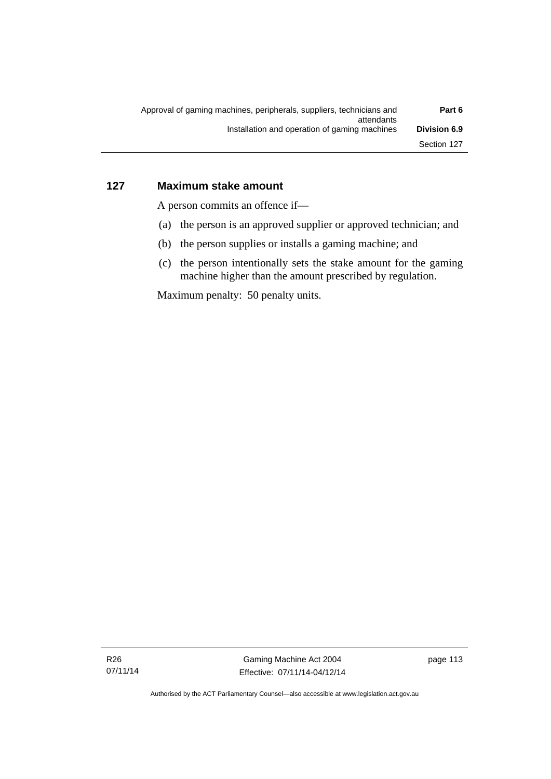# **127 Maximum stake amount**

A person commits an offence if—

- (a) the person is an approved supplier or approved technician; and
- (b) the person supplies or installs a gaming machine; and
- (c) the person intentionally sets the stake amount for the gaming machine higher than the amount prescribed by regulation.

Maximum penalty: 50 penalty units.

R26 07/11/14

Authorised by the ACT Parliamentary Counsel—also accessible at www.legislation.act.gov.au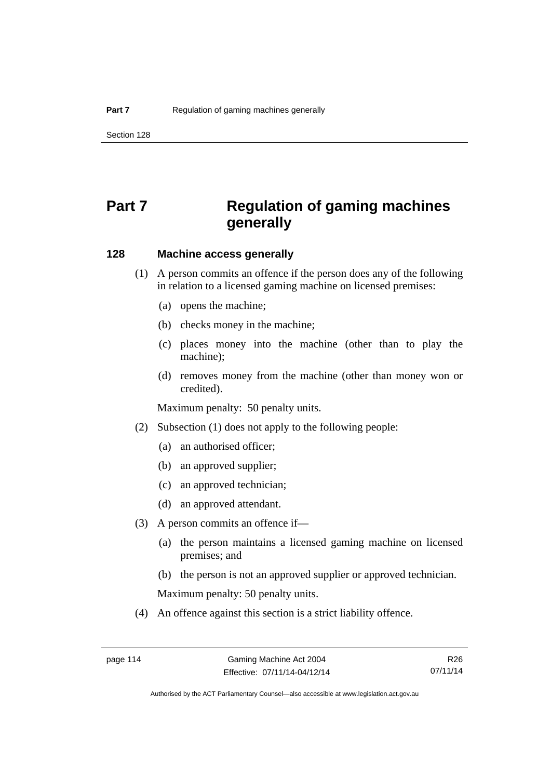# **Part 7 Regulation of gaming machines generally**

# **128 Machine access generally**

- (1) A person commits an offence if the person does any of the following in relation to a licensed gaming machine on licensed premises:
	- (a) opens the machine;
	- (b) checks money in the machine;
	- (c) places money into the machine (other than to play the machine);
	- (d) removes money from the machine (other than money won or credited).

Maximum penalty: 50 penalty units.

- (2) Subsection (1) does not apply to the following people:
	- (a) an authorised officer;
	- (b) an approved supplier;
	- (c) an approved technician;
	- (d) an approved attendant.
- (3) A person commits an offence if—
	- (a) the person maintains a licensed gaming machine on licensed premises; and
	- (b) the person is not an approved supplier or approved technician.

Maximum penalty: 50 penalty units.

(4) An offence against this section is a strict liability offence.

R26 07/11/14

Authorised by the ACT Parliamentary Counsel—also accessible at www.legislation.act.gov.au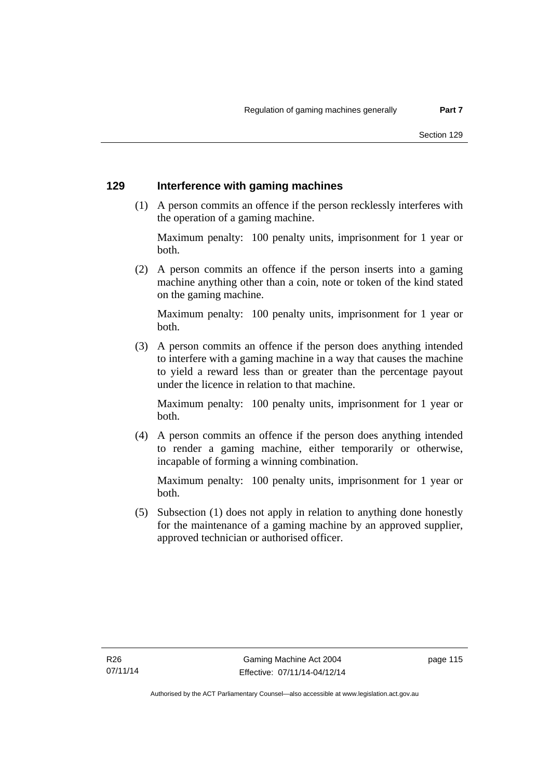### **129 Interference with gaming machines**

 (1) A person commits an offence if the person recklessly interferes with the operation of a gaming machine.

Maximum penalty: 100 penalty units, imprisonment for 1 year or both.

 (2) A person commits an offence if the person inserts into a gaming machine anything other than a coin, note or token of the kind stated on the gaming machine.

Maximum penalty: 100 penalty units, imprisonment for 1 year or both.

 (3) A person commits an offence if the person does anything intended to interfere with a gaming machine in a way that causes the machine to yield a reward less than or greater than the percentage payout under the licence in relation to that machine.

Maximum penalty: 100 penalty units, imprisonment for 1 year or both.

 (4) A person commits an offence if the person does anything intended to render a gaming machine, either temporarily or otherwise, incapable of forming a winning combination.

Maximum penalty: 100 penalty units, imprisonment for 1 year or both.

 (5) Subsection (1) does not apply in relation to anything done honestly for the maintenance of a gaming machine by an approved supplier, approved technician or authorised officer.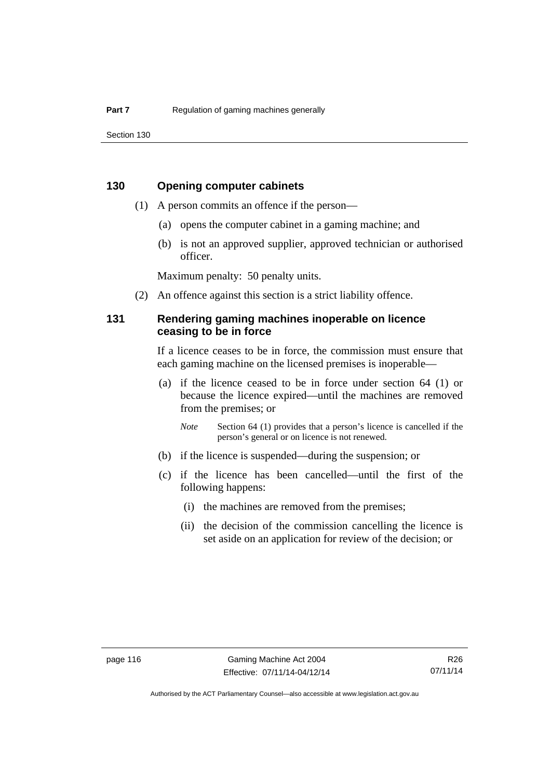Section 130

### **130 Opening computer cabinets**

- (1) A person commits an offence if the person—
	- (a) opens the computer cabinet in a gaming machine; and
	- (b) is not an approved supplier, approved technician or authorised officer.

Maximum penalty: 50 penalty units.

(2) An offence against this section is a strict liability offence.

### **131 Rendering gaming machines inoperable on licence ceasing to be in force**

If a licence ceases to be in force, the commission must ensure that each gaming machine on the licensed premises is inoperable—

 (a) if the licence ceased to be in force under section 64 (1) or because the licence expired—until the machines are removed from the premises; or

*Note* Section 64 (1) provides that a person's licence is cancelled if the person's general or on licence is not renewed.

- (b) if the licence is suspended—during the suspension; or
- (c) if the licence has been cancelled—until the first of the following happens:
	- (i) the machines are removed from the premises;
	- (ii) the decision of the commission cancelling the licence is set aside on an application for review of the decision; or

Authorised by the ACT Parliamentary Counsel—also accessible at www.legislation.act.gov.au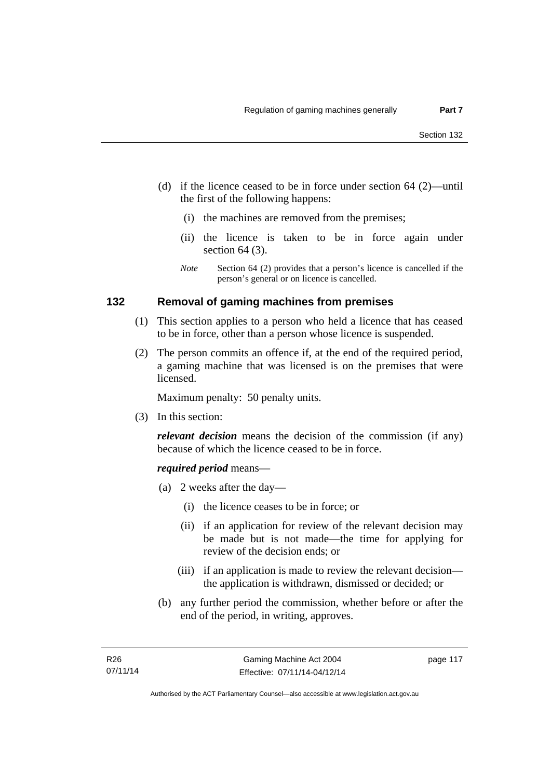- (d) if the licence ceased to be in force under section 64 (2)—until the first of the following happens:
	- (i) the machines are removed from the premises;
	- (ii) the licence is taken to be in force again under section 64 (3).
	- *Note* Section 64 (2) provides that a person's licence is cancelled if the person's general or on licence is cancelled.

### **132 Removal of gaming machines from premises**

- (1) This section applies to a person who held a licence that has ceased to be in force, other than a person whose licence is suspended.
- (2) The person commits an offence if, at the end of the required period, a gaming machine that was licensed is on the premises that were licensed.

Maximum penalty: 50 penalty units.

(3) In this section:

*relevant decision* means the decision of the commission (if any) because of which the licence ceased to be in force.

#### *required period* means—

- (a) 2 weeks after the day—
	- (i) the licence ceases to be in force; or
	- (ii) if an application for review of the relevant decision may be made but is not made—the time for applying for review of the decision ends; or
	- (iii) if an application is made to review the relevant decision the application is withdrawn, dismissed or decided; or
- (b) any further period the commission, whether before or after the end of the period, in writing, approves.

page 117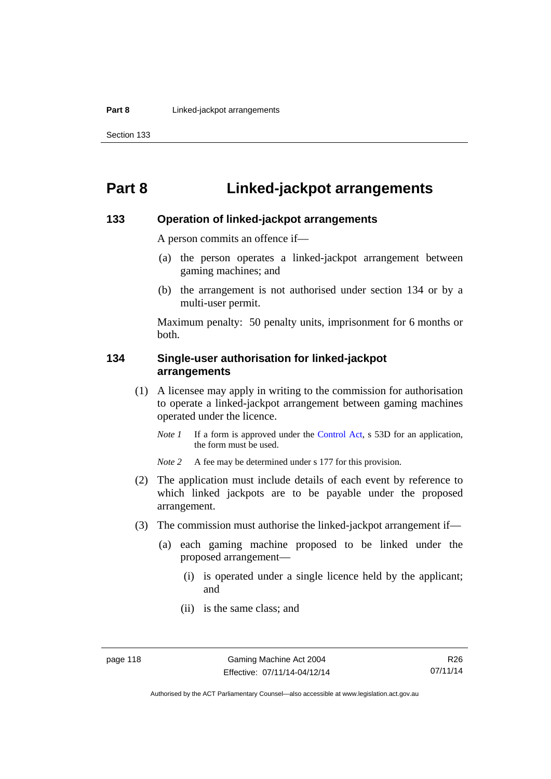# **Part 8 Linked-jackpot arrangements**

#### **133 Operation of linked-jackpot arrangements**

A person commits an offence if—

- (a) the person operates a linked-jackpot arrangement between gaming machines; and
- (b) the arrangement is not authorised under section 134 or by a multi-user permit.

Maximum penalty: 50 penalty units, imprisonment for 6 months or both.

### **134 Single-user authorisation for linked-jackpot arrangements**

- (1) A licensee may apply in writing to the commission for authorisation to operate a linked-jackpot arrangement between gaming machines operated under the licence.
	- *Note 1* If a form is approved under the [Control Act,](http://www.legislation.act.gov.au/a/1999-46) s 53D for an application, the form must be used.

*Note* 2 A fee may be determined under s 177 for this provision.

- (2) The application must include details of each event by reference to which linked jackpots are to be payable under the proposed arrangement.
- (3) The commission must authorise the linked-jackpot arrangement if—
	- (a) each gaming machine proposed to be linked under the proposed arrangement—
		- (i) is operated under a single licence held by the applicant; and
		- (ii) is the same class; and

R26 07/11/14

Authorised by the ACT Parliamentary Counsel—also accessible at www.legislation.act.gov.au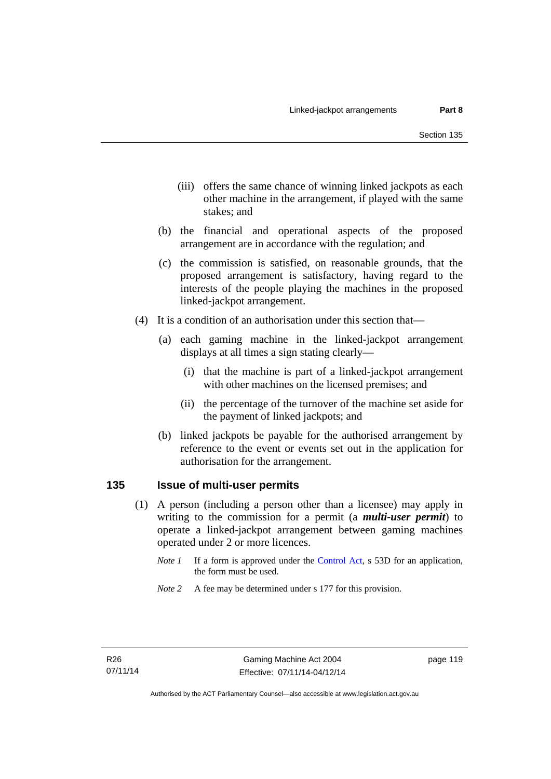- (iii) offers the same chance of winning linked jackpots as each other machine in the arrangement, if played with the same stakes; and
- (b) the financial and operational aspects of the proposed arrangement are in accordance with the regulation; and
- (c) the commission is satisfied, on reasonable grounds, that the proposed arrangement is satisfactory, having regard to the interests of the people playing the machines in the proposed linked-jackpot arrangement.
- (4) It is a condition of an authorisation under this section that—
	- (a) each gaming machine in the linked-jackpot arrangement displays at all times a sign stating clearly—
		- (i) that the machine is part of a linked-jackpot arrangement with other machines on the licensed premises; and
		- (ii) the percentage of the turnover of the machine set aside for the payment of linked jackpots; and
	- (b) linked jackpots be payable for the authorised arrangement by reference to the event or events set out in the application for authorisation for the arrangement.

### **135 Issue of multi-user permits**

- (1) A person (including a person other than a licensee) may apply in writing to the commission for a permit (a *multi-user permit*) to operate a linked-jackpot arrangement between gaming machines operated under 2 or more licences.
	- *Note 1* If a form is approved under the [Control Act,](http://www.legislation.act.gov.au/a/1999-46) s 53D for an application, the form must be used.
	- *Note 2* A fee may be determined under s 177 for this provision.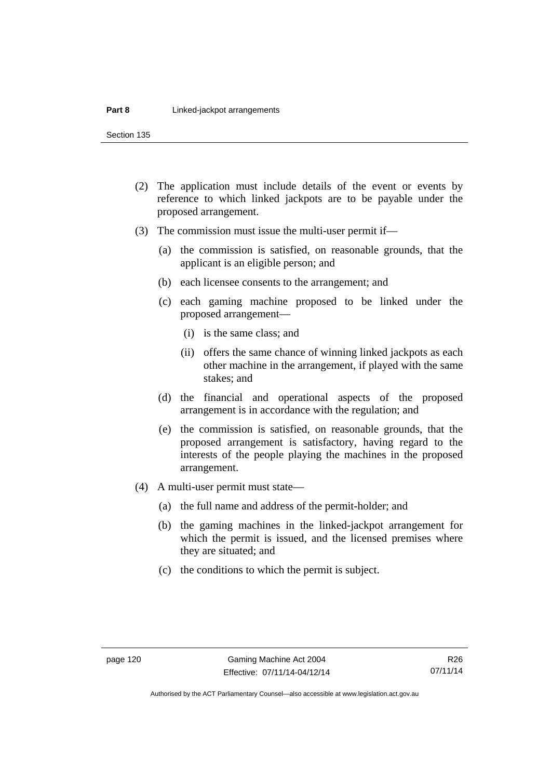Section 135

- (2) The application must include details of the event or events by reference to which linked jackpots are to be payable under the proposed arrangement.
- (3) The commission must issue the multi-user permit if—
	- (a) the commission is satisfied, on reasonable grounds, that the applicant is an eligible person; and
	- (b) each licensee consents to the arrangement; and
	- (c) each gaming machine proposed to be linked under the proposed arrangement—
		- (i) is the same class; and
		- (ii) offers the same chance of winning linked jackpots as each other machine in the arrangement, if played with the same stakes; and
	- (d) the financial and operational aspects of the proposed arrangement is in accordance with the regulation; and
	- (e) the commission is satisfied, on reasonable grounds, that the proposed arrangement is satisfactory, having regard to the interests of the people playing the machines in the proposed arrangement.
- (4) A multi-user permit must state—
	- (a) the full name and address of the permit-holder; and
	- (b) the gaming machines in the linked-jackpot arrangement for which the permit is issued, and the licensed premises where they are situated; and
	- (c) the conditions to which the permit is subject.

R26 07/11/14

Authorised by the ACT Parliamentary Counsel—also accessible at www.legislation.act.gov.au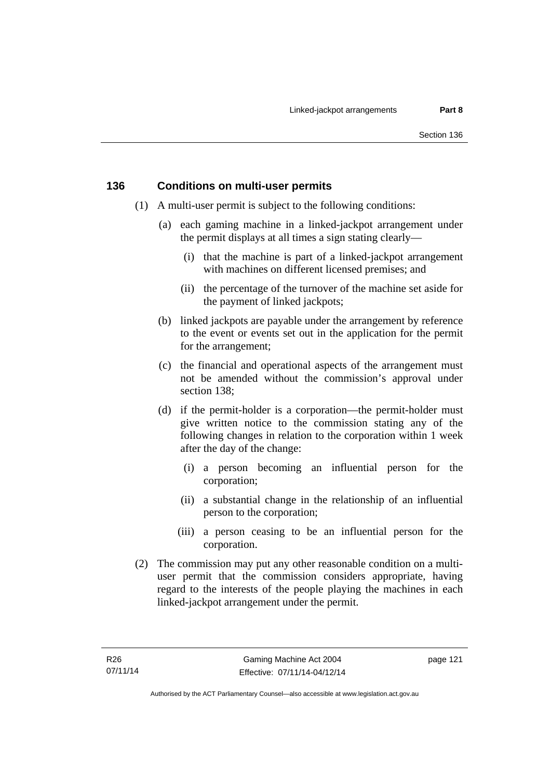### **136 Conditions on multi-user permits**

- (1) A multi-user permit is subject to the following conditions:
	- (a) each gaming machine in a linked-jackpot arrangement under the permit displays at all times a sign stating clearly—
		- (i) that the machine is part of a linked-jackpot arrangement with machines on different licensed premises; and
		- (ii) the percentage of the turnover of the machine set aside for the payment of linked jackpots;
	- (b) linked jackpots are payable under the arrangement by reference to the event or events set out in the application for the permit for the arrangement;
	- (c) the financial and operational aspects of the arrangement must not be amended without the commission's approval under section 138;
	- (d) if the permit-holder is a corporation—the permit-holder must give written notice to the commission stating any of the following changes in relation to the corporation within 1 week after the day of the change:
		- (i) a person becoming an influential person for the corporation;
		- (ii) a substantial change in the relationship of an influential person to the corporation;
		- (iii) a person ceasing to be an influential person for the corporation.
- (2) The commission may put any other reasonable condition on a multiuser permit that the commission considers appropriate, having regard to the interests of the people playing the machines in each linked-jackpot arrangement under the permit.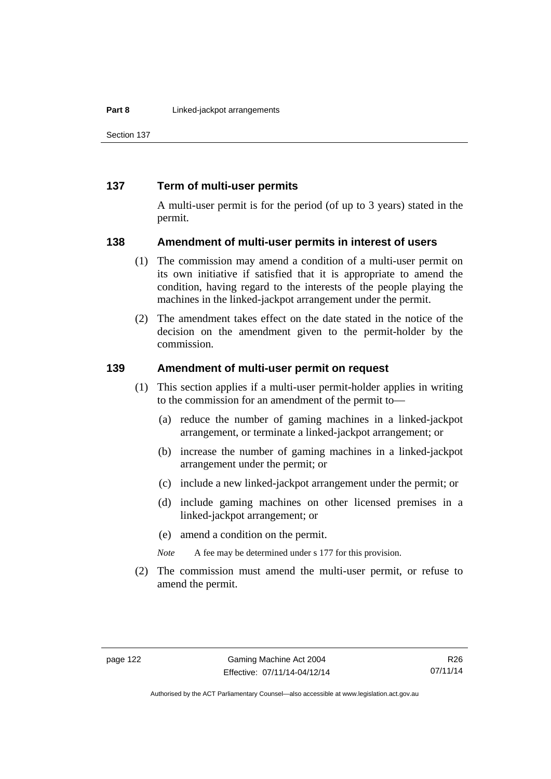Section 137

### **137 Term of multi-user permits**

A multi-user permit is for the period (of up to 3 years) stated in the permit.

### **138 Amendment of multi-user permits in interest of users**

- (1) The commission may amend a condition of a multi-user permit on its own initiative if satisfied that it is appropriate to amend the condition, having regard to the interests of the people playing the machines in the linked-jackpot arrangement under the permit.
- (2) The amendment takes effect on the date stated in the notice of the decision on the amendment given to the permit-holder by the commission.

### **139 Amendment of multi-user permit on request**

- (1) This section applies if a multi-user permit-holder applies in writing to the commission for an amendment of the permit to—
	- (a) reduce the number of gaming machines in a linked-jackpot arrangement, or terminate a linked-jackpot arrangement; or
	- (b) increase the number of gaming machines in a linked-jackpot arrangement under the permit; or
	- (c) include a new linked-jackpot arrangement under the permit; or
	- (d) include gaming machines on other licensed premises in a linked-jackpot arrangement; or
	- (e) amend a condition on the permit.

*Note* A fee may be determined under s 177 for this provision.

 (2) The commission must amend the multi-user permit, or refuse to amend the permit.

Authorised by the ACT Parliamentary Counsel—also accessible at www.legislation.act.gov.au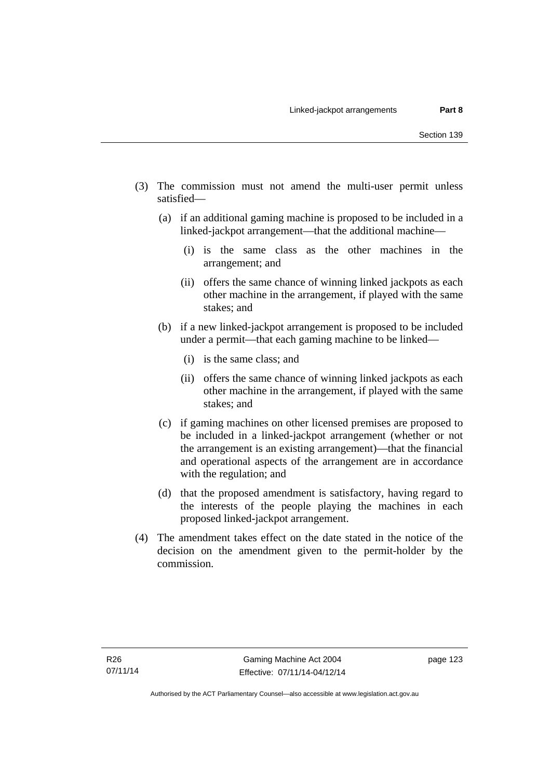- (3) The commission must not amend the multi-user permit unless satisfied—
	- (a) if an additional gaming machine is proposed to be included in a linked-jackpot arrangement—that the additional machine—
		- (i) is the same class as the other machines in the arrangement; and
		- (ii) offers the same chance of winning linked jackpots as each other machine in the arrangement, if played with the same stakes; and
	- (b) if a new linked-jackpot arrangement is proposed to be included under a permit—that each gaming machine to be linked—
		- (i) is the same class; and
		- (ii) offers the same chance of winning linked jackpots as each other machine in the arrangement, if played with the same stakes; and
	- (c) if gaming machines on other licensed premises are proposed to be included in a linked-jackpot arrangement (whether or not the arrangement is an existing arrangement)—that the financial and operational aspects of the arrangement are in accordance with the regulation; and
	- (d) that the proposed amendment is satisfactory, having regard to the interests of the people playing the machines in each proposed linked-jackpot arrangement.
- (4) The amendment takes effect on the date stated in the notice of the decision on the amendment given to the permit-holder by the commission.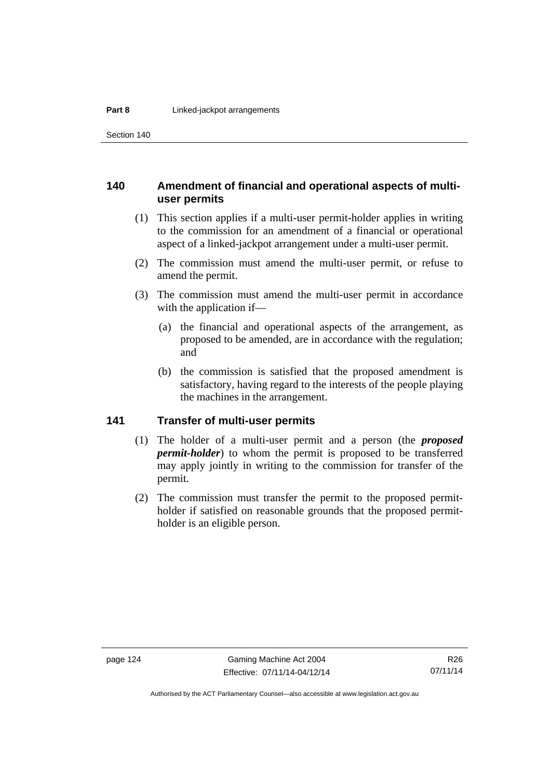Section 140

### **140 Amendment of financial and operational aspects of multiuser permits**

- (1) This section applies if a multi-user permit-holder applies in writing to the commission for an amendment of a financial or operational aspect of a linked-jackpot arrangement under a multi-user permit.
- (2) The commission must amend the multi-user permit, or refuse to amend the permit.
- (3) The commission must amend the multi-user permit in accordance with the application if—
	- (a) the financial and operational aspects of the arrangement, as proposed to be amended, are in accordance with the regulation; and
	- (b) the commission is satisfied that the proposed amendment is satisfactory, having regard to the interests of the people playing the machines in the arrangement.

# **141 Transfer of multi-user permits**

- (1) The holder of a multi-user permit and a person (the *proposed permit-holder*) to whom the permit is proposed to be transferred may apply jointly in writing to the commission for transfer of the permit.
- (2) The commission must transfer the permit to the proposed permitholder if satisfied on reasonable grounds that the proposed permitholder is an eligible person.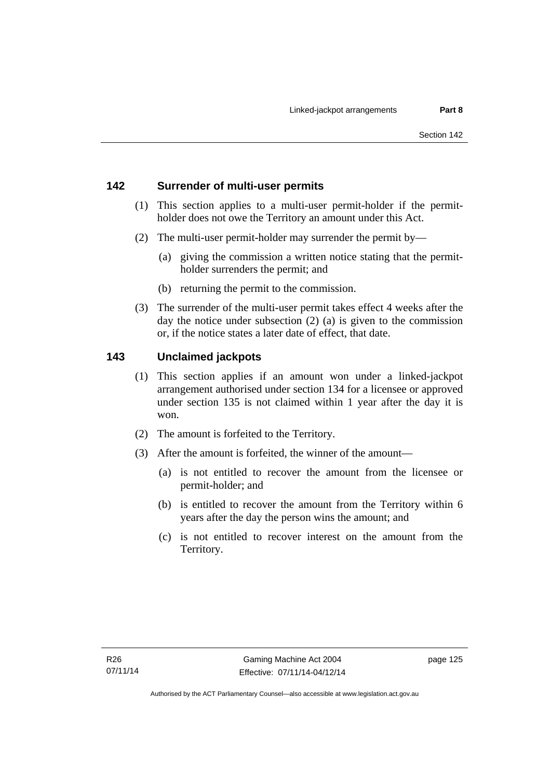# **142 Surrender of multi-user permits**

- (1) This section applies to a multi-user permit-holder if the permitholder does not owe the Territory an amount under this Act.
- (2) The multi-user permit-holder may surrender the permit by—
	- (a) giving the commission a written notice stating that the permitholder surrenders the permit; and
	- (b) returning the permit to the commission.
- (3) The surrender of the multi-user permit takes effect 4 weeks after the day the notice under subsection (2) (a) is given to the commission or, if the notice states a later date of effect, that date.

# **143 Unclaimed jackpots**

- (1) This section applies if an amount won under a linked-jackpot arrangement authorised under section 134 for a licensee or approved under section 135 is not claimed within 1 year after the day it is won.
- (2) The amount is forfeited to the Territory.
- (3) After the amount is forfeited, the winner of the amount—
	- (a) is not entitled to recover the amount from the licensee or permit-holder; and
	- (b) is entitled to recover the amount from the Territory within 6 years after the day the person wins the amount; and
	- (c) is not entitled to recover interest on the amount from the Territory.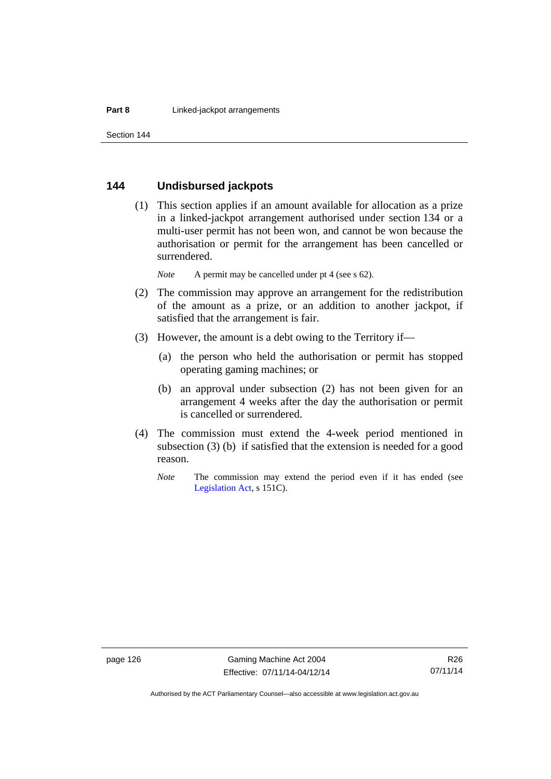### **144 Undisbursed jackpots**

 (1) This section applies if an amount available for allocation as a prize in a linked-jackpot arrangement authorised under section 134 or a multi-user permit has not been won, and cannot be won because the authorisation or permit for the arrangement has been cancelled or surrendered.

*Note* A permit may be cancelled under pt 4 (see s 62).

- (2) The commission may approve an arrangement for the redistribution of the amount as a prize, or an addition to another jackpot, if satisfied that the arrangement is fair.
- (3) However, the amount is a debt owing to the Territory if—
	- (a) the person who held the authorisation or permit has stopped operating gaming machines; or
	- (b) an approval under subsection (2) has not been given for an arrangement 4 weeks after the day the authorisation or permit is cancelled or surrendered.
- (4) The commission must extend the 4-week period mentioned in subsection (3) (b) if satisfied that the extension is needed for a good reason.
	- *Note* The commission may extend the period even if it has ended (see [Legislation Act,](http://www.legislation.act.gov.au/a/2001-14) s 151C).

Authorised by the ACT Parliamentary Counsel—also accessible at www.legislation.act.gov.au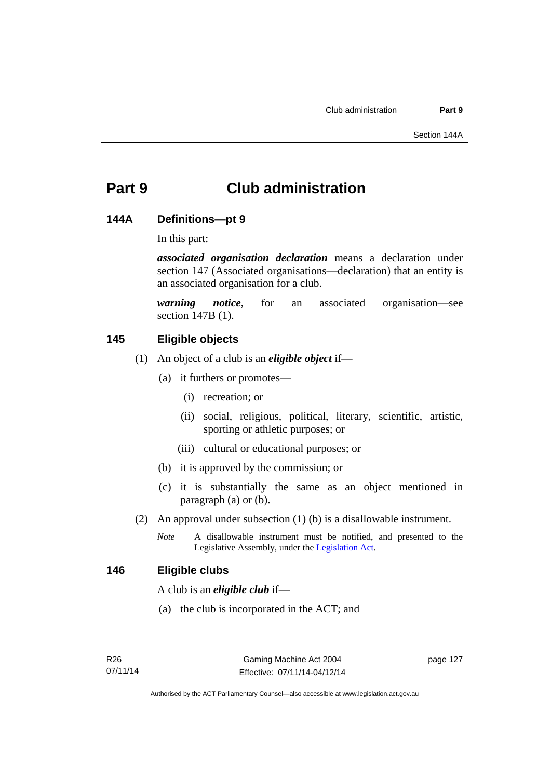# **Part 9 Club administration**

### **144A Definitions—pt 9**

In this part:

*associated organisation declaration* means a declaration under section 147 (Associated organisations—declaration) that an entity is an associated organisation for a club.

*warning notice*, for an associated organisation—see section 147B (1).

# **145 Eligible objects**

- (1) An object of a club is an *eligible object* if—
	- (a) it furthers or promotes—
		- (i) recreation; or
		- (ii) social, religious, political, literary, scientific, artistic, sporting or athletic purposes; or
		- (iii) cultural or educational purposes; or
	- (b) it is approved by the commission; or
	- (c) it is substantially the same as an object mentioned in paragraph (a) or (b).
- (2) An approval under subsection (1) (b) is a disallowable instrument.
	- *Note* A disallowable instrument must be notified, and presented to the Legislative Assembly, under the [Legislation Act.](http://www.legislation.act.gov.au/a/2001-14)

### **146 Eligible clubs**

A club is an *eligible club* if—

(a) the club is incorporated in the ACT; and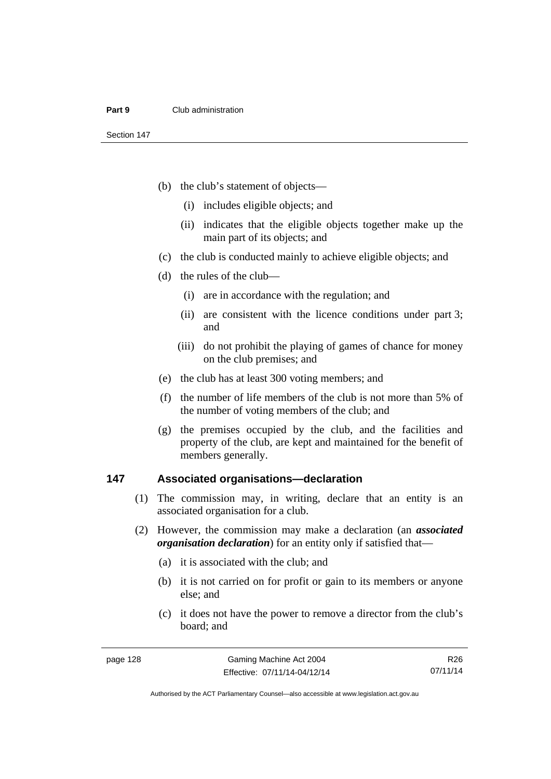- (b) the club's statement of objects—
	- (i) includes eligible objects; and
	- (ii) indicates that the eligible objects together make up the main part of its objects; and
- (c) the club is conducted mainly to achieve eligible objects; and
- (d) the rules of the club—
	- (i) are in accordance with the regulation; and
	- (ii) are consistent with the licence conditions under part 3; and
	- (iii) do not prohibit the playing of games of chance for money on the club premises; and
- (e) the club has at least 300 voting members; and
- (f) the number of life members of the club is not more than 5% of the number of voting members of the club; and
- (g) the premises occupied by the club, and the facilities and property of the club, are kept and maintained for the benefit of members generally.

### **147 Associated organisations—declaration**

- (1) The commission may, in writing, declare that an entity is an associated organisation for a club.
- (2) However, the commission may make a declaration (an *associated organisation declaration*) for an entity only if satisfied that—
	- (a) it is associated with the club; and
	- (b) it is not carried on for profit or gain to its members or anyone else; and
	- (c) it does not have the power to remove a director from the club's board; and

R26 07/11/14

Authorised by the ACT Parliamentary Counsel—also accessible at www.legislation.act.gov.au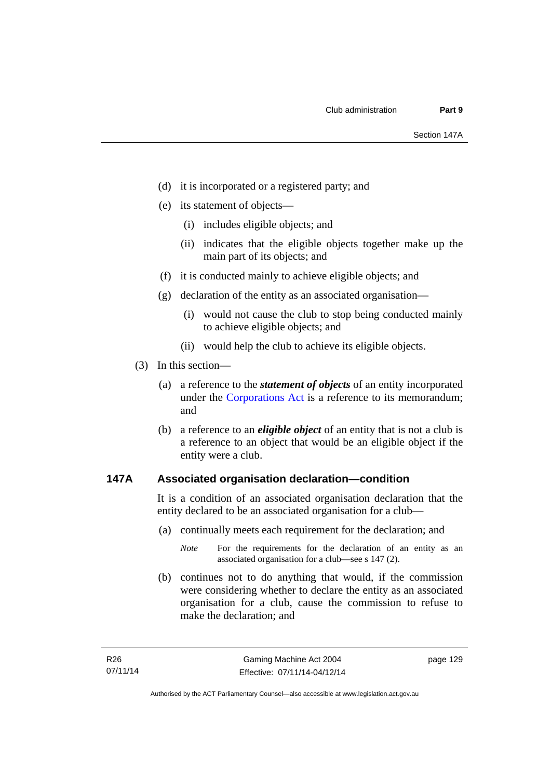- (d) it is incorporated or a registered party; and
- (e) its statement of objects—
	- (i) includes eligible objects; and
	- (ii) indicates that the eligible objects together make up the main part of its objects; and
- (f) it is conducted mainly to achieve eligible objects; and
- (g) declaration of the entity as an associated organisation—
	- (i) would not cause the club to stop being conducted mainly to achieve eligible objects; and
	- (ii) would help the club to achieve its eligible objects.
- (3) In this section—
	- (a) a reference to the *statement of objects* of an entity incorporated under the [Corporations Act](http://www.comlaw.gov.au/Series/C2004A00818) is a reference to its memorandum; and
	- (b) a reference to an *eligible object* of an entity that is not a club is a reference to an object that would be an eligible object if the entity were a club.

### **147A Associated organisation declaration—condition**

It is a condition of an associated organisation declaration that the entity declared to be an associated organisation for a club—

- (a) continually meets each requirement for the declaration; and
	- *Note* For the requirements for the declaration of an entity as an associated organisation for a club—see s 147 (2).
- (b) continues not to do anything that would, if the commission were considering whether to declare the entity as an associated organisation for a club, cause the commission to refuse to make the declaration; and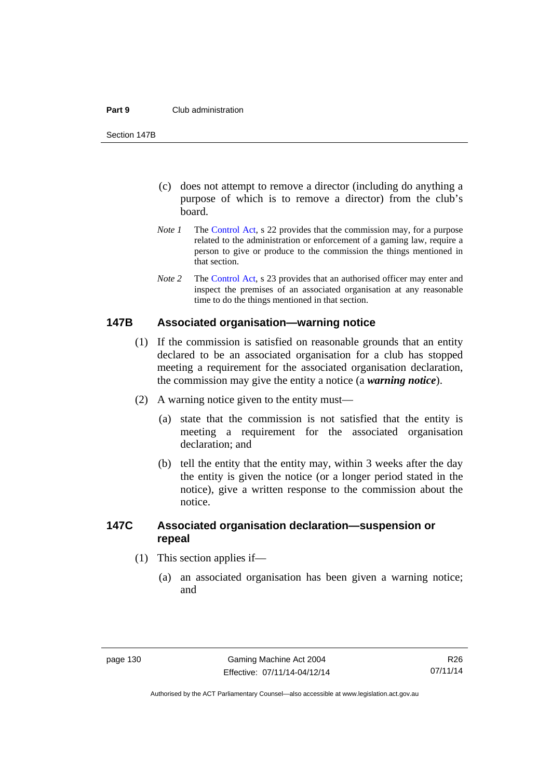#### **Part 9** Club administration

Section 147B

- (c) does not attempt to remove a director (including do anything a purpose of which is to remove a director) from the club's board.
- *Note 1* The [Control Act,](http://www.legislation.act.gov.au/a/1999-46) s 22 provides that the commission may, for a purpose related to the administration or enforcement of a gaming law, require a person to give or produce to the commission the things mentioned in that section.
- *Note 2* The [Control Act](http://www.legislation.act.gov.au/a/1999-46), s 23 provides that an authorised officer may enter and inspect the premises of an associated organisation at any reasonable time to do the things mentioned in that section.

### **147B Associated organisation—warning notice**

- (1) If the commission is satisfied on reasonable grounds that an entity declared to be an associated organisation for a club has stopped meeting a requirement for the associated organisation declaration, the commission may give the entity a notice (a *warning notice*).
- (2) A warning notice given to the entity must—
	- (a) state that the commission is not satisfied that the entity is meeting a requirement for the associated organisation declaration; and
	- (b) tell the entity that the entity may, within 3 weeks after the day the entity is given the notice (or a longer period stated in the notice), give a written response to the commission about the notice.

# **147C Associated organisation declaration—suspension or repeal**

- (1) This section applies if—
	- (a) an associated organisation has been given a warning notice; and

Authorised by the ACT Parliamentary Counsel—also accessible at www.legislation.act.gov.au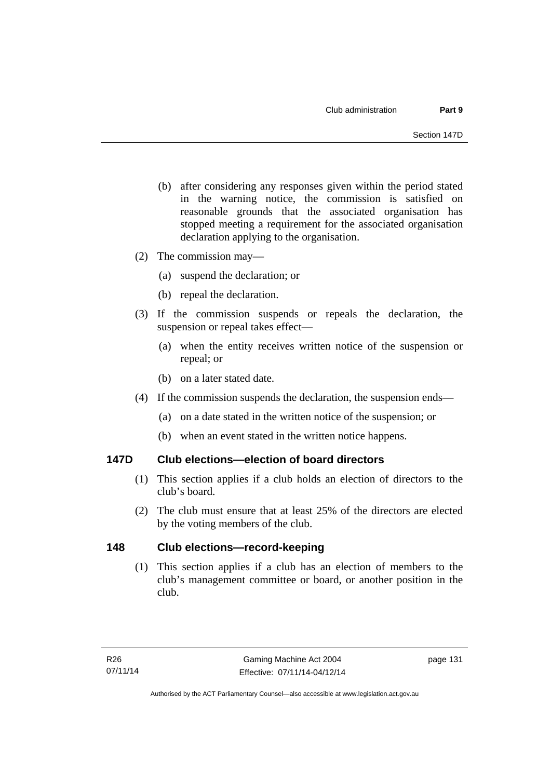- (b) after considering any responses given within the period stated in the warning notice, the commission is satisfied on reasonable grounds that the associated organisation has stopped meeting a requirement for the associated organisation declaration applying to the organisation.
- (2) The commission may—
	- (a) suspend the declaration; or
	- (b) repeal the declaration.
- (3) If the commission suspends or repeals the declaration, the suspension or repeal takes effect—
	- (a) when the entity receives written notice of the suspension or repeal; or
	- (b) on a later stated date.
- (4) If the commission suspends the declaration, the suspension ends—
	- (a) on a date stated in the written notice of the suspension; or
	- (b) when an event stated in the written notice happens.

### **147D Club elections—election of board directors**

- (1) This section applies if a club holds an election of directors to the club's board.
- (2) The club must ensure that at least 25% of the directors are elected by the voting members of the club.

### **148 Club elections—record-keeping**

(1) This section applies if a club has an election of members to the club's management committee or board, or another position in the club.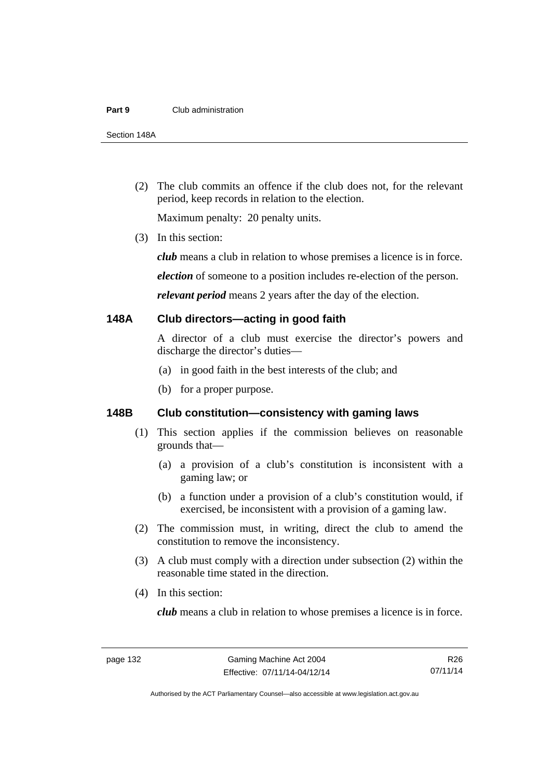#### **Part 9** Club administration

Section 148A

 (2) The club commits an offence if the club does not, for the relevant period, keep records in relation to the election.

Maximum penalty: 20 penalty units.

(3) In this section:

*club* means a club in relation to whose premises a licence is in force.

*election* of someone to a position includes re-election of the person.

*relevant period* means 2 years after the day of the election.

### **148A Club directors—acting in good faith**

A director of a club must exercise the director's powers and discharge the director's duties—

- (a) in good faith in the best interests of the club; and
- (b) for a proper purpose.

# **148B Club constitution—consistency with gaming laws**

- (1) This section applies if the commission believes on reasonable grounds that—
	- (a) a provision of a club's constitution is inconsistent with a gaming law; or
	- (b) a function under a provision of a club's constitution would, if exercised, be inconsistent with a provision of a gaming law.
- (2) The commission must, in writing, direct the club to amend the constitution to remove the inconsistency.
- (3) A club must comply with a direction under subsection (2) within the reasonable time stated in the direction.
- (4) In this section:

*club* means a club in relation to whose premises a licence is in force.

R26 07/11/14

Authorised by the ACT Parliamentary Counsel—also accessible at www.legislation.act.gov.au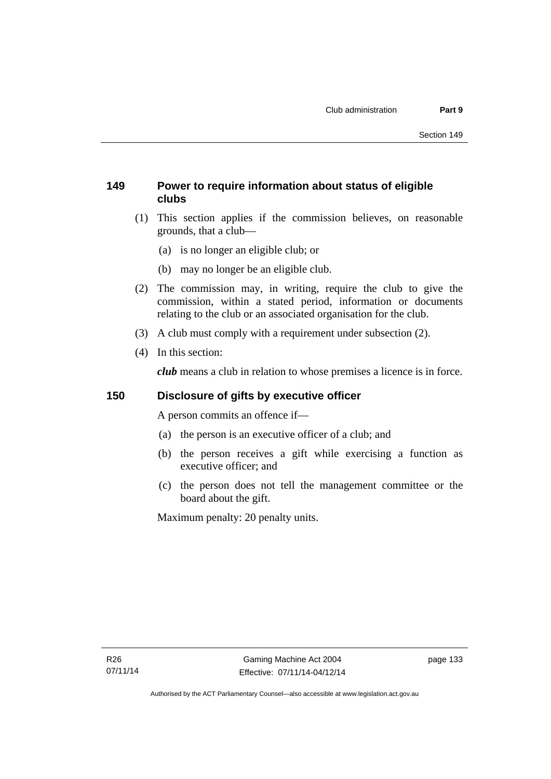# **149 Power to require information about status of eligible clubs**

- (1) This section applies if the commission believes, on reasonable grounds, that a club—
	- (a) is no longer an eligible club; or
	- (b) may no longer be an eligible club.
- (2) The commission may, in writing, require the club to give the commission, within a stated period, information or documents relating to the club or an associated organisation for the club.
- (3) A club must comply with a requirement under subsection (2).
- (4) In this section:

*club* means a club in relation to whose premises a licence is in force.

## **150 Disclosure of gifts by executive officer**

A person commits an offence if—

- (a) the person is an executive officer of a club; and
- (b) the person receives a gift while exercising a function as executive officer; and
- (c) the person does not tell the management committee or the board about the gift.

Maximum penalty: 20 penalty units.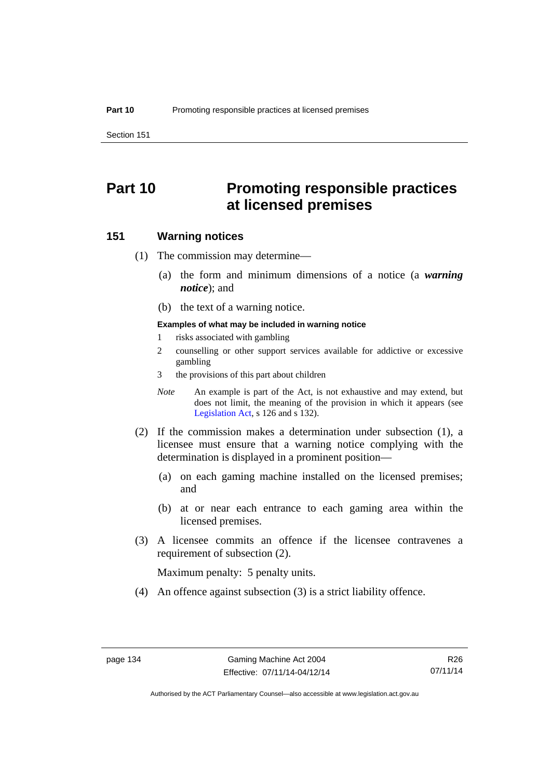Section 151

# **Part 10 Promoting responsible practices at licensed premises**

#### **151 Warning notices**

- (1) The commission may determine—
	- (a) the form and minimum dimensions of a notice (a *warning notice*); and
	- (b) the text of a warning notice.

#### **Examples of what may be included in warning notice**

- 1 risks associated with gambling
- 2 counselling or other support services available for addictive or excessive gambling
- 3 the provisions of this part about children
- *Note* An example is part of the Act, is not exhaustive and may extend, but does not limit, the meaning of the provision in which it appears (see [Legislation Act,](http://www.legislation.act.gov.au/a/2001-14) s 126 and s 132).
- (2) If the commission makes a determination under subsection (1), a licensee must ensure that a warning notice complying with the determination is displayed in a prominent position—
	- (a) on each gaming machine installed on the licensed premises; and
	- (b) at or near each entrance to each gaming area within the licensed premises.
- (3) A licensee commits an offence if the licensee contravenes a requirement of subsection (2).

Maximum penalty: 5 penalty units.

(4) An offence against subsection (3) is a strict liability offence.

Authorised by the ACT Parliamentary Counsel—also accessible at www.legislation.act.gov.au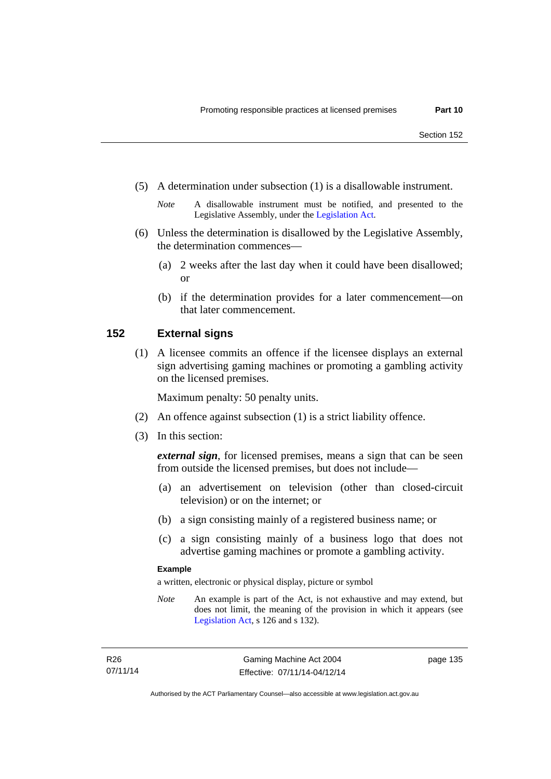(5) A determination under subsection (1) is a disallowable instrument.

- (6) Unless the determination is disallowed by the Legislative Assembly, the determination commences—
	- (a) 2 weeks after the last day when it could have been disallowed; or
	- (b) if the determination provides for a later commencement—on that later commencement.

#### **152 External signs**

(1) A licensee commits an offence if the licensee displays an external sign advertising gaming machines or promoting a gambling activity on the licensed premises.

Maximum penalty: 50 penalty units.

- (2) An offence against subsection (1) is a strict liability offence.
- (3) In this section:

*external sign*, for licensed premises, means a sign that can be seen from outside the licensed premises, but does not include—

- (a) an advertisement on television (other than closed-circuit television) or on the internet; or
- (b) a sign consisting mainly of a registered business name; or
- (c) a sign consisting mainly of a business logo that does not advertise gaming machines or promote a gambling activity.

#### **Example**

a written, electronic or physical display, picture or symbol

*Note* An example is part of the Act, is not exhaustive and may extend, but does not limit, the meaning of the provision in which it appears (see [Legislation Act,](http://www.legislation.act.gov.au/a/2001-14) s 126 and s 132).

*Note* A disallowable instrument must be notified, and presented to the Legislative Assembly, under the [Legislation Act.](http://www.legislation.act.gov.au/a/2001-14)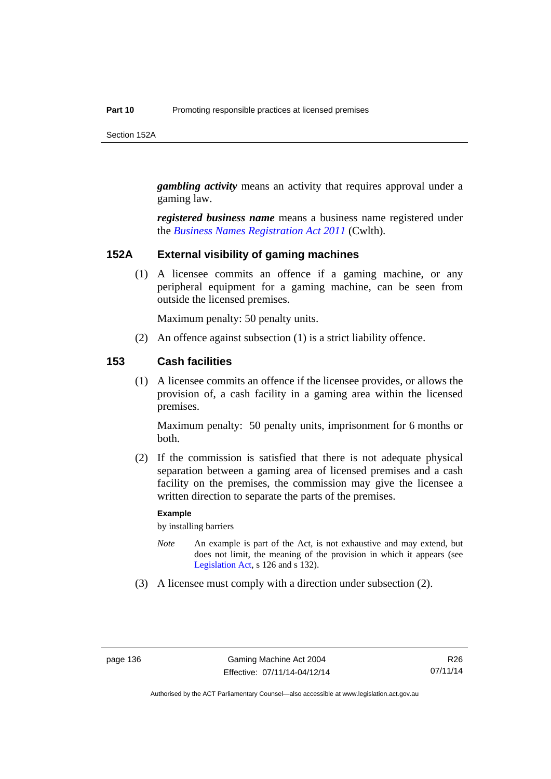Section 152A

*gambling activity* means an activity that requires approval under a gaming law.

*registered business name* means a business name registered under the *[Business Names Registration Act 2011](http://www.comlaw.gov.au/Series/C2011A00126)* (Cwlth)*.*

#### **152A External visibility of gaming machines**

(1) A licensee commits an offence if a gaming machine, or any peripheral equipment for a gaming machine, can be seen from outside the licensed premises.

Maximum penalty: 50 penalty units.

(2) An offence against subsection (1) is a strict liability offence.

#### **153 Cash facilities**

(1) A licensee commits an offence if the licensee provides, or allows the provision of, a cash facility in a gaming area within the licensed premises.

Maximum penalty: 50 penalty units, imprisonment for 6 months or both.

 (2) If the commission is satisfied that there is not adequate physical separation between a gaming area of licensed premises and a cash facility on the premises, the commission may give the licensee a written direction to separate the parts of the premises.

#### **Example**

by installing barriers

- *Note* An example is part of the Act, is not exhaustive and may extend, but does not limit, the meaning of the provision in which it appears (see [Legislation Act,](http://www.legislation.act.gov.au/a/2001-14) s 126 and s 132).
- (3) A licensee must comply with a direction under subsection (2).

R26 07/11/14

Authorised by the ACT Parliamentary Counsel—also accessible at www.legislation.act.gov.au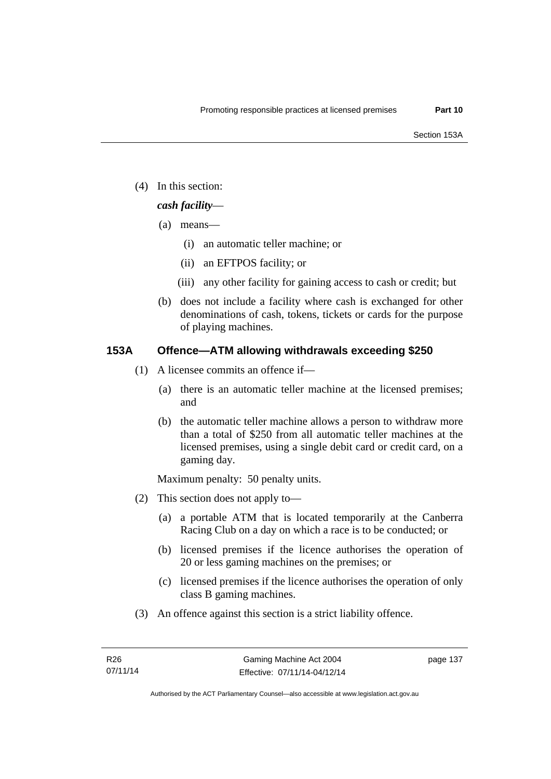(4) In this section:

### *cash facility*—

- (a) means—
	- (i) an automatic teller machine; or
	- (ii) an EFTPOS facility; or
	- (iii) any other facility for gaining access to cash or credit; but
- (b) does not include a facility where cash is exchanged for other denominations of cash, tokens, tickets or cards for the purpose of playing machines.

### **153A Offence—ATM allowing withdrawals exceeding \$250**

- (1) A licensee commits an offence if—
	- (a) there is an automatic teller machine at the licensed premises; and
	- (b) the automatic teller machine allows a person to withdraw more than a total of \$250 from all automatic teller machines at the licensed premises, using a single debit card or credit card, on a gaming day.

Maximum penalty: 50 penalty units.

- (2) This section does not apply to—
	- (a) a portable ATM that is located temporarily at the Canberra Racing Club on a day on which a race is to be conducted; or
	- (b) licensed premises if the licence authorises the operation of 20 or less gaming machines on the premises; or
	- (c) licensed premises if the licence authorises the operation of only class B gaming machines.
- (3) An offence against this section is a strict liability offence.

page 137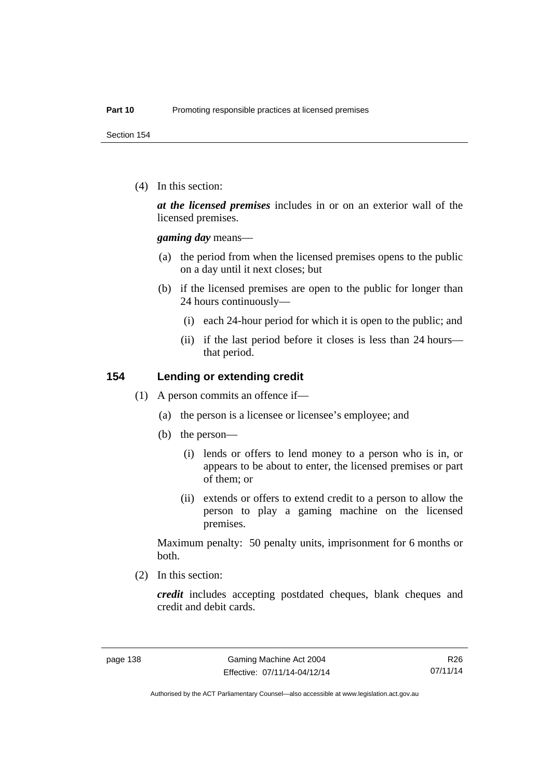Section 154

(4) In this section:

*at the licensed premises* includes in or on an exterior wall of the licensed premises.

*gaming day* means—

- (a) the period from when the licensed premises opens to the public on a day until it next closes; but
- (b) if the licensed premises are open to the public for longer than 24 hours continuously—
	- (i) each 24-hour period for which it is open to the public; and
	- (ii) if the last period before it closes is less than 24 hours that period.

#### **154 Lending or extending credit**

- (1) A person commits an offence if—
	- (a) the person is a licensee or licensee's employee; and
	- (b) the person—
		- (i) lends or offers to lend money to a person who is in, or appears to be about to enter, the licensed premises or part of them; or
		- (ii) extends or offers to extend credit to a person to allow the person to play a gaming machine on the licensed premises.

Maximum penalty: 50 penalty units, imprisonment for 6 months or both.

(2) In this section:

*credit* includes accepting postdated cheques, blank cheques and credit and debit cards.

R26 07/11/14

Authorised by the ACT Parliamentary Counsel—also accessible at www.legislation.act.gov.au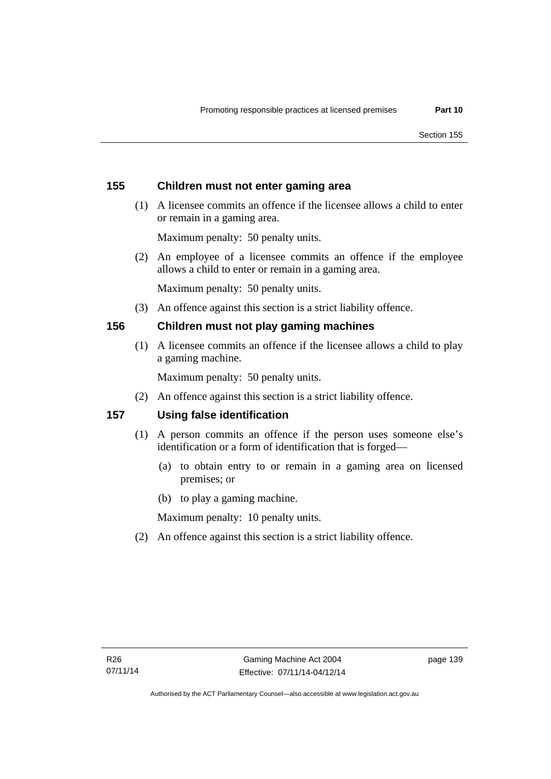### **155 Children must not enter gaming area**

 (1) A licensee commits an offence if the licensee allows a child to enter or remain in a gaming area.

Maximum penalty: 50 penalty units.

 (2) An employee of a licensee commits an offence if the employee allows a child to enter or remain in a gaming area.

Maximum penalty: 50 penalty units.

(3) An offence against this section is a strict liability offence.

### **156 Children must not play gaming machines**

(1) A licensee commits an offence if the licensee allows a child to play a gaming machine.

Maximum penalty: 50 penalty units.

(2) An offence against this section is a strict liability offence.

#### **157 Using false identification**

- (1) A person commits an offence if the person uses someone else's identification or a form of identification that is forged—
	- (a) to obtain entry to or remain in a gaming area on licensed premises; or
	- (b) to play a gaming machine.

Maximum penalty: 10 penalty units.

(2) An offence against this section is a strict liability offence.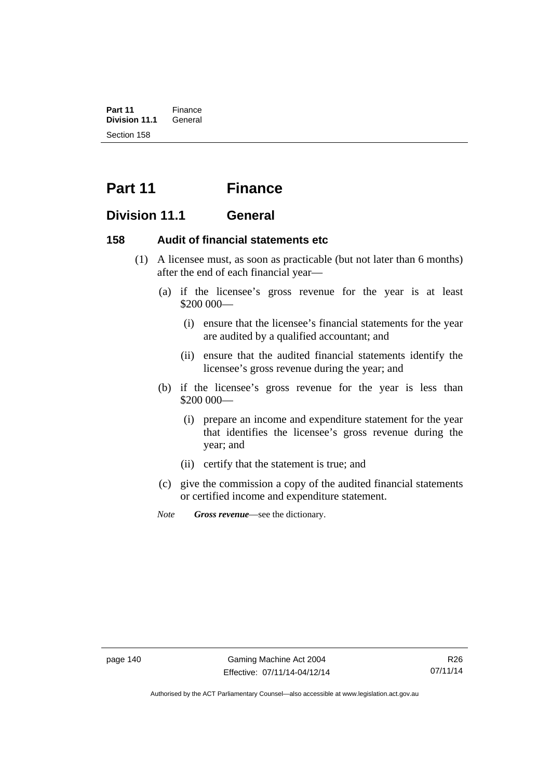**Part 11** Finance<br>**Division 11.1** General **Division 11.1** Section 158

# **Part 11 Finance**

# **Division 11.1 General**

#### **158 Audit of financial statements etc**

- (1) A licensee must, as soon as practicable (but not later than 6 months) after the end of each financial year—
	- (a) if the licensee's gross revenue for the year is at least \$200 000—
		- (i) ensure that the licensee's financial statements for the year are audited by a qualified accountant; and
		- (ii) ensure that the audited financial statements identify the licensee's gross revenue during the year; and
	- (b) if the licensee's gross revenue for the year is less than \$200 000—
		- (i) prepare an income and expenditure statement for the year that identifies the licensee's gross revenue during the year; and
		- (ii) certify that the statement is true; and
	- (c) give the commission a copy of the audited financial statements or certified income and expenditure statement.
	- *Note Gross revenue*—see the dictionary.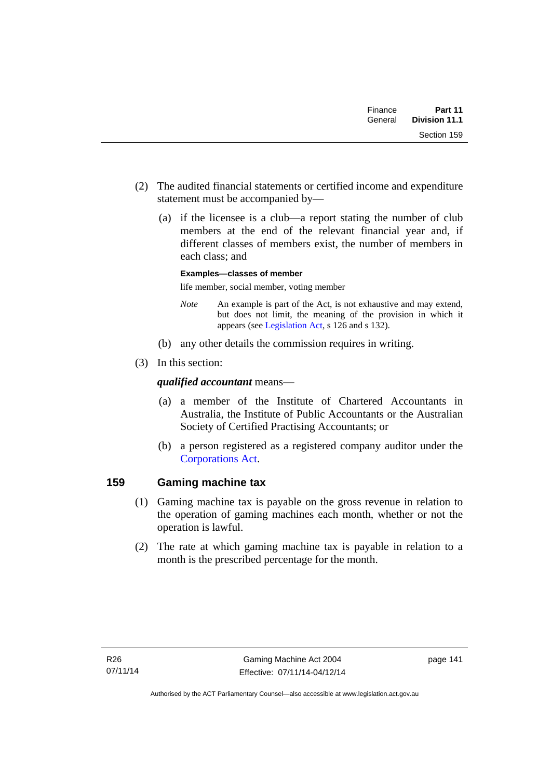| Part 11       | Finance |  |
|---------------|---------|--|
| Division 11.1 | General |  |
| Section 159   |         |  |

- (2) The audited financial statements or certified income and expenditure statement must be accompanied by—
	- (a) if the licensee is a club—a report stating the number of club members at the end of the relevant financial year and, if different classes of members exist, the number of members in each class; and

#### **Examples—classes of member**

life member, social member, voting member

- *Note* An example is part of the Act, is not exhaustive and may extend, but does not limit, the meaning of the provision in which it appears (see [Legislation Act,](http://www.legislation.act.gov.au/a/2001-14) s 126 and s 132).
- (b) any other details the commission requires in writing.
- (3) In this section:

#### *qualified accountant* means—

- (a) a member of the Institute of Chartered Accountants in Australia, the Institute of Public Accountants or the Australian Society of Certified Practising Accountants; or
- (b) a person registered as a registered company auditor under the [Corporations Act.](http://www.comlaw.gov.au/Series/C2004A00818)

### **159 Gaming machine tax**

- (1) Gaming machine tax is payable on the gross revenue in relation to the operation of gaming machines each month, whether or not the operation is lawful.
- (2) The rate at which gaming machine tax is payable in relation to a month is the prescribed percentage for the month.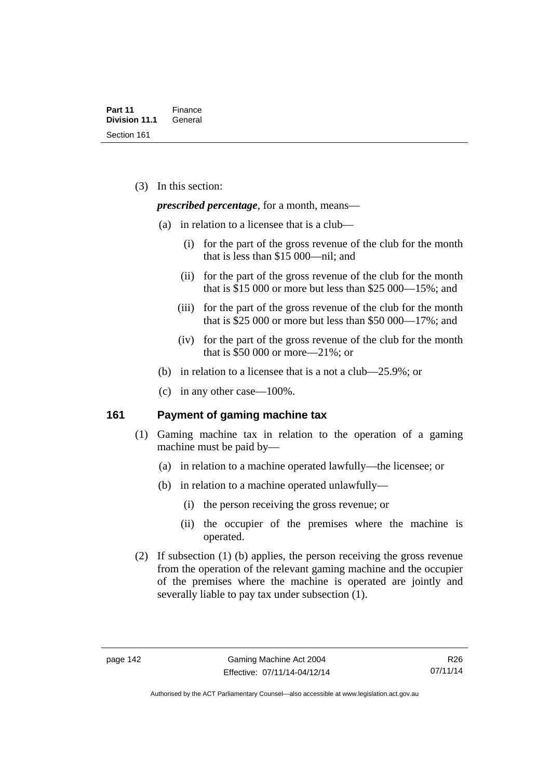(3) In this section:

*prescribed percentage*, for a month, means—

- (a) in relation to a licensee that is a club—
	- (i) for the part of the gross revenue of the club for the month that is less than \$15 000—nil; and
	- (ii) for the part of the gross revenue of the club for the month that is \$15 000 or more but less than \$25 000—15%; and
	- (iii) for the part of the gross revenue of the club for the month that is \$25,000 or more but less than \$50,000—17%; and
	- (iv) for the part of the gross revenue of the club for the month that is \$50 000 or more—21%; or
- (b) in relation to a licensee that is a not a club—25.9%; or
- (c) in any other case—100%.

#### **161 Payment of gaming machine tax**

- (1) Gaming machine tax in relation to the operation of a gaming machine must be paid by—
	- (a) in relation to a machine operated lawfully—the licensee; or
	- (b) in relation to a machine operated unlawfully—
		- (i) the person receiving the gross revenue; or
		- (ii) the occupier of the premises where the machine is operated.
- (2) If subsection (1) (b) applies, the person receiving the gross revenue from the operation of the relevant gaming machine and the occupier of the premises where the machine is operated are jointly and severally liable to pay tax under subsection (1).

Authorised by the ACT Parliamentary Counsel—also accessible at www.legislation.act.gov.au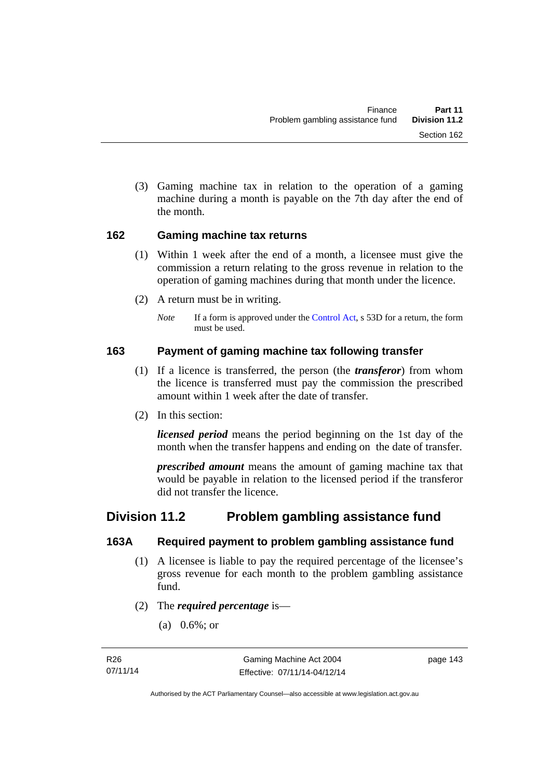(3) Gaming machine tax in relation to the operation of a gaming machine during a month is payable on the 7th day after the end of the month.

### **162 Gaming machine tax returns**

- (1) Within 1 week after the end of a month, a licensee must give the commission a return relating to the gross revenue in relation to the operation of gaming machines during that month under the licence.
- (2) A return must be in writing.
	- *Note* If a form is approved under the [Control Act,](http://www.legislation.act.gov.au/a/1999-46) s 53D for a return, the form must be used.

# **163 Payment of gaming machine tax following transfer**

- (1) If a licence is transferred, the person (the *transferor*) from whom the licence is transferred must pay the commission the prescribed amount within 1 week after the date of transfer.
- (2) In this section:

*licensed period* means the period beginning on the 1st day of the month when the transfer happens and ending on the date of transfer.

*prescribed amount* means the amount of gaming machine tax that would be payable in relation to the licensed period if the transferor did not transfer the licence.

# **Division 11.2 Problem gambling assistance fund**

# **163A Required payment to problem gambling assistance fund**

- (1) A licensee is liable to pay the required percentage of the licensee's gross revenue for each month to the problem gambling assistance fund.
- (2) The *required percentage* is—
	- (a) 0.6%; or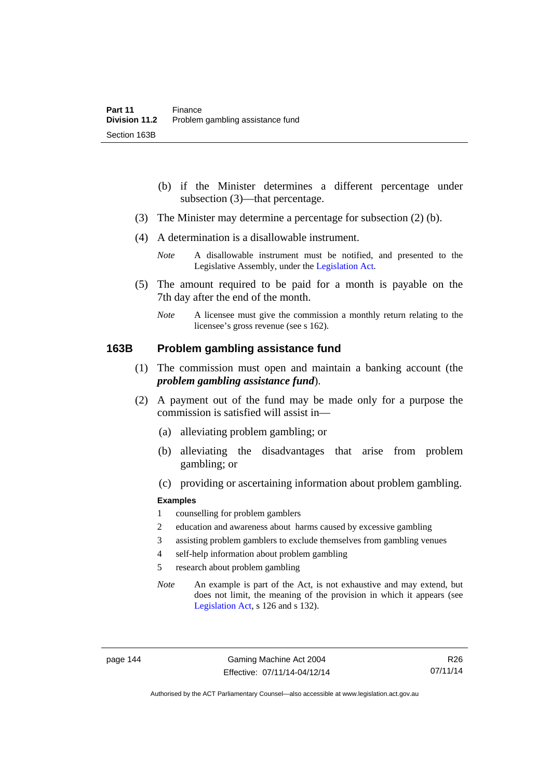- (b) if the Minister determines a different percentage under subsection (3)—that percentage.
- (3) The Minister may determine a percentage for subsection (2) (b).
- (4) A determination is a disallowable instrument.
	- *Note* A disallowable instrument must be notified, and presented to the Legislative Assembly, under the [Legislation Act.](http://www.legislation.act.gov.au/a/2001-14)
- (5) The amount required to be paid for a month is payable on the 7th day after the end of the month.
	- *Note* A licensee must give the commission a monthly return relating to the licensee's gross revenue (see s 162).

#### **163B Problem gambling assistance fund**

- (1) The commission must open and maintain a banking account (the *problem gambling assistance fund*).
- (2) A payment out of the fund may be made only for a purpose the commission is satisfied will assist in—
	- (a) alleviating problem gambling; or
	- (b) alleviating the disadvantages that arise from problem gambling; or
	- (c) providing or ascertaining information about problem gambling.

#### **Examples**

- 1 counselling for problem gamblers
- 2 education and awareness about harms caused by excessive gambling
- 3 assisting problem gamblers to exclude themselves from gambling venues
- 4 self-help information about problem gambling
- 5 research about problem gambling
- *Note* An example is part of the Act, is not exhaustive and may extend, but does not limit, the meaning of the provision in which it appears (see [Legislation Act,](http://www.legislation.act.gov.au/a/2001-14) s 126 and s 132).

page 144 Gaming Machine Act 2004 Effective: 07/11/14-04/12/14

R26 07/11/14

Authorised by the ACT Parliamentary Counsel—also accessible at www.legislation.act.gov.au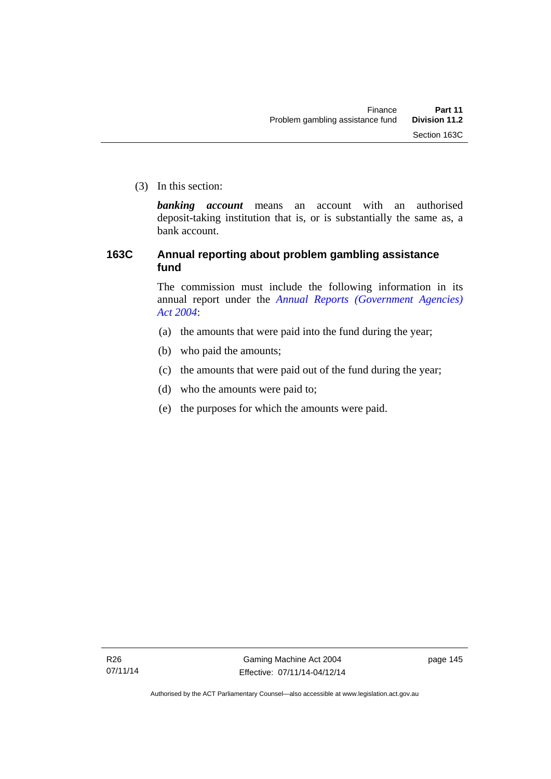(3) In this section:

*banking account* means an account with an authorised deposit-taking institution that is, or is substantially the same as, a bank account.

# **163C Annual reporting about problem gambling assistance fund**

The commission must include the following information in its annual report under the *[Annual Reports \(Government Agencies\)](http://www.legislation.act.gov.au/a/2004-8)  [Act 2004](http://www.legislation.act.gov.au/a/2004-8)*:

- (a) the amounts that were paid into the fund during the year;
- (b) who paid the amounts;
- (c) the amounts that were paid out of the fund during the year;
- (d) who the amounts were paid to;
- (e) the purposes for which the amounts were paid.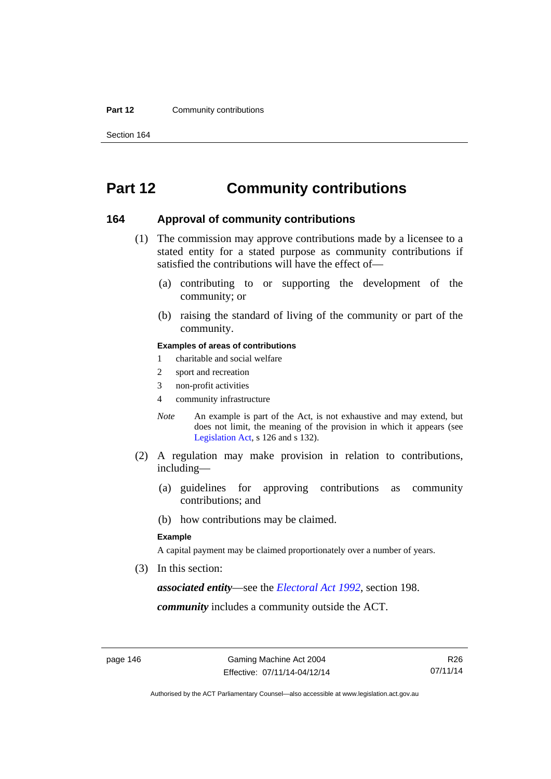#### **Part 12 Community contributions**

Section 164

# **Part 12 Community contributions**

#### **164 Approval of community contributions**

- (1) The commission may approve contributions made by a licensee to a stated entity for a stated purpose as community contributions if satisfied the contributions will have the effect of—
	- (a) contributing to or supporting the development of the community; or
	- (b) raising the standard of living of the community or part of the community.

#### **Examples of areas of contributions**

- 1 charitable and social welfare
- 2 sport and recreation
- 3 non-profit activities
- 4 community infrastructure
- *Note* An example is part of the Act, is not exhaustive and may extend, but does not limit, the meaning of the provision in which it appears (see [Legislation Act,](http://www.legislation.act.gov.au/a/2001-14) s 126 and s 132).
- (2) A regulation may make provision in relation to contributions, including—
	- (a) guidelines for approving contributions as community contributions; and
	- (b) how contributions may be claimed.

#### **Example**

A capital payment may be claimed proportionately over a number of years.

(3) In this section:

*associated entity*—see the *[Electoral Act 1992](http://www.legislation.act.gov.au/a/1992-71)*, section 198.

*community* includes a community outside the ACT.

Authorised by the ACT Parliamentary Counsel—also accessible at www.legislation.act.gov.au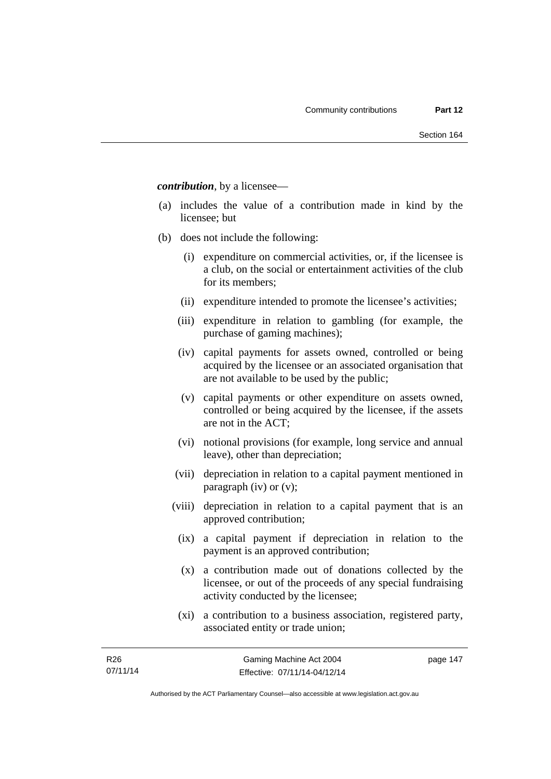*contribution*, by a licensee—

- (a) includes the value of a contribution made in kind by the licensee; but
- (b) does not include the following:
	- (i) expenditure on commercial activities, or, if the licensee is a club, on the social or entertainment activities of the club for its members;
	- (ii) expenditure intended to promote the licensee's activities;
	- (iii) expenditure in relation to gambling (for example, the purchase of gaming machines);
	- (iv) capital payments for assets owned, controlled or being acquired by the licensee or an associated organisation that are not available to be used by the public;
	- (v) capital payments or other expenditure on assets owned, controlled or being acquired by the licensee, if the assets are not in the ACT;
	- (vi) notional provisions (for example, long service and annual leave), other than depreciation;
	- (vii) depreciation in relation to a capital payment mentioned in paragraph (iv) or (v);
	- (viii) depreciation in relation to a capital payment that is an approved contribution;
		- (ix) a capital payment if depreciation in relation to the payment is an approved contribution;
		- (x) a contribution made out of donations collected by the licensee, or out of the proceeds of any special fundraising activity conducted by the licensee;
		- (xi) a contribution to a business association, registered party, associated entity or trade union;

page 147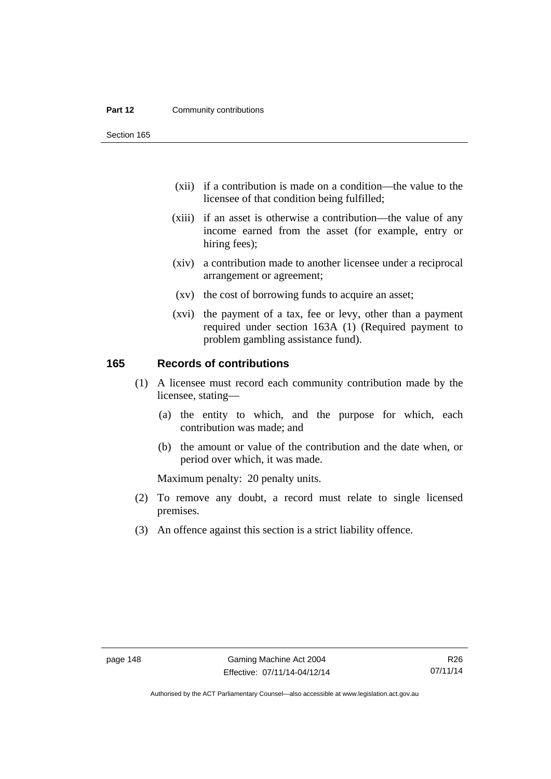#### **Part 12 Community contributions**

Section 165

- (xii) if a contribution is made on a condition—the value to the licensee of that condition being fulfilled;
- (xiii) if an asset is otherwise a contribution—the value of any income earned from the asset (for example, entry or hiring fees);
- (xiv) a contribution made to another licensee under a reciprocal arrangement or agreement;
- (xv) the cost of borrowing funds to acquire an asset;
- (xvi) the payment of a tax, fee or levy, other than a payment required under section 163A (1) (Required payment to problem gambling assistance fund).

#### **165 Records of contributions**

- (1) A licensee must record each community contribution made by the licensee, stating—
	- (a) the entity to which, and the purpose for which, each contribution was made; and
	- (b) the amount or value of the contribution and the date when, or period over which, it was made.

Maximum penalty: 20 penalty units.

- (2) To remove any doubt, a record must relate to single licensed premises.
- (3) An offence against this section is a strict liability offence.

Authorised by the ACT Parliamentary Counsel—also accessible at www.legislation.act.gov.au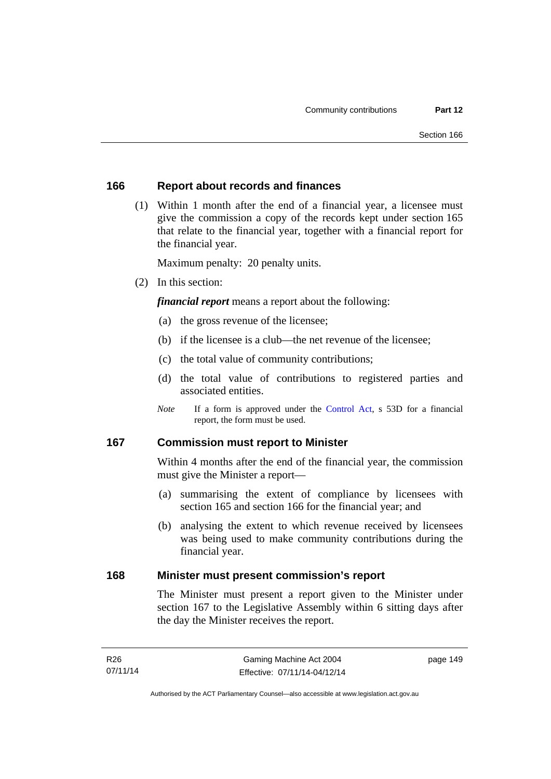#### **166 Report about records and finances**

 (1) Within 1 month after the end of a financial year, a licensee must give the commission a copy of the records kept under section 165 that relate to the financial year, together with a financial report for the financial year.

Maximum penalty: 20 penalty units.

(2) In this section:

*financial report* means a report about the following:

- (a) the gross revenue of the licensee;
- (b) if the licensee is a club—the net revenue of the licensee;
- (c) the total value of community contributions;
- (d) the total value of contributions to registered parties and associated entities.
- *Note* If a form is approved under the [Control Act](http://www.legislation.act.gov.au/a/1999-46), s 53D for a financial report, the form must be used.

#### **167 Commission must report to Minister**

Within 4 months after the end of the financial year, the commission must give the Minister a report—

- (a) summarising the extent of compliance by licensees with section 165 and section 166 for the financial year; and
- (b) analysing the extent to which revenue received by licensees was being used to make community contributions during the financial year.

#### **168 Minister must present commission's report**

The Minister must present a report given to the Minister under section 167 to the Legislative Assembly within 6 sitting days after the day the Minister receives the report.

page 149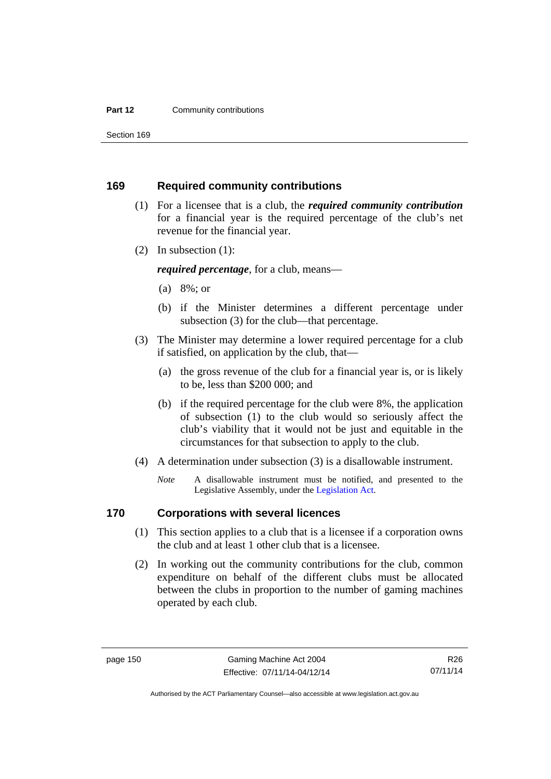#### **Part 12 Community contributions**

Section 169

#### **169 Required community contributions**

- (1) For a licensee that is a club, the *required community contribution* for a financial year is the required percentage of the club's net revenue for the financial year.
- (2) In subsection (1):

*required percentage*, for a club, means—

- (a) 8%; or
- (b) if the Minister determines a different percentage under subsection (3) for the club—that percentage.
- (3) The Minister may determine a lower required percentage for a club if satisfied, on application by the club, that—
	- (a) the gross revenue of the club for a financial year is, or is likely to be, less than \$200 000; and
	- (b) if the required percentage for the club were 8%, the application of subsection (1) to the club would so seriously affect the club's viability that it would not be just and equitable in the circumstances for that subsection to apply to the club.
- (4) A determination under subsection (3) is a disallowable instrument.
	- *Note* A disallowable instrument must be notified, and presented to the Legislative Assembly, under the [Legislation Act.](http://www.legislation.act.gov.au/a/2001-14)

# **170 Corporations with several licences**

- (1) This section applies to a club that is a licensee if a corporation owns the club and at least 1 other club that is a licensee.
- (2) In working out the community contributions for the club, common expenditure on behalf of the different clubs must be allocated between the clubs in proportion to the number of gaming machines operated by each club.

Authorised by the ACT Parliamentary Counsel—also accessible at www.legislation.act.gov.au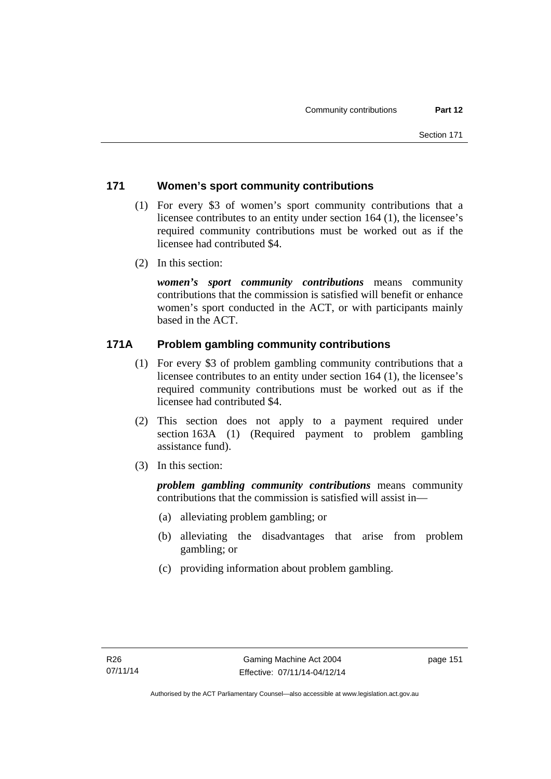# **171 Women's sport community contributions**

- (1) For every \$3 of women's sport community contributions that a licensee contributes to an entity under section 164 (1), the licensee's required community contributions must be worked out as if the licensee had contributed \$4.
- (2) In this section:

*women's sport community contributions* means community contributions that the commission is satisfied will benefit or enhance women's sport conducted in the ACT, or with participants mainly based in the ACT.

# **171A Problem gambling community contributions**

- (1) For every \$3 of problem gambling community contributions that a licensee contributes to an entity under section 164 (1), the licensee's required community contributions must be worked out as if the licensee had contributed \$4.
- (2) This section does not apply to a payment required under section 163A (1) (Required payment to problem gambling assistance fund).
- (3) In this section:

*problem gambling community contributions* means community contributions that the commission is satisfied will assist in—

- (a) alleviating problem gambling; or
- (b) alleviating the disadvantages that arise from problem gambling; or
- (c) providing information about problem gambling.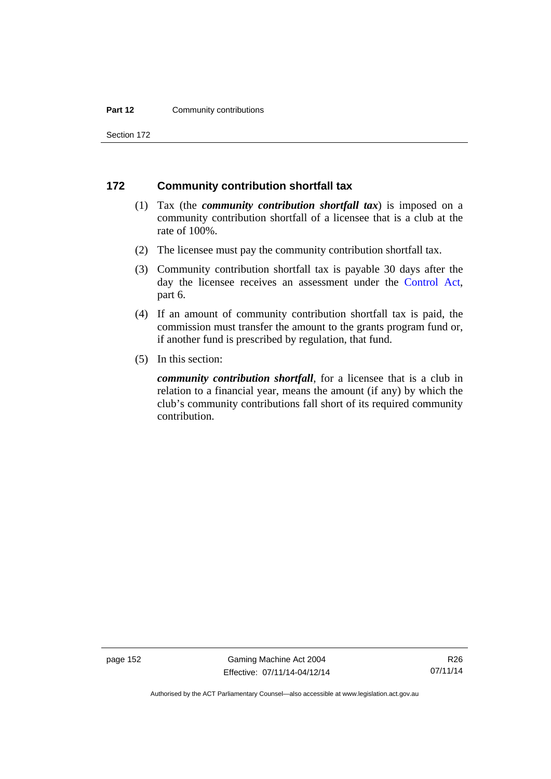#### **Part 12 Community contributions**

Section 172

#### **172 Community contribution shortfall tax**

- (1) Tax (the *community contribution shortfall tax*) is imposed on a community contribution shortfall of a licensee that is a club at the rate of 100%.
- (2) The licensee must pay the community contribution shortfall tax.
- (3) Community contribution shortfall tax is payable 30 days after the day the licensee receives an assessment under the [Control Act](http://www.legislation.act.gov.au/a/1999-46), part 6.
- (4) If an amount of community contribution shortfall tax is paid, the commission must transfer the amount to the grants program fund or, if another fund is prescribed by regulation, that fund.
- (5) In this section:

*community contribution shortfall*, for a licensee that is a club in relation to a financial year, means the amount (if any) by which the club's community contributions fall short of its required community contribution.

page 152 Gaming Machine Act 2004 Effective: 07/11/14-04/12/14

Authorised by the ACT Parliamentary Counsel—also accessible at www.legislation.act.gov.au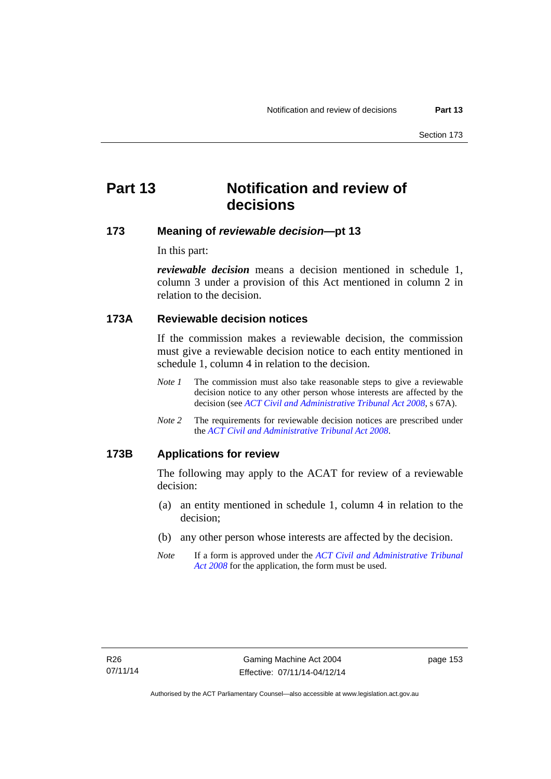# **Part 13 Notification and review of decisions**

## **173 Meaning of** *reviewable decision***—pt 13**

In this part:

*reviewable decision* means a decision mentioned in schedule 1, column 3 under a provision of this Act mentioned in column 2 in relation to the decision.

## **173A Reviewable decision notices**

If the commission makes a reviewable decision, the commission must give a reviewable decision notice to each entity mentioned in schedule 1, column 4 in relation to the decision.

- *Note 1* The commission must also take reasonable steps to give a reviewable decision notice to any other person whose interests are affected by the decision (see *[ACT Civil and Administrative Tribunal Act 2008](http://www.legislation.act.gov.au/a/2008-35)*, s 67A).
- *Note 2* The requirements for reviewable decision notices are prescribed under the *[ACT Civil and Administrative Tribunal Act 2008](http://www.legislation.act.gov.au/a/2008-35)*.

#### **173B Applications for review**

The following may apply to the ACAT for review of a reviewable decision:

- (a) an entity mentioned in schedule 1, column 4 in relation to the decision;
- (b) any other person whose interests are affected by the decision.
- *Note* If a form is approved under the *[ACT Civil and Administrative Tribunal](http://www.legislation.act.gov.au/a/2008-35)  [Act 2008](http://www.legislation.act.gov.au/a/2008-35)* for the application, the form must be used.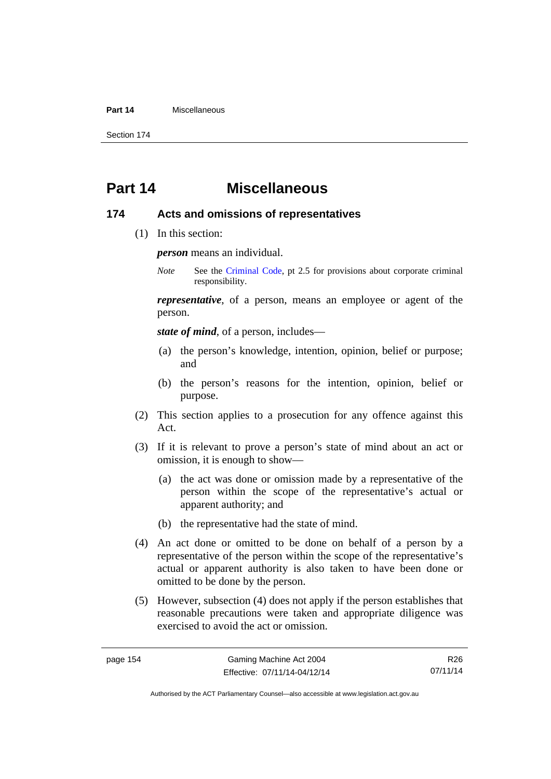#### **Part 14** Miscellaneous

Section 174

# **Part 14 Miscellaneous**

#### **174 Acts and omissions of representatives**

(1) In this section:

*person* means an individual.

*Note* See the [Criminal Code,](http://www.legislation.act.gov.au/a/2002-51) pt 2.5 for provisions about corporate criminal responsibility.

*representative*, of a person, means an employee or agent of the person.

*state of mind*, of a person, includes—

- (a) the person's knowledge, intention, opinion, belief or purpose; and
- (b) the person's reasons for the intention, opinion, belief or purpose.
- (2) This section applies to a prosecution for any offence against this Act.
- (3) If it is relevant to prove a person's state of mind about an act or omission, it is enough to show—
	- (a) the act was done or omission made by a representative of the person within the scope of the representative's actual or apparent authority; and
	- (b) the representative had the state of mind.
- (4) An act done or omitted to be done on behalf of a person by a representative of the person within the scope of the representative's actual or apparent authority is also taken to have been done or omitted to be done by the person.
- (5) However, subsection (4) does not apply if the person establishes that reasonable precautions were taken and appropriate diligence was exercised to avoid the act or omission.

R26 07/11/14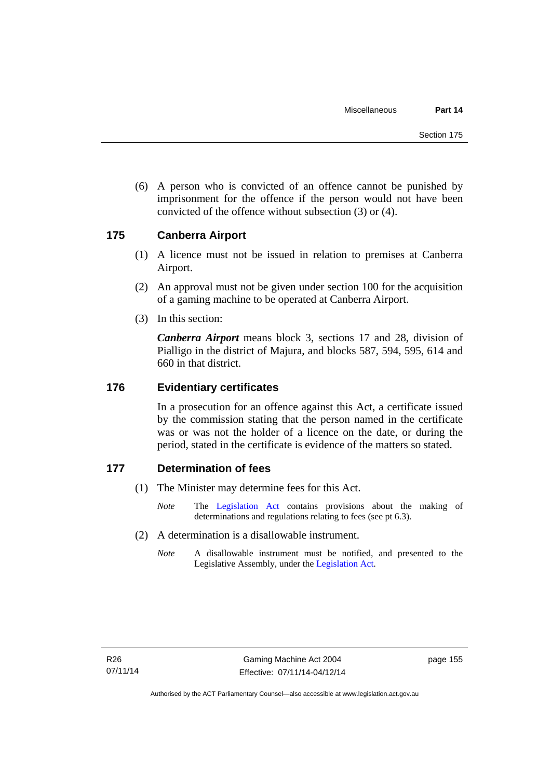(6) A person who is convicted of an offence cannot be punished by imprisonment for the offence if the person would not have been convicted of the offence without subsection (3) or (4).

#### **175 Canberra Airport**

- (1) A licence must not be issued in relation to premises at Canberra Airport.
- (2) An approval must not be given under section 100 for the acquisition of a gaming machine to be operated at Canberra Airport.
- (3) In this section:

*Canberra Airport* means block 3, sections 17 and 28, division of Pialligo in the district of Majura, and blocks 587, 594, 595, 614 and 660 in that district.

#### **176 Evidentiary certificates**

In a prosecution for an offence against this Act, a certificate issued by the commission stating that the person named in the certificate was or was not the holder of a licence on the date, or during the period, stated in the certificate is evidence of the matters so stated.

#### **177 Determination of fees**

- (1) The Minister may determine fees for this Act.
	- *Note* The [Legislation Act](http://www.legislation.act.gov.au/a/2001-14) contains provisions about the making of determinations and regulations relating to fees (see pt 6.3).
- (2) A determination is a disallowable instrument.
	- *Note* A disallowable instrument must be notified, and presented to the Legislative Assembly, under the [Legislation Act.](http://www.legislation.act.gov.au/a/2001-14)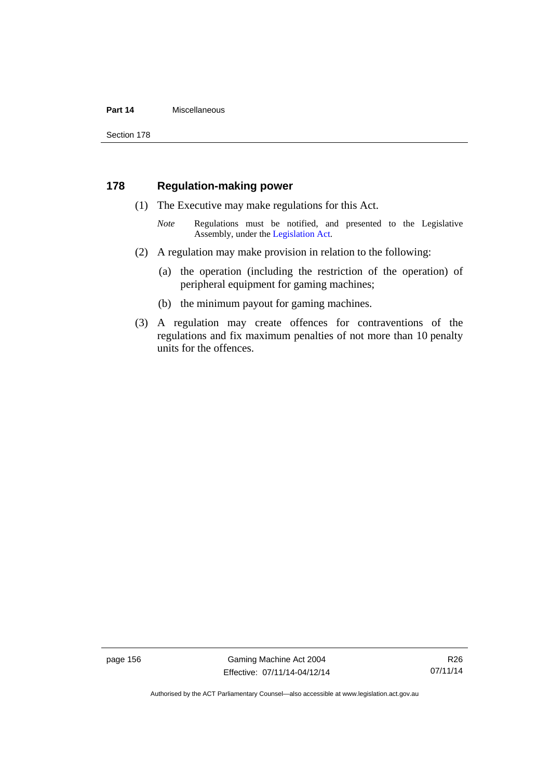#### **Part 14** Miscellaneous

Section 178

#### **178 Regulation-making power**

- (1) The Executive may make regulations for this Act.
	- *Note* **Regulations** must be notified, and presented to the Legislative Assembly, under the [Legislation Act](http://www.legislation.act.gov.au/a/2001-14).
- (2) A regulation may make provision in relation to the following:
	- (a) the operation (including the restriction of the operation) of peripheral equipment for gaming machines;
	- (b) the minimum payout for gaming machines.
- (3) A regulation may create offences for contraventions of the regulations and fix maximum penalties of not more than 10 penalty units for the offences.

page 156 Gaming Machine Act 2004 Effective: 07/11/14-04/12/14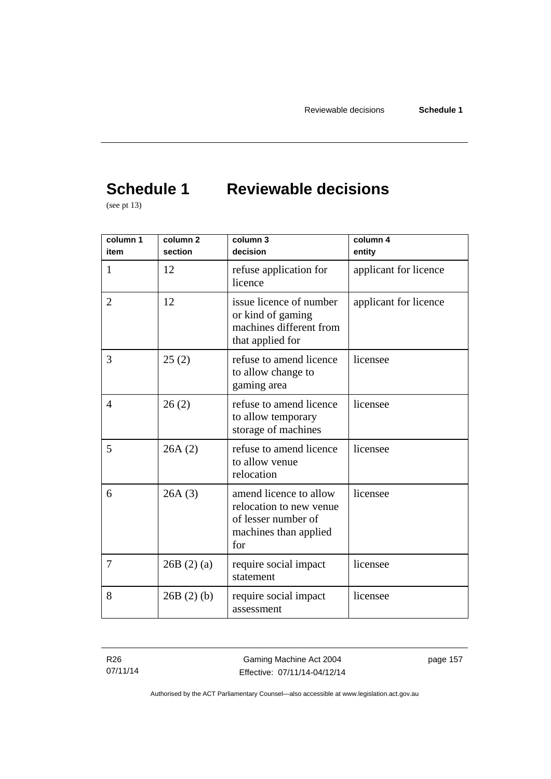# **Schedule 1 Reviewable decisions**

(see pt 13)

| column 1<br>item | column 2<br>section | column 3<br>decision                                                                                     | column 4<br>entity    |
|------------------|---------------------|----------------------------------------------------------------------------------------------------------|-----------------------|
| 1                | 12                  | refuse application for<br>licence                                                                        | applicant for licence |
| $\overline{2}$   | 12                  | issue licence of number<br>or kind of gaming<br>machines different from<br>that applied for              | applicant for licence |
| 3                | 25(2)               | refuse to amend licence<br>to allow change to<br>gaming area                                             | licensee              |
| $\overline{4}$   | 26(2)               | refuse to amend licence<br>to allow temporary<br>storage of machines                                     | licensee              |
| 5                | 26A(2)              | refuse to amend licence<br>to allow venue<br>relocation                                                  | licensee              |
| 6                | 26A(3)              | amend licence to allow<br>relocation to new venue<br>of lesser number of<br>machines than applied<br>for | licensee              |
| 7                | 26B(2)(a)           | require social impact<br>statement                                                                       | licensee              |
| 8                | 26B(2)(b)           | require social impact<br>assessment                                                                      | licensee              |

R26 07/11/14

Gaming Machine Act 2004 Effective: 07/11/14-04/12/14 page 157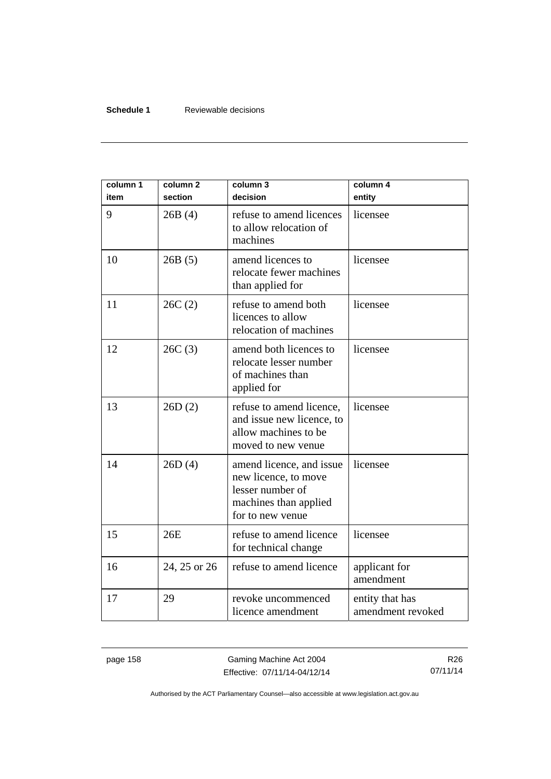#### **Schedule 1** Reviewable decisions

| column 1<br>item | column <sub>2</sub><br>section | column 3<br>decision                                                                                              | column 4<br>entity                   |
|------------------|--------------------------------|-------------------------------------------------------------------------------------------------------------------|--------------------------------------|
| 9                | 26B(4)                         | refuse to amend licences<br>to allow relocation of<br>machines                                                    | licensee                             |
| 10               | 26B(5)                         | amend licences to<br>relocate fewer machines<br>than applied for                                                  | licensee                             |
| 11               | 26C(2)                         | refuse to amend both<br>licences to allow<br>relocation of machines                                               | licensee                             |
| 12               | 26C(3)                         | amend both licences to<br>relocate lesser number<br>of machines than<br>applied for                               | licensee                             |
| 13               | 26D(2)                         | refuse to amend licence,<br>and issue new licence, to<br>allow machines to be<br>moved to new venue               | licensee                             |
| 14               | 26D(4)                         | amend licence, and issue<br>new licence, to move<br>lesser number of<br>machines than applied<br>for to new venue | licensee                             |
| 15               | 26E                            | refuse to amend licence<br>for technical change                                                                   | licensee                             |
| 16               | 24, 25 or 26                   | refuse to amend licence                                                                                           | applicant for<br>amendment           |
| 17               | 29                             | revoke uncommenced<br>licence amendment                                                                           | entity that has<br>amendment revoked |

page 158 Gaming Machine Act 2004 Effective: 07/11/14-04/12/14

R26 07/11/14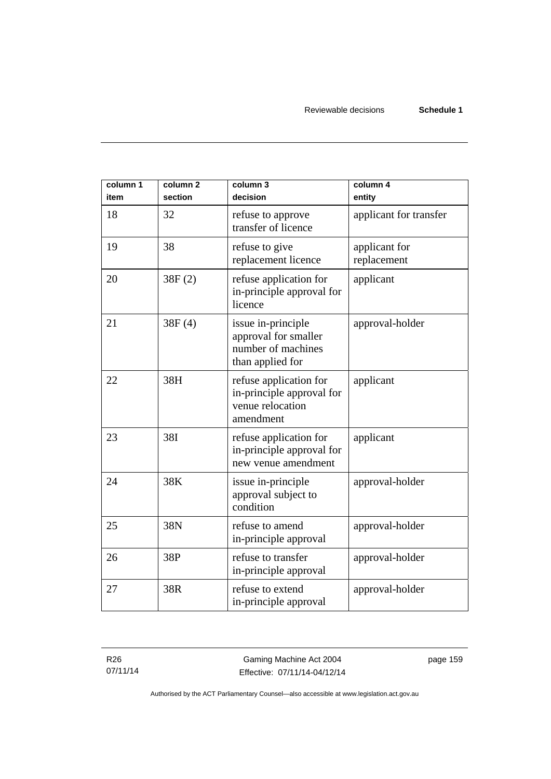| column 1<br>item | column <sub>2</sub><br>section | column 3<br>decision                                                                 | column 4<br>entity           |
|------------------|--------------------------------|--------------------------------------------------------------------------------------|------------------------------|
| 18               | 32                             | refuse to approve<br>transfer of licence                                             | applicant for transfer       |
| 19               | 38                             | refuse to give<br>replacement licence                                                | applicant for<br>replacement |
| 20               | 38F(2)                         | refuse application for<br>in-principle approval for<br>licence                       | applicant                    |
| 21               | 38F(4)                         | issue in-principle<br>approval for smaller<br>number of machines<br>than applied for | approval-holder              |
| 22               | 38H                            | refuse application for<br>in-principle approval for<br>venue relocation<br>amendment | applicant                    |
| 23               | 38I                            | refuse application for<br>in-principle approval for<br>new venue amendment           | applicant                    |
| 24               | 38K                            | issue in-principle<br>approval subject to<br>condition                               | approval-holder              |
| 25               | 38N                            | refuse to amend<br>in-principle approval                                             | approval-holder              |
| 26               | 38P                            | refuse to transfer<br>in-principle approval                                          | approval-holder              |
| 27               | 38R                            | refuse to extend<br>in-principle approval                                            | approval-holder              |

R26 07/11/14

Gaming Machine Act 2004 Effective: 07/11/14-04/12/14 page 159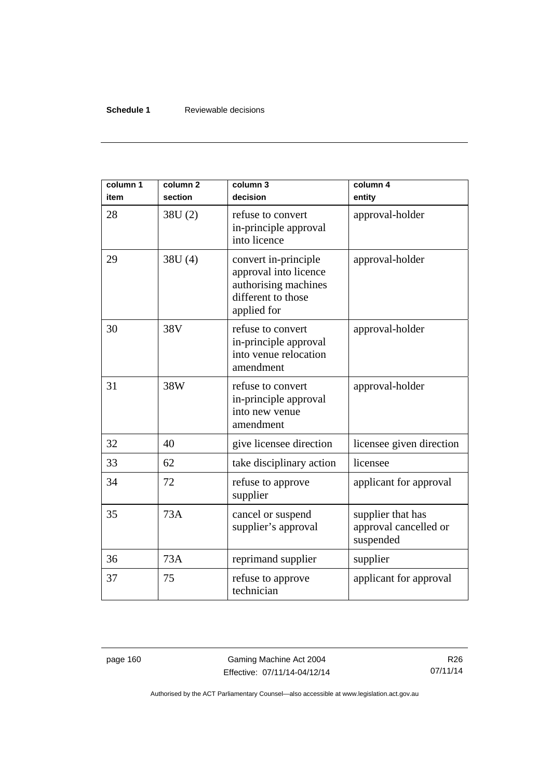#### **Schedule 1** Reviewable decisions

| column 1<br>item | column <sub>2</sub><br>section | column 3<br>decision                                                                                       | column 4<br>entity                                      |
|------------------|--------------------------------|------------------------------------------------------------------------------------------------------------|---------------------------------------------------------|
| 28               | 38U(2)                         | refuse to convert<br>in-principle approval<br>into licence                                                 | approval-holder                                         |
| 29               | 38U(4)                         | convert in-principle<br>approval into licence<br>authorising machines<br>different to those<br>applied for | approval-holder                                         |
| 30               | 38V                            | refuse to convert<br>in-principle approval<br>into venue relocation<br>amendment                           | approval-holder                                         |
| 31               | 38W                            | refuse to convert<br>in-principle approval<br>into new venue<br>amendment                                  | approval-holder                                         |
| 32               | 40                             | give licensee direction                                                                                    | licensee given direction                                |
| 33               | 62                             | take disciplinary action                                                                                   | licensee                                                |
| 34               | 72                             | refuse to approve<br>supplier                                                                              | applicant for approval                                  |
| 35               | 73A                            | cancel or suspend<br>supplier's approval                                                                   | supplier that has<br>approval cancelled or<br>suspended |
| 36               | 73A                            | reprimand supplier                                                                                         | supplier                                                |
| 37               | 75                             | refuse to approve<br>technician                                                                            | applicant for approval                                  |

page 160 Gaming Machine Act 2004 Effective: 07/11/14-04/12/14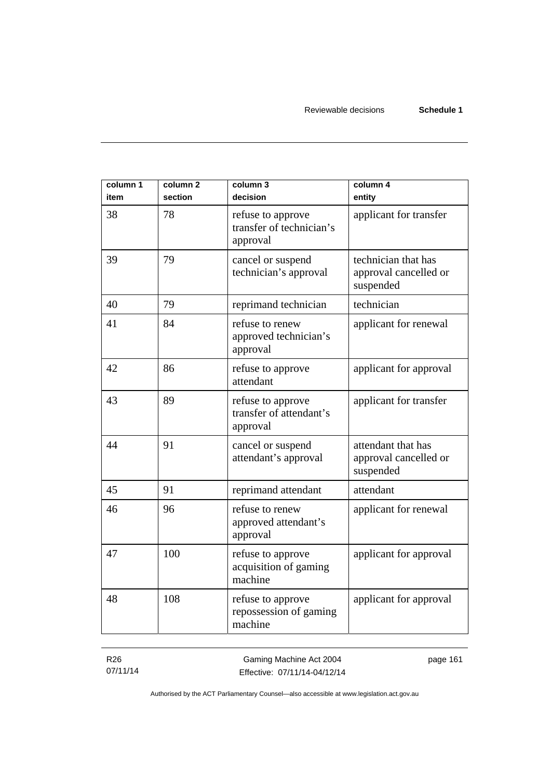| column 1<br>item | column 2<br>section | column 3<br>decision                                      | column 4<br>entity                                        |
|------------------|---------------------|-----------------------------------------------------------|-----------------------------------------------------------|
| 38               | 78                  | refuse to approve<br>transfer of technician's<br>approval | applicant for transfer                                    |
| 39               | 79                  | cancel or suspend<br>technician's approval                | technician that has<br>approval cancelled or<br>suspended |
| 40               | 79                  | reprimand technician                                      | technician                                                |
| 41               | 84                  | refuse to renew<br>approved technician's<br>approval      | applicant for renewal                                     |
| 42               | 86                  | refuse to approve<br>attendant                            | applicant for approval                                    |
| 43               | 89                  | refuse to approve<br>transfer of attendant's<br>approval  | applicant for transfer                                    |
| 44               | 91                  | cancel or suspend<br>attendant's approval                 | attendant that has<br>approval cancelled or<br>suspended  |
| 45               | 91                  | reprimand attendant                                       | attendant                                                 |
| 46               | 96                  | refuse to renew<br>approved attendant's<br>approval       | applicant for renewal                                     |
| 47               | 100                 | refuse to approve<br>acquisition of gaming<br>machine     | applicant for approval                                    |
| 48               | 108                 | refuse to approve<br>repossession of gaming<br>machine    | applicant for approval                                    |

R26 07/11/14

Gaming Machine Act 2004 Effective: 07/11/14-04/12/14 page 161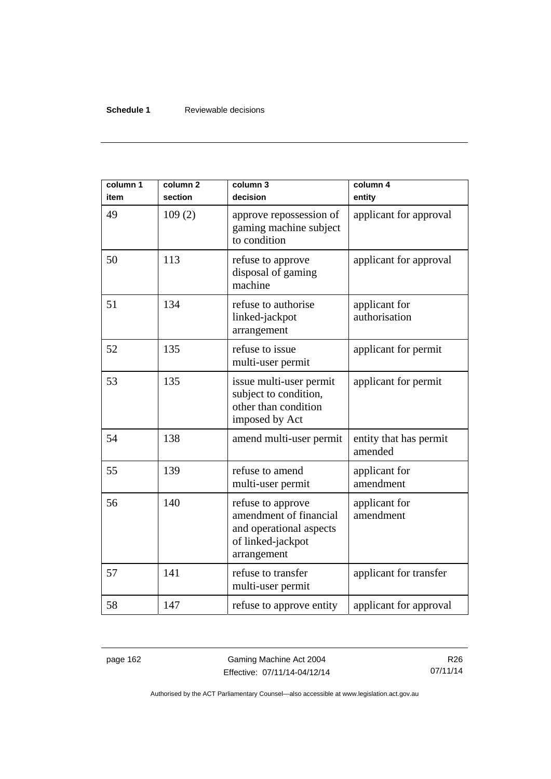#### **Schedule 1** Reviewable decisions

| column 1<br>item | column <sub>2</sub><br>section | column 3<br>decision                                                                                       | column 4<br>entity                |
|------------------|--------------------------------|------------------------------------------------------------------------------------------------------------|-----------------------------------|
| 49               | 109(2)                         | approve repossession of<br>gaming machine subject<br>to condition                                          | applicant for approval            |
| 50               | 113                            | refuse to approve<br>disposal of gaming<br>machine                                                         | applicant for approval            |
| 51               | 134                            | refuse to authorise<br>linked-jackpot<br>arrangement                                                       | applicant for<br>authorisation    |
| 52               | 135                            | refuse to issue<br>multi-user permit                                                                       | applicant for permit              |
| 53               | 135                            | issue multi-user permit<br>subject to condition,<br>other than condition<br>imposed by Act                 | applicant for permit              |
| 54               | 138                            | amend multi-user permit                                                                                    | entity that has permit<br>amended |
| 55               | 139                            | refuse to amend<br>multi-user permit                                                                       | applicant for<br>amendment        |
| 56               | 140                            | refuse to approve<br>amendment of financial<br>and operational aspects<br>of linked-jackpot<br>arrangement | applicant for<br>amendment        |
| 57               | 141                            | refuse to transfer<br>multi-user permit                                                                    | applicant for transfer            |
| 58               | 147                            | refuse to approve entity                                                                                   | applicant for approval            |

page 162 Gaming Machine Act 2004 Effective: 07/11/14-04/12/14

R26 07/11/14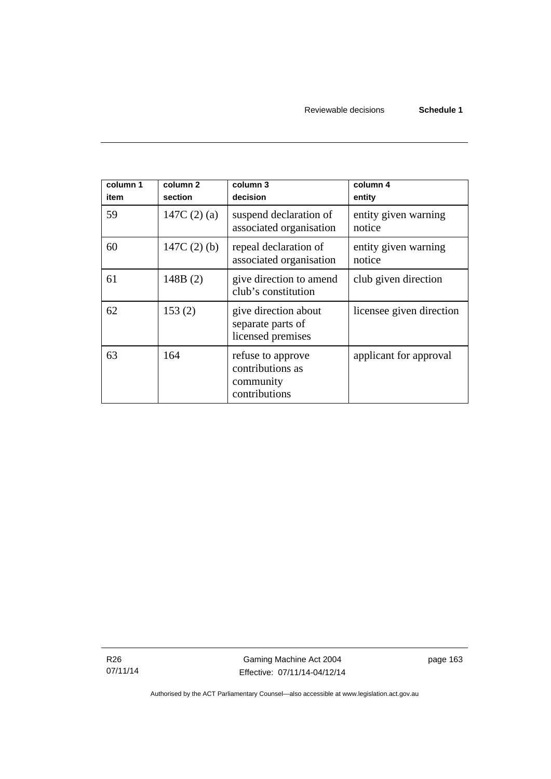| column 1<br>item | column <sub>2</sub><br>section | column 3<br>decision                                                | column 4<br>entity             |
|------------------|--------------------------------|---------------------------------------------------------------------|--------------------------------|
| 59               | 147C $(2)(a)$                  | suspend declaration of<br>associated organisation                   | entity given warning<br>notice |
| 60               | 147C $(2)$ $(b)$               | repeal declaration of<br>associated organisation                    | entity given warning<br>notice |
| 61               | 148B(2)                        | give direction to amend<br>club's constitution                      | club given direction           |
| 62               | 153(2)                         | give direction about<br>separate parts of<br>licensed premises      | licensee given direction       |
| 63               | 164                            | refuse to approve<br>contributions as<br>community<br>contributions | applicant for approval         |

R26 07/11/14

Gaming Machine Act 2004 Effective: 07/11/14-04/12/14 page 163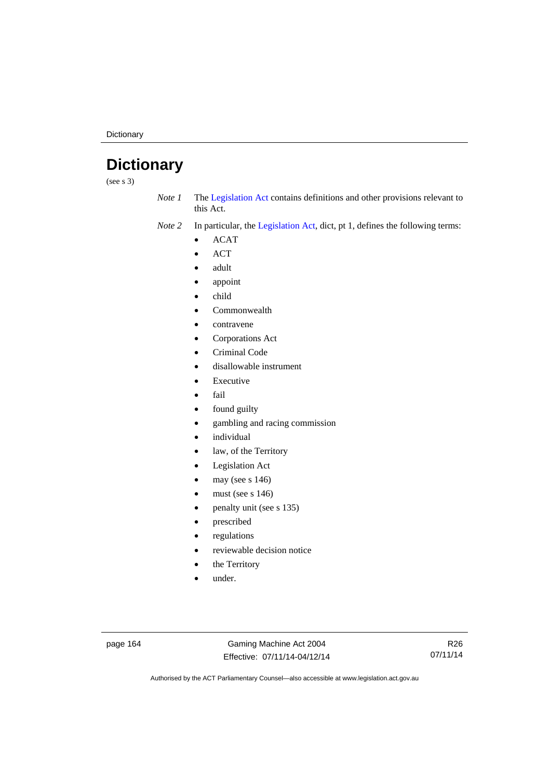**Dictionary** 

# **Dictionary**

(see s 3)

*Note 1* The [Legislation Act](http://www.legislation.act.gov.au/a/2001-14) contains definitions and other provisions relevant to this Act.

*Note 2* In particular, the [Legislation Act,](http://www.legislation.act.gov.au/a/2001-14) dict, pt 1, defines the following terms:

- ACAT
- ACT
- adult
- appoint
- child
- Commonwealth
- contravene
- Corporations Act
- Criminal Code
- disallowable instrument
- Executive
- fail
- found guilty
- gambling and racing commission
- individual
- law, of the Territory
- Legislation Act
- may (see s 146)
- must (see s 146)
- penalty unit (see s 135)
- prescribed
- regulations
- reviewable decision notice
- the Territory
- under.

page 164 Gaming Machine Act 2004 Effective: 07/11/14-04/12/14

R26 07/11/14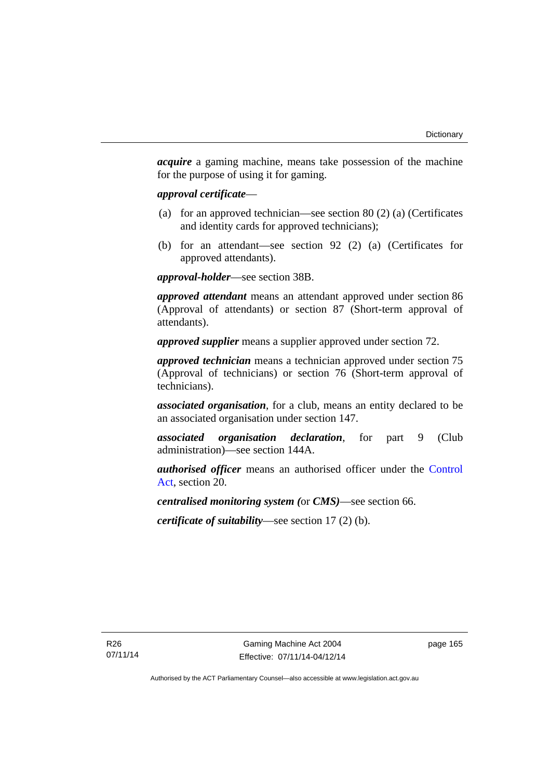*acquire* a gaming machine, means take possession of the machine for the purpose of using it for gaming.

#### *approval certificate*—

- (a) for an approved technician—see section 80 (2) (a) (Certificates and identity cards for approved technicians);
- (b) for an attendant—see section 92 (2) (a) (Certificates for approved attendants).

*approval-holder*—see section 38B.

*approved attendant* means an attendant approved under section 86 (Approval of attendants) or section 87 (Short-term approval of attendants).

*approved supplier* means a supplier approved under section 72.

*approved technician* means a technician approved under section 75 (Approval of technicians) or section 76 (Short-term approval of technicians).

*associated organisation*, for a club, means an entity declared to be an associated organisation under section 147.

*associated organisation declaration*, for part 9 (Club administration)—see section 144A.

*authorised officer* means an authorised officer under the [Control](http://www.legislation.act.gov.au/a/1999-46)  [Act](http://www.legislation.act.gov.au/a/1999-46), section 20.

*centralised monitoring system (*or *CMS)*—see section 66.

*certificate of suitability*—see section 17 (2) (b).

page 165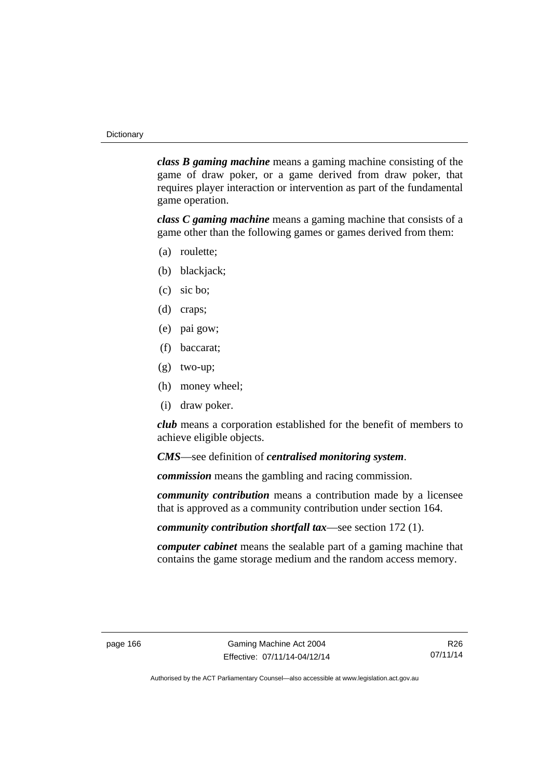*class B gaming machine* means a gaming machine consisting of the game of draw poker, or a game derived from draw poker, that requires player interaction or intervention as part of the fundamental game operation.

*class C gaming machine* means a gaming machine that consists of a game other than the following games or games derived from them:

- (a) roulette;
- (b) blackjack;
- (c) sic bo;
- (d) craps;
- (e) pai gow;
- (f) baccarat;
- (g) two-up;
- (h) money wheel;
- (i) draw poker.

*club* means a corporation established for the benefit of members to achieve eligible objects.

*CMS*—see definition of *centralised monitoring system*.

*commission* means the gambling and racing commission.

*community contribution* means a contribution made by a licensee that is approved as a community contribution under section 164.

*community contribution shortfall tax*—see section 172 (1).

*computer cabinet* means the sealable part of a gaming machine that contains the game storage medium and the random access memory.

R26 07/11/14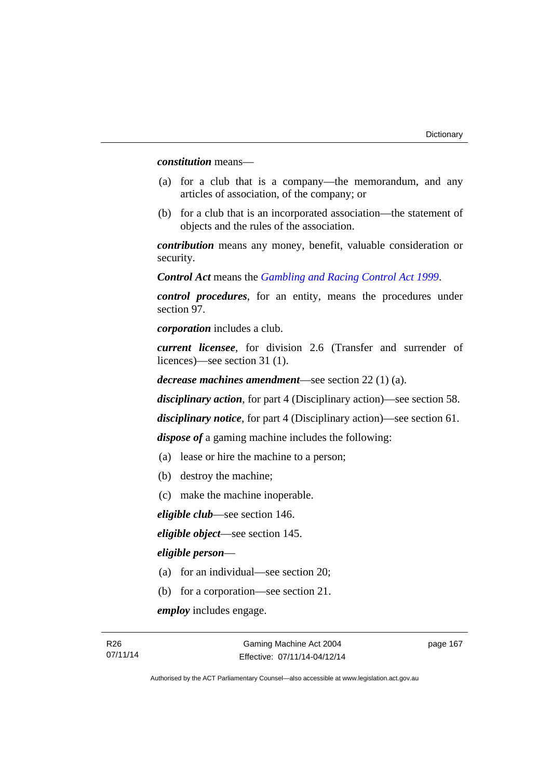*constitution* means—

- (a) for a club that is a company—the memorandum, and any articles of association, of the company; or
- (b) for a club that is an incorporated association—the statement of objects and the rules of the association.

*contribution* means any money, benefit, valuable consideration or security.

*Control Act* means the *[Gambling and Racing Control Act 1999](http://www.legislation.act.gov.au/a/1999-46)*.

*control procedures*, for an entity, means the procedures under section 97.

*corporation* includes a club.

*current licensee*, for division 2.6 (Transfer and surrender of licences)—see section 31 (1).

*decrease machines amendment*—see section 22 (1) (a).

*disciplinary action*, for part 4 (Disciplinary action)—see section 58.

*disciplinary notice*, for part 4 (Disciplinary action)—see section 61.

*dispose of* a gaming machine includes the following:

- (a) lease or hire the machine to a person;
- (b) destroy the machine;
- (c) make the machine inoperable.

*eligible club*—see section 146.

*eligible object*—see section 145.

#### *eligible person*—

- (a) for an individual—see section 20;
- (b) for a corporation—see section 21.

*employ* includes engage.

page 167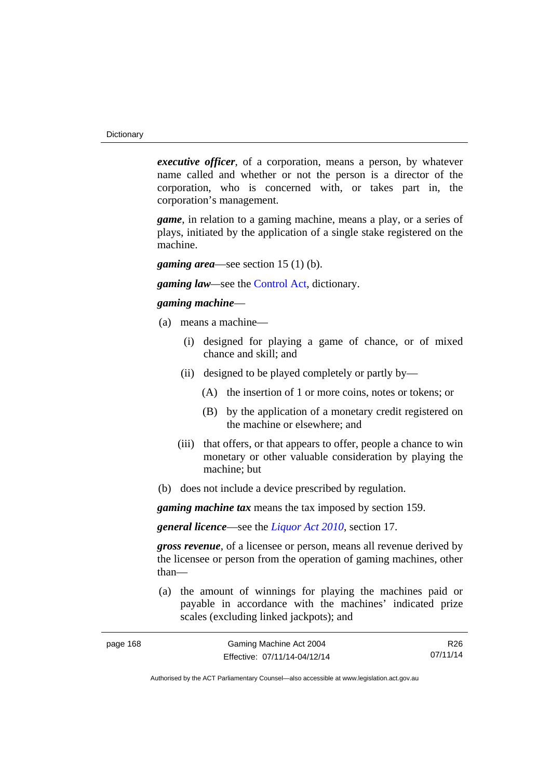*executive officer*, of a corporation, means a person, by whatever name called and whether or not the person is a director of the corporation, who is concerned with, or takes part in, the corporation's management.

*game*, in relation to a gaming machine, means a play, or a series of plays, initiated by the application of a single stake registered on the machine.

*gaming area*—see section 15 (1) (b).

*gaming law—*see the [Control Act](http://www.legislation.act.gov.au/a/1999-46), dictionary.

#### *gaming machine*—

- (a) means a machine—
	- (i) designed for playing a game of chance, or of mixed chance and skill; and
	- (ii) designed to be played completely or partly by—
		- (A) the insertion of 1 or more coins, notes or tokens; or
		- (B) by the application of a monetary credit registered on the machine or elsewhere; and
	- (iii) that offers, or that appears to offer, people a chance to win monetary or other valuable consideration by playing the machine; but
- (b) does not include a device prescribed by regulation.

*gaming machine tax* means the tax imposed by section 159.

*general licence*—see the *[Liquor Act 2010](http://www.legislation.act.gov.au/a/2010-35)*, section 17.

*gross revenue*, of a licensee or person, means all revenue derived by the licensee or person from the operation of gaming machines, other than—

 (a) the amount of winnings for playing the machines paid or payable in accordance with the machines' indicated prize scales (excluding linked jackpots); and

| page 168 | Gaming Machine Act 2004      | R26      |
|----------|------------------------------|----------|
|          | Effective: 07/11/14-04/12/14 | 07/11/14 |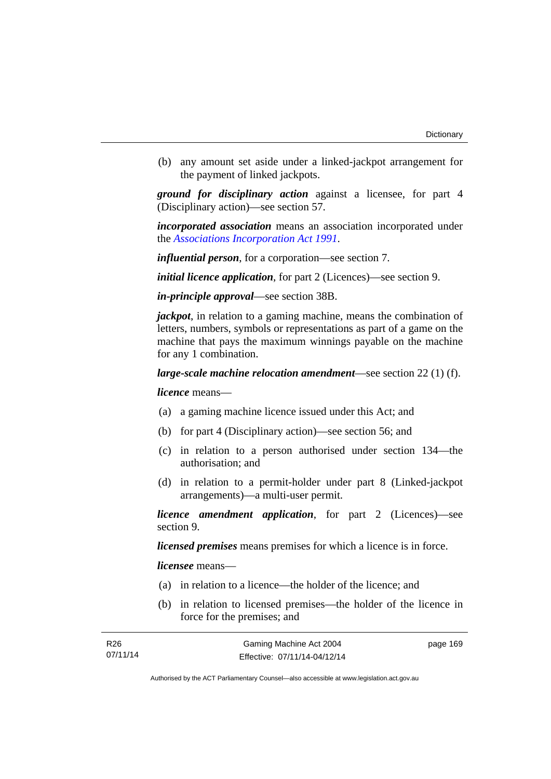(b) any amount set aside under a linked-jackpot arrangement for the payment of linked jackpots.

*ground for disciplinary action* against a licensee, for part 4 (Disciplinary action)—see section 57.

*incorporated association* means an association incorporated under the *[Associations Incorporation Act 1991](http://www.legislation.act.gov.au/a/1991-46)*.

*influential person*, for a corporation—see section 7.

*initial licence application*, for part 2 (Licences)—see section 9.

*in-principle approval*—see section 38B.

*jackpot*, in relation to a gaming machine, means the combination of letters, numbers, symbols or representations as part of a game on the machine that pays the maximum winnings payable on the machine for any 1 combination.

*large-scale machine relocation amendment*—see section 22 (1) (f).

*licence* means—

- (a) a gaming machine licence issued under this Act; and
- (b) for part 4 (Disciplinary action)—see section 56; and
- (c) in relation to a person authorised under section 134—the authorisation; and
- (d) in relation to a permit-holder under part 8 (Linked-jackpot arrangements)—a multi-user permit.

*licence amendment application*, for part 2 (Licences)—see section 9.

*licensed premises* means premises for which a licence is in force.

*licensee* means—

- (a) in relation to a licence—the holder of the licence; and
- (b) in relation to licensed premises—the holder of the licence in force for the premises; and

| R <sub>26</sub> | Gaming Machine Act 2004      | page 169 |
|-----------------|------------------------------|----------|
| 07/11/14        | Effective: 07/11/14-04/12/14 |          |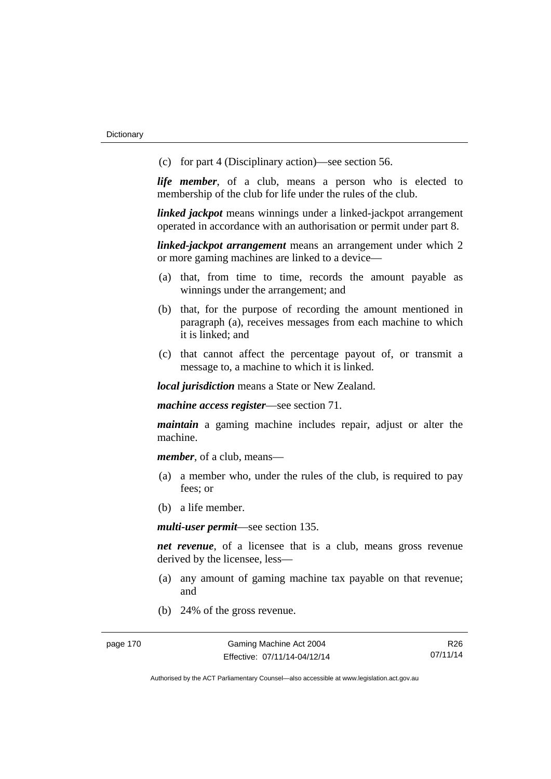(c) for part 4 (Disciplinary action)—see section 56.

*life member*, of a club, means a person who is elected to membership of the club for life under the rules of the club.

*linked jackpot* means winnings under a linked-jackpot arrangement operated in accordance with an authorisation or permit under part 8.

*linked-jackpot arrangement* means an arrangement under which 2 or more gaming machines are linked to a device—

- (a) that, from time to time, records the amount payable as winnings under the arrangement; and
- (b) that, for the purpose of recording the amount mentioned in paragraph (a), receives messages from each machine to which it is linked; and
- (c) that cannot affect the percentage payout of, or transmit a message to, a machine to which it is linked.

*local jurisdiction* means a State or New Zealand.

*machine access register*—see section 71.

*maintain* a gaming machine includes repair, adjust or alter the machine.

*member*, of a club, means—

- (a) a member who, under the rules of the club, is required to pay fees; or
- (b) a life member.

*multi-user permit*—see section 135.

*net revenue*, of a licensee that is a club, means gross revenue derived by the licensee, less—

- (a) any amount of gaming machine tax payable on that revenue; and
- (b) 24% of the gross revenue.

R26 07/11/14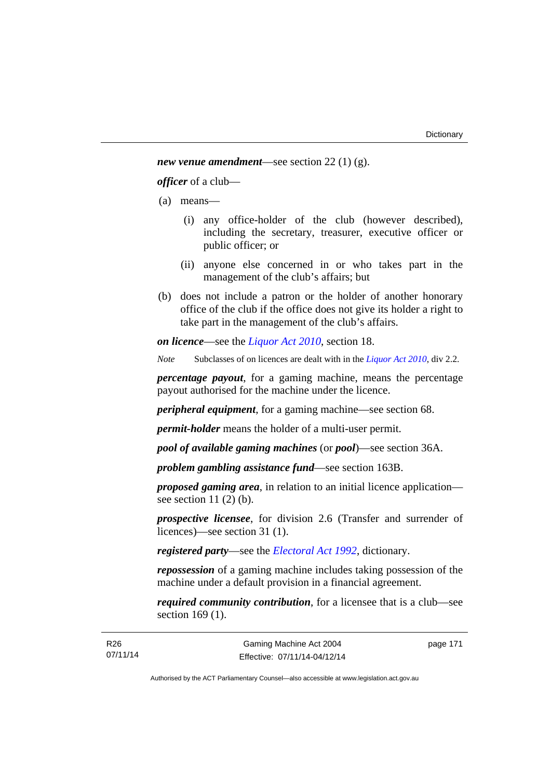*new venue amendment*—see section 22 (1) (g).

*officer* of a club—

(a) means—

- (i) any office-holder of the club (however described), including the secretary, treasurer, executive officer or public officer; or
- (ii) anyone else concerned in or who takes part in the management of the club's affairs; but
- (b) does not include a patron or the holder of another honorary office of the club if the office does not give its holder a right to take part in the management of the club's affairs.

*on licence*—see the *[Liquor Act 2010](http://www.legislation.act.gov.au/a/2010-35)*, section 18.

*Note* Subclasses of on licences are dealt with in the *[Liquor Act 2010](http://www.legislation.act.gov.au/a/2010-35)*, div 2.2.

*percentage payout*, for a gaming machine, means the percentage payout authorised for the machine under the licence.

*peripheral equipment*, for a gaming machine—see section 68.

*permit-holder* means the holder of a multi-user permit.

*pool of available gaming machines* (or *pool*)—see section 36A.

*problem gambling assistance fund*—see section 163B.

*proposed gaming area*, in relation to an initial licence application see section  $11(2)$  (b).

*prospective licensee*, for division 2.6 (Transfer and surrender of licences)—see section 31 (1).

*registered party*—see the *[Electoral Act 1992](http://www.legislation.act.gov.au/a/1992-71)*, dictionary.

*repossession* of a gaming machine includes taking possession of the machine under a default provision in a financial agreement.

*required community contribution*, for a licensee that is a club—see section 169 (1).

page 171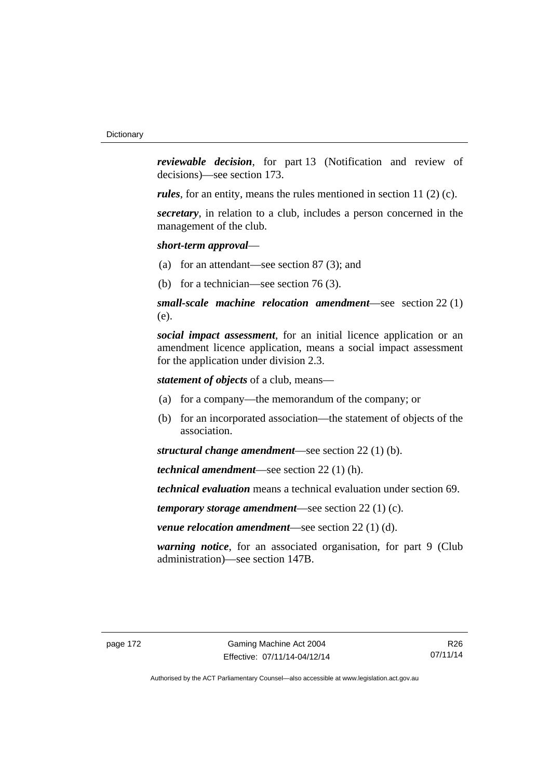*reviewable decision*, for part 13 (Notification and review of decisions)—see section 173.

*rules*, for an entity, means the rules mentioned in section 11 (2) (c).

*secretary*, in relation to a club, includes a person concerned in the management of the club.

*short-term approval*—

- (a) for an attendant—see section 87 (3); and
- (b) for a technician—see section 76 (3).

*small-scale machine relocation amendment*—see section 22 (1) (e).

*social impact assessment*, for an initial licence application or an amendment licence application, means a social impact assessment for the application under division 2.3.

*statement of objects* of a club, means—

- (a) for a company—the memorandum of the company; or
- (b) for an incorporated association—the statement of objects of the association.

*structural change amendment*—see section 22 (1) (b).

*technical amendment*—see section 22 (1) (h).

*technical evaluation* means a technical evaluation under section 69.

*temporary storage amendment*—see section 22 (1) (c).

*venue relocation amendment*—see section 22 (1) (d).

*warning notice*, for an associated organisation, for part 9 (Club administration)—see section 147B.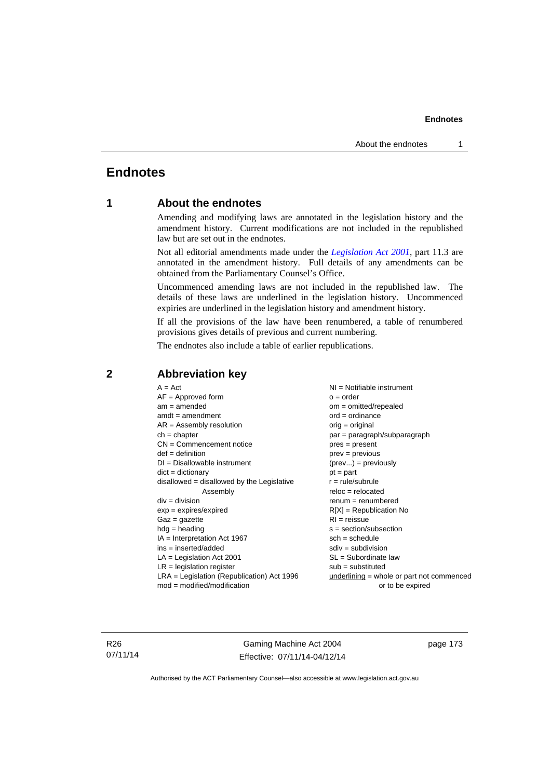# **Endnotes**

# **1 About the endnotes**

Amending and modifying laws are annotated in the legislation history and the amendment history. Current modifications are not included in the republished law but are set out in the endnotes.

Not all editorial amendments made under the *[Legislation Act 2001](http://www.legislation.act.gov.au/a/2001-14)*, part 11.3 are annotated in the amendment history. Full details of any amendments can be obtained from the Parliamentary Counsel's Office.

Uncommenced amending laws are not included in the republished law. The details of these laws are underlined in the legislation history. Uncommenced expiries are underlined in the legislation history and amendment history.

If all the provisions of the law have been renumbered, a table of renumbered provisions gives details of previous and current numbering.

The endnotes also include a table of earlier republications.

| $A = Act$                                    | $NI = Notifiable$ instrument                |
|----------------------------------------------|---------------------------------------------|
| $AF =$ Approved form                         | $o = order$                                 |
| $am = amended$                               | om = omitted/repealed                       |
| $amdt = amendment$                           | $ord = ordinance$                           |
| $AR = Assembly resolution$                   | $orig = original$                           |
| $ch = chapter$                               | par = paragraph/subparagraph                |
| $CN =$ Commencement notice                   | $pres = present$                            |
| $def = definition$                           | $prev = previous$                           |
| $DI = Disallowable instrument$               | $(\text{prev}) = \text{previously}$         |
| $dict = dictionary$                          | $pt = part$                                 |
| disallowed = disallowed by the Legislative   | $r = rule/subrule$                          |
| Assembly                                     | $reloc = relocated$                         |
| $div = division$                             | $renum = renumbered$                        |
| $exp = expires/expired$                      | $R[X]$ = Republication No                   |
| $Gaz = gazette$                              | $RI = reissue$                              |
| $hdg = heading$                              | s = section/subsection                      |
| $IA = Interpretation Act 1967$               | $sch = schedule$                            |
| ins = inserted/added                         | $sdiv = subdivision$                        |
| $LA =$ Legislation Act 2001                  | $SL = Subordinate$ law                      |
| $LR =$ legislation register                  | $sub =$ substituted                         |
| $LRA =$ Legislation (Republication) Act 1996 | $underlining = whole or part not commenced$ |
| $mod = modified/modification$                | or to be expired                            |
|                                              |                                             |

# **2 Abbreviation key**

R26 07/11/14

Gaming Machine Act 2004 Effective: 07/11/14-04/12/14 page 173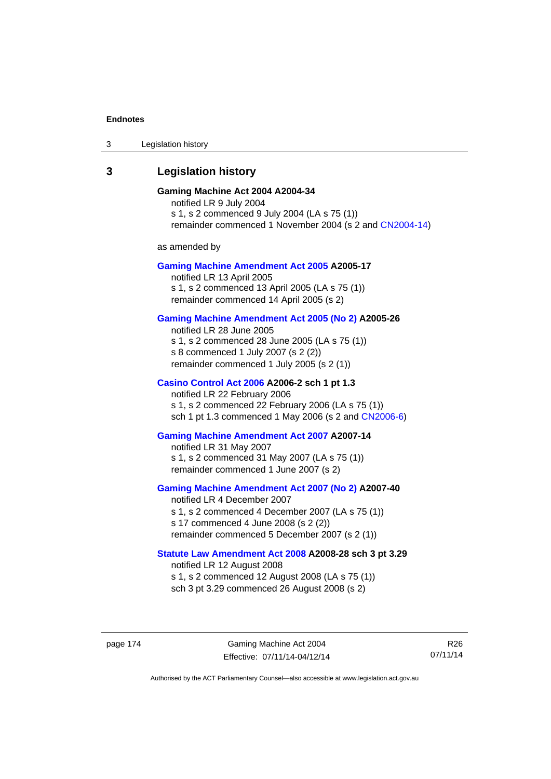3 Legislation history

# **3 Legislation history**

# **Gaming Machine Act 2004 A2004-34**

notified LR 9 July 2004 s 1, s 2 commenced 9 July 2004 (LA s 75 (1)) remainder commenced 1 November 2004 (s 2 and [CN2004-14](http://www.legislation.act.gov.au/cn/2004-14/default.asp))

as amended by

### **[Gaming Machine Amendment Act 2005](http://www.legislation.act.gov.au/a/2005-17) A2005-17**

notified LR 13 April 2005 s 1, s 2 commenced 13 April 2005 (LA s 75 (1)) remainder commenced 14 April 2005 (s 2)

### **[Gaming Machine Amendment Act 2005 \(No 2\)](http://www.legislation.act.gov.au/a/2005-26) A2005-26**

notified LR 28 June 2005 s 1, s 2 commenced 28 June 2005 (LA s 75 (1)) s 8 commenced 1 July 2007 (s 2 (2)) remainder commenced 1 July 2005 (s 2 (1))

# **[Casino Control Act 2006](http://www.legislation.act.gov.au/a/2006-2) A2006-2 sch 1 pt 1.3**

notified LR 22 February 2006 s 1, s 2 commenced 22 February 2006 (LA s 75 (1)) sch 1 pt 1.3 commenced 1 May 2006 (s 2 and [CN2006-6](http://www.legislation.act.gov.au/cn/2006-6/default.asp))

#### **[Gaming Machine Amendment Act 2007](http://www.legislation.act.gov.au/a/2007-14) A2007-14**

notified LR 31 May 2007 s 1, s 2 commenced 31 May 2007 (LA s 75 (1)) remainder commenced 1 June 2007 (s 2)

## **[Gaming Machine Amendment Act 2007 \(No 2\)](http://www.legislation.act.gov.au/a/2007-40) A2007-40**

notified LR 4 December 2007 s 1, s 2 commenced 4 December 2007 (LA s 75 (1)) s 17 commenced 4 June 2008 (s 2 (2)) remainder commenced 5 December 2007 (s 2 (1))

# **[Statute Law Amendment Act 2008](http://www.legislation.act.gov.au/a/2008-28) A2008-28 sch 3 pt 3.29**

notified LR 12 August 2008 s 1, s 2 commenced 12 August 2008 (LA s 75 (1))

sch 3 pt 3.29 commenced 26 August 2008 (s 2)

R26 07/11/14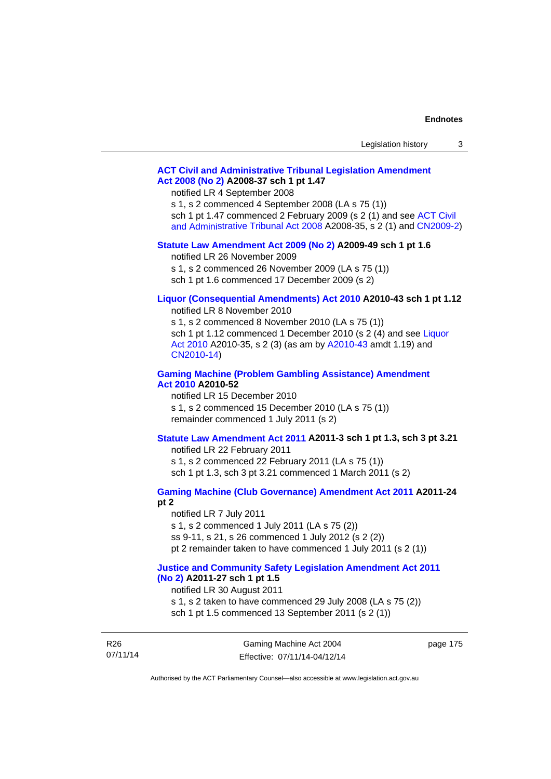| Legislation history |  |
|---------------------|--|
|---------------------|--|

## **[ACT Civil and Administrative Tribunal Legislation Amendment](http://www.legislation.act.gov.au/a/2008-37)  [Act 2008 \(No 2\)](http://www.legislation.act.gov.au/a/2008-37) A2008-37 sch 1 pt 1.47**

notified LR 4 September 2008

s 1, s 2 commenced 4 September 2008 (LA s 75 (1))

sch 1 pt 1.47 commenced 2 February 2009 (s 2 (1) and see [ACT Civil](http://www.legislation.act.gov.au/a/2008-35) 

[and Administrative Tribunal Act 2008](http://www.legislation.act.gov.au/a/2008-35) A2008-35, s 2 (1) and [CN2009-2](http://www.legislation.act.gov.au/cn/2009-2/default.asp))

### **[Statute Law Amendment Act 2009 \(No 2\)](http://www.legislation.act.gov.au/a/2009-49) A2009-49 sch 1 pt 1.6**

notified LR 26 November 2009

s 1, s 2 commenced 26 November 2009 (LA s 75 (1))

sch 1 pt 1.6 commenced 17 December 2009 (s 2)

# **[Liquor \(Consequential Amendments\) Act 2010](http://www.legislation.act.gov.au/a/2010-43) A2010-43 sch 1 pt 1.12**

notified LR 8 November 2010

s 1, s 2 commenced 8 November 2010 (LA s 75 (1)) sch 1 pt 1.12 commenced 1 December 2010 (s 2 (4) and see Liquor [Act 2010](http://www.legislation.act.gov.au/a/2010-35) A2010-35, s 2 (3) (as am by [A2010-43](http://www.legislation.act.gov.au/a/2010-43) amdt 1.19) and [CN2010-14](http://www.legislation.act.gov.au/cn/2010-14/default.asp))

#### **[Gaming Machine \(Problem Gambling Assistance\) Amendment](http://www.legislation.act.gov.au/a/2010-52)  [Act 2010](http://www.legislation.act.gov.au/a/2010-52) A2010-52**

notified LR 15 December 2010 s 1, s 2 commenced 15 December 2010 (LA s 75 (1)) remainder commenced 1 July 2011 (s 2)

### **[Statute Law Amendment Act 2011](http://www.legislation.act.gov.au/a/2011-3) A2011-3 sch 1 pt 1.3, sch 3 pt 3.21**

notified LR 22 February 2011 s 1, s 2 commenced 22 February 2011 (LA s 75 (1)) sch 1 pt 1.3, sch 3 pt 3.21 commenced 1 March 2011 (s 2)

# **[Gaming Machine \(Club Governance\) Amendment Act 2011](http://www.legislation.act.gov.au/a/2011-24) A2011-24**

**pt 2** 

notified LR 7 July 2011 s 1, s 2 commenced 1 July 2011 (LA s 75 (2)) ss 9-11, s 21, s 26 commenced 1 July 2012 (s 2 (2)) pt 2 remainder taken to have commenced 1 July 2011 (s 2 (1))

#### **[Justice and Community Safety Legislation Amendment Act 2011](http://www.legislation.act.gov.au/a/2011-27)  [\(No 2\)](http://www.legislation.act.gov.au/a/2011-27) A2011-27 sch 1 pt 1.5**

notified LR 30 August 2011

s 1, s 2 taken to have commenced 29 July 2008 (LA s 75 (2)) sch 1 pt 1.5 commenced 13 September 2011 (s 2 (1))

R26 07/11/14 page 175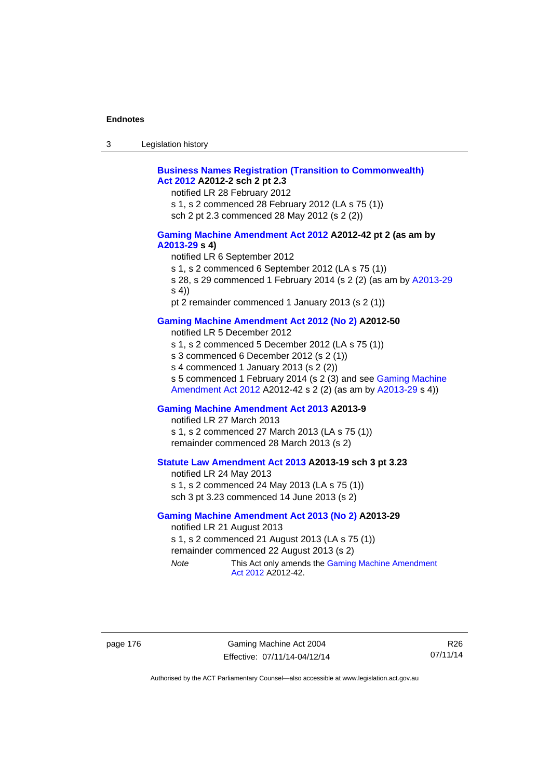## **[Business Names Registration \(Transition to Commonwealth\)](http://www.legislation.act.gov.au/a/2012-2)  [Act 2012](http://www.legislation.act.gov.au/a/2012-2) A2012-2 sch 2 pt 2.3**

notified LR 28 February 2012

s 1, s 2 commenced 28 February 2012 (LA s 75 (1))

sch 2 pt 2.3 commenced 28 May 2012 (s 2 (2))

### **[Gaming Machine Amendment Act 2012](http://www.legislation.act.gov.au/a/2012-42) A2012-42 pt 2 (as am by [A2013-29](http://www.legislation.act.gov.au/a/2013-29) s 4)**

notified LR 6 September 2012

s 1, s 2 commenced 6 September 2012 (LA s 75 (1))

s 28, s 29 commenced 1 February 2014 (s 2 (2) (as am by [A2013-29](http://www.legislation.act.gov.au/a/2013-29) s 4))

pt 2 remainder commenced 1 January 2013 (s 2 (1))

## **[Gaming Machine Amendment Act 2012 \(No 2\)](http://www.legislation.act.gov.au/a/2012-50/default.asp) A2012-50**

notified LR 5 December 2012

s 1, s 2 commenced 5 December 2012 (LA s 75 (1))

s 3 commenced 6 December 2012 (s 2 (1))

s 4 commenced 1 January 2013 (s 2 (2))

s 5 commenced 1 February 2014 (s 2 (3) and see [Gaming Machine](http://www.legislation.act.gov.au/a/2012-42)  [Amendment Act 2012](http://www.legislation.act.gov.au/a/2012-42) A2012-42 s 2 (2) (as am by [A2013-29](http://www.legislation.act.gov.au/a/2013-29) s 4))

## **[Gaming Machine Amendment Act 2013](http://www.legislation.act.gov.au/a/2013-9) A2013-9**

notified LR 27 March 2013

s 1, s 2 commenced 27 March 2013 (LA s 75 (1)) remainder commenced 28 March 2013 (s 2)

## **[Statute Law Amendment Act 2013](http://www.legislation.act.gov.au/a/2013-19) A2013-19 sch 3 pt 3.23**

notified LR 24 May 2013 s 1, s 2 commenced 24 May 2013 (LA s 75 (1)) sch 3 pt 3.23 commenced 14 June 2013 (s 2)

#### **[Gaming Machine Amendment Act 2013 \(No 2\)](http://www.legislation.act.gov.au/a/2013-29) A2013-29**

notified LR 21 August 2013 s 1, s 2 commenced 21 August 2013 (LA s 75 (1)) remainder commenced 22 August 2013 (s 2) *Note* This Act only amends the Gaming Machine Amendment

[Act 2012](http://www.legislation.act.gov.au/a/2012-42) A2012-42.

page 176 Gaming Machine Act 2004 Effective: 07/11/14-04/12/14

R26 07/11/14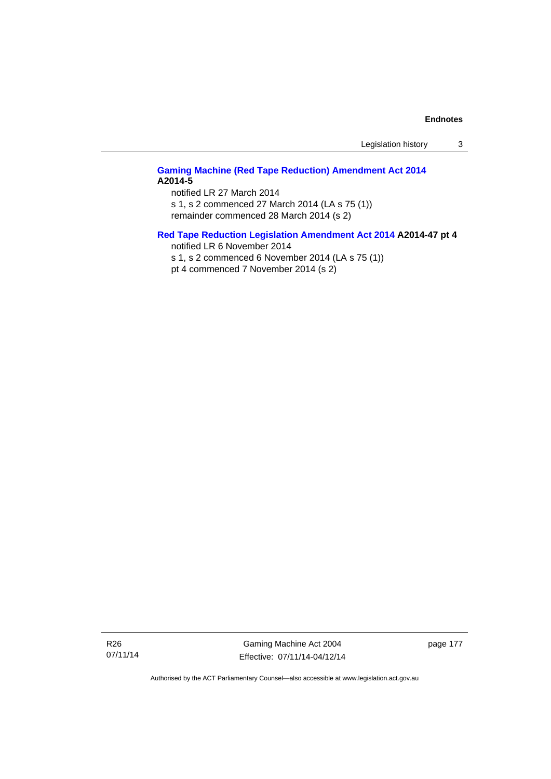Legislation history 3

# **[Gaming Machine \(Red Tape Reduction\) Amendment Act 2014](http://www.legislation.act.gov.au/a/2014-5) A2014-5**

notified LR 27 March 2014

s 1, s 2 commenced 27 March 2014 (LA s 75 (1)) remainder commenced 28 March 2014 (s 2)

## **[Red Tape Reduction Legislation Amendment Act 2014](http://www.legislation.act.gov.au/a/2014-47) A2014-47 pt 4**

notified LR 6 November 2014

s 1, s 2 commenced 6 November 2014 (LA s 75 (1))

pt 4 commenced 7 November 2014 (s 2)

R26 07/11/14

Gaming Machine Act 2004 Effective: 07/11/14-04/12/14 page 177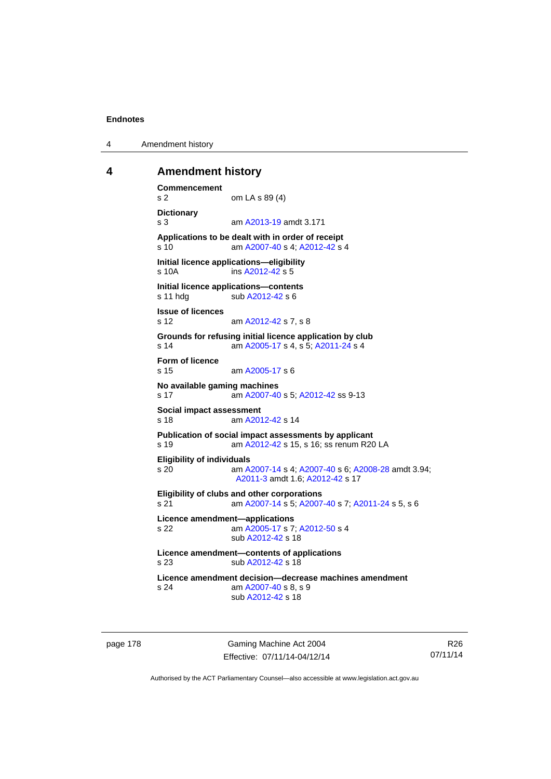4 Amendment history

### **4 Amendment history**

```
Commencement 
s 2 om LA s 89 (4) 
Dictionary 
s 3 am A2013-19 amdt 3.171
Applications to be dealt with in order of receipt 
s 10 am A2007-40 s 4; A2012-42 s 4 
Initial licence applications—eligibility 
s 10A ins A2012-42 s 5
Initial licence applications—contents 
A2012-42 s 6
Issue of licences 
s 12 am A2012-42 s 7, s 8 
Grounds for refusing initial licence application by club 
s 14 am A2005-17 s 4, s 5; A2011-24 s 4 
Form of licence 
s 15 am A2005-17 s 6 
No available gaming machines 
s 17 am A2007-40 s 5; A2012-42 ss 9-13 
Social impact assessment 
s 18 am A2012-42 s 14 
Publication of social impact assessments by applicant 
s 19 am A2012-42 s 15, s 16; ss renum R20 LA 
Eligibility of individuals 
s 20 am A2007-14 s 4; A2007-40 s 6; A2008-28 amdt 3.94; 
                A2011-3 amdt 1.6; A2012-42 s 17 
Eligibility of clubs and other corporations 
s 21 am A2007-14 s 5; A2007-40 s 7; A2011-24 s 5, s 6 
Licence amendment—applications 
s 22 am A2005-17 s 7; A2012-50 s 4 
                sub A2012-42 s 18 
Licence amendment—contents of applications 
A2012-42 s 18
Licence amendment decision—decrease machines amendment 
s 24 am A2007-40 s 8, s 9 
                sub A2012-42 s 18
```
page 178 Gaming Machine Act 2004 Effective: 07/11/14-04/12/14

R26 07/11/14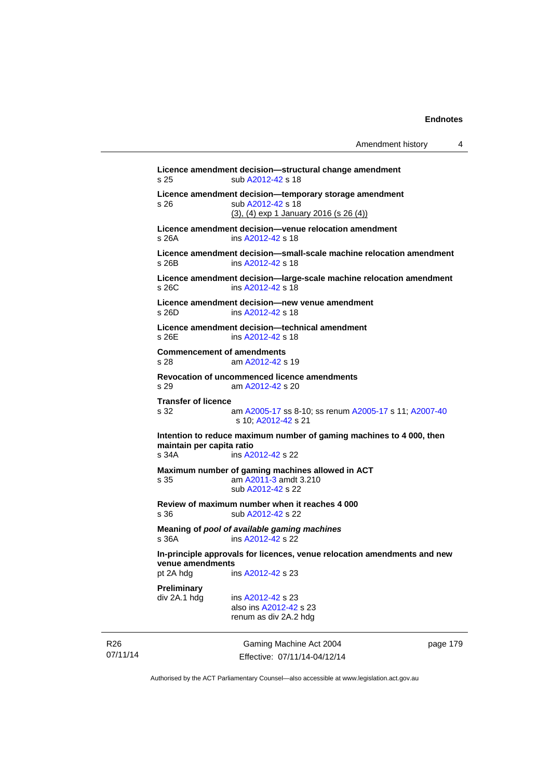| Amendment history |  |
|-------------------|--|
|-------------------|--|

```
Gaming Machine Act 2004 
                                                        page 179 
Licence amendment decision—structural change amendment 
s 25 sub A2012-42 s 18 
Licence amendment decision—temporary storage amendment 
s 26 sub A2012-42 s 18 
               (3), (4) exp 1 January 2016 (s 26 (4))
Licence amendment decision—venue relocation amendment 
s 26A ins A2012-42 s 18 
Licence amendment decision—small-scale machine relocation amendment 
s 26B ins A2012-42 s 18 
Licence amendment decision—large-scale machine relocation amendment 
s 26C ins A2012-42 s 18 
Licence amendment decision—new venue amendment 
s 26D ins A2012-42 s 18 
Licence amendment decision—technical amendment 
A2012-42 s 18
Commencement of amendments 
s 28 am A2012-42 s 19 
Revocation of uncommenced licence amendments 
s 29 am A2012-42 s 20 
Transfer of licence 
                A2005-17A2005-17  A2007-40
                s 10; A2012-42 s 21 
Intention to reduce maximum number of gaming machines to 4 000, then 
maintain per capita ratio 
s 34A ins A2012-42 s 22 
Maximum number of gaming machines allowed in ACT 
s 35 am A2011-3 amdt 3.210 
                sub A2012-42 s 22 
Review of maximum number when it reaches 4 000 
A2012-42 s 22
Meaning of pool of available gaming machines
s 36A ins A2012-42 s 22 
In-principle approvals for licences, venue relocation amendments and new 
venue amendments 
pt 2A hdg ins A2012-42 s 23 
Preliminary 
 A2012-42 s 23
                also ins A2012-42 s 23 
               renum as div 2A.2 hdg
```
R26 07/11/14

Authorised by the ACT Parliamentary Counsel—also accessible at www.legislation.act.gov.au

Effective: 07/11/14-04/12/14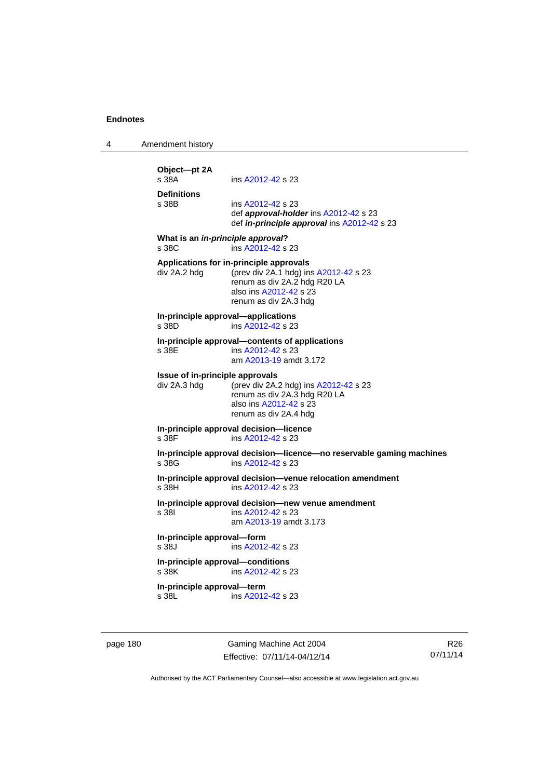4 Amendment history **Object—pt 2A**  ins [A2012-42](http://www.legislation.act.gov.au/a/2012-42) s 23 **Definitions**  ins [A2012-42](http://www.legislation.act.gov.au/a/2012-42) s 23 def *approval-holder* ins [A2012-42](http://www.legislation.act.gov.au/a/2012-42) s 23 def *in-principle approval* ins [A2012-42](http://www.legislation.act.gov.au/a/2012-42) s 23 **What is an** *in-principle approval***?**  s 38C ins [A2012-42](http://www.legislation.act.gov.au/a/2012-42) s 23 **Applications for in-principle approvals**  div 2A.2 hdg (prev div 2A.1 hdg) ins [A2012-42](http://www.legislation.act.gov.au/a/2012-42) s 23 renum as div 2A.2 hdg R20 LA also ins [A2012-42](http://www.legislation.act.gov.au/a/2012-42) s 23 renum as div 2A.3 hdg **In-principle approval—applications**  s 38D ins [A2012-42](http://www.legislation.act.gov.au/a/2012-42) s 23 **In-principle approval—contents of applications**  ins [A2012-42](http://www.legislation.act.gov.au/a/2012-42) s 23 am [A2013-19](http://www.legislation.act.gov.au/a/2013-19) amdt 3.172 **Issue of in-principle approvals**  div 2A.3 hdg (prev div 2A.2 hdg) ins [A2012-42](http://www.legislation.act.gov.au/a/2012-42) s 23 renum as div 2A.3 hdg R20 LA also ins [A2012-42](http://www.legislation.act.gov.au/a/2012-42) s 23 renum as div 2A.4 hdg **In-principle approval decision—licence**  s 38F ins [A2012-42](http://www.legislation.act.gov.au/a/2012-42) s 23 **In-principle approval decision—licence—no reservable gaming machines**  s 38G ins [A2012-42](http://www.legislation.act.gov.au/a/2012-42) s 23 **In-principle approval decision—venue relocation amendment**  s 38H ins [A2012-42](http://www.legislation.act.gov.au/a/2012-42) s 23 **In-principle approval decision—new venue amendment**  ins [A2012-42](http://www.legislation.act.gov.au/a/2012-42) s 23 am [A2013-19](http://www.legislation.act.gov.au/a/2013-19) amdt 3.173 **In-principle approval—form**  s 38J ins [A2012-42](http://www.legislation.act.gov.au/a/2012-42) s 23 **In-principle approval—conditions**  ins [A2012-42](http://www.legislation.act.gov.au/a/2012-42) s 23 **In-principle approval—term**  s 38L ins [A2012-42](http://www.legislation.act.gov.au/a/2012-42) s 23

page 180 Gaming Machine Act 2004 Effective: 07/11/14-04/12/14

R26 07/11/14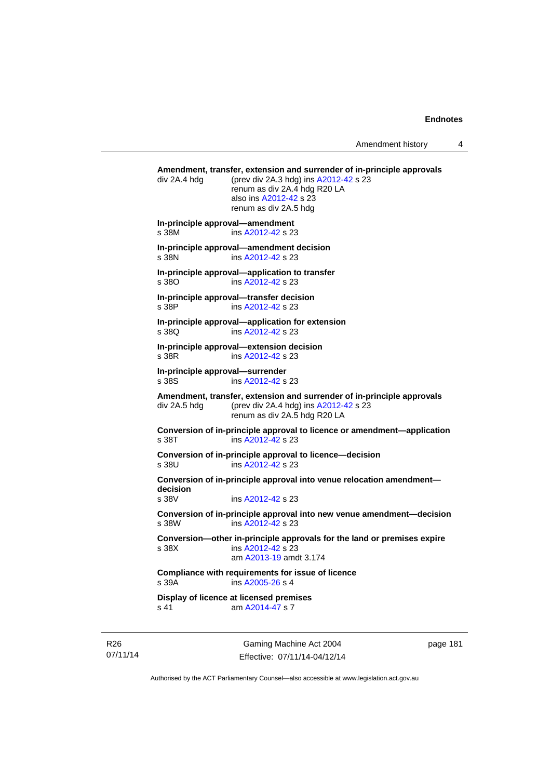Amendment history 4

```
Amendment, transfer, extension and surrender of in-principle approvals 
div 2A.4 hdg (prev div 2A.3 hdg) ins A2012-42 s 23 
                renum as div 2A.4 hdg R20 LA 
                 also ins A2012-42 s 23 
                renum as div 2A.5 hdg 
In-principle approval—amendment 
s 38M ins A2012-42 s 23 
In-principle approval—amendment decision 
s 38N ins A2012-42 s 23 
In-principle approval—application to transfer 
s 38O ins A2012-42 s 23 
In-principle approval—transfer decision 
s 38P ins A2012-42 s 23 
In-principle approval—application for extension 
s 38Q ins A2012-42 s 23 
In-principle approval—extension decision 
s 38R ins A2012-42 s 23 
In-principle approval—surrender 
s 38S ins A2012-42 s 23 
Amendment, transfer, extension and surrender of in-principle approvals 
div 2A.5 hdg (prev div 2A.4 hdg) ins A2012-42 s 23 
                renum as div 2A.5 hdg R20 LA 
Conversion of in-principle approval to licence or amendment—application 
A2012-42 s 23
Conversion of in-principle approval to licence—decision 
s 38U ins A2012-42 s 23 
Conversion of in-principle approval into venue relocation amendment—
decision 
s 38V ins A2012-42 s 23 
Conversion of in-principle approval into new venue amendment—decision 
s 38W ins A2012-42 s 23 
Conversion—other in-principle approvals for the land or premises expire 
s 38X ins A2012-42 s 23 
                 am A2013-19 amdt 3.174
Compliance with requirements for issue of licence 
s 39A ins A2005-26 s 4
Display of licence at licensed premises 
 A2014-47 s 7
```
R26 07/11/14

Gaming Machine Act 2004 Effective: 07/11/14-04/12/14 page 181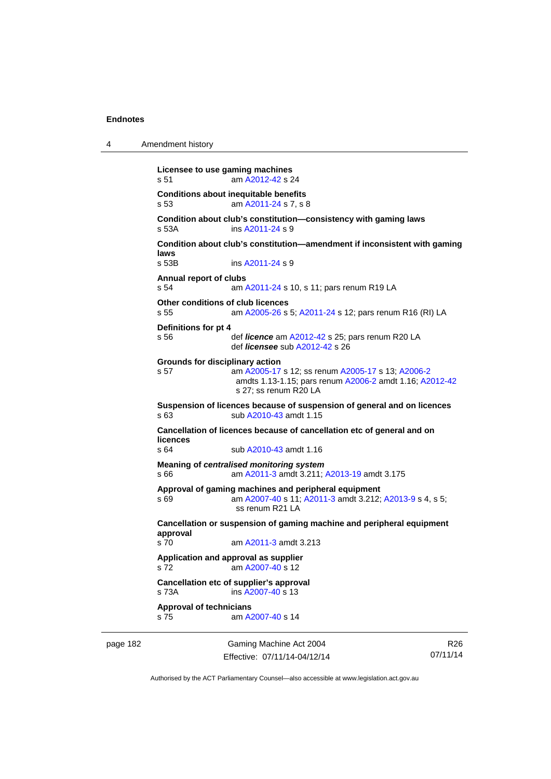| 4 | Amendment history                                           |                                                                                                                                       |  |  |
|---|-------------------------------------------------------------|---------------------------------------------------------------------------------------------------------------------------------------|--|--|
|   | Licensee to use gaming machines<br>am A2012-42 s 24<br>s 51 |                                                                                                                                       |  |  |
|   | s 53                                                        | <b>Conditions about inequitable benefits</b><br>am A2011-24 s 7, s 8                                                                  |  |  |
|   | s 53A                                                       | Condition about club's constitution-consistency with gaming laws<br>ins A2011-24 s 9                                                  |  |  |
|   | laws<br>s 53B                                               | Condition about club's constitution—amendment if inconsistent with gaming<br>ins A2011-24 s 9                                         |  |  |
|   | Annual report of clubs<br>s 54                              | am A2011-24 s 10, s 11; pars renum R19 LA                                                                                             |  |  |
|   | Other conditions of club licences<br>s <sub>55</sub>        | am A2005-26 s 5; A2011-24 s 12; pars renum R16 (RI) LA                                                                                |  |  |
|   | Definitions for pt 4<br>s 56.                               | def <i>licence</i> am A2012-42 s 25; pars renum R20 LA<br>def <i>licensee</i> sub A2012-42 s 26                                       |  |  |
|   | Grounds for disciplinary action<br>s 57                     | am A2005-17 s 12; ss renum A2005-17 s 13; A2006-2<br>amdts 1.13-1.15; pars renum A2006-2 amdt 1.16; A2012-42<br>s 27; ss renum R20 LA |  |  |
|   | s 63                                                        | Suspension of licences because of suspension of general and on licences<br>sub A2010-43 amdt 1.15                                     |  |  |
|   | <b>licences</b><br>s 64                                     | Cancellation of licences because of cancellation etc of general and on<br>sub A2010-43 amdt 1.16                                      |  |  |
|   | s 66                                                        | Meaning of centralised monitoring system<br>am A2011-3 amdt 3.211; A2013-19 amdt 3.175                                                |  |  |
|   | s 69                                                        | Approval of gaming machines and peripheral equipment<br>am A2007-40 s 11; A2011-3 amdt 3.212; A2013-9 s 4, s 5;<br>ss renum R21 LA    |  |  |
|   | approval<br>s 70                                            | Cancellation or suspension of gaming machine and peripheral equipment<br>am A2011-3 amdt 3.213                                        |  |  |
|   | s 72                                                        | Application and approval as supplier<br>am A2007-40 s 12                                                                              |  |  |
|   | s 73A                                                       | Cancellation etc of supplier's approval<br>ins A2007-40 s 13                                                                          |  |  |
|   | <b>Approval of technicians</b><br>s 75                      | am A2007-40 s 14                                                                                                                      |  |  |

page 182 Gaming Machine Act 2004 Effective: 07/11/14-04/12/14

R26 07/11/14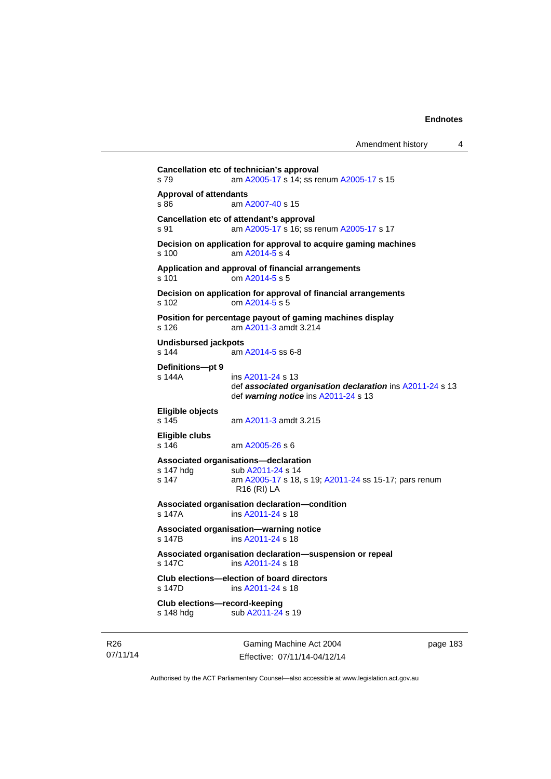```
Amendment history 4
```

```
Cancellation etc of technician's approval 
s 79 am A2005-17 s 14; ss renum A2005-17 s 15 
Approval of attendants 
A2007-40 s 15
Cancellation etc of attendant's approval 
s 91 am A2005-17 s 16; ss renum A2005-17 s 17 
Decision on application for approval to acquire gaming machines 
s 100 am A2014-5 s 4 
Application and approval of financial arrangements 
A2014-5 s 5
Decision on application for approval of financial arrangements 
s 102 om A2014-5 s 5 
Position for percentage payout of gaming machines display 
s 126 am A2011-3 amdt 3.214 
Undisbursed jackpots 
                A2014-5 ss 6-8
Definitions—pt 9 
s 144A ins A2011-24 s 13 
                 def associated organisation declaration ins A2011-24 s 13 
                def warning notice ins A2011-24 s 13 
Eligible objects 
                A2011-3 amdt 3.215
Eligible clubs 
s 146 am A2005-26 s 6 
Associated organisations—declaration 
               A2011-24 s 14
s 147 am A2005-17 s 18, s 19; A2011-24 ss 15-17; pars renum 
                R16 (RI) LA 
Associated organisation declaration—condition 
s 147A ins A2011-24 s 18 
Associated organisation—warning notice 
s 147B ins A2011-24 s 18 
Associated organisation declaration—suspension or repeal 
s 147C ins A2011-24 s 18 
Club elections—election of board directors 
s 147D ins A2011-24 s 18 
Club elections—record-keeping 
A2011-24 s 19
```
R26 07/11/14

Gaming Machine Act 2004 Effective: 07/11/14-04/12/14 page 183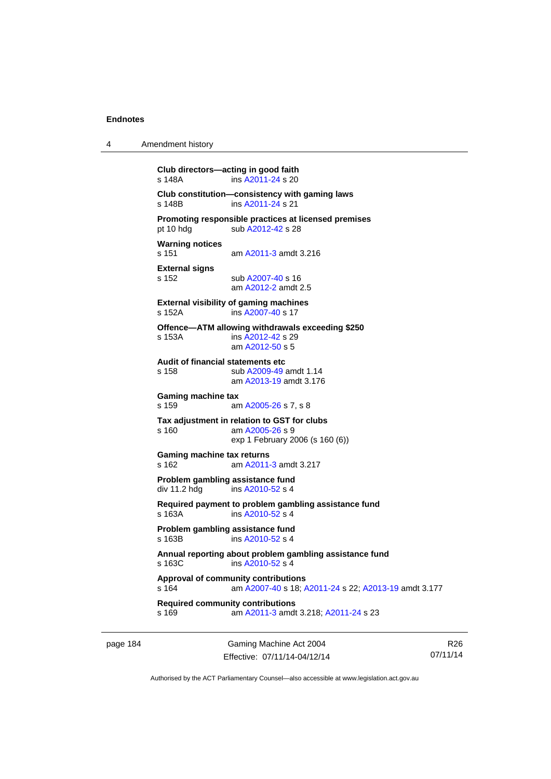```
4 Amendment history 
          Club directors—acting in good faith 
          s 148A ins A2011-24 s 20 
          Club constitution—consistency with gaming laws 
           A2011-24 s 21
          Promoting responsible practices at licensed premises 
          A2012-42 s 28
          Warning notices 
          s 151 am A2011-3 amdt 3.216 
          External signs 
          A2007-40 s 16
                          am A2012-2 amdt 2.5 
          External visibility of gaming machines 
          s 152A ins A2007-40 s 17 
          Offence—ATM allowing withdrawals exceeding $250 
          s 153A ins A2012-42 s 29 
                          am A2012-50 s 5 
          Audit of financial statements etc 
          s 158 sub A2009-49 amdt 1.14 
                          am A2013-19 amdt 3.176
          Gaming machine tax 
          s 159 am A2005-26 s 7, s 8 
          Tax adjustment in relation to GST for clubs 
           A2005-26 s 9
                         exp 1 February 2006 (s 160 (6)) 
          Gaming machine tax returns 
          s 162 am A2011-3 amdt 3.217 
          Problem gambling assistance fund 
          A2010-52 s 4
          Required payment to problem gambling assistance fund 
          s 163A ins A2010-52 s 4
          Problem gambling assistance fund 
          s 163B ins A2010-52 s 4
          Annual reporting about problem gambling assistance fund 
          s 163C ins A2010-52 s 4
          Approval of community contributions 
          s 164 am A2007-40 s 18; A2011-24 s 22; A2013-19 amdt 3.177
          Required community contributions 
                          A2011-3 A2011-24 s 23
```
page 184 Gaming Machine Act 2004 Effective: 07/11/14-04/12/14

R26 07/11/14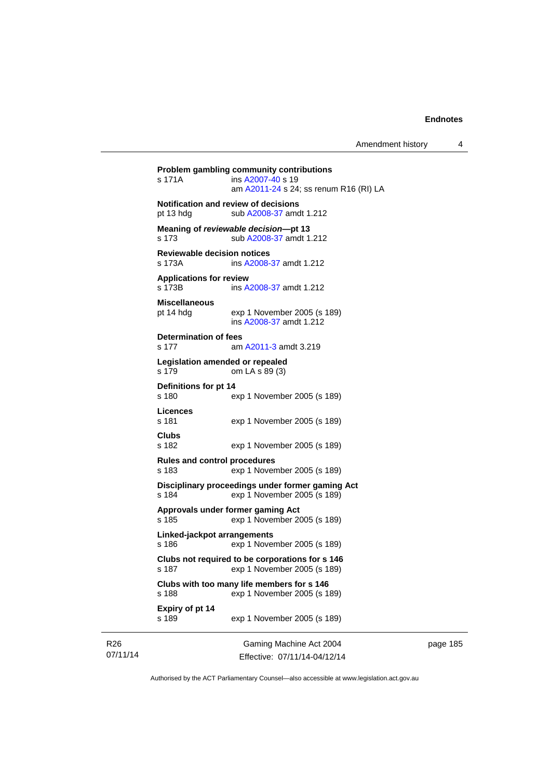| s 171A                                       | Problem gambling community contributions<br>ins A2007-40 s 19<br>am A2011-24 s 24; ss renum R16 (RI) LA |
|----------------------------------------------|---------------------------------------------------------------------------------------------------------|
| pt 13 hdg                                    | <b>Notification and review of decisions</b><br>sub A2008-37 amdt 1.212                                  |
| s 173                                        | Meaning of reviewable decision---pt 13<br>sub A2008-37 amdt 1.212                                       |
| <b>Reviewable decision notices</b><br>s 173A | ins A2008-37 amdt 1.212                                                                                 |
| <b>Applications for review</b><br>s 173B     | ins A2008-37 amdt 1.212                                                                                 |
| <b>Miscellaneous</b><br>pt 14 hdg            | exp 1 November 2005 (s 189)<br>ins A2008-37 amdt 1.212                                                  |
| Determination of fees<br>s 177               | am A2011-3 amdt 3.219                                                                                   |
| Legislation amended or repealed<br>s 179     | om LA s 89 (3)                                                                                          |
| Definitions for pt 14<br>s 180               | exp 1 November 2005 (s 189)                                                                             |
| Licences<br>s 181                            | exp 1 November 2005 (s 189)                                                                             |
| Clubs<br>s 182                               | exp 1 November 2005 (s 189)                                                                             |
| <b>Rules and control procedures</b><br>s 183 | exp 1 November 2005 (s 189)                                                                             |
| s 184                                        | Disciplinary proceedings under former gaming Act<br>exp 1 November 2005 (s 189)                         |
| s 185                                        | Approvals under former gaming Act<br>exp 1 November 2005 (s 189)                                        |
| Linked-jackpot arrangements<br>s 186         | exp 1 November 2005 (s 189)                                                                             |
| s 187                                        | Clubs not required to be corporations for s 146<br>exp 1 November 2005 (s 189)                          |
| s 188                                        | Clubs with too many life members for s 146<br>exp 1 November 2005 (s 189)                               |
| <b>Expiry of pt 14</b><br>s 189              | exp 1 November 2005 (s 189)                                                                             |
|                                              |                                                                                                         |

07/11/14

R26

Gaming Machine Act 2004 Effective: 07/11/14-04/12/14 page 185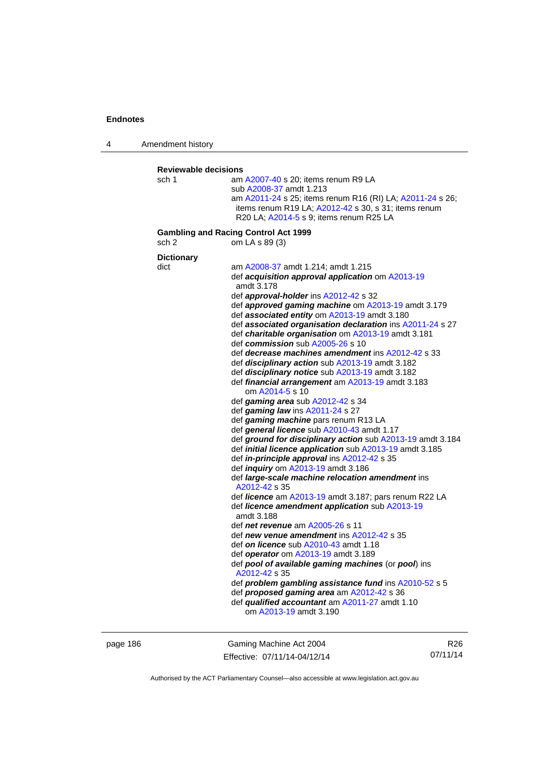4 Amendment history

| <b>Reviewable decisions</b><br>sch 1 | am A2007-40 s 20; items renum R9 LA                                                                           |
|--------------------------------------|---------------------------------------------------------------------------------------------------------------|
|                                      | sub A2008-37 amdt 1.213                                                                                       |
|                                      | am A2011-24 s 25; items renum R16 (RI) LA; A2011-24 s 26;                                                     |
|                                      | items renum R19 LA; A2012-42 s 30, s 31; items renum                                                          |
|                                      | R20 LA; A2014-5 s 9; items renum R25 LA                                                                       |
|                                      |                                                                                                               |
|                                      | <b>Gambling and Racing Control Act 1999</b>                                                                   |
| sch <sub>2</sub>                     | om LA s 89 (3)                                                                                                |
| <b>Dictionary</b>                    |                                                                                                               |
| dict                                 | am A2008-37 amdt 1.214; amdt 1.215                                                                            |
|                                      | def acquisition approval application om A2013-19                                                              |
|                                      | amdt 3.178                                                                                                    |
|                                      | def approval-holder ins A2012-42 s 32                                                                         |
|                                      | def approved gaming machine om A2013-19 amdt 3.179                                                            |
|                                      | def associated entity om A2013-19 amdt 3.180                                                                  |
|                                      | def associated organisation declaration ins A2011-24 s 27                                                     |
|                                      | def charitable organisation om A2013-19 amdt 3.181                                                            |
|                                      | def commission sub A2005-26 s 10                                                                              |
|                                      | def <b>decrease machines amendment</b> ins A2012-42 s 33                                                      |
|                                      | def <i>disciplinary action</i> sub A2013-19 amdt 3.182                                                        |
|                                      | def disciplinary notice sub A2013-19 amdt 3.182                                                               |
|                                      | def financial arrangement am A2013-19 amdt 3.183                                                              |
|                                      | om A2014-5 s 10                                                                                               |
|                                      | def gaming area sub A2012-42 s 34                                                                             |
|                                      | def gaming law ins A2011-24 s 27                                                                              |
|                                      | def gaming machine pars renum R13 LA                                                                          |
|                                      | def general licence sub A2010-43 amdt 1.17                                                                    |
|                                      | def ground for disciplinary action sub A2013-19 amdt 3.184                                                    |
|                                      | def <i>initial licence application</i> sub A2013-19 amdt 3.185<br>def in-principle approval ins A2012-42 s 35 |
|                                      | def <i>inquiry</i> om A2013-19 amdt 3.186                                                                     |
|                                      | def large-scale machine relocation amendment ins                                                              |
|                                      | A2012-42 s 35                                                                                                 |
|                                      | def licence am A2013-19 amdt 3.187; pars renum R22 LA                                                         |
|                                      | def licence amendment application sub A2013-19                                                                |
|                                      | amdt 3.188                                                                                                    |
|                                      | def net revenue am A2005-26 s 11                                                                              |
|                                      | def new venue amendment ins A2012-42 s 35                                                                     |
|                                      | def on licence sub A2010-43 amdt 1.18                                                                         |
|                                      | def operator om A2013-19 amdt 3.189                                                                           |
|                                      | def pool of available gaming machines (or pool) ins                                                           |
|                                      | A2012-42 s 35                                                                                                 |
|                                      | def problem gambling assistance fund ins A2010-52 s 5                                                         |
|                                      | def proposed gaming area am A2012-42 s 36                                                                     |
|                                      | def qualified accountant am A2011-27 amdt 1.10                                                                |
|                                      | om A2013-19 amdt 3.190                                                                                        |
|                                      |                                                                                                               |

page 186 Gaming Machine Act 2004 Effective: 07/11/14-04/12/14

R26 07/11/14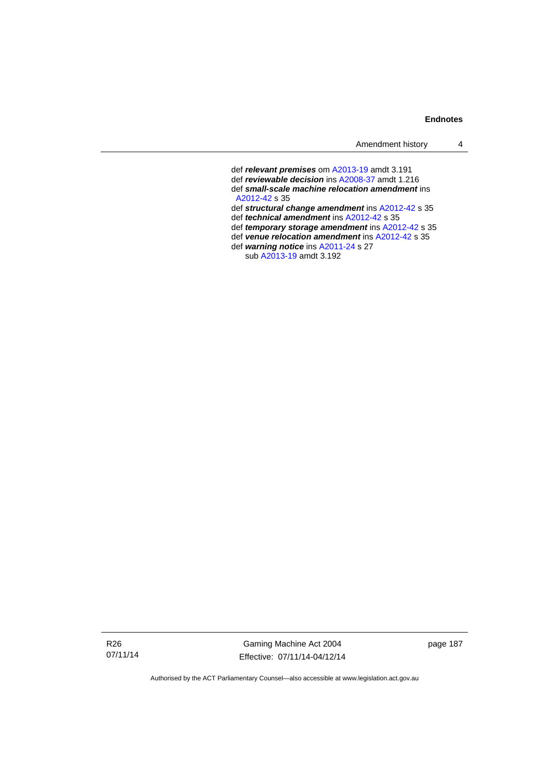def *relevant premises* om [A2013-19](http://www.legislation.act.gov.au/a/2013-19) amdt 3.191 def *reviewable decision* ins [A2008-37](http://www.legislation.act.gov.au/a/2008-37) amdt 1.216 def *small-scale machine relocation amendment* ins [A2012-42](http://www.legislation.act.gov.au/a/2012-42) s 35 def *structural change amendment* ins [A2012-42](http://www.legislation.act.gov.au/a/2012-42) s 35 def *technical amendment* ins [A2012-42](http://www.legislation.act.gov.au/a/2012-42) s 35 def *temporary storage amendment* ins [A2012-42](http://www.legislation.act.gov.au/a/2012-42) s 35 def *venue relocation amendment* ins [A2012-42](http://www.legislation.act.gov.au/a/2012-42) s 35 def *warning notice* ins [A2011-24](http://www.legislation.act.gov.au/a/2011-24) s 27 sub [A2013-19](http://www.legislation.act.gov.au/a/2013-19) amdt 3.192

R26 07/11/14

Gaming Machine Act 2004 Effective: 07/11/14-04/12/14 page 187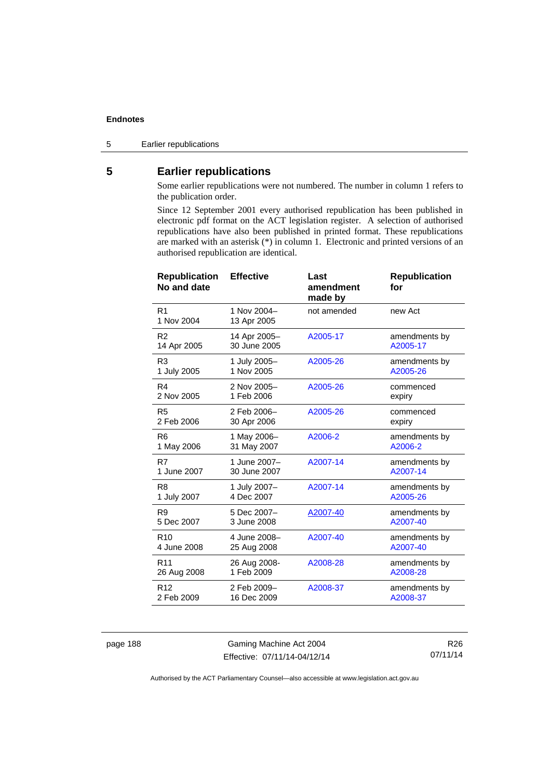5 Earlier republications

# **5 Earlier republications**

Some earlier republications were not numbered. The number in column 1 refers to the publication order.

Since 12 September 2001 every authorised republication has been published in electronic pdf format on the ACT legislation register. A selection of authorised republications have also been published in printed format. These republications are marked with an asterisk (\*) in column 1. Electronic and printed versions of an authorised republication are identical.

| <b>Republication</b><br>No and date | <b>Effective</b>           | Last<br>amendment<br>made by | <b>Republication</b><br>for |
|-------------------------------------|----------------------------|------------------------------|-----------------------------|
| R <sub>1</sub><br>1 Nov 2004        | 1 Nov 2004-<br>13 Apr 2005 | not amended                  | new Act                     |
| R <sub>2</sub>                      | 14 Apr 2005-               | A2005-17                     | amendments by               |
| 14 Apr 2005                         | 30 June 2005               |                              | A2005-17                    |
| R <sub>3</sub>                      | 1 July 2005-               | A2005-26                     | amendments by               |
| 1 July 2005                         | 1 Nov 2005                 |                              | A2005-26                    |
| R4                                  | 2 Nov 2005-                | A2005-26                     | commenced                   |
| 2 Nov 2005                          | 1 Feb 2006                 |                              | expiry                      |
| R <sub>5</sub>                      | 2 Feb 2006-                | A2005-26                     | commenced                   |
| 2 Feb 2006                          | 30 Apr 2006                |                              | expiry                      |
| R <sub>6</sub>                      | 1 May 2006-                | A2006-2                      | amendments by               |
| 1 May 2006                          | 31 May 2007                |                              | A2006-2                     |
| R7                                  | 1 June 2007-               | A2007-14                     | amendments by               |
| 1 June 2007                         | 30 June 2007               |                              | A2007-14                    |
| R <sub>8</sub>                      | 1 July 2007-               | A2007-14                     | amendments by               |
| 1 July 2007                         | 4 Dec 2007                 |                              | A2005-26                    |
| R9                                  | 5 Dec 2007-                | A2007-40                     | amendments by               |
| 5 Dec 2007                          | 3 June 2008                |                              | A2007-40                    |
| R <sub>10</sub>                     | 4 June 2008-               | A2007-40                     | amendments by               |
| 4 June 2008                         | 25 Aug 2008                |                              | A2007-40                    |
| R <sub>11</sub>                     | 26 Aug 2008-               | A2008-28                     | amendments by               |
| 26 Aug 2008                         | 1 Feb 2009                 |                              | A2008-28                    |
| R <sub>12</sub>                     | 2 Feb 2009-                | A2008-37                     | amendments by               |
| 2 Feb 2009                          | 16 Dec 2009                |                              | A2008-37                    |

page 188 Gaming Machine Act 2004 Effective: 07/11/14-04/12/14

R26 07/11/14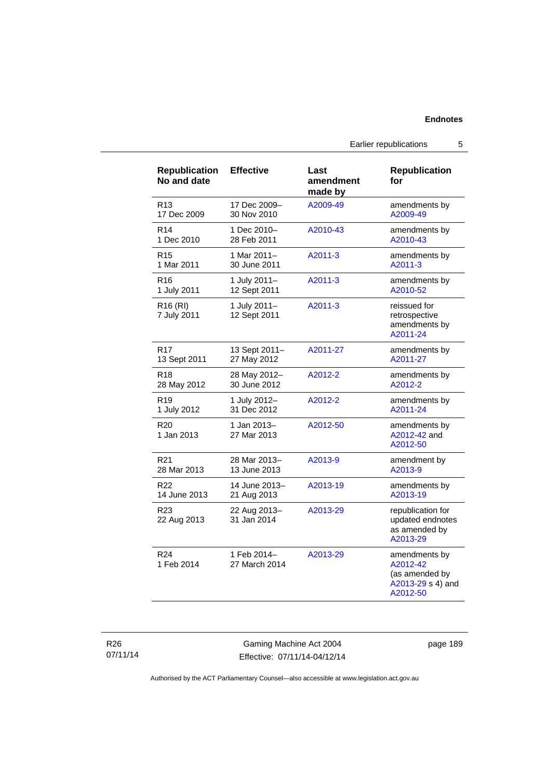## Earlier republications 5

| <b>Republication</b><br>No and date | <b>Effective</b>             | Last<br>amendment<br>made by | <b>Republication</b><br>for                                                  |
|-------------------------------------|------------------------------|------------------------------|------------------------------------------------------------------------------|
| R <sub>13</sub>                     | 17 Dec 2009-                 | A2009-49                     | amendments by                                                                |
| 17 Dec 2009                         | 30 Nov 2010                  |                              | A2009-49                                                                     |
| R <sub>14</sub>                     | 1 Dec 2010-                  | A2010-43                     | amendments by                                                                |
| 1 Dec 2010                          | 28 Feb 2011                  |                              | A2010-43                                                                     |
| R <sub>15</sub>                     | 1 Mar 2011-                  | A2011-3                      | amendments by                                                                |
| 1 Mar 2011                          | 30 June 2011                 |                              | A2011-3                                                                      |
| R <sub>16</sub>                     | 1 July 2011-                 | A2011-3                      | amendments by                                                                |
| 1 July 2011                         | 12 Sept 2011                 |                              | A2010-52                                                                     |
| R <sub>16</sub> (RI)<br>7 July 2011 | 1 July 2011-<br>12 Sept 2011 | A2011-3                      | reissued for<br>retrospective<br>amendments by<br>A2011-24                   |
| R17                                 | 13 Sept 2011-                | A2011-27                     | amendments by                                                                |
| 13 Sept 2011                        | 27 May 2012                  |                              | A2011-27                                                                     |
| R <sub>18</sub>                     | 28 May 2012-                 | A2012-2                      | amendments by                                                                |
| 28 May 2012                         | 30 June 2012                 |                              | A2012-2                                                                      |
| R <sub>19</sub>                     | 1 July 2012-                 | A2012-2                      | amendments by                                                                |
| 1 July 2012                         | 31 Dec 2012                  |                              | A2011-24                                                                     |
| R <sub>20</sub><br>1 Jan 2013       | 1 Jan 2013-<br>27 Mar 2013   | A2012-50                     | amendments by<br>A2012-42 and<br>A2012-50                                    |
| R <sub>21</sub>                     | 28 Mar 2013-                 | A2013-9                      | amendment by                                                                 |
| 28 Mar 2013                         | 13 June 2013                 |                              | A2013-9                                                                      |
| R <sub>22</sub>                     | 14 June 2013-                | A2013-19                     | amendments by                                                                |
| 14 June 2013                        | 21 Aug 2013                  |                              | A2013-19                                                                     |
| R <sub>23</sub><br>22 Aug 2013      | 22 Aug 2013-<br>31 Jan 2014  | A2013-29                     | republication for<br>updated endnotes<br>as amended by<br>A2013-29           |
| R <sub>24</sub><br>1 Feb 2014       | 1 Feb 2014-<br>27 March 2014 | A2013-29                     | amendments by<br>A2012-42<br>(as amended by<br>A2013-29 s 4) and<br>A2012-50 |

R26 07/11/14

Gaming Machine Act 2004 Effective: 07/11/14-04/12/14 page 189